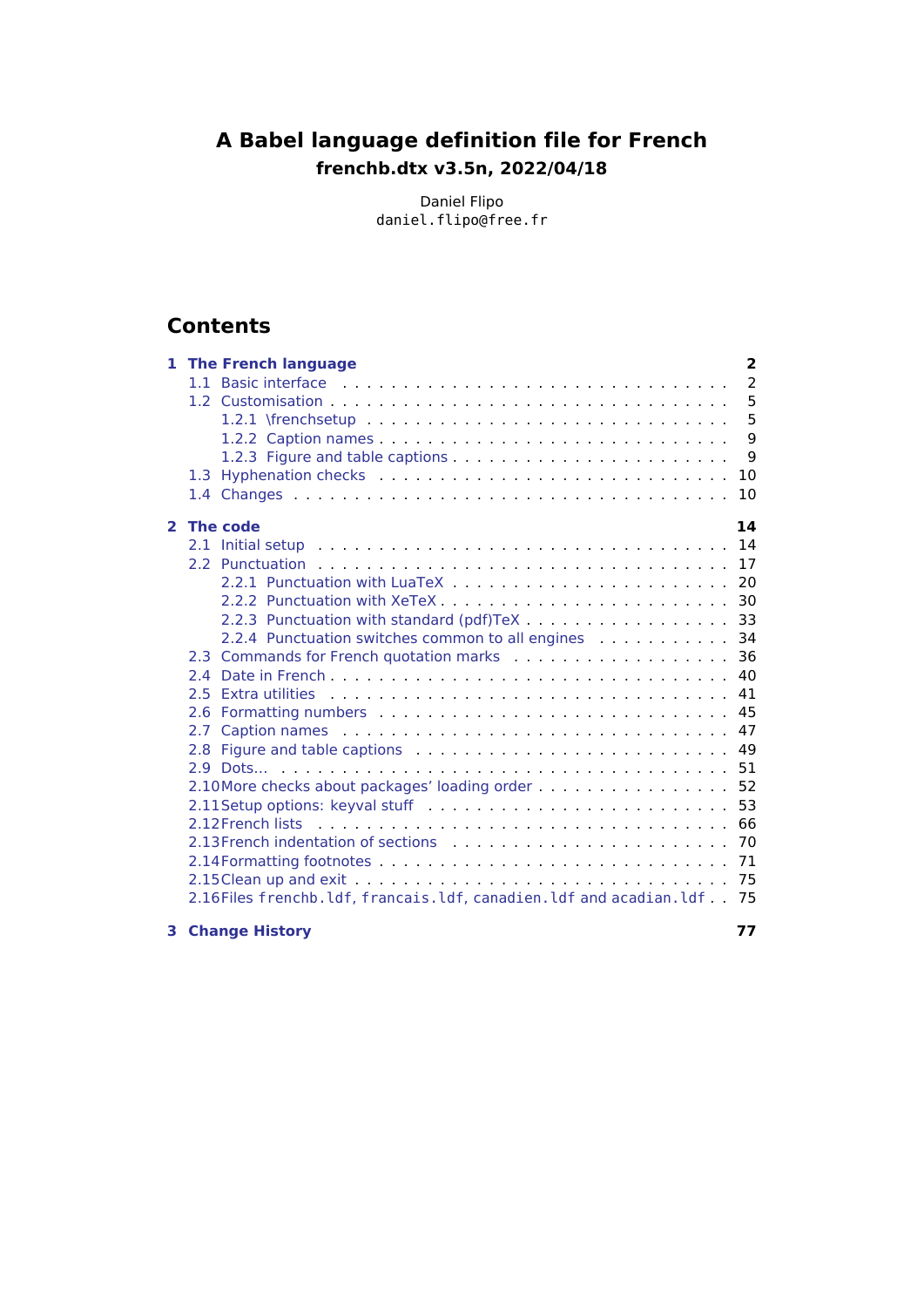# **A Babel language definition file for French frenchb.dtx v3.5n, 2022/04/18**

Daniel Flipo daniel.flipo@free.fr

# **Contents**

|              | <b>1 The French language</b>                                                                                           | $\overline{2}$ |
|--------------|------------------------------------------------------------------------------------------------------------------------|----------------|
|              |                                                                                                                        | 2              |
|              |                                                                                                                        | 5              |
|              |                                                                                                                        | 5              |
|              |                                                                                                                        | 9              |
|              |                                                                                                                        | 9              |
|              | 1.3                                                                                                                    | 10             |
|              |                                                                                                                        | 10             |
| $\mathbf{2}$ | The code                                                                                                               | 14             |
|              |                                                                                                                        | 14             |
|              |                                                                                                                        | 17             |
|              |                                                                                                                        | 20             |
|              |                                                                                                                        |                |
|              | 2.2.3 Punctuation with standard (pdf)TeX 33                                                                            |                |
|              | 2.2.4 Punctuation switches common to all engines                                                                       | 34             |
|              | 2.3 Commands for French quotation marks [19] Commands Commands for French quotation marks                              | 36             |
|              |                                                                                                                        | 40             |
|              |                                                                                                                        | 41             |
|              |                                                                                                                        | 45             |
|              | Caption names entertainment and the contract of the contract of the contract of the contract of the contract of<br>2.7 | 47             |
|              |                                                                                                                        | 49             |
|              |                                                                                                                        | 51             |
|              | 2.10 More checks about packages' loading order                                                                         | 52             |
|              |                                                                                                                        | 53             |
|              |                                                                                                                        | 66             |
|              |                                                                                                                        | 70             |
|              |                                                                                                                        |                |
|              |                                                                                                                        | 75             |
|              | 2.16Files frenchb. ldf, francais. ldf, canadien. ldf and acadian. ldf                                                  | 75             |

**[3 Change History](#page-76-0) 77**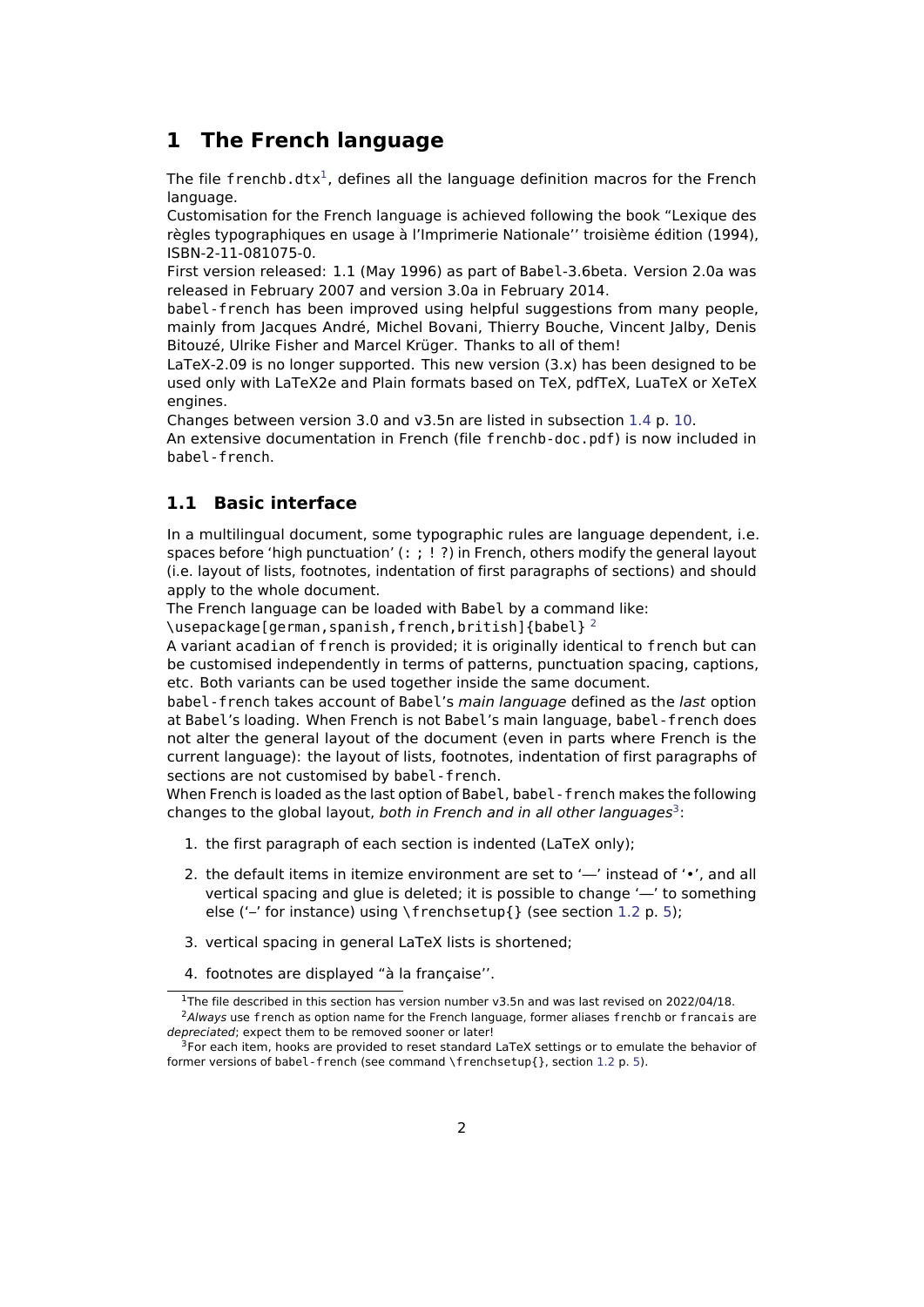## <span id="page-1-0"></span>**1 The French language**

The file frenchb.dtx<sup>[1](#page-1-2)</sup>, defines all the language definition macros for the French language.

Customisation for the French language is achieved following the book "Lexique des règles typographiques en usage à l'Imprimerie Nationale'' troisième édition (1994), ISBN-2-11-081075-0.

First version released: 1.1 (May 1996) as part of Babel-3.6beta. Version 2.0a was released in February 2007 and version 3.0a in February 2014.

babel-french has been improved using helpful suggestions from many people, mainly from Jacques André, Michel Bovani, Thierry Bouche, Vincent Jalby, Denis Bitouzé, Ulrike Fisher and Marcel Krüger. Thanks to all of them!

LaTeX-2.09 is no longer supported. This new version (3.x) has been designed to be used only with LaTeX2e and Plain formats based on TeX, pdfTeX, LuaTeX or XeTeX engines.

Changes between version 3.0 and v3.5n are listed in subsection [1.4](#page-9-1) p. [10.](#page-9-1)

An extensive documentation in French (file frenchb-doc.pdf) is now included in babel-french.

## <span id="page-1-1"></span>**1.1 Basic interface**

In a multilingual document, some typographic rules are language dependent, i.e. spaces before 'high punctuation'  $(:; ! ?)$  in French, others modify the general layout (i.e. layout of lists, footnotes, indentation of first paragraphs of sections) and should apply to the whole document.

The French language can be loaded with Babel by a command like:

\usepackage[german,spanish,french,british]{babel}<sup>[2](#page-1-3)</sup>

A variant acadian of french is provided; it is originally identical to french but can be customised independently in terms of patterns, punctuation spacing, captions, etc. Both variants can be used together inside the same document.

babel - french takes account of Babel's main language defined as the last option at Babel's loading. When French is not Babel's main language, babel-french does not alter the general layout of the document (even in parts where French is the current language): the layout of lists, footnotes, indentation of first paragraphs of sections are not customised by babel-french.

When French is loaded as the last option of Babel, babel-french makes the following changes to the global layout, both in French and in all other languages<sup>[3](#page-1-4)</sup>:

- 1. the first paragraph of each section is indented (LaTeX only);
- 2. the default items in itemize environment are set to '—' instead of '•', and all vertical spacing and glue is deleted; it is possible to change '—' to something else ('–' for instance) using \frenchsetup{} (see section [1.2](#page-4-0) p. [5\)](#page-4-0);
- 3. vertical spacing in general LaTeX lists is shortened;
- 4. footnotes are displayed "à la française''.

<span id="page-1-3"></span><span id="page-1-2"></span><sup>&</sup>lt;sup>1</sup>The file described in this section has version number v3.5n and was last revised on 2022/04/18. <sup>2</sup>Always use french as option name for the French language, former aliases frenchb or francais are depreciated; expect them to be removed sooner or later!

<span id="page-1-4"></span><sup>&</sup>lt;sup>3</sup>For each item, hooks are provided to reset standard LaTeX settings or to emulate the behavior of former versions of babel-french (see command \frenchsetup{}, section [1.2](#page-4-0) p. [5\)](#page-4-0).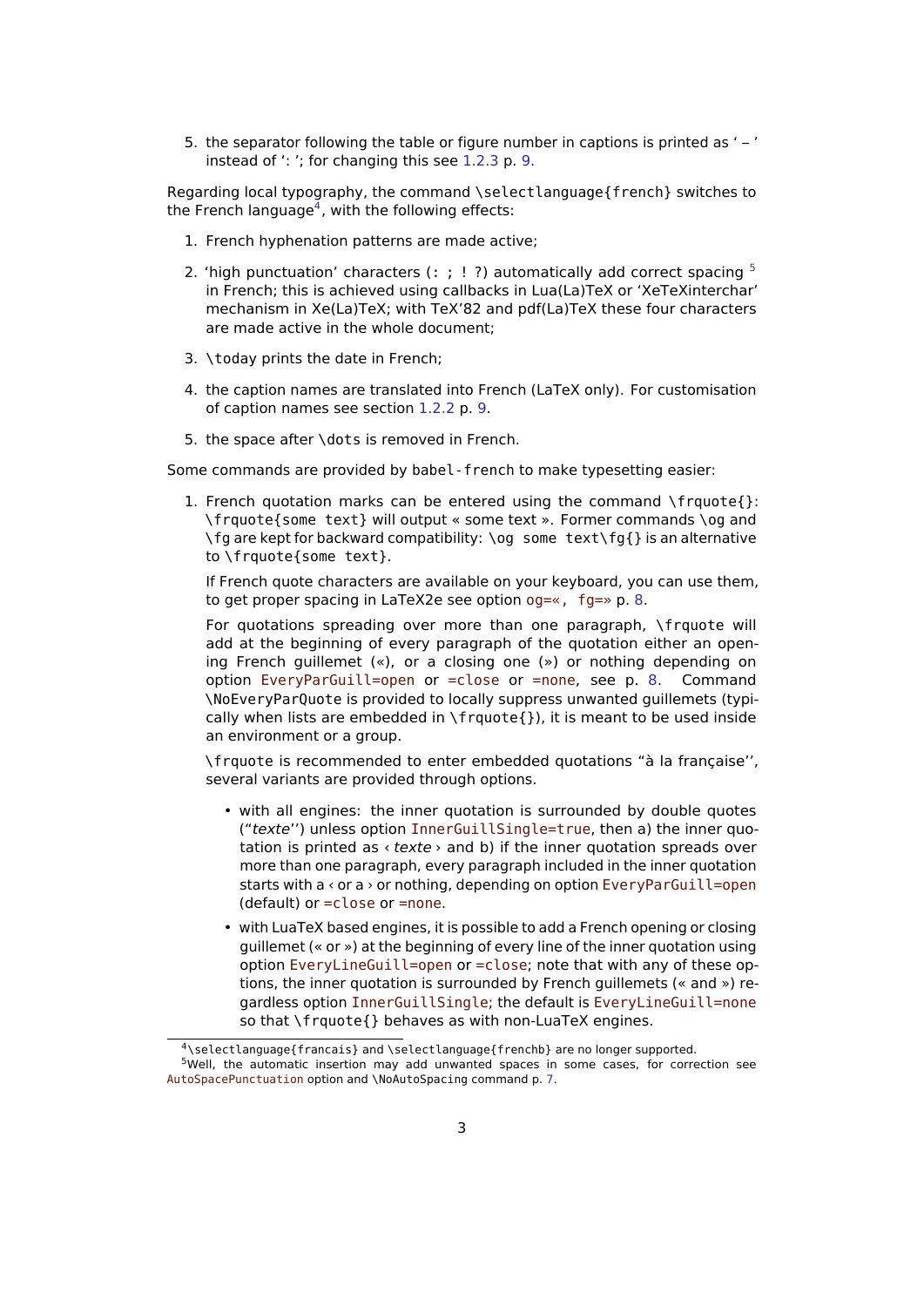5. the separator following the table or figure number in captions is printed as ' – ' instead of ': '; for changing this see [1.2.3](#page-8-1) p. [9.](#page-8-1)

Regarding local typography, the command \selectlanguage{french} switches to the French language<sup>[4](#page-2-0)</sup>, with the following effects:

- 1. French hyphenation patterns are made active;
- 2. 'high punctuation' characters  $(:; ! ?)$  automatically add correct spacing  $5$ in French; this is achieved using callbacks in Lua(La)TeX or 'XeTeXinterchar' mechanism in Xe(La)TeX; with TeX'82 and pdf(La)TeX these four characters are made active in the whole document;
- 3. \today prints the date in French;
- 4. the caption names are translated into French (LaTeX only). For customisation of caption names see section [1.2.2](#page-8-0) p. [9.](#page-8-0)
- 5. the space after \dots is removed in French.

Some commands are provided by babel-french to make typesetting easier:

1. French quotation marks can be entered using the command  $\frac{\cdot}{\cdot}$ : \frquote{some text} will output « some text ». Former commands \og and \fg are kept for backward compatibility: \og some text\fg{} is an alternative to \frquote{some text}.

<span id="page-2-2"></span>If French quote characters are available on your keyboard, you can use them, to get proper spacing in LaTeX2e see option og=«, fg=» p. [8.](#page-7-0)

For quotations spreading over more than one paragraph, \frquote will add at the beginning of every paragraph of the quotation either an opening French guillemet («), or a closing one (») or nothing depending on option EveryParGuill=open or =close or =none, see p. [8.](#page-7-1) Command \NoEveryParQuote is provided to locally suppress unwanted guillemets (typically when lists are embedded in  $\{ \}$ , it is meant to be used inside an environment or a group.

\frquote is recommended to enter embedded quotations "à la française'', several variants are provided through options.

- with all engines: the inner quotation is surrounded by double quotes ("texte'') unless option InnerGuillSingle=true, then a) the inner quotation is printed as  $\langle$  texte  $\rangle$  and b) if the inner quotation spreads over more than one paragraph, every paragraph included in the inner quotation starts with a < or a > or nothing, depending on option EveryParGuill=open (default) or =close or =none.
- with LuaTeX based engines, it is possible to add a French opening or closing guillemet (« or ») at the beginning of every line of the inner quotation using option EveryLineGuill=open or =close; note that with any of these options, the inner quotation is surrounded by French guillemets (« and ») regardless option InnerGuillSingle; the default is EveryLineGuill=none so that \frquote{} behaves as with non-LuaTeX engines.

<span id="page-2-1"></span><span id="page-2-0"></span><sup>4</sup>\selectlanguage{francais} and \selectlanguage{frenchb} are no longer supported.

<sup>5</sup>Well, the automatic insertion may add unwanted spaces in some cases, for correction see AutoSpacePunctuation option and \NoAutoSpacing command p. [7.](#page-6-0)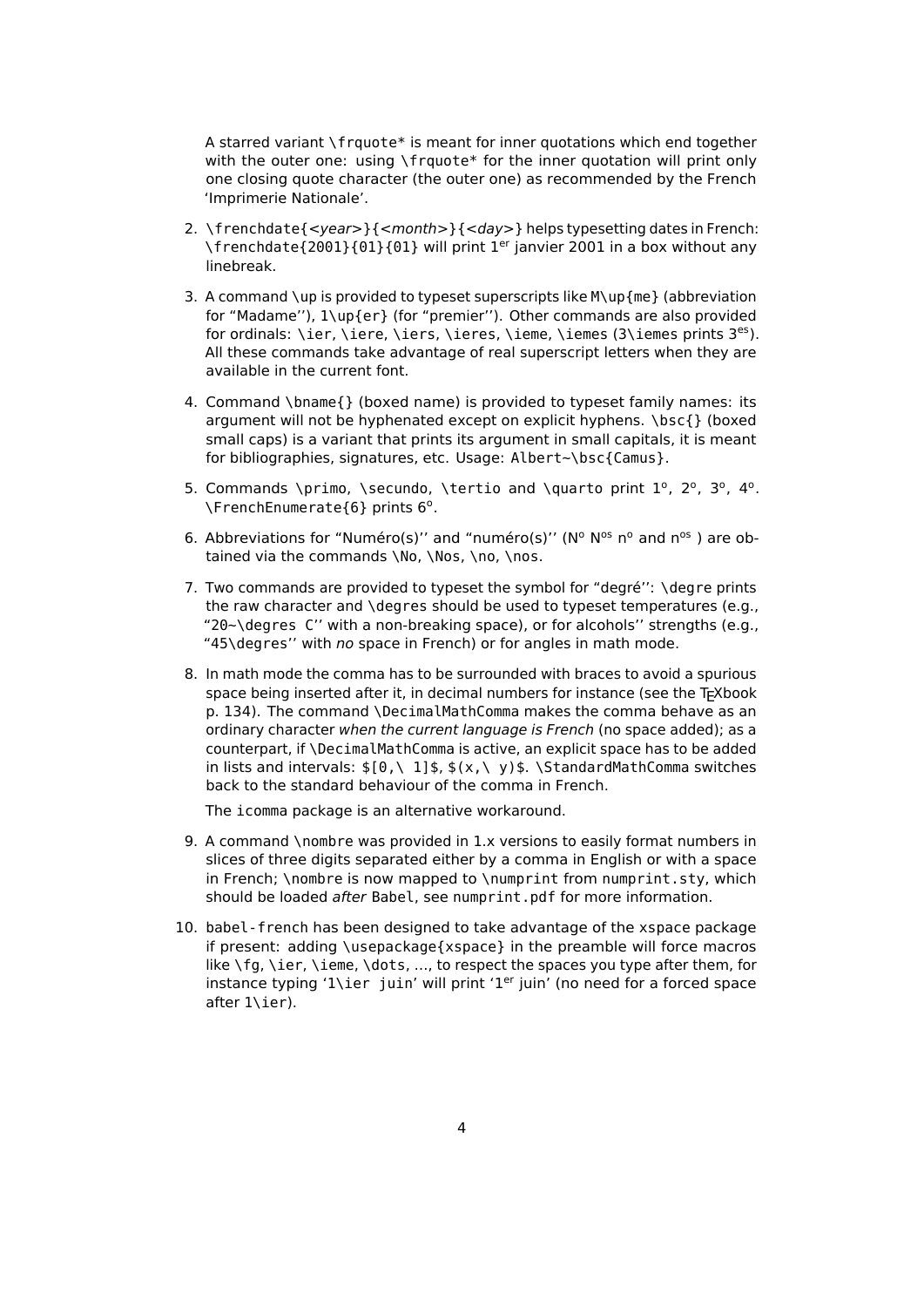A starred variant \frquote\* is meant for inner quotations which end together with the outer one: using \frquote\* for the inner quotation will print only one closing quote character (the outer one) as recommended by the French 'Imprimerie Nationale'.

- <span id="page-3-0"></span>2. \frenchdate{<year>}{<month>}{<day>} helps typesetting dates in French: \frenchdate{2001}{01}{01} will print 1<sup>er</sup> janvier 2001 in a box without any linebreak.
- 3. A command \up is provided to typeset superscripts like M\up{me} (abbreviation for "Madame''), 1\up{er} (for "premier''). Other commands are also provided for ordinals: \ier, \iere, \iers, \ieres, \ieme, \iemes (3\iemes prints  $3^{es}$ ). All these commands take advantage of real superscript letters when they are available in the current font.
- 4. Command \bname{} (boxed name) is provided to typeset family names: its argument will not be hyphenated except on explicit hyphens. \bsc{} (boxed small caps) is a variant that prints its argument in small capitals, it is meant for bibliographies, signatures, etc. Usage: Albert~\bsc{Camus}.
- 5. Commands \primo, \secundo, \tertio and \quarto print  $1^{\circ}$ ,  $2^{\circ}$ ,  $3^{\circ}$ ,  $4^{\circ}$ . \FrenchEnumerate{6} prints 6°.
- 6. Abbreviations for "Numéro(s)" and "numéro(s)" ( $N^{\circ}$   $N^{\circ s}$  n° and n<sup>os</sup>) are obtained via the commands \No, \Nos, \no, \nos.
- 7. Two commands are provided to typeset the symbol for "degré'': \degre prints the raw character and \degres should be used to typeset temperatures (e.g., "20~\degres C'' with a non-breaking space), or for alcohols'' strengths (e.g., "45\degres'' with no space in French) or for angles in math mode.
- 8. In math mode the comma has to be surrounded with braces to avoid a spurious space being inserted after it, in decimal numbers for instance (see the TEXbook p. 134). The command \DecimalMathComma makes the comma behave as an ordinary character when the current language is French (no space added); as a counterpart, if \DecimalMathComma is active, an explicit space has to be added in lists and intervals:  $\frac{6}{\lambda}$ , 1]\$,  $\frac{s(x,\lambda)}{y}$ \$. \StandardMathComma switches back to the standard behaviour of the comma in French.

The icomma package is an alternative workaround.

- 9. A command \nombre was provided in 1.x versions to easily format numbers in slices of three digits separated either by a comma in English or with a space in French; \nombre is now mapped to \numprint from numprint.sty, which should be loaded after Babel, see numprint.pdf for more information.
- 10. babel-french has been designed to take advantage of the xspace package if present: adding \usepackage{xspace} in the preamble will force macros like \fg, \ier, \ieme, \dots, …, to respect the spaces you type after them, for instance typing '1\ier juin' will print '1<sup>er</sup> juin' (no need for a forced space after 1\ier).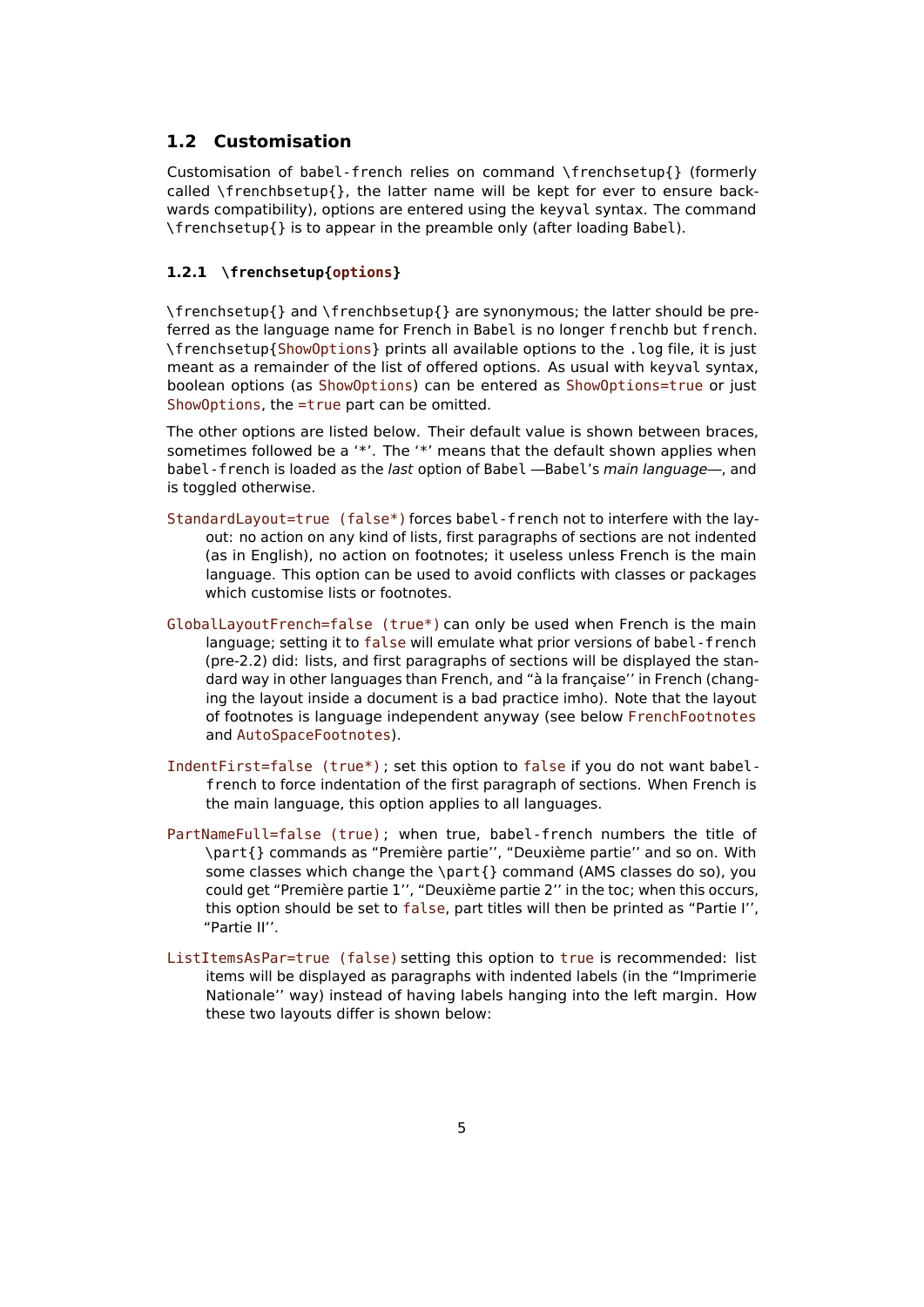### <span id="page-4-0"></span>**1.2 Customisation**

Customisation of babel-french relies on command \frenchsetup{} (formerly called  $\mathcal{E}$  frenchbsetup{}, the latter name will be kept for ever to ensure backwards compatibility), options are entered using the keyval syntax. The command \frenchsetup{} is to appear in the preamble only (after loading Babel).

#### <span id="page-4-1"></span>**1.2.1 \frenchsetup{options}**

\frenchsetup{} and \frenchbsetup{} are synonymous; the latter should be preferred as the language name for French in Babel is no longer frenchb but french. \frenchsetup{ShowOptions} prints all available options to the .log file, it is just meant as a remainder of the list of offered options. As usual with keyval syntax, boolean options (as ShowOptions) can be entered as ShowOptions=true or just ShowOptions, the =true part can be omitted.

The other options are listed below. Their default value is shown between braces, sometimes followed be a '\*'. The '\*' means that the default shown applies when babel - french is loaded as the last option of Babel - Babel's main language-, and is toggled otherwise.

- StandardLayout=true (false\*) forces babel-french not to interfere with the layout: no action on any kind of lists, first paragraphs of sections are not indented (as in English), no action on footnotes; it useless unless French is the main language. This option can be used to avoid conflicts with classes or packages which customise lists or footnotes.
- GlobalLayoutFrench=false (true\*) can only be used when French is the main language; setting it to false will emulate what prior versions of babel-french (pre-2.2) did: lists, and first paragraphs of sections will be displayed the standard way in other languages than French, and "à la française'' in French (changing the layout inside a document is a bad practice imho). Note that the layout of footnotes is language independent anyway (see below FrenchFootnotes and AutoSpaceFootnotes).
- IndentFirst=false (true\*) ; set this option to false if you do not want babelfrench to force indentation of the first paragraph of sections. When French is the main language, this option applies to all languages.
- PartNameFull=false (true) ; when true, babel-french numbers the title of \part{} commands as "Première partie'', "Deuxième partie'' and so on. With some classes which change the \part{} command (AMS classes do so), you could get "Première partie 1'', "Deuxième partie 2'' in the toc; when this occurs, this option should be set to false, part titles will then be printed as "Partie I'', "Partie II''.
- ListItemsAsPar=true (false) setting this option to true is recommended: list items will be displayed as paragraphs with indented labels (in the "Imprimerie Nationale'' way) instead of having labels hanging into the left margin. How these two layouts differ is shown below: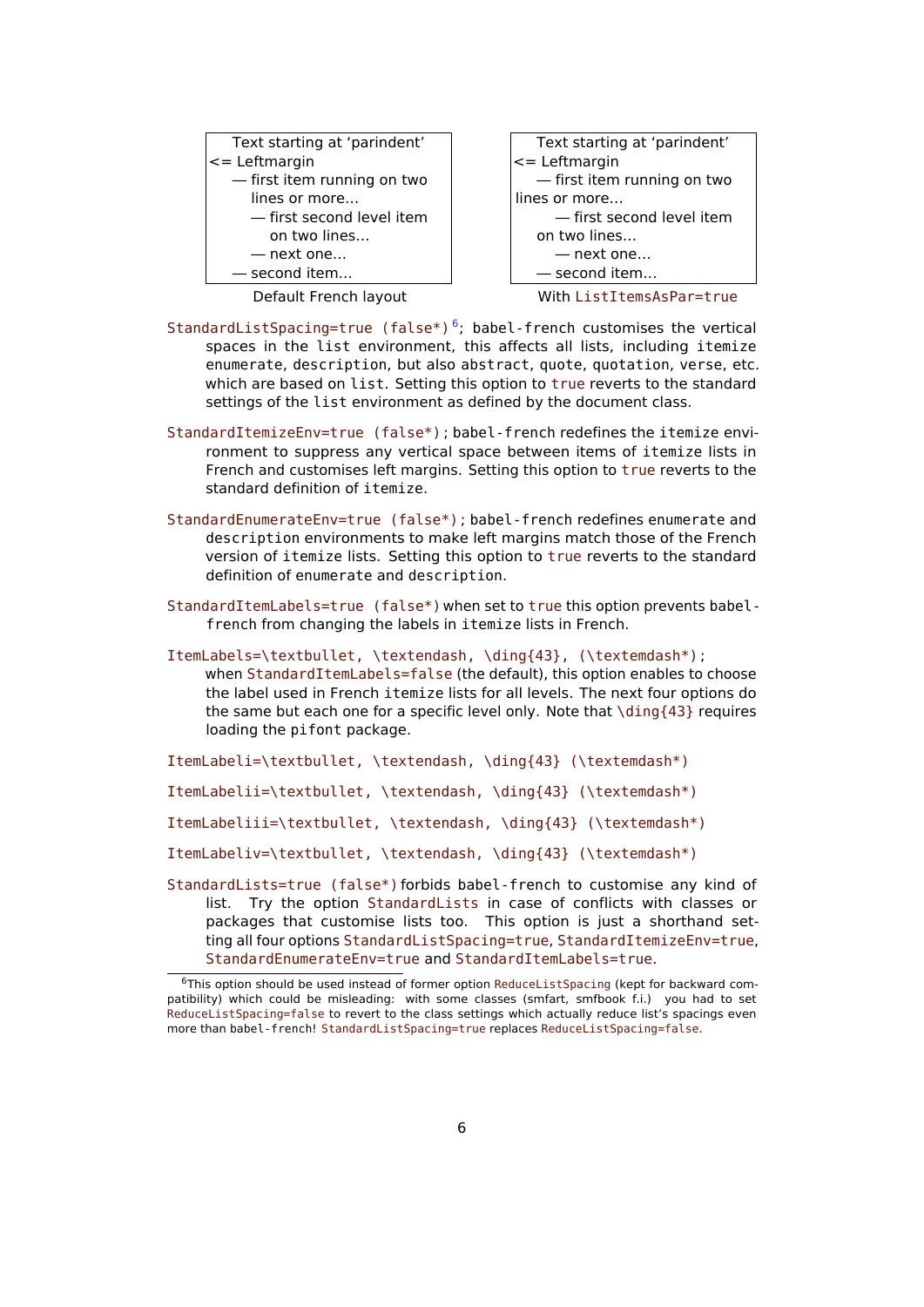

Text starting at 'parindent' <= Leftmargin — first item running on two lines or more… — first second level item on two lines… — next one… — second item…

Default French layout With ListItemsAsPar=true

- StandardListSpacing=true (false\*)<sup>[6](#page-5-0)</sup>; babel-french customises the vertical spaces in the list environment, this affects all lists, including itemize enumerate, description, but also abstract, quote, quotation, verse, etc. which are based on list. Setting this option to true reverts to the standard settings of the list environment as defined by the document class.
- StandardItemizeEnv=true (false\*) ; babel-french redefines the itemize environment to suppress any vertical space between items of itemize lists in French and customises left margins. Setting this option to true reverts to the standard definition of itemize.
- StandardEnumerateEnv=true (false\*) ; babel-french redefines enumerate and description environments to make left margins match those of the French version of itemize lists. Setting this option to true reverts to the standard definition of enumerate and description.
- StandardItemLabels=true (false\*) when set to true this option prevents babelfrench from changing the labels in itemize lists in French.

ItemLabels=\textbullet, \textendash, \ding{43}, (\textemdash\*) ; when StandardItemLabels=false (the default), this option enables to choose the label used in French itemize lists for all levels. The next four options do the same but each one for a specific level only. Note that  $\diagdown$  ding{43} requires loading the pifont package.

- ItemLabeli=\textbullet, \textendash, \ding{43} (\textemdash\*)
- ItemLabelii=\textbullet, \textendash, \ding{43} (\textemdash\*)
- ItemLabeliii=\textbullet, \textendash, \ding{43} (\textemdash\*)
- ItemLabeliv=\textbullet, \textendash, \ding{43} (\textemdash\*)
- StandardLists=true (false\*) forbids babel-french to customise any kind of list. Try the option StandardLists in case of conflicts with classes or packages that customise lists too. This option is just a shorthand setting all four options StandardListSpacing=true, StandardItemizeEnv=true, StandardEnumerateEnv=true and StandardItemLabels=true.

<span id="page-5-0"></span> $6$ This option should be used instead of former option ReduceListSpacing (kept for backward compatibility) which could be misleading: with some classes (smfart, smfbook f.i.) you had to set ReduceListSpacing=false to revert to the class settings which actually reduce list's spacings even more than babel-french! StandardListSpacing=true replaces ReduceListSpacing=false.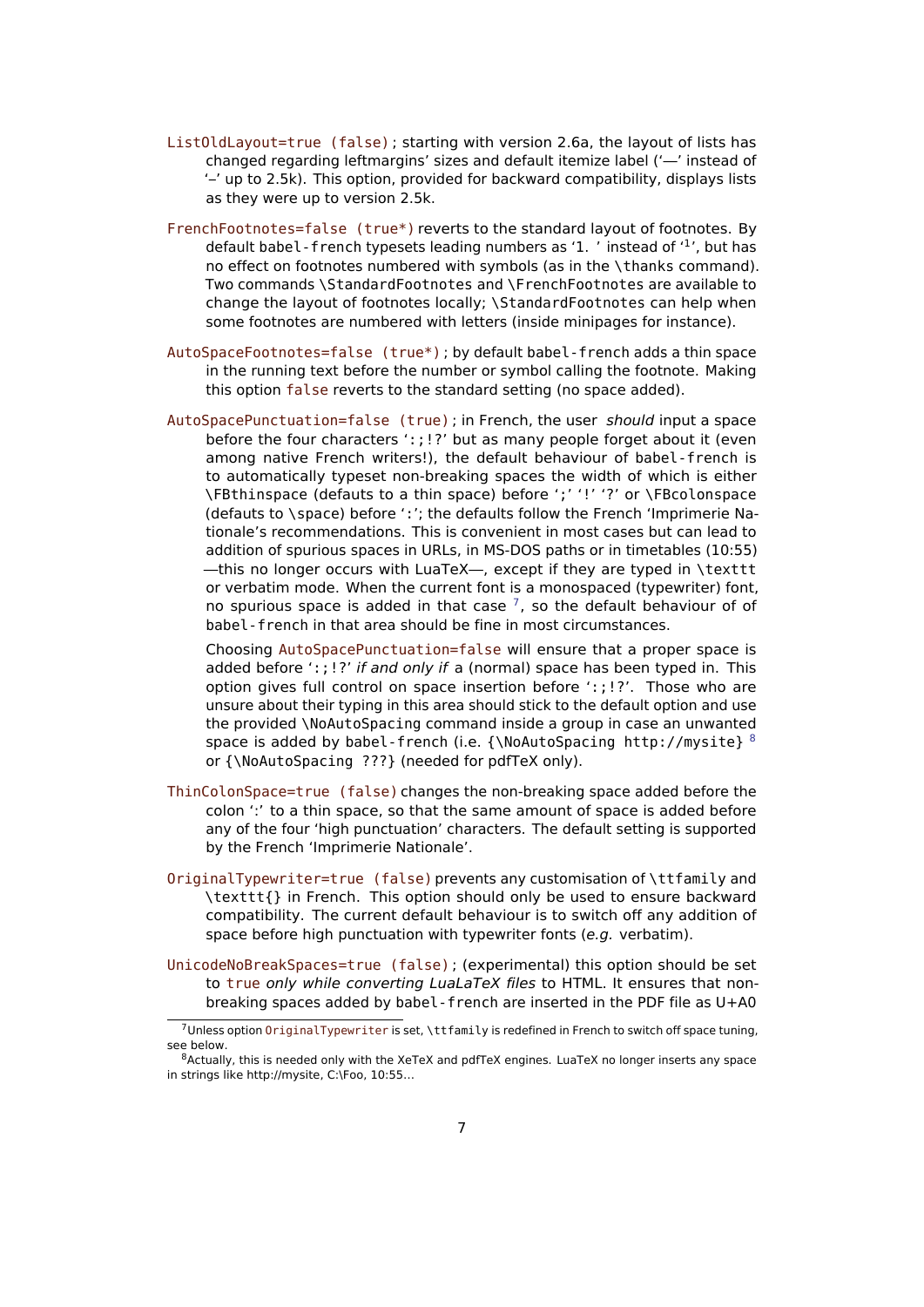- ListOldLayout=true (false) ; starting with version 2.6a, the layout of lists has changed regarding leftmargins' sizes and default itemize label ('—' instead of '–' up to 2.5k). This option, provided for backward compatibility, displays lists as they were up to version 2.5k.
- FrenchFootnotes=false (true\*) reverts to the standard layout of footnotes. By default babel - french typesets leading numbers as '1. ' instead of '<sup>1</sup>', but has no effect on footnotes numbered with symbols (as in the \thanks command). Two commands \StandardFootnotes and \FrenchFootnotes are available to change the layout of footnotes locally; \StandardFootnotes can help when some footnotes are numbered with letters (inside minipages for instance).
- AutoSpaceFootnotes=false (true\*) ; by default babel-french adds a thin space in the running text before the number or symbol calling the footnote. Making this option false reverts to the standard setting (no space added).
- <span id="page-6-0"></span>AutoSpacePunctuation=false (true) ; in French, the user should input a space before the four characters ':;!?' but as many people forget about it (even among native French writers!), the default behaviour of babel-french is to automatically typeset non-breaking spaces the width of which is either \FBthinspace (defauts to a thin space) before ';' '!' '?' or \FBcolonspace (defauts to \space) before ':'; the defaults follow the French 'Imprimerie Nationale's recommendations. This is convenient in most cases but can lead to addition of spurious spaces in URLs, in MS-DOS paths or in timetables (10:55) —this no longer occurs with LuaTeX—, except if they are typed in \texttt or verbatim mode. When the current font is a monospaced (typewriter) font, no spurious space is added in that case  $^7$  $^7$ , so the default behaviour of of babel-french in that area should be fine in most circumstances.

Choosing AutoSpacePunctuation=false will ensure that a proper space is added before ':;!?' if and only if a (normal) space has been typed in. This option gives full control on space insertion before ':;!?'. Those who are unsure about their typing in this area should stick to the default option and use the provided \NoAutoSpacing command inside a group in case an unwanted space is added by babel-french (i.e.  $\{\N0AutoSpacing http://mysite}$ <sup>[8](#page-6-2)</sup> or {\NoAutoSpacing ???} (needed for pdfTeX only).

- ThinColonSpace=true (false) changes the non-breaking space added before the colon ':' to a thin space, so that the same amount of space is added before any of the four 'high punctuation' characters. The default setting is supported by the French 'Imprimerie Nationale'.
- OriginalTypewriter=true (false) prevents any customisation of \ttfamily and \texttt{} in French. This option should only be used to ensure backward compatibility. The current default behaviour is to switch off any addition of space before high punctuation with typewriter fonts (e.g. verbatim).
- <span id="page-6-3"></span>UnicodeNoBreakSpaces=true (false) ; (experimental) this option should be set to true only while converting LuaLaTeX files to HTML. It ensures that nonbreaking spaces added by babel-french are inserted in the PDF file as U+A0

<span id="page-6-1"></span> $7$ Unless option OriginalTypewriter is set, \ttfamily is redefined in French to switch off space tuning, see below.

<span id="page-6-2"></span><sup>&</sup>lt;sup>8</sup>Actually, this is needed only with the XeTeX and pdfTeX engines. LuaTeX no longer inserts any space in strings like http://mysite, C:\Foo, 10:55…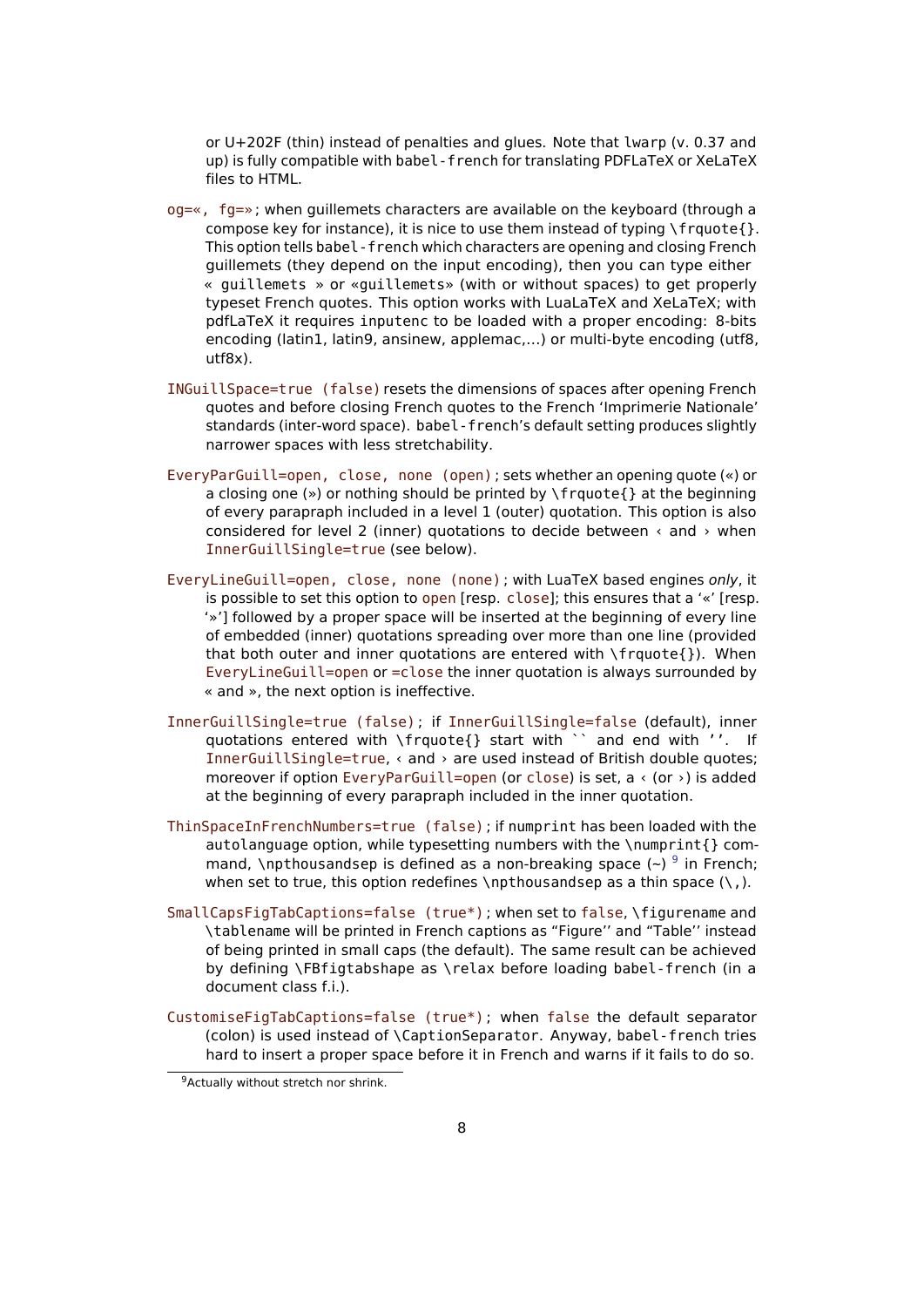<span id="page-7-0"></span>or U+202F (thin) instead of penalties and glues. Note that lwarp (v. 0.37 and up) is fully compatible with babel-french for translating PDFLaTeX or XeLaTeX files to HTML.

- og=«, fg=» ; when guillemets characters are available on the keyboard (through a compose key for instance), it is nice to use them instead of typing \frquote{}. This option tells babel-french which characters are opening and closing French guillemets (they depend on the input encoding), then you can type either « guillemets » or «guillemets» (with or without spaces) to get properly typeset French quotes. This option works with LuaLaTeX and XeLaTeX; with pdfLaTeX it requires inputenc to be loaded with a proper encoding: 8-bits encoding (latin1, latin9, ansinew, applemac,…) or multi-byte encoding (utf8, utf8x).
- INGuillSpace=true (false) resets the dimensions of spaces after opening French quotes and before closing French quotes to the French 'Imprimerie Nationale' standards (inter-word space). babel-french's default setting produces slightly narrower spaces with less stretchability.
- EveryParGuill=open, close, none (open) ; sets whether an opening quote («) or a closing one (») or nothing should be printed by \frquote{} at the beginning of every parapraph included in a level 1 (outer) quotation. This option is also considered for level 2 (inner) quotations to decide between  $\leftarrow$  and  $\rightarrow$  when InnerGuillSingle=true (see below).
- <span id="page-7-1"></span>EveryLineGuill=open, close, none (none) ; with LuaTeX based engines only, it is possible to set this option to open [resp. close]; this ensures that a '«' [resp. '»'] followed by a proper space will be inserted at the beginning of every line of embedded (inner) quotations spreading over more than one line (provided that both outer and inner quotations are entered with \frquote{}). When EveryLineGuill=open or =close the inner quotation is always surrounded by « and », the next option is ineffective.
- InnerGuillSingle=true (false) ; if InnerGuillSingle=false (default), inner quotations entered with \frquote{} start with `` and end with ''. If InnerGuillSingle=true, < and > are used instead of British double quotes; moreover if option EveryParGuill=open (or close) is set,  $a \cdot (or \rightarrow)$  is added at the beginning of every parapraph included in the inner quotation.
- ThinSpaceInFrenchNumbers=true (false) ; if numprint has been loaded with the autolanguage option, while typesetting numbers with the \numprint{} com-mand, \npthousandsep is defined as a non-breaking space (~) <sup>[9](#page-7-2)</sup> in French; when set to true, this option redefines \npthousandsep as a thin space  $(\cdot)$ , ).
- SmallCapsFigTabCaptions=false (true\*) ; when set to false, \figurename and \tablename will be printed in French captions as "Figure'' and "Table'' instead of being printed in small caps (the default). The same result can be achieved by defining \FBfigtabshape as \relax before loading babel-french (in a document class f.i.).
- CustomiseFigTabCaptions=false (true\*) ; when false the default separator (colon) is used instead of \CaptionSeparator. Anyway, babel-french tries hard to insert a proper space before it in French and warns if it fails to do so.

<span id="page-7-2"></span><sup>9</sup>Actually without stretch nor shrink.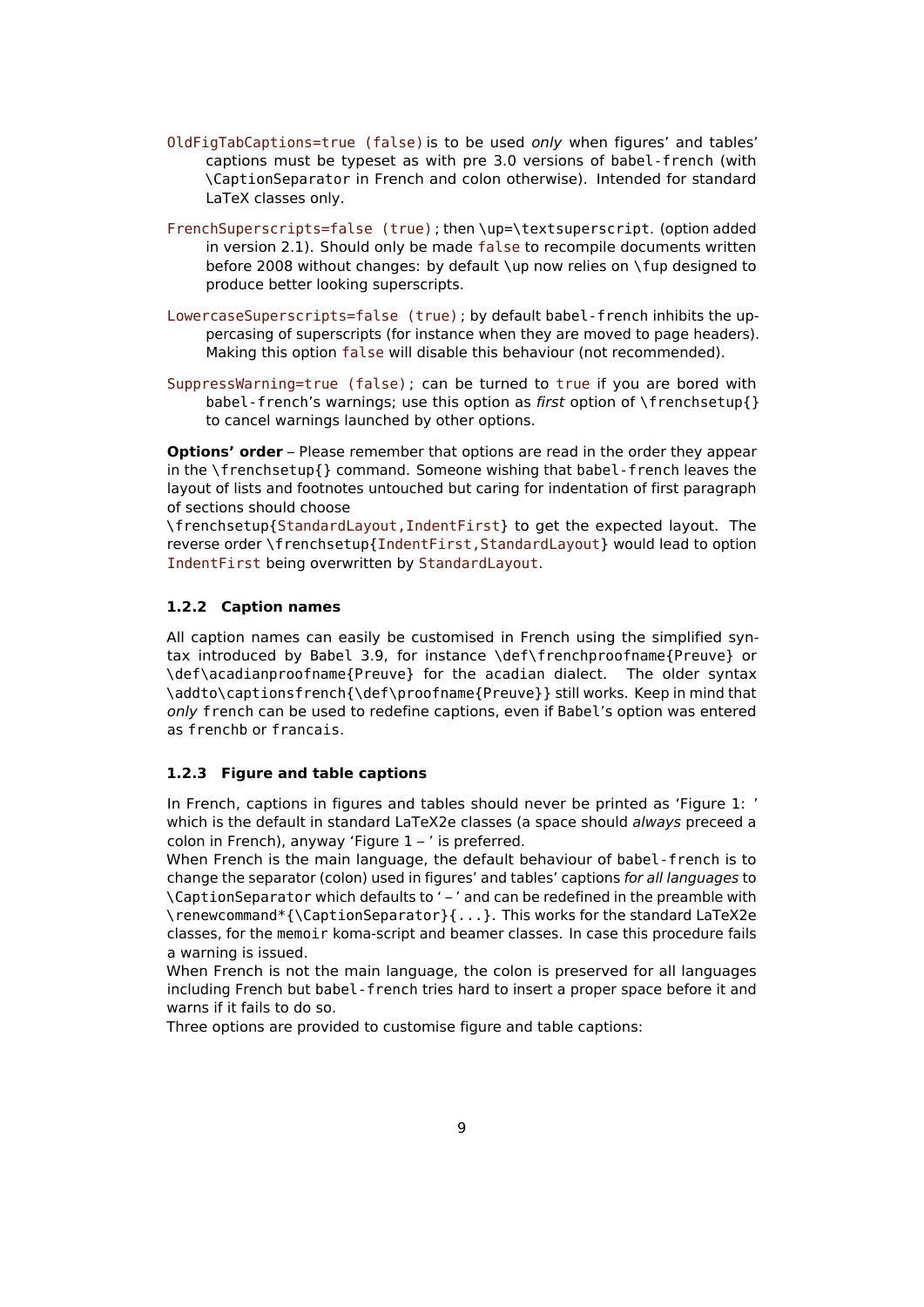- OldFigTabCaptions=true (false) is to be used only when figures' and tables' captions must be typeset as with pre 3.0 versions of babel-french (with \CaptionSeparator in French and colon otherwise). Intended for standard LaTeX classes only.
- FrenchSuperscripts=false (true) ; then \up=\textsuperscript. (option added in version 2.1). Should only be made false to recompile documents written before 2008 without changes: by default \up now relies on \fup designed to produce better looking superscripts.
- LowercaseSuperscripts=false (true) ; by default babel-french inhibits the uppercasing of superscripts (for instance when they are moved to page headers). Making this option false will disable this behaviour (not recommended).
- SuppressWarning=true (false) ; can be turned to true if you are bored with babel-french's warnings; use this option as first option of \frenchsetup{} to cancel warnings launched by other options.

**Options' order** – Please remember that options are read in the order they appear in the \frenchsetup{} command. Someone wishing that babel-french leaves the layout of lists and footnotes untouched but caring for indentation of first paragraph of sections should choose

\frenchsetup{StandardLayout,IndentFirst} to get the expected layout. The reverse order \frenchsetup{IndentFirst,StandardLayout} would lead to option IndentFirst being overwritten by StandardLayout.

### <span id="page-8-0"></span>**1.2.2 Caption names**

All caption names can easily be customised in French using the simplified syntax introduced by Babel 3.9, for instance \def\frenchproofname{Preuve} or \def\acadianproofname{Preuve} for the acadian dialect. The older syntax \addto\captionsfrench{\def\proofname{Preuve}} still works. Keep in mind that only french can be used to redefine captions, even if Babel's option was entered as frenchb or francais.

#### <span id="page-8-1"></span>**1.2.3 Figure and table captions**

In French, captions in figures and tables should never be printed as 'Figure 1: ' which is the default in standard LaTeX2e classes (a space should always preceed a colon in French), anyway 'Figure  $1 - '$  is preferred.

When French is the main language, the default behaviour of babel-french is to change the separator (colon) used in figures' and tables' captions for all languages to \CaptionSeparator which defaults to ' – ' and can be redefined in the preamble with \renewcommand\*{\CaptionSeparator}{...}. This works for the standard LaTeX2e classes, for the memoir koma-script and beamer classes. In case this procedure fails a warning is issued.

When French is not the main language, the colon is preserved for all languages including French but babel-french tries hard to insert a proper space before it and warns if it fails to do so.

Three options are provided to customise figure and table captions: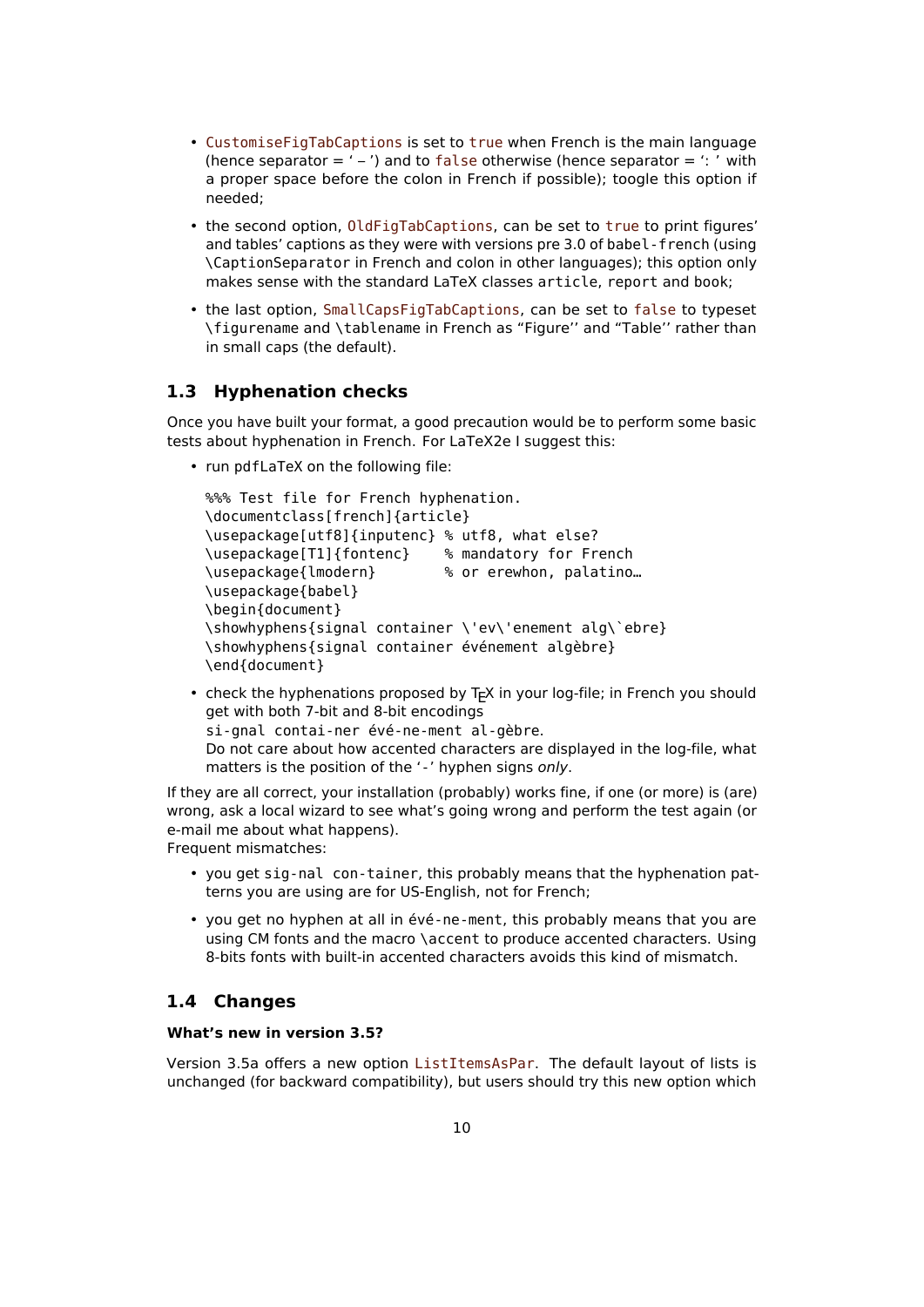- CustomiseFigTabCaptions is set to true when French is the main language (hence separator  $=$  ' – ') and to false otherwise (hence separator  $=$  ': ' with a proper space before the colon in French if possible); toogle this option if needed;
- the second option, OldFigTabCaptions, can be set to true to print figures' and tables' captions as they were with versions pre 3.0 of babel-french (using \CaptionSeparator in French and colon in other languages); this option only makes sense with the standard LaTeX classes article, report and book;
- the last option, SmallCapsFigTabCaptions, can be set to false to typeset \figurename and \tablename in French as "Figure'' and "Table'' rather than in small caps (the default).

## <span id="page-9-0"></span>**1.3 Hyphenation checks**

Once you have built your format, a good precaution would be to perform some basic tests about hyphenation in French. For LaTeX2e I suggest this:

• run pdfLaTeX on the following file:

```
%%% Test file for French hyphenation.
\documentclass[french]{article}
\usepackage[utf8]{inputenc} % utf8, what else?
\usepackage[T1]{fontenc} % mandatory for French
\usepackage{lmodern} % or erewhon, palatino…
\usepackage{babel}
\begin{document}
\showhyphens{signal container \'ev\'enement alg\`ebre}
\showhyphens{signal container événement algèbre}
\end{document}
```
• check the hyphenations proposed by T<sub>F</sub>X in your log-file; in French you should get with both 7-bit and 8-bit encodings si-gnal contai-ner évé-ne-ment al-gèbre. Do not care about how accented characters are displayed in the log-file, what matters is the position of the '-' hyphen signs only.

If they are all correct, your installation (probably) works fine, if one (or more) is (are) wrong, ask a local wizard to see what's going wrong and perform the test again (or e-mail me about what happens). Frequent mismatches:

- you get sig-nal con-tainer, this probably means that the hyphenation patterns you are using are for US-English, not for French;
- you get no hyphen at all in évé-ne-ment, this probably means that you are using CM fonts and the macro \accent to produce accented characters. Using 8-bits fonts with built-in accented characters avoids this kind of mismatch.

## <span id="page-9-1"></span>**1.4 Changes**

#### **What's new in version 3.5?**

Version 3.5a offers a new option ListItemsAsPar. The default layout of lists is unchanged (for backward compatibility), but users should try this new option which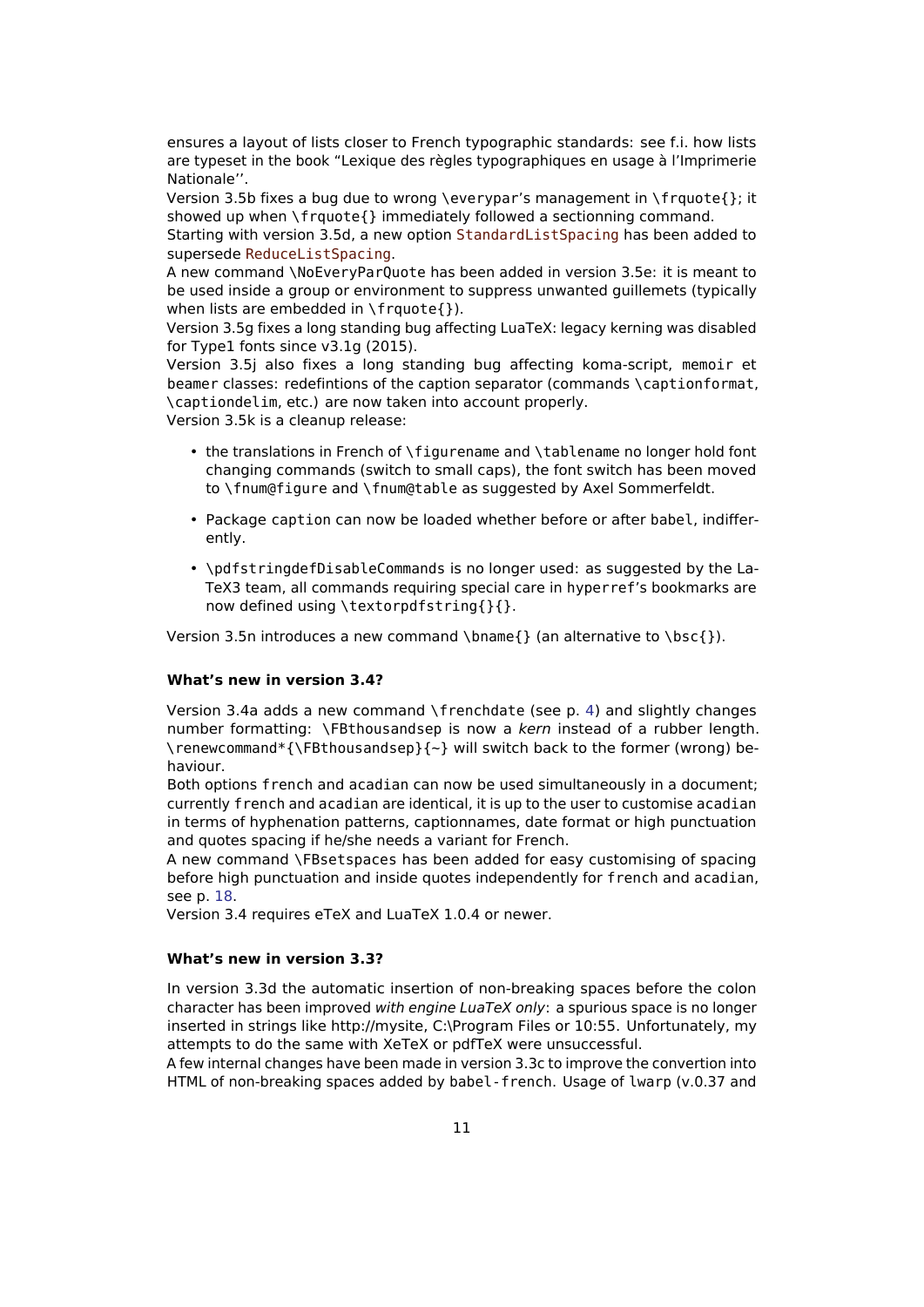ensures a layout of lists closer to French typographic standards: see f.i. how lists are typeset in the book "Lexique des règles typographiques en usage à l'Imprimerie Nationale''.

Version 3.5b fixes a bug due to wrong \everypar's management in \frquote{}; it showed up when \frquote{} immediately followed a sectionning command.

Starting with version 3.5d, a new option StandardListSpacing has been added to supersede ReduceListSpacing.

A new command \NoEveryParQuote has been added in version 3.5e: it is meant to be used inside a group or environment to suppress unwanted guillemets (typically when lists are embedded in  $\{f\}$ .

Version 3.5g fixes a long standing bug affecting LuaTeX: legacy kerning was disabled for Type1 fonts since v3.1g (2015).

Version 3.5j also fixes a long standing bug affecting koma-script, memoir et beamer classes: redefintions of the caption separator (commands \captionformat, \captiondelim, etc.) are now taken into account properly.

Version 3.5k is a cleanup release:

- the translations in French of \figurename and \tablename no longer hold font changing commands (switch to small caps), the font switch has been moved to \fnum@figure and \fnum@table as suggested by Axel Sommerfeldt.
- Package caption can now be loaded whether before or after babel, indifferently.
- \pdfstringdefDisableCommands is no longer used: as suggested by the La-TeX3 team, all commands requiring special care in hyperref's bookmarks are now defined using \textorpdfstring{}{}.

Version 3.5n introduces a new command \bname{} (an alternative to \bsc{}).

#### **What's new in version 3.4?**

Version 3.4a adds a new command \frenchdate (see p. [4\)](#page-3-0) and slightly changes number formatting: \FBthousandsep is now a kern instead of a rubber length. \renewcommand\*{\FBthousandsep}{~} will switch back to the former (wrong) behaviour.

Both options french and acadian can now be used simultaneously in a document; currently french and acadian are identical, it is up to the user to customise acadian in terms of hyphenation patterns, captionnames, date format or high punctuation and quotes spacing if he/she needs a variant for French.

A new command \FBsetspaces has been added for easy customising of spacing before high punctuation and inside quotes independently for french and acadian, see p. [18.](#page-17-0)

Version 3.4 requires eTeX and LuaTeX 1.0.4 or newer.

#### **What's new in version 3.3?**

In version 3.3d the automatic insertion of non-breaking spaces before the colon character has been improved with engine LuaTeX only: a spurious space is no longer inserted in strings like http://mysite, C:\Program Files or 10:55. Unfortunately, my attempts to do the same with XeTeX or pdfTeX were unsuccessful.

A few internal changes have been made in version 3.3c to improve the convertion into HTML of non-breaking spaces added by babel-french. Usage of lwarp (v.0.37 and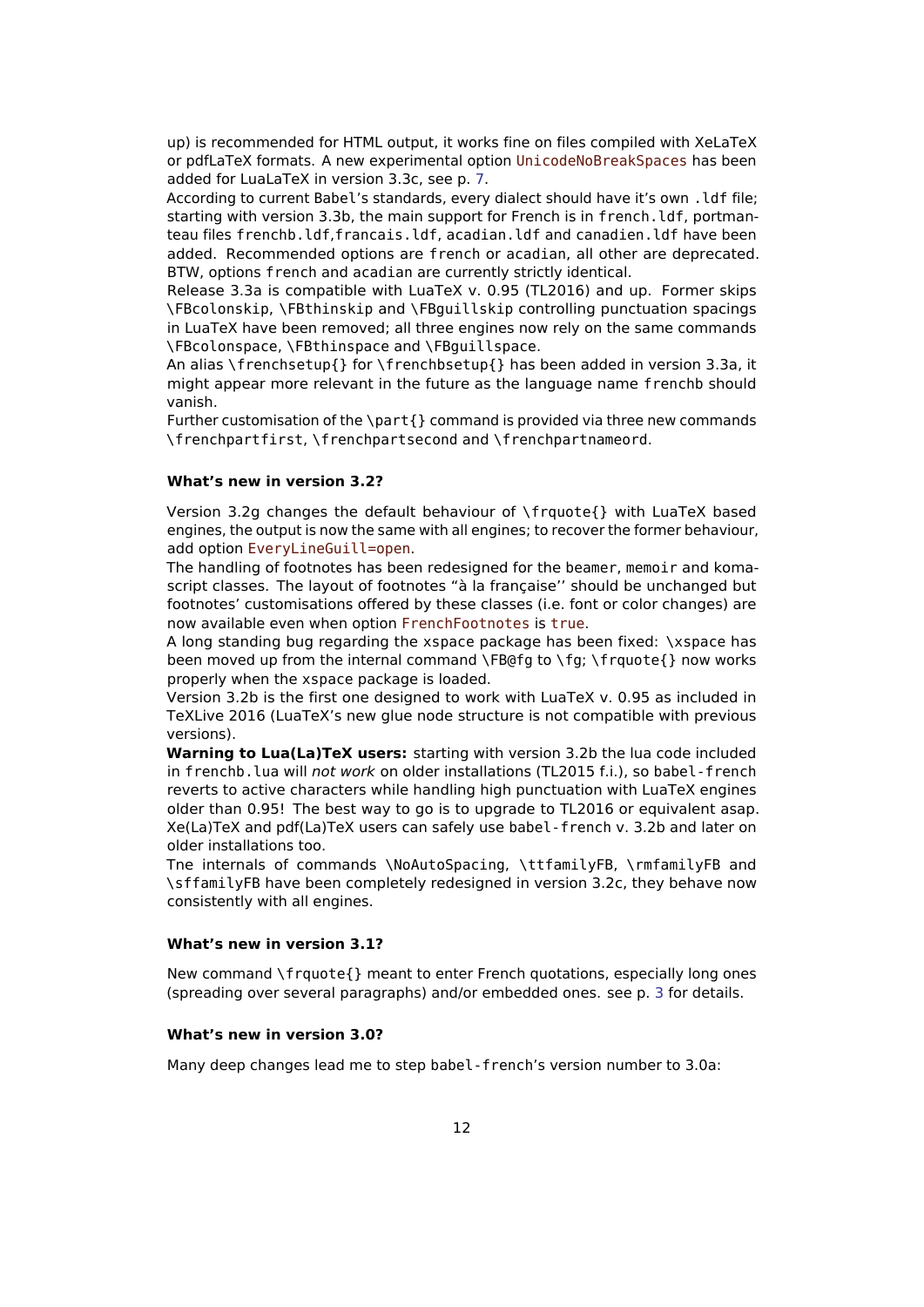up) is recommended for HTML output, it works fine on files compiled with XeLaTeX or pdfLaTeX formats. A new experimental option UnicodeNoBreakSpaces has been added for LuaLaTeX in version 3.3c, see p. [7.](#page-6-3)

According to current Babel's standards, every dialect should have it's own .ldf file; starting with version 3.3b, the main support for French is in french.ldf, portmanteau files frenchb.ldf,francais.ldf, acadian.ldf and canadien.ldf have been added. Recommended options are french or acadian, all other are deprecated. BTW, options french and acadian are currently strictly identical.

Release 3.3a is compatible with LuaTeX v. 0.95 (TL2016) and up. Former skips \FBcolonskip, \FBthinskip and \FBguillskip controlling punctuation spacings in LuaTeX have been removed; all three engines now rely on the same commands \FBcolonspace, \FBthinspace and \FBguillspace.

An alias \frenchsetup{} for \frenchbsetup{} has been added in version 3.3a, it might appear more relevant in the future as the language name frenchb should vanish.

Further customisation of the \part{} command is provided via three new commands \frenchpartfirst, \frenchpartsecond and \frenchpartnameord.

#### **What's new in version 3.2?**

Version 3.2g changes the default behaviour of \frquote{} with LuaTeX based engines, the output is now the same with all engines; to recover the former behaviour, add option EveryLineGuill=open.

The handling of footnotes has been redesigned for the beamer, memoir and komascript classes. The layout of footnotes "à la française'' should be unchanged but footnotes' customisations offered by these classes (i.e. font or color changes) are now available even when option FrenchFootnotes is true.

A long standing bug regarding the xspace package has been fixed: \xspace has been moved up from the internal command \FB@fg to \fg; \frquote{} now works properly when the xspace package is loaded.

Version 3.2b is the first one designed to work with LuaTeX v. 0.95 as included in TeXLive 2016 (LuaTeX's new glue node structure is not compatible with previous versions).

**Warning to Lua(La)TeX users:** starting with version 3.2b the lua code included in frenchb. Lua will not work on older installations (TL2015 f.i.), so babel-french reverts to active characters while handling high punctuation with LuaTeX engines older than 0.95! The best way to go is to upgrade to TL2016 or equivalent asap. Xe(La)TeX and pdf(La)TeX users can safely use babel-french v. 3.2b and later on older installations too.

Tne internals of commands \NoAutoSpacing, \ttfamilyFB, \rmfamilyFB and \sffamilyFB have been completely redesigned in version 3.2c, they behave now consistently with all engines.

#### **What's new in version 3.1?**

New command \frquote{} meant to enter French quotations, especially long ones (spreading over several paragraphs) and/or embedded ones. see p. [3](#page-2-2) for details.

#### **What's new in version 3.0?**

Many deep changes lead me to step babel-french's version number to 3.0a: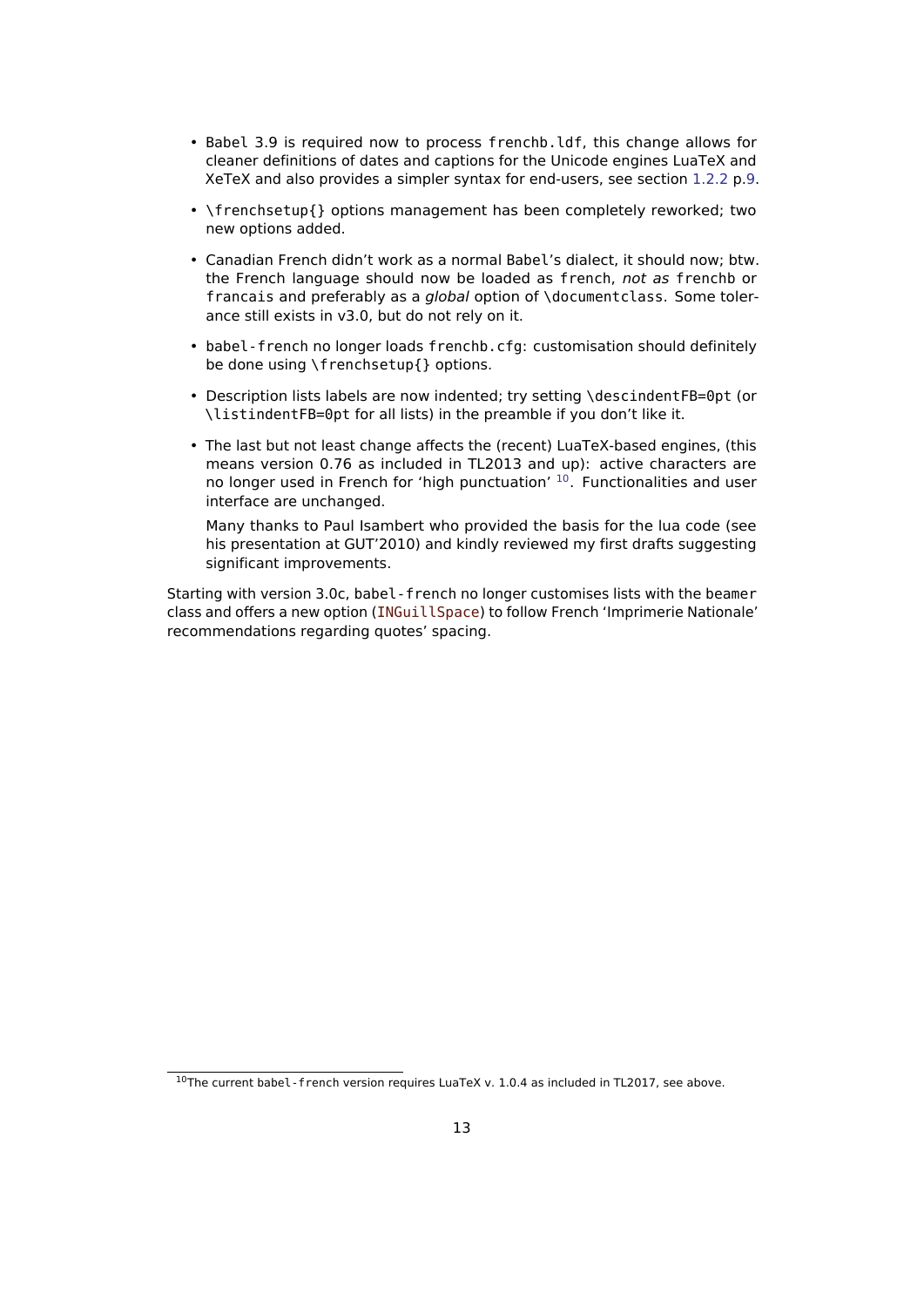- Babel 3.9 is required now to process frenchb.ldf, this change allows for cleaner definitions of dates and captions for the Unicode engines LuaTeX and XeTeX and also provides a simpler syntax for end-users, see section [1.2.2](#page-8-0) p[.9.](#page-8-0)
- \frenchsetup{} options management has been completely reworked; two new options added.
- Canadian French didn't work as a normal Babel's dialect, it should now; btw. the French language should now be loaded as french, not as frenchb or francais and preferably as a global option of \documentclass. Some tolerance still exists in v3.0, but do not rely on it.
- babel-french no longer loads frenchb.cfg: customisation should definitely be done using \frenchsetup{} options.
- Description lists labels are now indented; try setting \descindentFB=0pt (or \listindentFB=0pt for all lists) in the preamble if you don't like it.
- The last but not least change affects the (recent) LuaTeX-based engines, (this means version 0.76 as included in TL2013 and up): active characters are no longer used in French for 'high punctuation'  $10$ . Functionalities and user interface are unchanged.

Many thanks to Paul Isambert who provided the basis for the lua code (see his presentation at GUT'2010) and kindly reviewed my first drafts suggesting significant improvements.

Starting with version 3.0c, babel-french no longer customises lists with the beamer class and offers a new option (INGuillSpace) to follow French 'Imprimerie Nationale' recommendations regarding quotes' spacing.

<span id="page-12-0"></span> $10$ The current babel - french version requires LuaTeX v. 1.0.4 as included in TL2017, see above.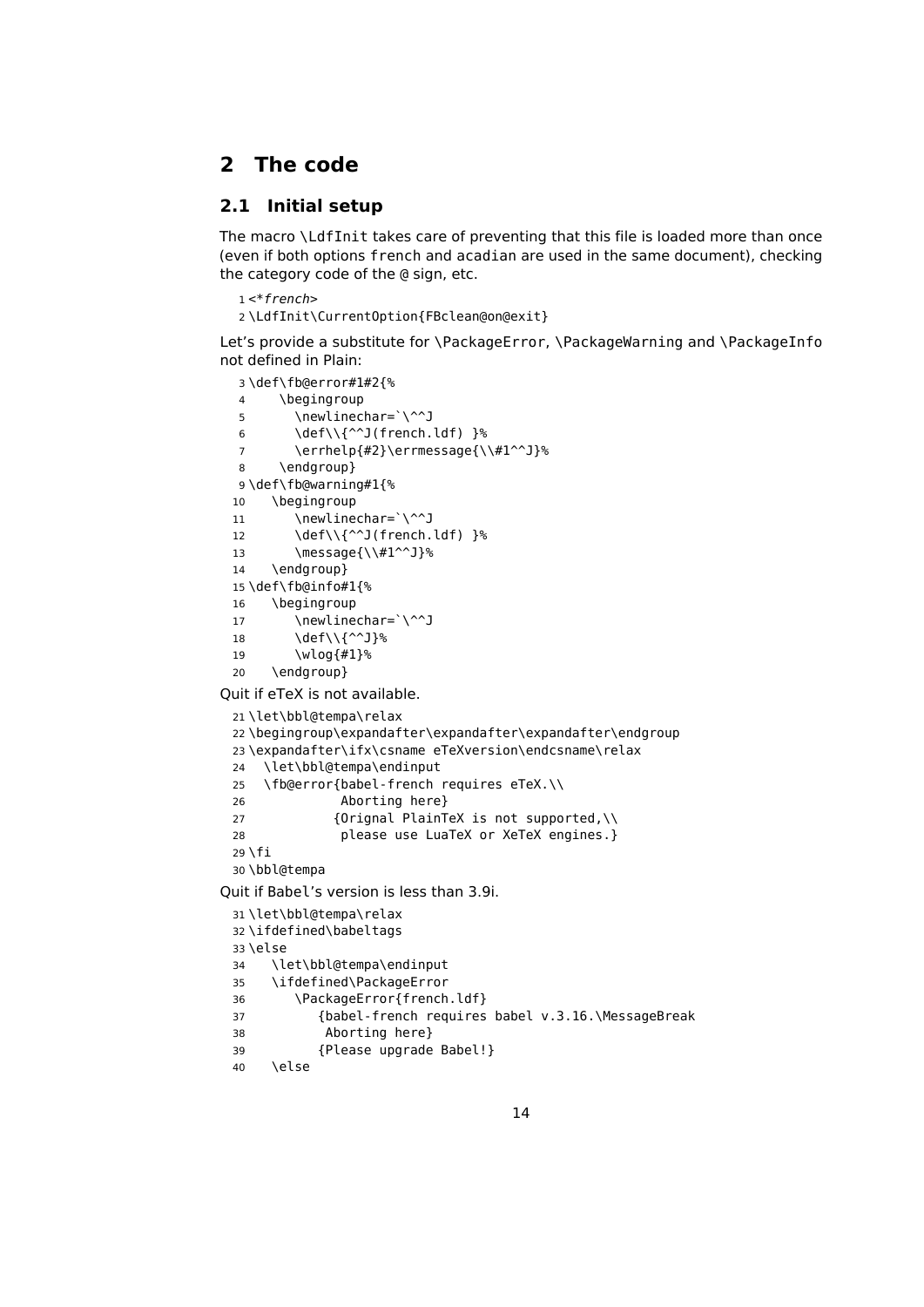## <span id="page-13-0"></span>**2 The code**

## <span id="page-13-1"></span>**2.1 Initial setup**

The macro \LdfInit takes care of preventing that this file is loaded more than once (even if both options french and acadian are used in the same document), checking the category code of the @ sign, etc.

```
1 <*french>
2 \LdfInit\CurrentOption{FBclean@on@exit}
```
Let's provide a substitute for \PackageError, \PackageWarning and \PackageInfo not defined in Plain:

```
3 \def\fb@error#1#2{%
  4 \begingroup
  5 \newlinechar=`\^^J
  6 \def\\{^^J(french.ldf) }%
  7 \errhelp{#2}\errmessage{\\#1^^J}%
  8 \endgroup}
  9 \def\fb@warning#1{%
 10 \begingroup
 11 \newlinechar=`\^^J
 12 \def\\{^^J(french.ldf) }%
 13 \message{\\#1^^J}%
 14 \endgroup}
 15 \def\fb@info#1{%
 16 \begingroup
 17 \newlinechar=`\^^J
 18 \text{def}\1\{\sim\}19 \wlog{#1}%
 20 \endgroup}
Quit if eTeX is not available.
 21 \let\bbl@tempa\relax
```

```
22 \begingroup\expandafter\expandafter\expandafter\endgroup
23 \expandafter\ifx\csname eTeXversion\endcsname\relax
24 \let\bbl@tempa\endinput
25 \fb@error{babel-french requires eTeX.\\
26 Aborting here}
27 {Orignal PlainTeX is not supported,\\
28 please use LuaTeX or XeTeX engines.}
29 \fi
30 \bbl@tempa
```
Quit if Babel's version is less than 3.9i.

```
31 \let\bbl@tempa\relax
32 \ifdefined\babeltags
33 \else
34 \let\bbl@tempa\endinput
35 \ifdefined\PackageError
36 \PackageError{french.ldf}
37 {babel-french requires babel v.3.16.\MessageBreak
38 Aborting here}
39 {Please upgrade Babel!}
40 \else
```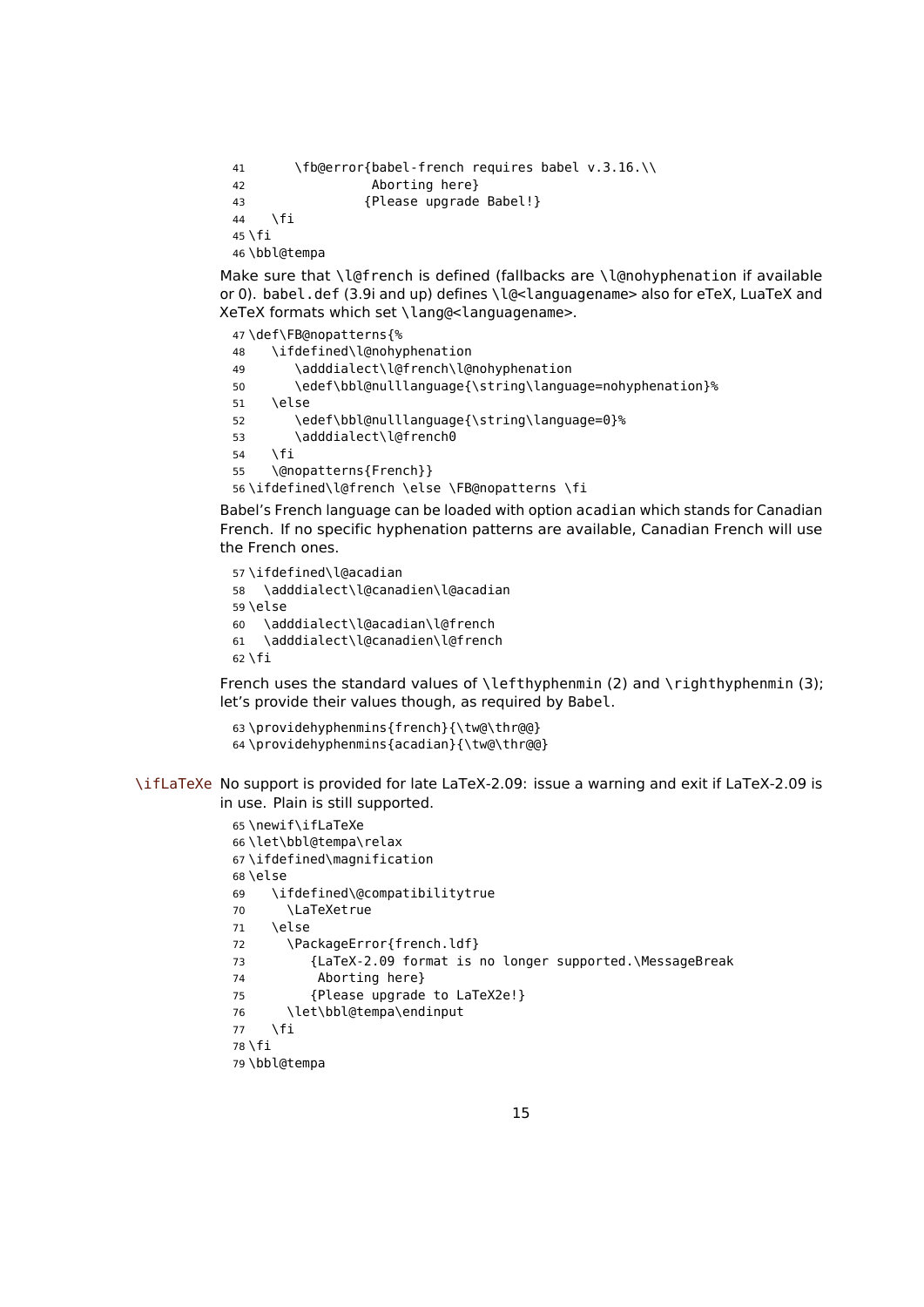```
41 \fb@error{babel-french requires babel v.3.16.\\
42 Aborting here}
43 {Please upgrade Babel!}
44 \fi
45 \fi
46 \bbl@tempa
```
Make sure that \l@french is defined (fallbacks are \l@nohyphenation if available or 0). babel.def (3.9i and up) defines \l@<languagename> also for eTeX, LuaTeX and XeTeX formats which set \lang@<languagename>.

```
47 \def\FB@nopatterns{%
48 \ifdefined\l@nohyphenation
49 \adddialect\l@french\l@nohyphenation
50 \edef\bbl@nulllanguage{\string\language=nohyphenation}%
51 \else
52 \edef\bbl@nulllanguage{\string\language=0}%
53 \adddialect\l@french0
54 \fi
55 \@nopatterns{French}}
56 \ifdefined\l@french \else \FB@nopatterns \fi
```
Babel's French language can be loaded with option acadian which stands for Canadian French. If no specific hyphenation patterns are available, Canadian French will use the French ones.

```
57 \ifdefined\l@acadian
58 \adddialect\l@canadien\l@acadian
59 \else
60 \adddialect\l@acadian\l@french
61 \adddialect\l@canadien\l@french
62 \fi
```
French uses the standard values of \lefthyphenmin (2) and \righthyphenmin (3); let's provide their values though, as required by Babel.

```
63 \providehyphenmins{french}{\tw@\thr@@}
64 \providehyphenmins{acadian}{\tw@\thr@@}
```
\ifLaTeXe No support is provided for late LaTeX-2.09: issue a warning and exit if LaTeX-2.09 is in use. Plain is still supported.

```
65 \newif\ifLaTeXe
66 \let\bbl@tempa\relax
67 \ifdefined\magnification
68 \else
69 \ifdefined\@compatibilitytrue
70 \LaTeXetrue
71 \else
72 \PackageError{french.ldf}
73 {LaTeX-2.09 format is no longer supported.\MessageBreak
74 Aborting here}
75 {Please upgrade to LaTeX2e!}
76 \let\bbl@tempa\endinput
77 \fi
78 \fi
79 \bbl@tempa
```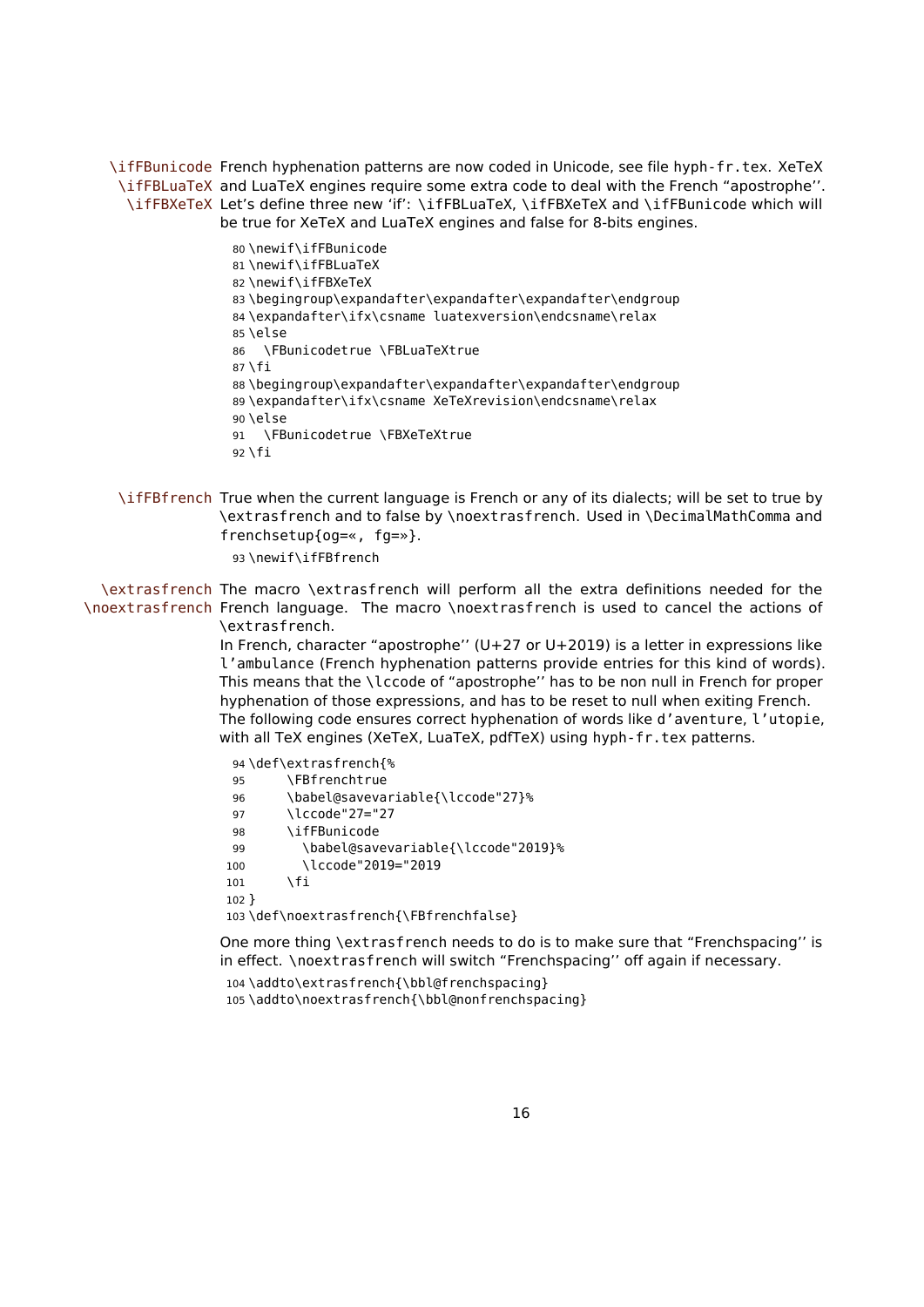\ifFBunicode French hyphenation patterns are now coded in Unicode, see file hyph-fr.tex. XeTeX \ifFBLuaTeX and LuaTeX engines require some extra code to deal with the French "apostrophe''. \ifFBXeTeX Let's define three new 'if': \ifFBLuaTeX, \ifFBXeTeX and \ifFBunicode which will be true for XeTeX and LuaTeX engines and false for 8-bits engines.

> \newif\ifFBunicode \newif\ifFBLuaTeX \newif\ifFBXeTeX \begingroup\expandafter\expandafter\expandafter\endgroup \expandafter\ifx\csname luatexversion\endcsname\relax  $85$  \else \FBunicodetrue \FBLuaTeXtrue  $87 \setminus fi$  \begingroup\expandafter\expandafter\expandafter\endgroup \expandafter\ifx\csname XeTeXrevision\endcsname\relax 90 \else \FBunicodetrue \FBXeTeXtrue  $92$  \fi

\ifFBfrench True when the current language is French or any of its dialects; will be set to true by \extrasfrench and to false by \noextrasfrench. Used in \DecimalMathComma and frenchsetup{og=«, fg=»}.

93 \newif\ifFBfrench

\extrasfrench The macro \extrasfrench will perform all the extra definitions needed for the \noextrasfrench French language. The macro \noextrasfrench is used to cancel the actions of \extrasfrench.

> In French, character "apostrophe'' (U+27 or U+2019) is a letter in expressions like l'ambulance (French hyphenation patterns provide entries for this kind of words). This means that the \lccode of "apostrophe'' has to be non null in French for proper hyphenation of those expressions, and has to be reset to null when exiting French. The following code ensures correct hyphenation of words like d'aventure, l'utopie, with all TeX engines (XeTeX, LuaTeX, pdfTeX) using hyph-fr.tex patterns.

 \def\extrasfrench{% \FBfrenchtrue \babel@savevariable{\lccode"27}% \lccode"27="27 \ifFBunicode \babel@savevariable{\lccode"2019}% \lccode"2019="2019  $101$  \fi 102 } \def\noextrasfrench{\FBfrenchfalse}

One more thing \extrasfrench needs to do is to make sure that "Frenchspacing'' is in effect. \noextrasfrench will switch "Frenchspacing'' off again if necessary.

104 \addto\extrasfrench{\bbl@frenchspacing}

105 \addto\noextrasfrench{\bbl@nonfrenchspacing}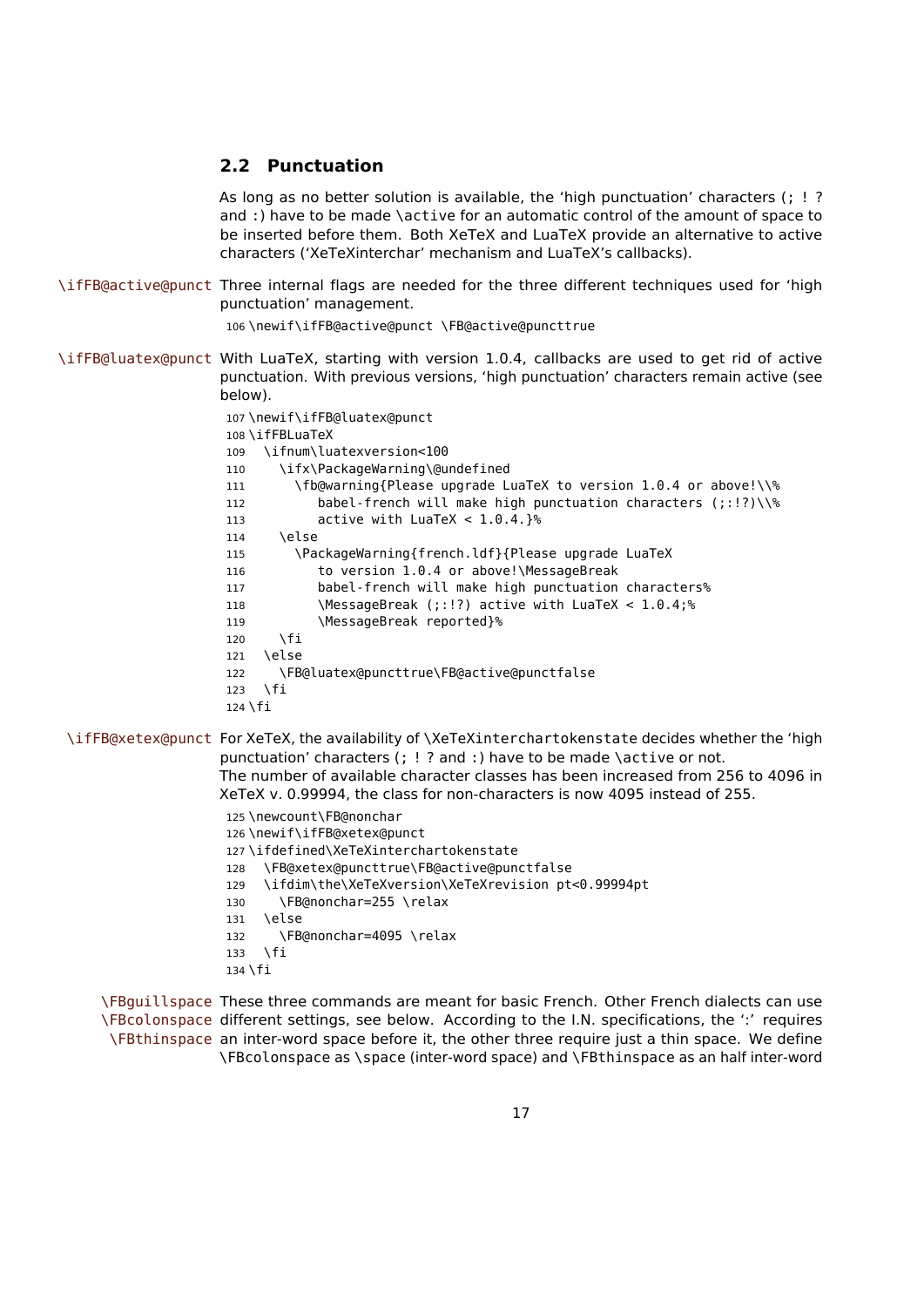#### <span id="page-16-0"></span>**2.2 Punctuation**

As long as no better solution is available, the 'high punctuation' characters (; ! ? and :) have to be made \active for an automatic control of the amount of space to be inserted before them. Both XeTeX and LuaTeX provide an alternative to active characters ('XeTeXinterchar' mechanism and LuaTeX's callbacks).

\ifFB@active@punct Three internal flags are needed for the three different techniques used for 'high punctuation' management.

106 \newif\ifFB@active@punct \FB@active@puncttrue

- \ifFB@luatex@punct With LuaTeX, starting with version 1.0.4, callbacks are used to get rid of active punctuation. With previous versions, 'high punctuation' characters remain active (see below).
	- 107 \newif\ifFB@luatex@punct 108 \ifFBLuaTeX 109 \ifnum\luatexversion<100 110 \ifx\PackageWarning\@undefined 111 \fb@warning{Please upgrade LuaTeX to version 1.0.4 or above!\\% 112 babel-french will make high punctuation characters (;:!?)\\% 113 active with LuaTeX < 1.0.4.}% 114 \else 115 \PackageWarning{french.ldf}{Please upgrade LuaTeX 116 to version 1.0.4 or above!\MessageBreak 117 babel-french will make high punctuation characters% 118 \MessageBreak (;:!?) active with LuaTeX < 1.0.4;% 119 \MessageBreak reported}%  $120$  \fi 121 \else 122 \FB@luatex@puncttrue\FB@active@punctfalse  $123$  \fi  $124 \overline{\text{1}}$
	- \ifFB@xetex@punct For XeTeX, the availability of \XeTeXinterchartokenstate decides whether the 'high punctuation' characters (; ! ? and :) have to be made \active or not. The number of available character classes has been increased from 256 to 4096 in XeTeX v. 0.99994, the class for non-characters is now 4095 instead of 255.
		- 125 \newcount\FB@nonchar 126 \newif\ifFB@xetex@punct 127 \ifdefined\XeTeXinterchartokenstate 128 \FB@xetex@puncttrue\FB@active@punctfalse 129 \ifdim\the\XeTeXversion\XeTeXrevision pt<0.99994pt 130 \FB@nonchar=255 \relax 131 \else 132 \FB@nonchar=4095 \relax 133 \fi 134 \fi

\FBguillspace These three commands are meant for basic French. Other French dialects can use \FBcolonspace different settings, see below. According to the I.N. specifications, the ':' requires \FBthinspace an inter-word space before it, the other three require just a thin space. We define \FBcolonspace as \space (inter-word space) and \FBthinspace as an half inter-word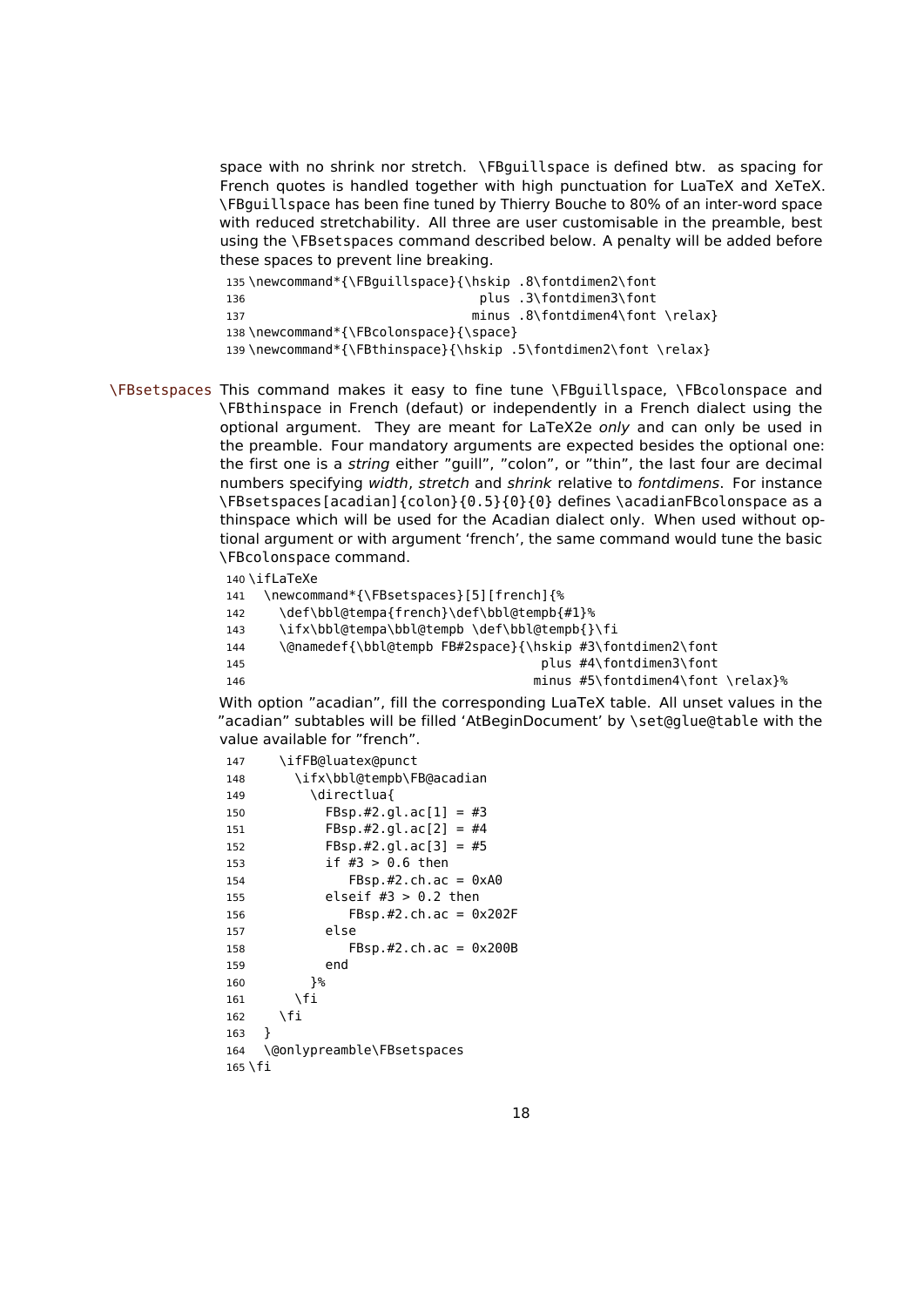space with no shrink nor stretch. \FBguillspace is defined btw. as spacing for French quotes is handled together with high punctuation for LuaTeX and XeTeX. \FBguillspace has been fine tuned by Thierry Bouche to 80% of an inter-word space with reduced stretchability. All three are user customisable in the preamble, best using the \FBsetspaces command described below. A penalty will be added before these spaces to prevent line breaking.

135 \newcommand\*{\FBguillspace}{\hskip .8\fontdimen2\font 136 **plus** .3\fontdimen3\font 137 minus .8\fontdimen4\font \relax} 138 \newcommand\*{\FBcolonspace}{\space} 139\newcommand\*{\FBthinspace}{\hskip .5\fontdimen2\font \relax}

\FBsetspaces This command makes it easy to fine tune \FBguillspace, \FBcolonspace and \FBthinspace in French (defaut) or independently in a French dialect using the optional argument. They are meant for LaTeX2e only and can only be used in the preamble. Four mandatory arguments are expected besides the optional one: the first one is a string either "guill", "colon", or "thin", the last four are decimal numbers specifying width, stretch and shrink relative to fontdimens. For instance \FBsetspaces[acadian]{colon}{0.5}{0}{0} defines \acadianFBcolonspace as a thinspace which will be used for the Acadian dialect only. When used without optional argument or with argument 'french', the same command would tune the basic \FBcolonspace command.

<span id="page-17-0"></span>140 \ifLaTeXe

- 141 \newcommand\*{\FBsetspaces}[5][french]{%
- 142 \def\bbl@tempa{french}\def\bbl@tempb{#1}%
- 143 \ifx\bbl@tempa\bbl@tempb \def\bbl@tempb{}\fi
- 144 \@namedef{\bbl@tempb FB#2space}{\hskip #3\fontdimen2\font
- 145 **plus #4\fontdimen3\font**

146 minus #5\fontdimen4\font \relax}%

With option "acadian", fill the corresponding LuaTeX table. All unset values in the "acadian" subtables will be filled 'AtBeginDocument' by \set@glue@table with the value available for "french".

147 \ifFB@luatex@punct 148 \ifx\bbl@tempb\FB@acadian 149 \directlua{ 150 FBsp.#2.gl.ac[1] = #3 151 FBsp.#2.gl.ac[2] = #4 152 **FBsp.#2.gl.ac[3]** =  $#5$ 153 if #3 > 0.6 then 154 FBsp.#2.ch.ac = 0xA0 155 elseif #3 > 0.2 then 156 FBsp.#2.ch.ac = 0x202F 157 else 158 FBsp.#2.ch.ac = 0x200B 159 end  $160$   ${}^{19}$  $161$  \fi  $162$  \fi 163 } 164 \@onlypreamble\FBsetspaces  $165$  \fi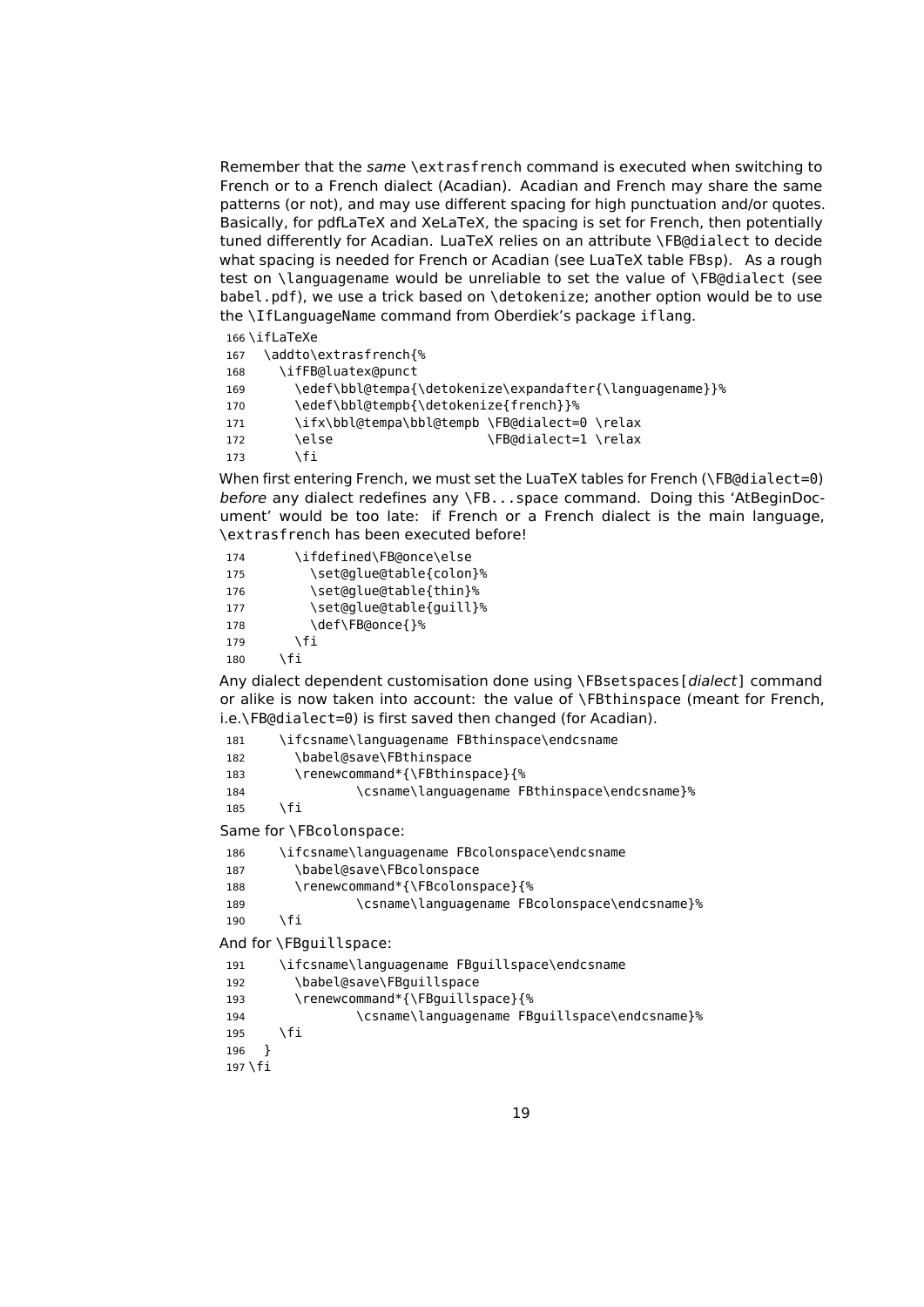Remember that the same \extrasfrench command is executed when switching to French or to a French dialect (Acadian). Acadian and French may share the same patterns (or not), and may use different spacing for high punctuation and/or quotes. Basically, for pdfLaTeX and XeLaTeX, the spacing is set for French, then potentially tuned differently for Acadian. LuaTeX relies on an attribute \FB@dialect to decide what spacing is needed for French or Acadian (see LuaTeX table FBsp). As a rough test on \languagename would be unreliable to set the value of \FB@dialect (see babel.pdf), we use a trick based on \detokenize; another option would be to use the \IfLanguageName command from Oberdiek's package iflang.

#### <span id="page-18-0"></span>\iflaTeXe

| 167 | \addto\extrasfrench{%                         |                                                          |
|-----|-----------------------------------------------|----------------------------------------------------------|
| 168 | \ifFB@luatex@punct                            |                                                          |
| 169 |                                               | \edef\bbl@tempa{\detokenize\expandafter{\lanquaqename}}% |
| 170 | \edef\bbl@tempb{\detokenize{french}}%         |                                                          |
| 171 | \ifx\bbl@tempa\bbl@tempb \FB@dialect=0 \relax |                                                          |
| 172 | \else                                         | \FB@dialect=1 \relax                                     |
| 173 | ۱fi                                           |                                                          |
|     |                                               |                                                          |

When first entering French, we must set the LuaTeX tables for French (\FB@dialect=0) before any dialect redefines any \FB...space command. Doing this 'AtBeginDocument' would be too late: if French or a French dialect is the main language, \extrasfrench has been executed before!

| 174 | \ifdefined\FB@once\else |
|-----|-------------------------|
| 175 | \set@qlue@table{colon}% |
| 176 | \set@qlue@table{thin}%  |
| 177 | \set@glue@table{guill}% |
| 178 | \def\FB@once{}%         |
| 179 | ۱fi                     |
| 180 | \fi                     |

Any dialect dependent customisation done using \FBsetspaces[dialect] command or alike is now taken into account: the value of \FBthinspace (meant for French, i.e.\FB@dialect=0) is first saved then changed (for Acadian).

| 181 | \ifcsname\languagename FBthinspace\endcsname |
|-----|----------------------------------------------|
| 182 | \babel@save\FBthinspace                      |
| 183 | \renewcommand*{\FBthinspace}{%               |
| 184 | \csname\languagename FBthinspace\endcsname}% |
| 185 | \fi.                                         |

Same for \FBcolonspace:

| 186 | \ifcsname\languagename FBcolonspace\endcsname |
|-----|-----------------------------------------------|
| 187 | \babel@save\FBcolonspace                      |
| 188 | \renewcommand*{\FBcolonspace}{%               |
| 189 | \csname\languagename FBcolonspace\endcsname}% |
|     |                                               |

 $190 \quad \text{If}$ 

And for \FBguillspace:

```
191 \ifcsname\languagename FBguillspace\endcsname
192 \babel@save\FBguillspace
193 \renewcommand*{\FBguillspace}{%
194 \csname\languagename FBguillspace\endcsname}%
195 \fi
196 }
197 \fi
```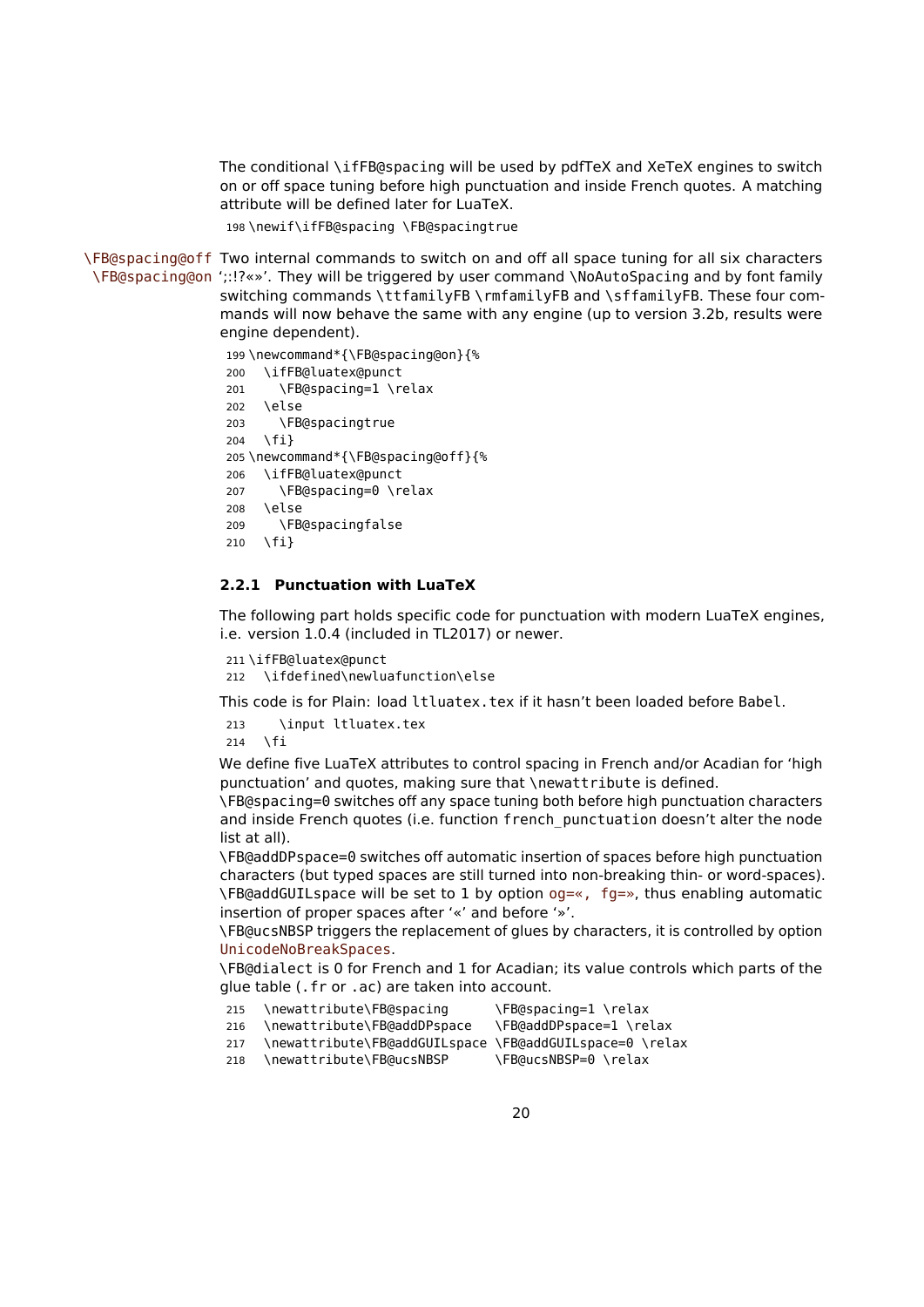The conditional \ifFB@spacing will be used by pdfTeX and XeTeX engines to switch on or off space tuning before high punctuation and inside French quotes. A matching attribute will be defined later for LuaTeX.

198 \newif\ifFB@spacing \FB@spacingtrue

\FB@spacing@off Two internal commands to switch on and off all space tuning for all six characters \FB@spacing@on ';:!?«»'. They will be triggered by user command \NoAutoSpacing and by font family switching commands \ttfamilyFB \rmfamilyFB and \sffamilyFB. These four commands will now behave the same with any engine (up to version 3.2b, results were engine dependent).

```
199 \newcommand*{\FB@spacing@on}{%
200 \ifFB@luatex@punct
201 \FB@spacing=1 \relax
202 \else
203 \FB@spacingtrue
204 \fi}
205 \newcommand*{\FB@spacing@off}{%
206 \ifFB@luatex@punct
207 \FB@spacing=0 \relax
208 \else
209 \FB@spacingfalse
210 \fi}
```
#### <span id="page-19-0"></span>**2.2.1 Punctuation with LuaTeX**

The following part holds specific code for punctuation with modern LuaTeX engines, i.e. version 1.0.4 (included in TL2017) or newer.

```
211 \ifFB@luatex@punct
212 \ifdefined\newluafunction\else
```
This code is for Plain: load ltluatex.tex if it hasn't been loaded before Babel.

213 \input ltluatex.tex 214 \fi

We define five LuaTeX attributes to control spacing in French and/or Acadian for 'high punctuation' and quotes, making sure that \newattribute is defined.

\FB@spacing=0 switches off any space tuning both before high punctuation characters and inside French quotes (i.e. function french\_punctuation doesn't alter the node list at all).

\FB@addDPspace=0 switches off automatic insertion of spaces before high punctuation characters (but typed spaces are still turned into non-breaking thin- or word-spaces).  $\F{B}$ @addGUILspace will be set to 1 by option og=«, fg=», thus enabling automatic insertion of proper spaces after '«' and before '»'.

\FB@ucsNBSP triggers the replacement of glues by characters, it is controlled by option UnicodeNoBreakSpaces.

\FB@dialect is 0 for French and 1 for Acadian; its value controls which parts of the glue table (.fr or .ac) are taken into account.

| 215 | \newattribute\FB@spacing                                | \FB@spacing=1 \relax    |
|-----|---------------------------------------------------------|-------------------------|
| 216 | \newattribute\FB@addDPspace                             | \FB@addDPspace=1 \relax |
| 217 | \newattribute\ERQaddGUILcnace \ERQaddGUILcnace-Q \relay |                         |

217 \newattribute\FB@addGUILspace \FB@addGUILspace=0 \relax

218 \newattribute\FB@ucsNBSP \FB@ucsNBSP=0 \relax

20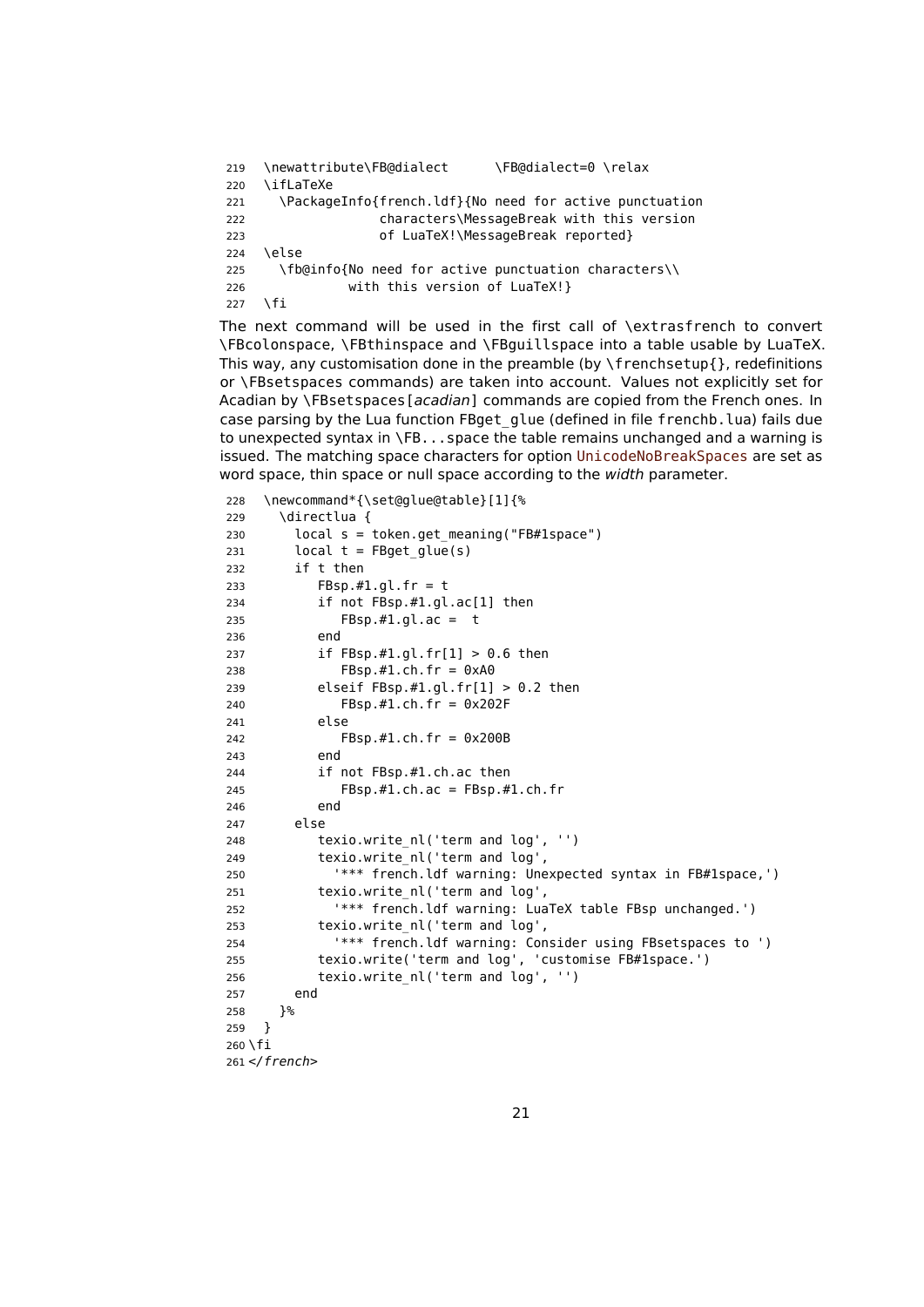```
219 \newattribute\FB@dialect \FB@dialect=0 \relax
220 \ifLaTeXe
221 \PackageInfo{french.ldf}{No need for active punctuation
222 characters\MessageBreak with this version
223 of LuaTeX!\MessageBreak reported}
224 \else
225 \fb@info{No need for active punctuation characters\\
226 with this version of LuaTeX!}
227 \fi
```
The next command will be used in the first call of \extrasfrench to convert \FBcolonspace, \FBthinspace and \FBguillspace into a table usable by LuaTeX. This way, any customisation done in the preamble (by  $\frac{1}{1}$ , redefinitions or \FBsetspaces commands) are taken into account. Values not explicitly set for Acadian by \FBsetspaces[acadian] commands are copied from the French ones. In case parsing by the Lua function FBget\_glue (defined in file frenchb.lua) fails due to unexpected syntax in \FB...space the table remains unchanged and a warning is issued. The matching space characters for option UnicodeNoBreakSpaces are set as word space, thin space or null space according to the width parameter.

```
228 \newcommand*{\set@glue@table}[1]{%
229 \directlua {
230 local s = token.get_meaning("FB#1space")
231 local t = FBget\_glue(s)232 if t then
233 FBsp.#1.gl.fr = t
234 if not FBsp.#1.gl.ac[1] then
235 FBsp.#1.gl.ac = t
236 end
237 if FBsp.#1.gl.fr[1] > 0.6 then
238 FBsp.#1.ch.fr = 0xA0
239 elseif FBsp.#1.gl.fr[1] > 0.2 then
240 FBsp.#1.ch.fr = 0x202F
241 else
242 FBsp.#1.ch.fr = 0x200B
243 end
244 if not FBsp.#1.ch.ac then
245 FBsp.#1.ch.ac = FBsp.#1.ch.fr
246 end
247 else
248 texio.write nl('term and log', '')
249 texio.write_nl('term and log',
250 '*** french.ldf warning: Unexpected syntax in FB#1space,')
251 texio.write_nl('term and log',
252 '*** french.ldf warning: LuaTeX table FBsp unchanged.')
253 texio.write_nl('term and log',
254 '*** french.ldf warning: Consider using FBsetspaces to ')
255 texio.write('term and log', 'customise FB#1space.')
256 texio.write nl('term and log', '')
257 end
258 }%
259 }
260 \fi
261 </french>
```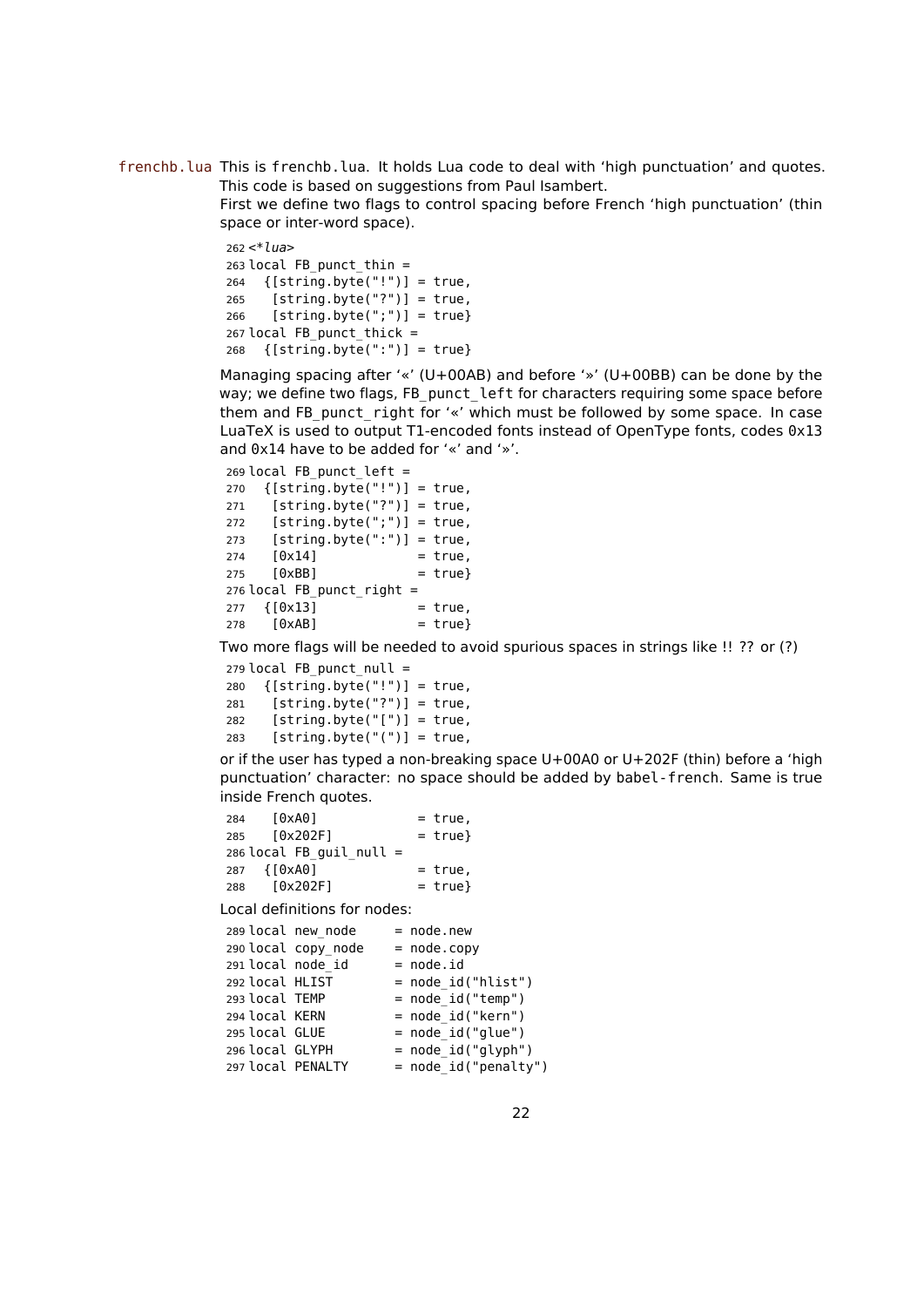frenchb.lua This is frenchb.lua. It holds Lua code to deal with 'high punctuation' and quotes. This code is based on suggestions from Paul Isambert.

> First we define two flags to control spacing before French 'high punctuation' (thin space or inter-word space).

```
262 <*lua>
263 local FB_punct_thin =
264 {[string.byte("]"] = true,265 [string.byte("?")] = true,266 [string.byte(";")] = true}
267 local FB punct thick =
268 {[string.byte(":")] = true}
```
Managing spacing after '«' (U+00AB) and before '»' (U+00BB) can be done by the way; we define two flags, FB\_punct\_left for characters requiring some space before them and FB\_punct\_right for '«' which must be followed by some space. In case LuaTeX is used to output T1-encoded fonts instead of OpenType fonts, codes 0x13 and 0x14 have to be added for '«' and '»'.

 local FB punct left = {[string.byte("!")] = true,  $[string.byte("?")] = true,$  $[string.byte(";")] = true,$  $[string.byte(":") = true,$   $[0x14]$  = true,  $[0xBB]$  = true} local FB punct right = {[0x13] = true,  $[0xAB]$  = true}

Two more flags will be needed to avoid spurious spaces in strings like !! ?? or (?)

```
279 local FB_punct_null =
280 {[string.byte("!")] = true,
281 [string.byte("?")] = true,
282 [string.byte("[")] = true,
283 [string.byte("(")] = true,
```
or if the user has typed a non-breaking space U+00A0 or U+202F (thin) before a 'high punctuation' character: no space should be added by babel-french. Same is true inside French quotes.

| 284 | [0xA0]                     | $= true,$  |
|-----|----------------------------|------------|
| 285 | [0x202F]                   | $= true$ } |
|     | $286$ local FB guil null = |            |
|     | 287 {[0xA0]                | $= true.$  |
| 288 | [0x202F]                   | $= true$ } |

Local definitions for nodes:

|                   | 289 local new node  | $=$ node.new         |
|-------------------|---------------------|----------------------|
|                   | 290 local copy node | $=$ node.copy        |
| 291 local node id |                     | $= node.id$          |
| 292 local HLIST   |                     | $= node_id("hlist")$ |
| 293 local TEMP    |                     | $=$ node id("temp")  |
| 294 local KERN    |                     | = node id("kern")    |
| 295 local GLUE    |                     | $=$ node id("glue")  |
| 296 local GLYPH   |                     | $= node_id("glyph")$ |
| 297 local PENALTY |                     | = node_id("penalty") |
|                   |                     |                      |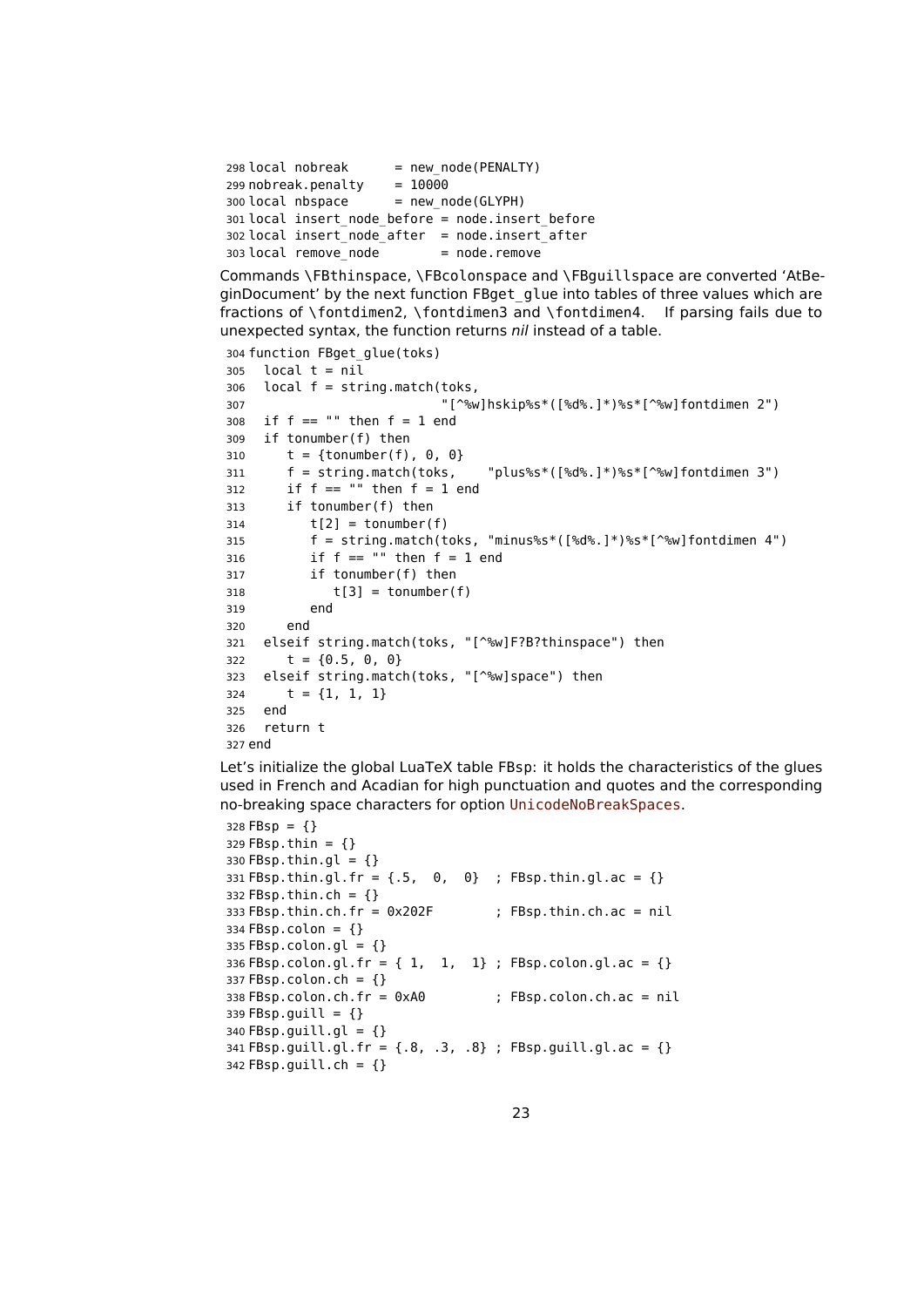```
298 local nobreak = new_node(PENALTY)<br>299 nobreak.penalty = 10000
299 nobreak.penalty
300 local nbspace = new node(GLYPH)
301 local insert_node_before = node.insert_before
302 local insert_node_after = node.insert_after
303 local remove node = node.remove
```
Commands \FBthinspace, \FBcolonspace and \FBguillspace are converted 'AtBeginDocument' by the next function FBget\_glue into tables of three values which are fractions of \fontdimen2, \fontdimen3 and \fontdimen4. If parsing fails due to unexpected syntax, the function returns nil instead of a table.

```
304 function FBget_glue(toks)
305 local t = nil306 local f = string.match(toks,
307 "[^%w]hskip%s*([%d%.]*)%s*[^%w]fontdimen 2")
308 if f == " " then f = 1 end309 if tonumber(f) then
310 t = {tonumber(f), 0, 0}311 f = string.match(toks, "plus%s*([%d%.]*)%s*[^%w]fontdimen 3")
312 if f == "" then f = 1 end
313 if tonumber(f) then
314 t[2] = tonumber(f)
315 f = string.match(toks, "minus%s*([%d%.]*)%s*[^%w]fontdimen 4")
316 if f == "" then f = 1 end
317 if tonumber(f) then
318 t[3] = tonumber(f)
319 end
320 end
321 elseif string.match(toks, "[^%w]F?B?thinspace") then
322 t = \{0.5, 0, 0\}323 elseif string.match(toks, "[^%w]space") then
324 t = {1, 1, 1}
325 end
326 return t
327 end
```
Let's initialize the global LuaTeX table FBsp: it holds the characteristics of the glues used in French and Acadian for high punctuation and quotes and the corresponding no-breaking space characters for option UnicodeNoBreakSpaces.

```
328 FBsp = {}
329 FBsp.thin = \{\}330 FBsp.thin.gl = \{\}331 FBsp.thin.gl.fr = \{0, 0\} ; FBsp.thin.gl.ac = \{\}332 FBsp.thin.ch = {}
333 FBsp.thin.ch.fr = 0x202F ; FBsp.thin.ch.ac = nil
334 FBsp.colon = \{ \}335 FBsp.colon.gl = \{ \}336 FBsp.colon.gl.fr = { 1, 1, 1} ; FBsp.colon.gl.ac = {}
337 FBsp.colon.ch = {}
338 FBsp.colon.ch.fr = 0xA0 ; FBsp.colon.ch.ac = nil
339 FBsp.guill = {}
340 FBsp.guill.gl = {}
341 FBsp.guill.gl.fr = {.8, .3, .8} ; FBsp.guill.gl.ac = {}
342 FBsp.guill.ch = {}
```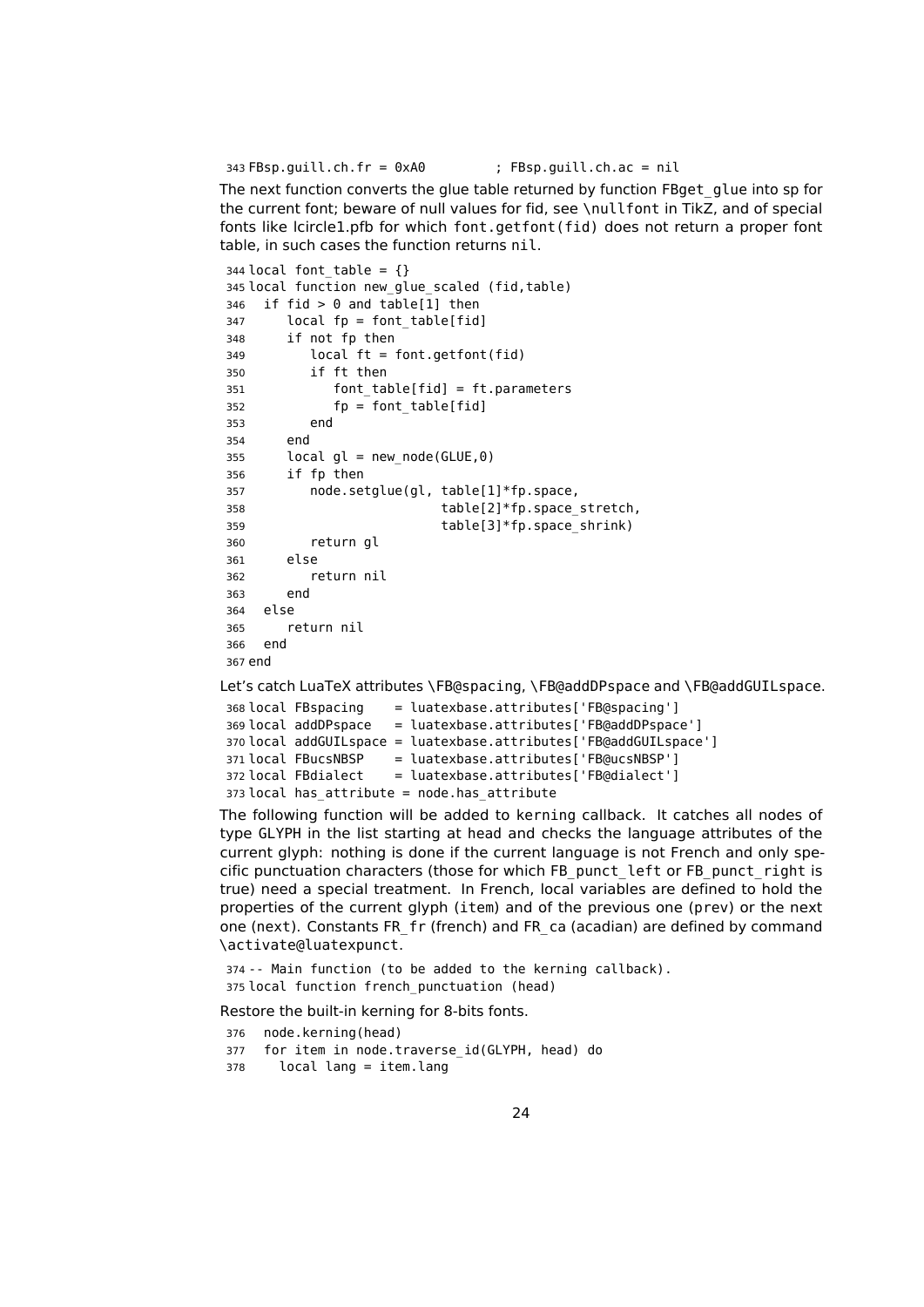FBsp.guill.ch.fr = 0xA0 ; FBsp.guill.ch.ac = nil

The next function converts the glue table returned by function FBget\_glue into sp for the current font; beware of null values for fid, see \nullfont in TikZ, and of special fonts like lcircle1.pfb for which font.getfont(fid) does not return a proper font table, in such cases the function returns nil.

```
344 local font table = \{\}345 local function new_glue_scaled (fid,table)
346 if fid > 0 and table[1] then
347 local fp = font_table[fid]
348 if not fp then
349 local ft = font.getfont(fid)
350 if ft then
351 font_table[fid] = ft.parameters
352 fp = font table[fid]
353 end
354 end
355 local gl = new node(GLUE,0)
356 if fp then
357 node.setglue(gl, table[1]*fp.space,
358 table[2]*fp.space_stretch,
359 table[3]*fp.space shrink)
360 return gl
361 else
362 return nil
363 end
364 else
365 return nil
366 end
367 end
```
Let's catch LuaTeX attributes \FB@spacing, \FB@addDPspace and \FB@addGUILspace.

```
368 local FBspacing = luatexbase.attributes['FB@spacing']
369 local addDPspace = luatexbase.attributes['FB@addDPspace']
370 local addGUILspace = luatexbase.attributes['FB@addGUILspace']
371 local FBucsNBSP = luatexbase.attributes['FB@ucsNBSP']
372 local FBdialect = luatexbase.attributes['FB@dialect']
373 local has_attribute = node.has_attribute
```
The following function will be added to kerning callback. It catches all nodes of type GLYPH in the list starting at head and checks the language attributes of the current glyph: nothing is done if the current language is not French and only specific punctuation characters (those for which FB\_punct\_left or FB\_punct\_right is true) need a special treatment. In French, local variables are defined to hold the properties of the current glyph (item) and of the previous one (prev) or the next one (next). Constants FR\_fr (french) and FR\_ca (acadian) are defined by command \activate@luatexpunct.

 -- Main function (to be added to the kerning callback). local function french\_punctuation (head)

Restore the built-in kerning for 8-bits fonts.

- node.kerning(head)
- 377 for item in node.traverse id(GLYPH, head) do
- local lang = item.lang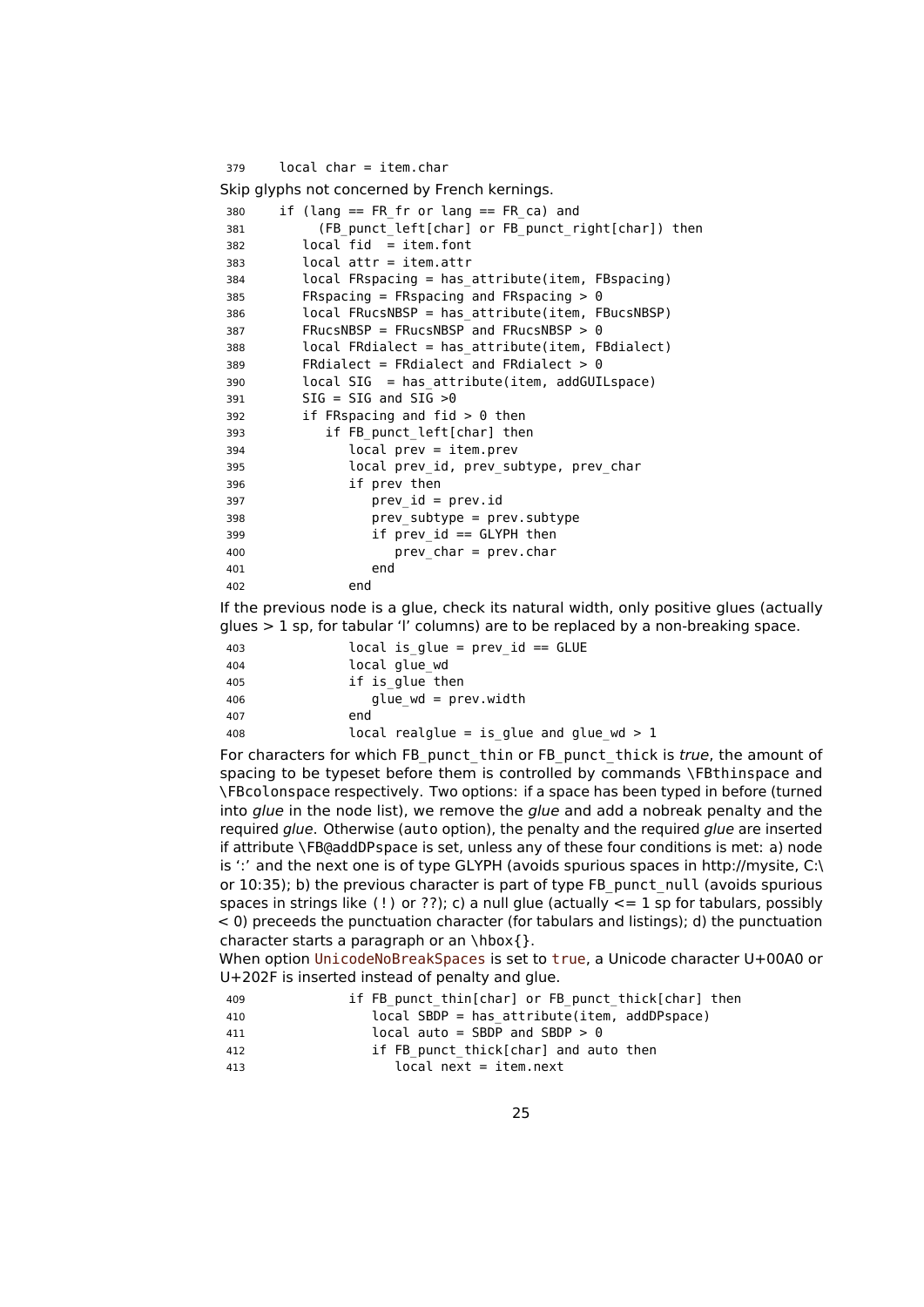```
379 local char = item.char
Skip glyphs not concerned by French kernings.
380 if (lang == FR fr or lang == FR ca) and
381 (FB_punct_left[char] or FB_punct_right[char]) then
382 local fid = item.font
383 local attr = item.attr
384 local FRspacing = has_attribute(item, FBspacing)
385 FRspacing = FRspacing and FRspacing > 0
386 local FRucsNBSP = has_attribute(item, FBucsNBSP)
387 FRucsNBSP = FRucsNBSP and FRucsNBSP > 0
388 local FRdialect = has_attribute(item, FBdialect)
389 FRdialect = FRdialect and FRdialect > 0
390 local SIG = has_attribute(item, addGUILspace)
391 SIG = SIG and SIG >0
392 if FRspacing and fid > 0 then
393 if FB_punct_left[char] then
394 local prev = item.prev
395 local prev_id, prev_subtype, prev_char
396 if prev then
397 prev_id = prev.id
398 prev_subtype = prev.subtype
399 if prev_id == GLYPH then
400 prev_char = prev.char
401 end
402 end
```
If the previous node is a glue, check its natural width, only positive glues (actually glues  $> 1$  sp, for tabular 'l' columns) are to be replaced by a non-breaking space.

 local is\_glue = prev\_id == GLUE local glue\_wd if is\_glue then glue\_wd = prev.width end local realglue = is\_glue and glue\_wd > 1

For characters for which FB\_punct\_thin or FB\_punct\_thick is true, the amount of spacing to be typeset before them is controlled by commands \FBthinspace and \FBcolonspace respectively. Two options: if a space has been typed in before (turned into glue in the node list), we remove the glue and add a nobreak penalty and the required glue. Otherwise (auto option), the penalty and the required glue are inserted if attribute \FB@addDPspace is set, unless any of these four conditions is met: a) node is ':' and the next one is of type GLYPH (avoids spurious spaces in http://mysite, C:\ or 10:35); b) the previous character is part of type FB\_punct\_null (avoids spurious spaces in strings like (!) or ??); c) a null glue (actually  $\lt=$  1 sp for tabulars, possibly < 0) preceeds the punctuation character (for tabulars and listings); d) the punctuation character starts a paragraph or an \hbox{}.

When option UnicodeNoBreakSpaces is set to true, a Unicode character U+00A0 or U+202F is inserted instead of penalty and glue.

| 409 | if FB punct thin [char] or FB punct thick [char] then |
|-----|-------------------------------------------------------|
| 410 | $local$ SBDP = has attribute(item, addDPspace)        |
| 411 | local auto = SBDP and SBDP $> 0$                      |
| 412 | if FB punct thick[char] and auto then                 |
| 413 | $local next = item.next$                              |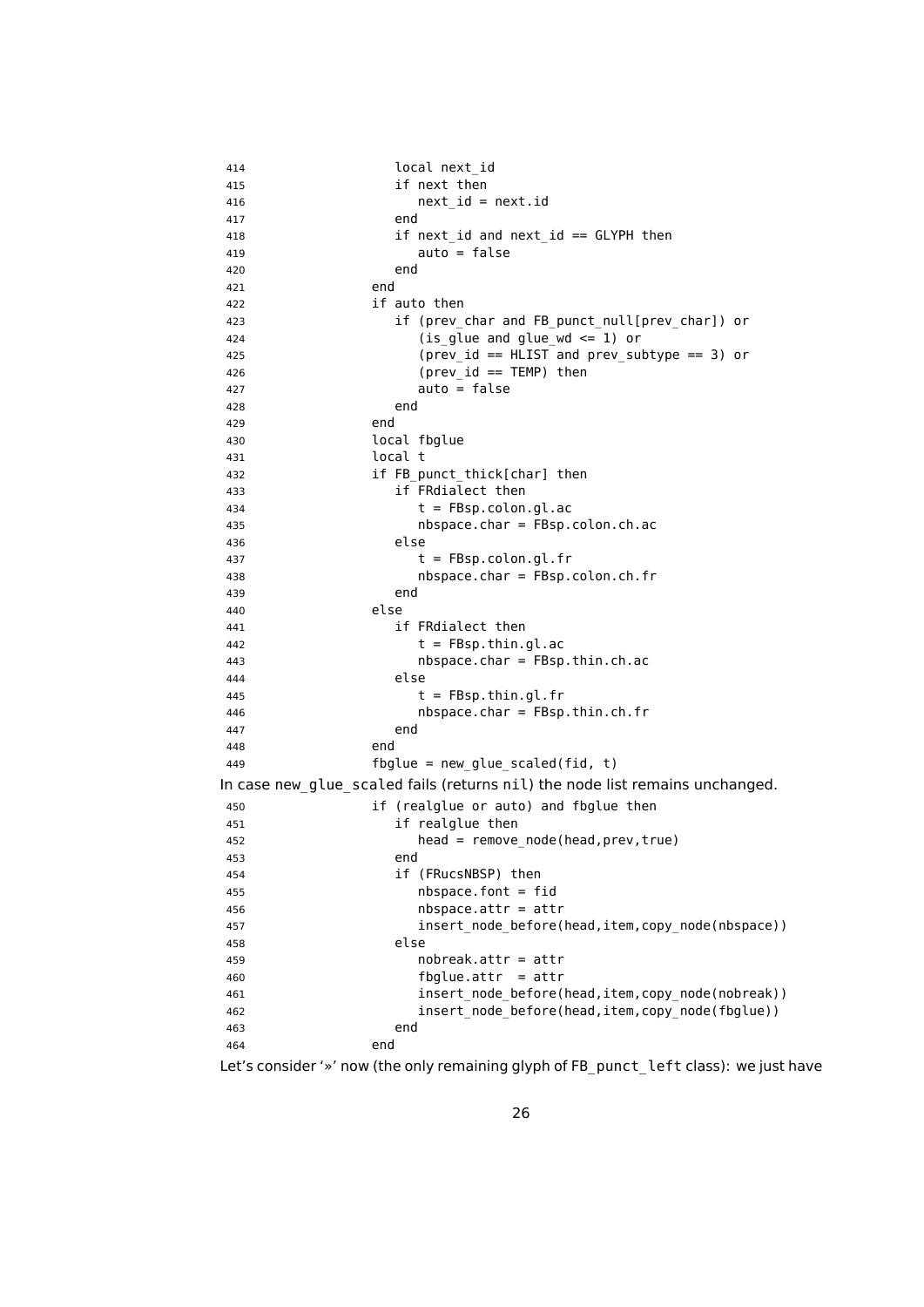| 414 | local next id                                                                               |
|-----|---------------------------------------------------------------------------------------------|
| 415 | if next then                                                                                |
| 416 | $next_id = next.id$                                                                         |
| 417 | end                                                                                         |
| 418 | if next id and next id == $GLYPH$ then                                                      |
| 419 | auto = false                                                                                |
| 420 | end                                                                                         |
| 421 | end                                                                                         |
| 422 | if auto then                                                                                |
| 423 | if (prev_char and FB_punct_null[prev_char]) or                                              |
| 424 | $(is_glue and glue_wd \leq 1)$ or                                                           |
| 425 | $(\text{prev_id} == \text{HLIST} \text{ and } \text{prev} \text{subtype} == 3) \text{ or }$ |
| 426 | $(\text{prev}_id == \text{Temp})$ then                                                      |
| 427 | $auto = false$                                                                              |
| 428 | end                                                                                         |
| 429 | end                                                                                         |
| 430 | local fbglue                                                                                |
| 431 | local t                                                                                     |
| 432 | if FB punct thick[char] then                                                                |
| 433 | if FRdialect then                                                                           |
| 434 | $t = FBsp.colon.gl.ac$                                                                      |
| 435 | $nbspace. char = FBsp.colon.ch.ac$                                                          |
| 436 | else                                                                                        |
| 437 | $t = FBsp.colon.gl.fr$                                                                      |
| 438 | $nbspace. char = FBsp.colon.ch.fr$                                                          |
| 439 | end                                                                                         |
| 440 | else                                                                                        |
| 441 | if FRdialect then                                                                           |
| 442 | $t = FBsp.thin.gl.ac$                                                                       |
| 443 | $nbspace. char = FBsp. thin.ch.ac$                                                          |
| 444 | else                                                                                        |
| 445 | $t = FBsp.thin.gl.fr$                                                                       |
| 446 | $nbspace(char = FBsp.thin.ch.fr$                                                            |
| 447 | end                                                                                         |
| 448 | end                                                                                         |
| 449 | $fbglue = new_glue_scaled(fid, t)$                                                          |
|     | In case new glue scaled fails (returns nil) the node list remains unchanged.                |
| 450 | if (realglue or auto) and fbglue then                                                       |
| 451 | if realglue then                                                                            |
| 452 | $head = remove-node(head, prev, true)$                                                      |
| 453 | end                                                                                         |
| 454 | if (FRucsNBSP) then                                                                         |
| 455 | $nbspace font = fid$                                                                        |
| 456 | $nbspace.attr = attr$                                                                       |
| 457 | insert_node_before(head,item,copy_node(nbspace))                                            |
| 458 | else                                                                                        |
| 459 | $nobreak .attr = attr$                                                                      |
| 460 | $fbglue.attr = attr$                                                                        |
| 461 | insert_node_before(head,item,copy_node(nobreak))                                            |
| 462 | insert_node_before(head,item,copy_node(fbglue))                                             |
| 463 | end                                                                                         |
| 464 | end                                                                                         |

Let's consider '»' now (the only remaining glyph of FB\_punct\_left class): we just have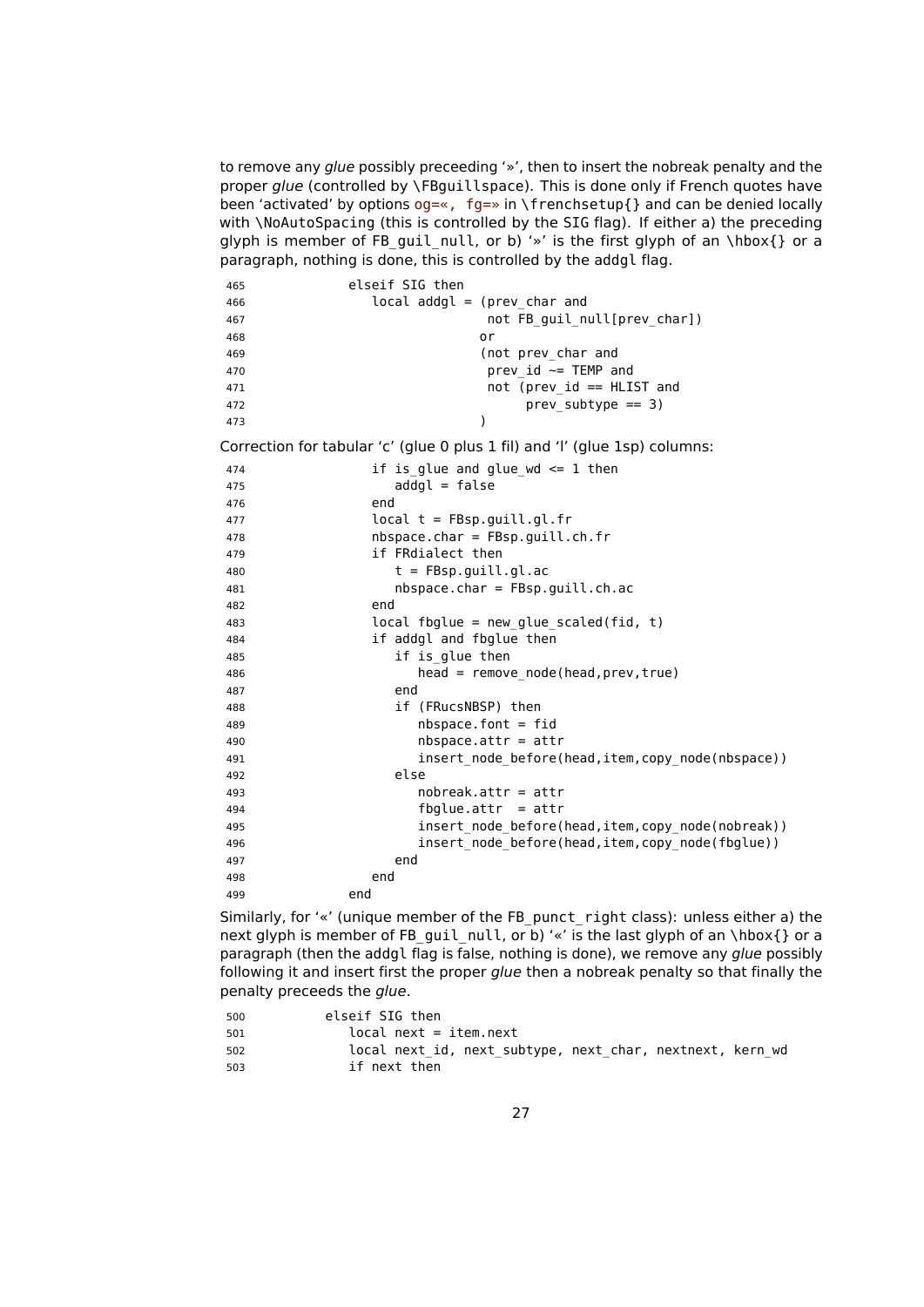to remove any glue possibly preceeding '»', then to insert the nobreak penalty and the proper glue (controlled by \FBguillspace). This is done only if French quotes have been 'activated' by options  $og=\infty$ ,  $fg=\infty$  in  $\frac{\frac{1}{3}}{\frac{1}{3}}$  and can be denied locally with \NoAutoSpacing (this is controlled by the SIG flag). If either a) the preceding glyph is member of FB\_guil\_null, or b) '»' is the first glyph of an \hbox{} or a paragraph, nothing is done, this is controlled by the addgl flag.

| 465 | elseif SIG then                                                            |
|-----|----------------------------------------------------------------------------|
| 466 | local addgl = (prev char and                                               |
| 467 | not FB guil_null[prev_char])                                               |
| 468 | or                                                                         |
| 469 | (not prev char and                                                         |
| 470 | prev id $\sim$ TEMP and                                                    |
| 471 | not (prev id $==$ HLIST and                                                |
| 472 | $prev$ subtype $==$ 3)                                                     |
| 473 |                                                                            |
|     | Correction for tabular (c) (alue 0 plus 1 fill and (I) (alue 1sp) solumns: |

Correction for tabular 'c' (glue 0 plus 1 fil) and 'l' (glue 1sp) columns:

| 474 | if is glue and glue $wd \leq 1$ then               |
|-----|----------------------------------------------------|
| 475 | $addgl = false$                                    |
| 476 | end                                                |
| 477 | $local t = FBsp.guill.gl.fr$                       |
| 478 | $nbspace. char = FBsp.quit.l.ch.fr$                |
| 479 | if FRdialect then                                  |
| 480 | $t = FBsp.quit.l.ql.ac$                            |
| 481 | $nbspace. char = FBsp.guill.ch.ac$                 |
| 482 | end                                                |
| 483 | $local fbglue = new_glue_scaled(fid, t)$           |
| 484 | if addgl and fbglue then                           |
| 485 | if is glue then                                    |
| 486 | $head = remove node(head, prev, true)$             |
| 487 | end                                                |
| 488 | if (FRucsNBSP) then                                |
| 489 | $nbspacefoot$ . font = fid                         |
| 490 | $nbspace.$ attr = attr                             |
| 491 | insert_node_before(head,item,copy_node(nbspace))   |
| 492 | else                                               |
| 493 | $nobreak .attr = attr$                             |
| 494 | $fbglue.attr = attr$                               |
| 495 | insert node before(head, item, copy node(nobreak)) |
| 496 | insert_node_before(head,item,copy_node(fbglue))    |
| 497 | end                                                |
| 498 | end                                                |
| 499 | end                                                |

Similarly, for '«' (unique member of the FB\_punct\_right class): unless either a) the next glyph is member of FB\_guil\_null, or b) '«' is the last glyph of an \hbox{} or a paragraph (then the addgl flag is false, nothing is done), we remove any glue possibly following it and insert first the proper glue then a nobreak penalty so that finally the penalty preceeds the glue.

| 500 | elseif SIG then                                           |
|-----|-----------------------------------------------------------|
| 501 | local next = item.next                                    |
| 502 | local next id, next subtype, next char, nextnext, kern wd |
| 503 | if next then                                              |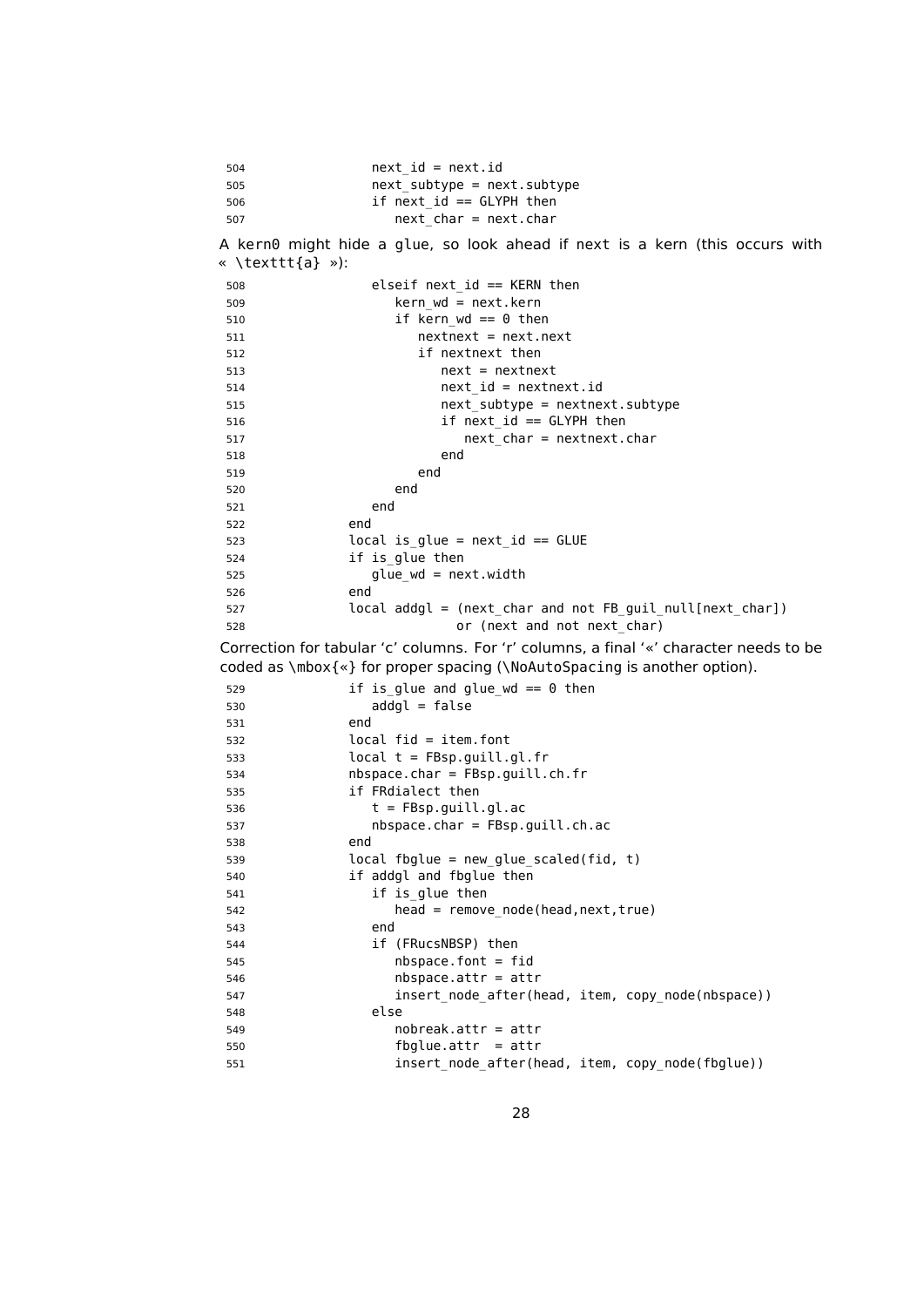| 504 | $next_id = next.id$              |
|-----|----------------------------------|
| 505 | $next$ subtype = $next$ .subtype |
| 506 | if next $id ==$ GLYPH then       |
| 507 | $next$ char = next.char          |

A kern0 might hide a glue, so look ahead if next is a kern (this occurs with « \texttt{a} »):

| 508 | elseif next id $==$ KERN then                             |
|-----|-----------------------------------------------------------|
| 509 | $\text{kern}$ wd = next. kern                             |
| 510 | if kern wd == $\theta$ then                               |
| 511 | $nextnext$ = $next.next$                                  |
| 512 | if nextnext then                                          |
| 513 | $next = nextnext$                                         |
| 514 | $next_id = nextnext.id$                                   |
| 515 | $next$ subtype = nextnext.subtype                         |
| 516 | $if$ next $id ==$ GLYPH then                              |
| 517 | $next$ char = nextnext.char                               |
| 518 | end                                                       |
| 519 | end                                                       |
| 520 | end                                                       |
| 521 | end                                                       |
| 522 | end                                                       |
| 523 | local is glue = next id == $GLUE$                         |
| 524 | if is glue then                                           |
| 525 | $glue$ wd = next.width                                    |
| 526 | end                                                       |
| 527 | local addgl = (next_char and not FB_guil_null[next_char]) |
| 528 | or (next and not next char)                               |

Correction for tabular 'c' columns. For 'r' columns, a final '«' character needs to be coded as \mbox{«} for proper spacing (\NoAutoSpacing is another option).

```
529 if is glue and glue wd == 0 then
530 addgl = false
531 end
532 local fid = item.font
533 local t = FBsp.guill.gl.fr
534 nbspace.char = FBsp.guill.ch.fr
535 if FRdialect then
536 t = FBsp.guill.gl.ac
537 nbspace.char = FBsp.guill.ch.ac
538 end
539 local fbglue = new_glue_scaled(fid, t)
540 if addgl and fbglue then
541 if is glue then
542 head = remove_node(head,next,true)
543 end
544 if (FRucsNBSP) then
545 nbspace.font = fid
546 nbspace.attr = attr
547 insert_node_after(head, item, copy_node(nbspace))
548 else
549 nobreak.attr = attr
550 fbglue.attr = attr
551 insert node after(head, item, copy node(fbglue))
```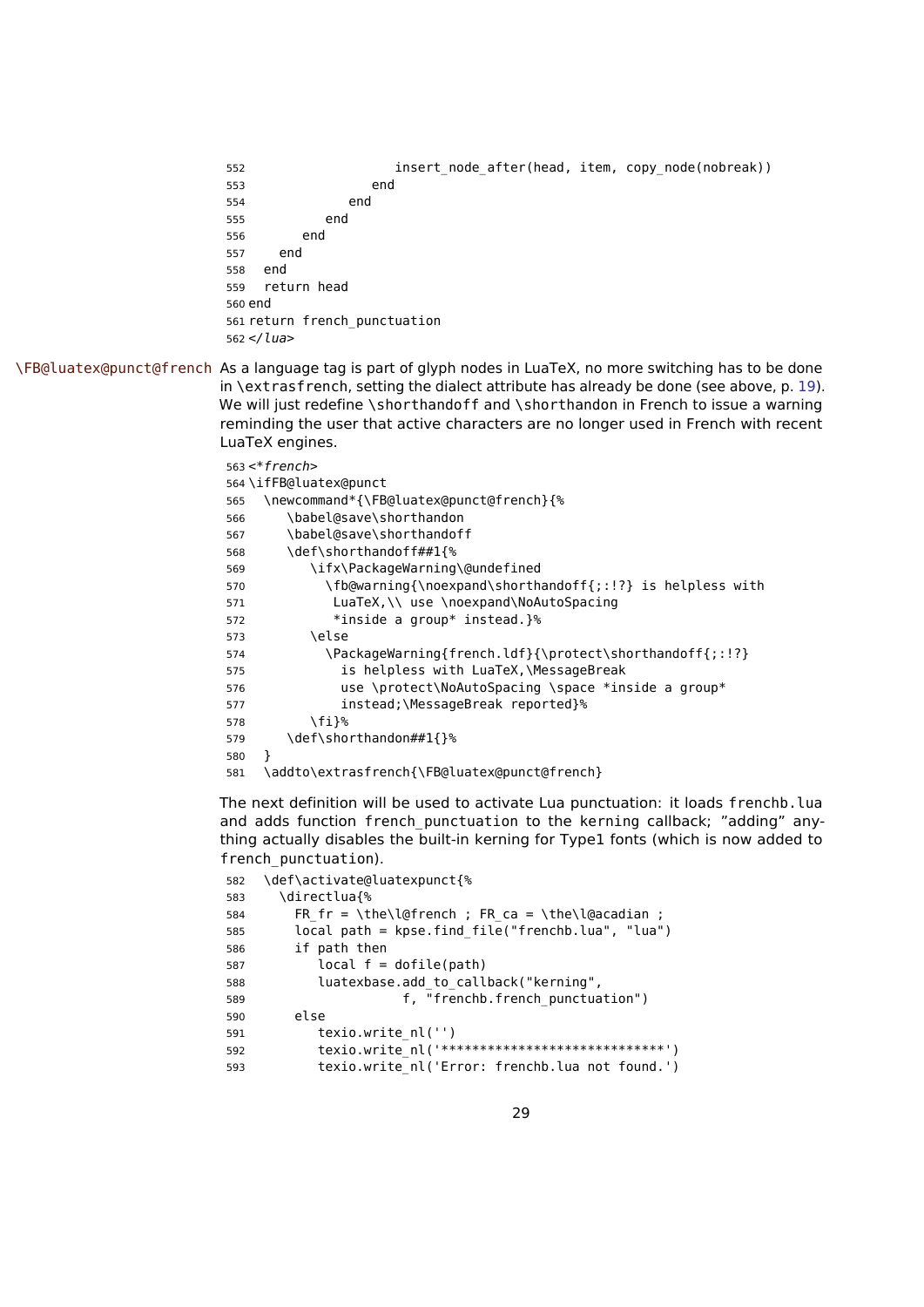```
552 insert node after(head, item, copy node(nobreak))
553 end
554 end
555 end
556 end
557 end
558 end
559 return head
560 end
561 return french_punctuation
562 </lua>
```
\FB@luatex@punct@french As a language tag is part of glyph nodes in LuaTeX, no more switching has to be done in \extrasfrench, setting the dialect attribute has already be done (see above, p. [19\)](#page-18-0). We will just redefine \shorthandoff and \shorthandon in French to issue a warning reminding the user that active characters are no longer used in French with recent LuaTeX engines.

```
563\prec*french>
564 \ifFB@luatex@punct
565 \newcommand*{\FB@luatex@punct@french}{%
566 \babel@save\shorthandon
567 \babel@save\shorthandoff
568 \def\shorthandoff##1{%
569 \ifx\PackageWarning\@undefined
570 \fb@warning{\noexpand\shorthandoff{;:!?} is helpless with
571 LuaTeX,\\ use \noexpand\NoAutoSpacing
572 *inside a group* instead.}%
573 \else
574 \PackageWarning{french.ldf}{\protect\shorthandoff{;:!?}
575 is helpless with LuaTeX,\MessageBreak
576 use \protect\NoAutoSpacing \space *inside a group*
577 instead;\MessageBreak reported}%
578 \fi}%
579 \def\shorthandon##1{}%
580 }
581 \addto\extrasfrench{\FB@luatex@punct@french}
```
The next definition will be used to activate Lua punctuation: it loads frenchb.lua and adds function french punctuation to the kerning callback; "adding" anything actually disables the built-in kerning for Type1 fonts (which is now added to french punctuation).

```
582 \def\activate@luatexpunct{%
583 \directlua{%
584 FR fr = \the\l@french ; FR ca = \the\l@acadian ;
585 local path = kpse.find_file("frenchb.lua", "lua")
586 if path then
587 local f = dofile(path)
588 luatexbase.add_to_callback("kerning",
589 f, "frenchb.french_punctuation")
590 else
591 texio.write nl('')
592 texio.write_nl('*****************************')
593 texio.write_nl('Error: frenchb.lua not found.')
```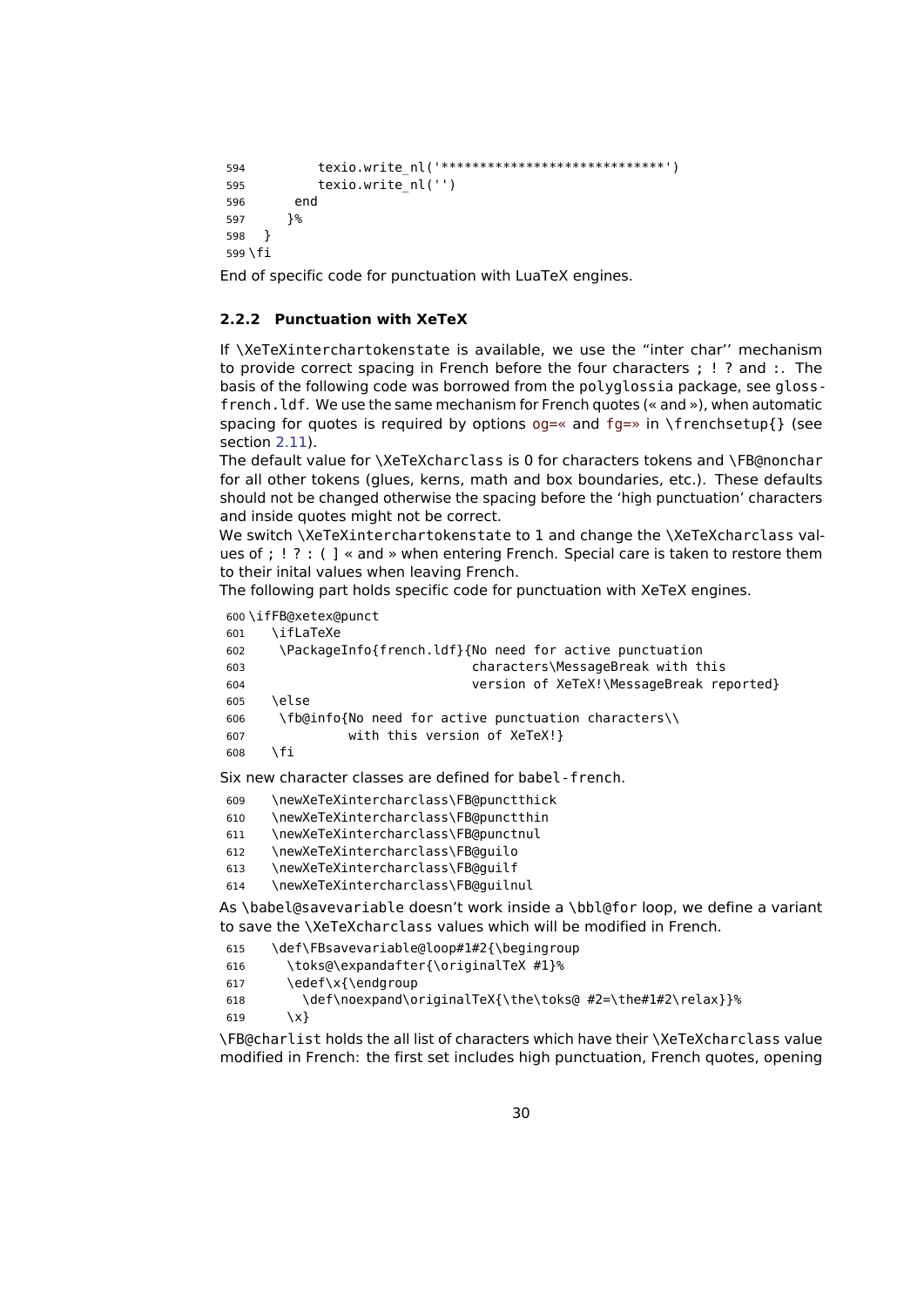```
594 texio.write_nl('*****************************')
595 texio.write_nl('')
596 end
597 }%
598 }
599 \fi
```
End of specific code for punctuation with LuaTeX engines.

#### <span id="page-29-0"></span>**2.2.2 Punctuation with XeTeX**

If \XeTeXinterchartokenstate is available, we use the "inter char'' mechanism to provide correct spacing in French before the four characters ; ! ? and :. The basis of the following code was borrowed from the polyglossia package, see glossfrench.ldf. We use the same mechanism for French quotes (« and »), when automatic spacing for quotes is required by options og=« and fg=» in \frenchsetup{} (see section [2.11\)](#page-52-0).

The default value for \XeTeXcharclass is 0 for characters tokens and \FB@nonchar for all other tokens (glues, kerns, math and box boundaries, etc.). These defaults should not be changed otherwise the spacing before the 'high punctuation' characters and inside quotes might not be correct.

We switch \XeTeXinterchartokenstate to 1 and change the \XeTeXcharclass values of ; ! ? : ( ] « and » when entering French. Special care is taken to restore them to their inital values when leaving French.

The following part holds specific code for punctuation with XeTeX engines.

```
600 \ifFB@xetex@punct
       601 \ifLaTeXe
```

| 601 | <u>\itlaTexe</u>                                        |
|-----|---------------------------------------------------------|
| 602 | \PackageInfo{french.ldf}{No need for active punctuation |
| 603 | characters\MessageBreak with this                       |
| 604 | version of XeTeX!\MessageBreak reported}                |
| 605 | \else                                                   |
| 606 | \fb@info{No need for active punctuation characters\\    |
| 607 | with this version of XeTeX!}                            |
| 608 | ۱fi.                                                    |

Six new character classes are defined for babel-french.

```
609 \newXeTeXintercharclass\FB@punctthick
610 \newXeTeXintercharclass\FB@punctthin
611 \newXeTeXintercharclass\FB@punctnul
612 \newXeTeXintercharclass\FB@guilo
613 \newXeTeXintercharclass\FB@guilf
```
614 \newXeTeXintercharclass\FB@guilnul

As \babel@savevariable doesn't work inside a \bbl@for loop, we define a variant to save the \XeTeXcharclass values which will be modified in French.

```
615 \def\FBsavevariable@loop#1#2{\begingroup
616 \toks@\expandafter{\originalTeX #1}%
617 \edef\x{\endgroup
618 \def\noexpand\originalTeX{\the\toks@ #2=\the#1#2\relax}}%
619 \quad \{x\}
```
\FB@charlist holds the all list of characters which have their \XeTeXcharclass value modified in French: the first set includes high punctuation, French quotes, opening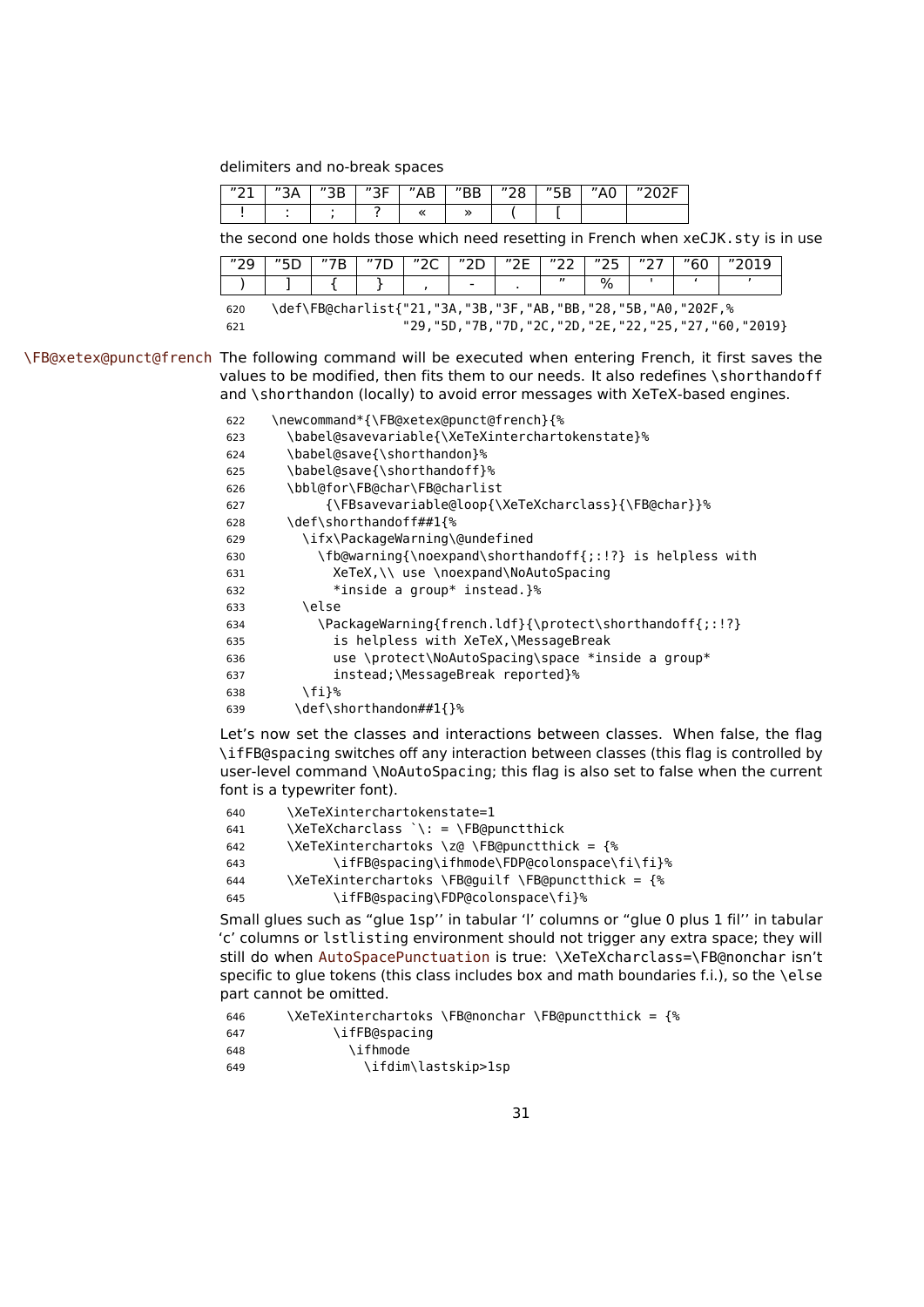delimiters and no-break spaces

| 1101<br><u>. .</u> | <br>$n \cap n$ | かつに<br>ـ | $^{\prime\prime}$<br>D<br>٩D | "00 | $^{\prime\prime}$ CD<br><u>JD</u> | . |  |
|--------------------|----------------|----------|------------------------------|-----|-----------------------------------|---|--|
|                    |                |          |                              |     |                                   |   |  |

the second one holds those which need resetting in French when xeCJK.sty is in use

| $n \cap \Omega$<br>ت ہے                                             |  |  | "" | $n \cap n$<br>∠⊾ | חריי | "つに | $n \cap \neg$     | のつに かんかん かんかん かんかん かんかん じゅうしょう じゅうしょう じゅうしょう かいしょう かいしょう かいしゃ<br><u>_ _</u> | $n \cap \neg$ | "60 |  |
|---------------------------------------------------------------------|--|--|----|------------------|------|-----|-------------------|-----------------------------------------------------------------------------|---------------|-----|--|
|                                                                     |  |  |    |                  | -    |     | $^{\prime\prime}$ | $\%$                                                                        |               |     |  |
| \def\FB@charlist{"21,"3A,"3B,"3F,"AB,"BB,"28,"5B,"A0,"202F,%<br>620 |  |  |    |                  |      |     |                   |                                                                             |               |     |  |

"29,"5D,"7B,"7D,"2C,"2D,"2E,"22,"25,"27,"60,"2019}

\FB@xetex@punct@french The following command will be executed when entering French, it first saves the values to be modified, then fits them to our needs. It also redefines \shorthandoff and \shorthandon (locally) to avoid error messages with XeTeX-based engines.

| 622 | \newcommand*{\FB@xetex@punct@french}{%                    |
|-----|-----------------------------------------------------------|
| 623 | \babel@savevariable{\XeTeXinterchartokenstate}%           |
| 624 | \babel@save{\shorthandon}%                                |
| 625 | \babel@save{\shorthandoff}%                               |
| 626 | \bbl@for\FB@char\FB@charlist                              |
| 627 | {\FBsavevariable@loop{\XeTeXcharclass}{\FB@char}}%        |
| 628 | \def\shorthandoff##1{%                                    |
| 629 | \ifx\PackageWarning\@undefined                            |
| 630 | \fb@warning{\noexpand\shorthandoff{;:!?} is helpless with |
| 631 | XeTeX,\\ use \noexpand\NoAutoSpacing                      |
| 632 | *inside a group* instead.}%                               |
| 633 | \else                                                     |
| 634 | \PackageWarning{french.ldf}{\protect\shorthandoff{;:!?}   |
| 635 | is helpless with XeTeX,\MessageBreak                      |
| 636 | use \protect\NoAutoSpacing\space *inside a group*         |
| 637 | instead;\MessageBreak reported}%                          |
| 638 | \fi}%                                                     |
| 639 | \def\shorthandon##1{}%                                    |

Let's now set the classes and interactions between classes. When false, the flag \ifFB@spacing switches off any interaction between classes (this flag is controlled by user-level command \NoAutoSpacing; this flag is also set to false when the current font is a typewriter font).

| 640 | \XeTeXinterchartokenstate=1                       |
|-----|---------------------------------------------------|
| 641 | $\XeTeXcharclass \ Y: = \FB@punctthick$           |
| 642 | \XeTeXinterchartoks \z@ \FB@punctthick = {%       |
| 643 | \ifFB@spacing\ifhmode\FDP@colonspace\fi\fi}%      |
| 644 | \XeTeXinterchartoks \FB@quilf \FB@punctthick = {% |
| 645 | \ifFB@spacing\FDP@colonspace\fi}%                 |
|     |                                                   |

Small glues such as "glue 1sp'' in tabular 'l' columns or "glue 0 plus 1 fil'' in tabular 'c' columns or lstlisting environment should not trigger any extra space; they will still do when AutoSpacePunctuation is true: \XeTeXcharclass=\FB@nonchar isn't specific to glue tokens (this class includes box and math boundaries f.i.), so the \else part cannot be omitted.

```
646 \XeTeXinterchartoks \FB@nonchar \FB@punctthick = {%
647 \ifFB@spacing
648 \ifhmode
649 \ifdim\lastskip>1sp
```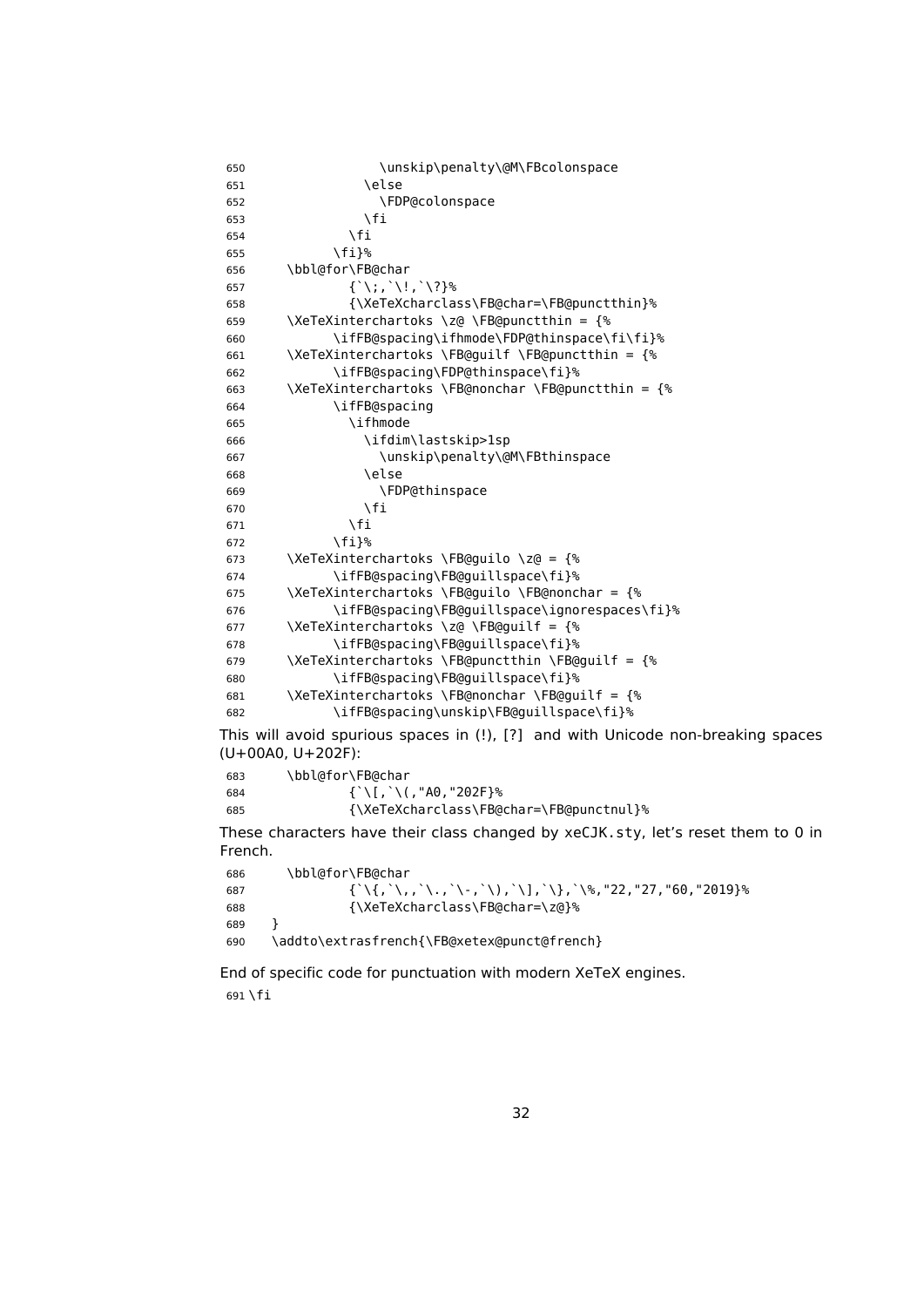| 650 | \unskip\penalty\@M\FBcolonspace                                                                       |
|-----|-------------------------------------------------------------------------------------------------------|
| 651 | \else                                                                                                 |
| 652 | \FDP@colonspace                                                                                       |
| 653 | \fi                                                                                                   |
| 654 | $\sqrt{fi}$                                                                                           |
| 655 | \fi}%                                                                                                 |
| 656 | \bbl@for\FB@char                                                                                      |
| 657 | $\{\dot{a}, \dot{b}, \dot{c}, \dot{c}, \dot{c}, \dot{c}\}$ %                                          |
| 658 | {\XeTeXcharclass\FB@char=\FB@punctthin}%                                                              |
| 659 | \XeTeXinterchartoks \z@ \FB@punctthin = {%                                                            |
| 660 | \ifFB@spacing\ifhmode\FDP@thinspace\fi\fi}%                                                           |
| 661 | \XeTeXinterchartoks \FB@guilf \FB@punctthin = {%                                                      |
| 662 | \ifFB@spacing\FDP@thinspace\fi}%                                                                      |
| 663 | \XeTeXinterchartoks \FB@nonchar \FB@punctthin = {%                                                    |
| 664 | \ifFB@spacing                                                                                         |
| 665 | \ifhmode                                                                                              |
| 666 | \ifdim\lastskip>lsp                                                                                   |
| 667 | \unskip\penalty\@M\FBthinspace                                                                        |
| 668 | \else                                                                                                 |
| 669 | \FDP@thinspace                                                                                        |
| 670 | \fi                                                                                                   |
| 671 | \fi                                                                                                   |
| 672 | \fi}%                                                                                                 |
| 673 | \XeTeXinterchartoks \FB@guilo \z@ = {%                                                                |
| 674 | \ifFB@spacing\FB@guillspace\fi}%                                                                      |
| 675 | \XeTeXinterchartoks \FB@guilo \FB@nonchar = {%                                                        |
| 676 | \ifFB@spacing\FB@guillspace\ignorespaces\fi}%                                                         |
| 677 | \XeTeXinterchartoks \z@ \FB@guilf = {%                                                                |
| 678 | \ifFB@spacing\FB@guillspace\fi}%                                                                      |
| 679 | \XeTeXinterchartoks \FB@punctthin \FB@guilf = {%                                                      |
| 680 | \ifFB@spacing\FB@guillspace\fi}%                                                                      |
| 681 | \XeTeXinterchartoks \FB@nonchar \FB@guilf = {%                                                        |
| 682 | \ifFB@spacing\unskip\FB@guillspace\fi}%                                                               |
|     | This will avoid spurious spaces in (!), [?] and with Unicode non-breaking spaces<br>(U+00A0, U+202F): |
| 683 | \bbl@for\FB@char                                                                                      |
| 684 | $\{\`  \.[\;]\`  \$ (, "A0, "202F}%                                                                   |
| 685 | {\XeTeXcharclass\FB@char=\FB@punctnul}%                                                               |
|     |                                                                                                       |

These characters have their class changed by xeCJK.sty, let's reset them to 0 in French.

| 686 | \bbl@for\FB@char                                                                                             |
|-----|--------------------------------------------------------------------------------------------------------------|
| 687 | $\{\ \{ \ \{ , \ \}, , \ \{ , \ \} , \ \{ , \ \} , \ \{ , \ \} , \ \} , \ \} , \ \$ , "22, "27, "60, "2019}% |
| 688 | {\XeTeXcharclass\FB@char=\z@}%                                                                               |
| 689 |                                                                                                              |
| 690 | \addto\extrasfrench{\FB@xetex@punct@french}                                                                  |

End of specific code for punctuation with modern XeTeX engines. 691 \fi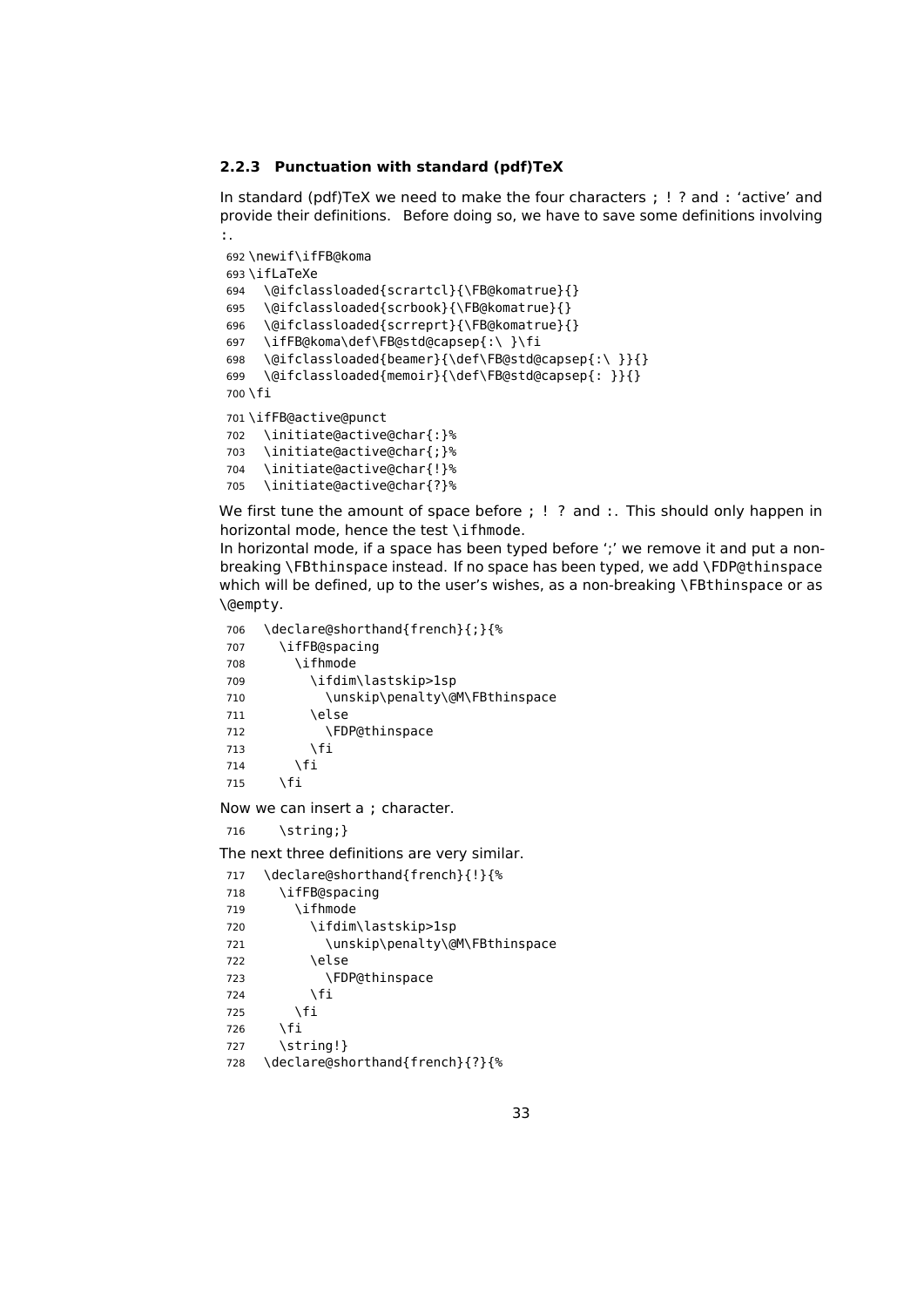#### <span id="page-32-0"></span>**2.2.3 Punctuation with standard (pdf)TeX**

In standard (pdf)TeX we need to make the four characters ; ! ? and : 'active' and provide their definitions. Before doing so, we have to save some definitions involving :.

```
692 \newif\ifFB@koma
693 \ifLaTeXe
694 \@ifclassloaded{scrartcl}{\FB@komatrue}{}
695 \@ifclassloaded{scrbook}{\FB@komatrue}{}
696 \@ifclassloaded{scrreprt}{\FB@komatrue}{}
697 \ifFB@koma\def\FB@std@capsep{:\ }\fi
698 \@ifclassloaded{beamer}{\def\FB@std@capsep{:\ }}{}
699 \@ifclassloaded{memoir}{\def\FB@std@capsep{: }}{}
700 \fi
701 \ifFB@active@punct
702 \initiate@active@char{:}%
703 \initiate@active@char{;}%
704 \initiate@active@char{!}%
705 \initiate@active@char{?}%
```
We first tune the amount of space before ; ! ? and :. This should only happen in horizontal mode, hence the test \ifhmode.

In horizontal mode, if a space has been typed before ';' we remove it and put a nonbreaking \FBthinspace instead. If no space has been typed, we add \FDP@thinspace which will be defined, up to the user's wishes, as a non-breaking \FBthinspace or as \@empty.

```
706 \declare@shorthand{french}{;}{%
707 \ifFB@spacing
708 \ifhmode
709 \ifdim\lastskip>1sp
710 \unskip\penalty\@M\FBthinspace
711 \else
712 \FDP@thinspace
713 \fi
714 \fi
715 \times \mathfrak{f}
```
Now we can insert a ; character.

\string;}

The next three definitions are very similar.

```
717 \declare@shorthand{french}{!}{%
718 \ifFB@spacing
719 \ifhmode
720 \ifdim\lastskip>1sp
721 \unskip\penalty\@M\FBthinspace
722 \else
723 \FDP@thinspace
724 \fi
725 \fi
726 \fi
727 \string!}
728 \declare@shorthand{french}{?}{%
```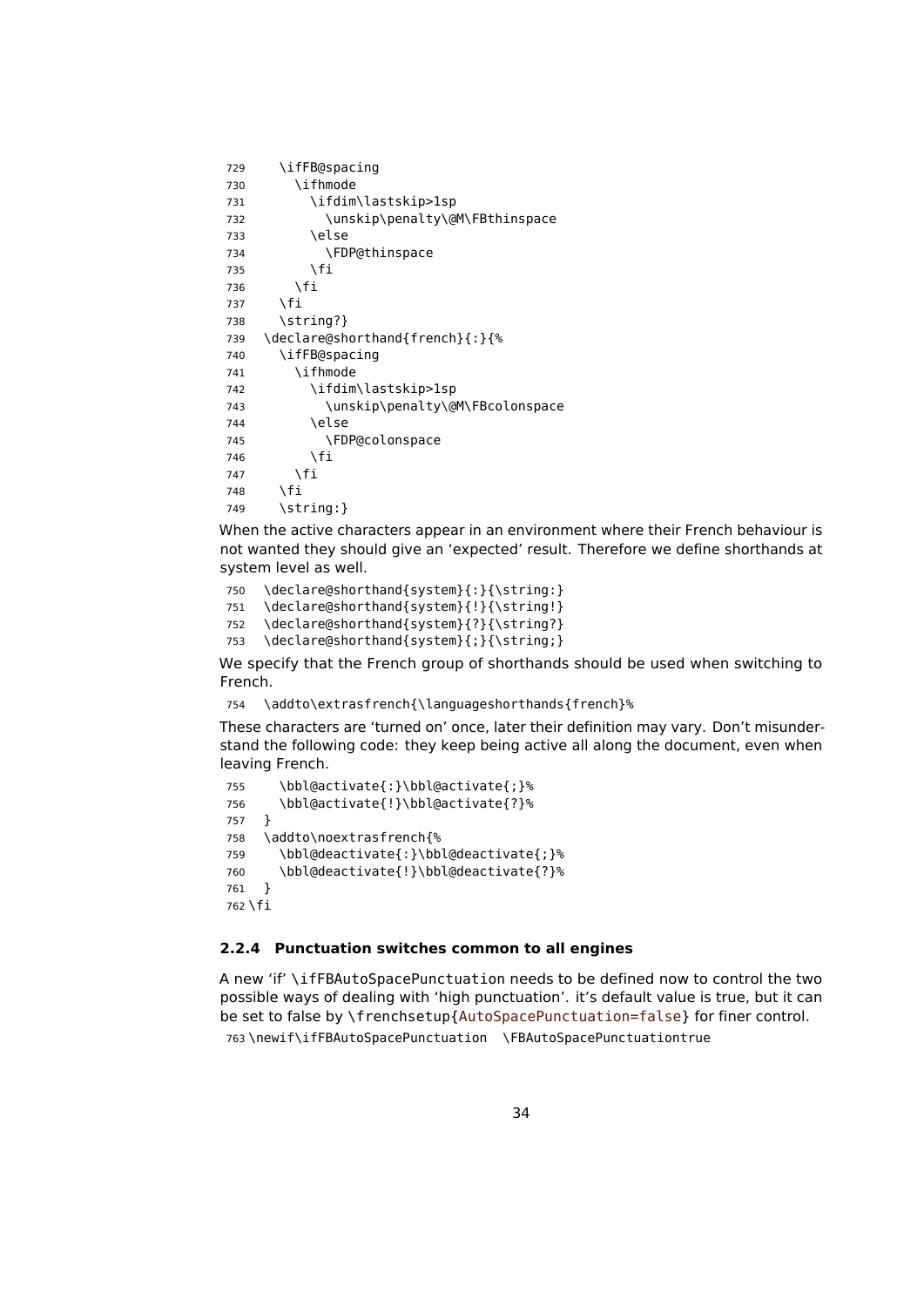```
729 \ifFB@spacing
730 \ifhmode
731 \ifdim\lastskip>1sp
732 \unskip\penalty\@M\FBthinspace
733 \else
734 \FDP@thinspace
735 \fi
736 \fi
737 \fi
738 \string?}
739 \declare@shorthand{french}{:}{%
740 \ifFB@spacing
741 \ifhmode
742 \ifdim\lastskip>1sp
743 \unskip\penalty\@M\FBcolonspace
744 \sqrt{a} 2a745 \FDP@colonspace
746 \fi
747 \fi
748 \fi
749 \string: }
```
When the active characters appear in an environment where their French behaviour is not wanted they should give an 'expected' result. Therefore we define shorthands at system level as well.

```
750 \declare@shorthand{system}{:}{\string:}
```

```
751 \declare@shorthand{system}{!}{\string!}
```

```
752 \declare@shorthand{system}{?}{\string?}
753 \declare@shorthand{system}{;}{\string;}
```
We specify that the French group of shorthands should be used when switching to French.

```
754 \addto\extrasfrench{\languageshorthands{french}%
```
These characters are 'turned on' once, later their definition may vary. Don't misunderstand the following code: they keep being active all along the document, even when leaving French.

```
755 \bbl@activate{:}\bbl@activate{;}%
756 \bbl@activate{!}\bbl@activate{?}%
757 }
758 \addto\noextrasfrench{%
759 \bbl@deactivate{:}\bbl@deactivate{;}%
760 \bbl@deactivate{!}\bbl@deactivate{?}%
761 }
762 \fi
```
#### <span id="page-33-0"></span>**2.2.4 Punctuation switches common to all engines**

A new 'if' \ifFBAutoSpacePunctuation needs to be defined now to control the two possible ways of dealing with 'high punctuation'. it's default value is true, but it can be set to false by \frenchsetup{AutoSpacePunctuation=false} for finer control.

```
763 \newif\ifFBAutoSpacePunctuation \FBAutoSpacePunctuationtrue
```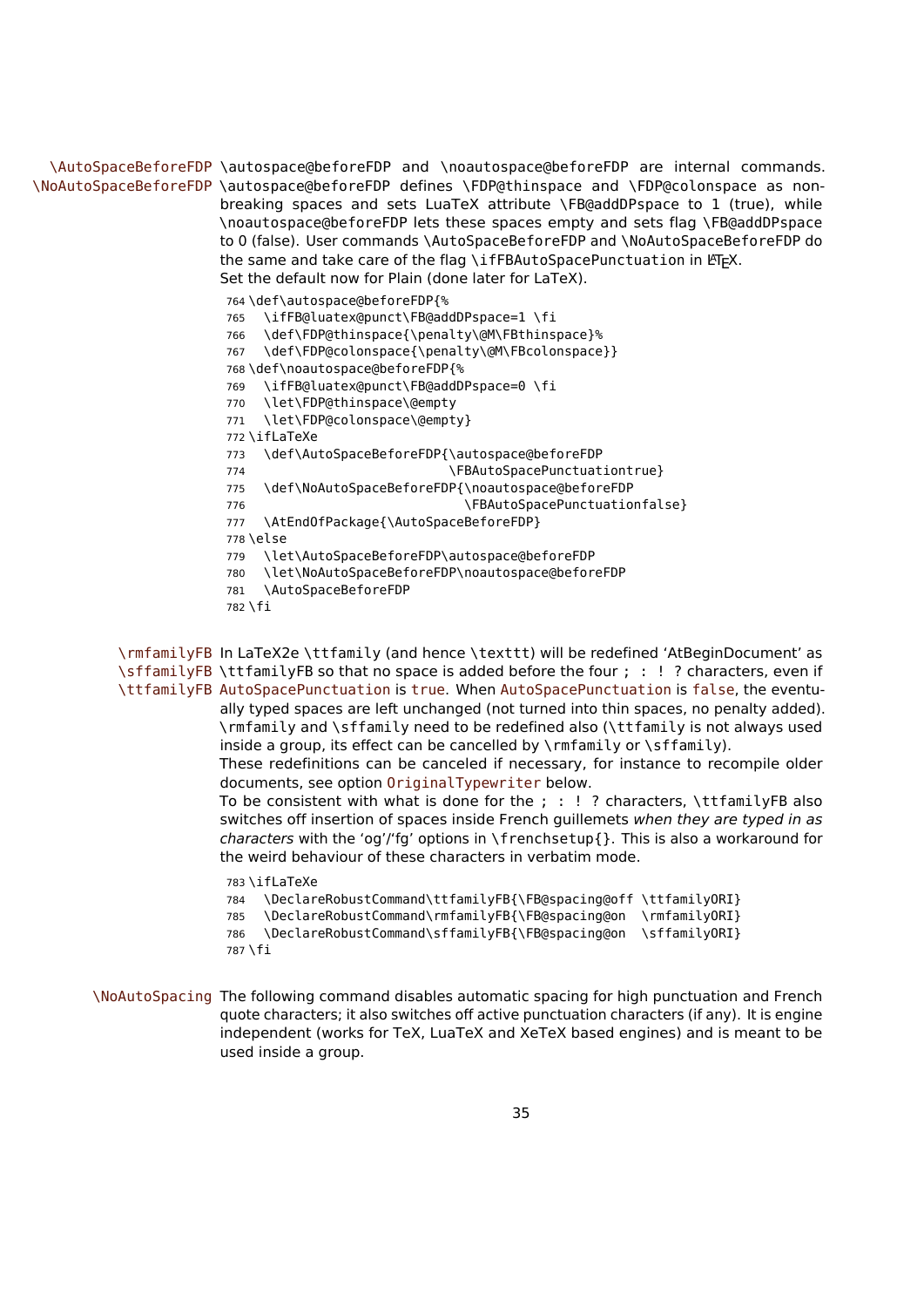\AutoSpaceBeforeFDP \autospace@beforeFDP and \noautospace@beforeFDP are internal commands. \NoAutoSpaceBeforeFDP \autospace@beforeFDP defines \FDP@thinspace and \FDP@colonspace as nonbreaking spaces and sets LuaTeX attribute \FB@addDPspace to 1 (true), while \noautospace@beforeFDP lets these spaces empty and sets flag \FB@addDPspace to 0 (false). User commands \AutoSpaceBeforeFDP and \NoAutoSpaceBeforeFDP do the same and take care of the flag \ifFBAutoSpacePunctuation in LTEX. Set the default now for Plain (done later for LaTeX).

764 \def\autospace@beforeFDP{%

765 \ifFB@luatex@punct\FB@addDPspace=1 \fi

766 \def\FDP@thinspace{\penalty\@M\FBthinspace}%

- 767 \def\FDP@colonspace{\penalty\@M\FBcolonspace}}
- 768 \def\noautospace@beforeFDP{%
- 769 \ifFB@luatex@punct\FB@addDPspace=0 \fi
- 770 \let\FDP@thinspace\@empty
- 771 \let\FDP@colonspace\@empty}
- 772 \ifLaTeXe

773 \def\AutoSpaceBeforeFDP{\autospace@beforeFDP

- 774 \FBAutoSpacePunctuationtrue}
- 775 \def\NoAutoSpaceBeforeFDP{\noautospace@beforeFDP
- 776 The Summary School (FBAutoSpacePunctuationfalse)
- 777 \AtEndOfPackage{\AutoSpaceBeforeFDP}

778 \else

- 779 \let\AutoSpaceBeforeFDP\autospace@beforeFDP
- 780 \let\NoAutoSpaceBeforeFDP\noautospace@beforeFDP
- 781 \AutoSpaceBeforeFDP
- 782 \fi

\rmfamilyFB In LaTeX2e \ttfamily (and hence \texttt) will be redefined 'AtBeginDocument' as \sffamilyFB \ttfamilyFB so that no space is added before the four ; : ! ? characters, even if \ttfamilyFB AutoSpacePunctuation is true. When AutoSpacePunctuation is false, the eventually typed spaces are left unchanged (not turned into thin spaces, no penalty added). \rmfamily and \sffamily need to be redefined also (\ttfamily is not always used inside a group, its effect can be cancelled by  $\mathcal{V}$  mfamily or  $\mathcal{V}$  family). These redefinitions can be canceled if necessary, for instance to recompile older

documents, see option OriginalTypewriter below.

To be consistent with what is done for the ; : ! ? characters, \ttfamilyFB also switches off insertion of spaces inside French guillemets when they are typed in as characters with the 'og'/'fg' options in \frenchsetup{}. This is also a workaround for the weird behaviour of these characters in verbatim mode.

783 \ifLaTeXe

```
784 \DeclareRobustCommand\ttfamilyFB{\FB@spacing@off \ttfamilyORI}
785 \DeclareRobustCommand\rmfamilyFB{\FB@spacing@on \rmfamilyORI}
786 \DeclareRobustCommand\sffamilyFB{\FB@spacing@on \sffamilyORI}
787 \fi
```
\NoAutoSpacing The following command disables automatic spacing for high punctuation and French quote characters; it also switches off active punctuation characters (if any). It is engine independent (works for TeX, LuaTeX and XeTeX based engines) and is meant to be used inside a group.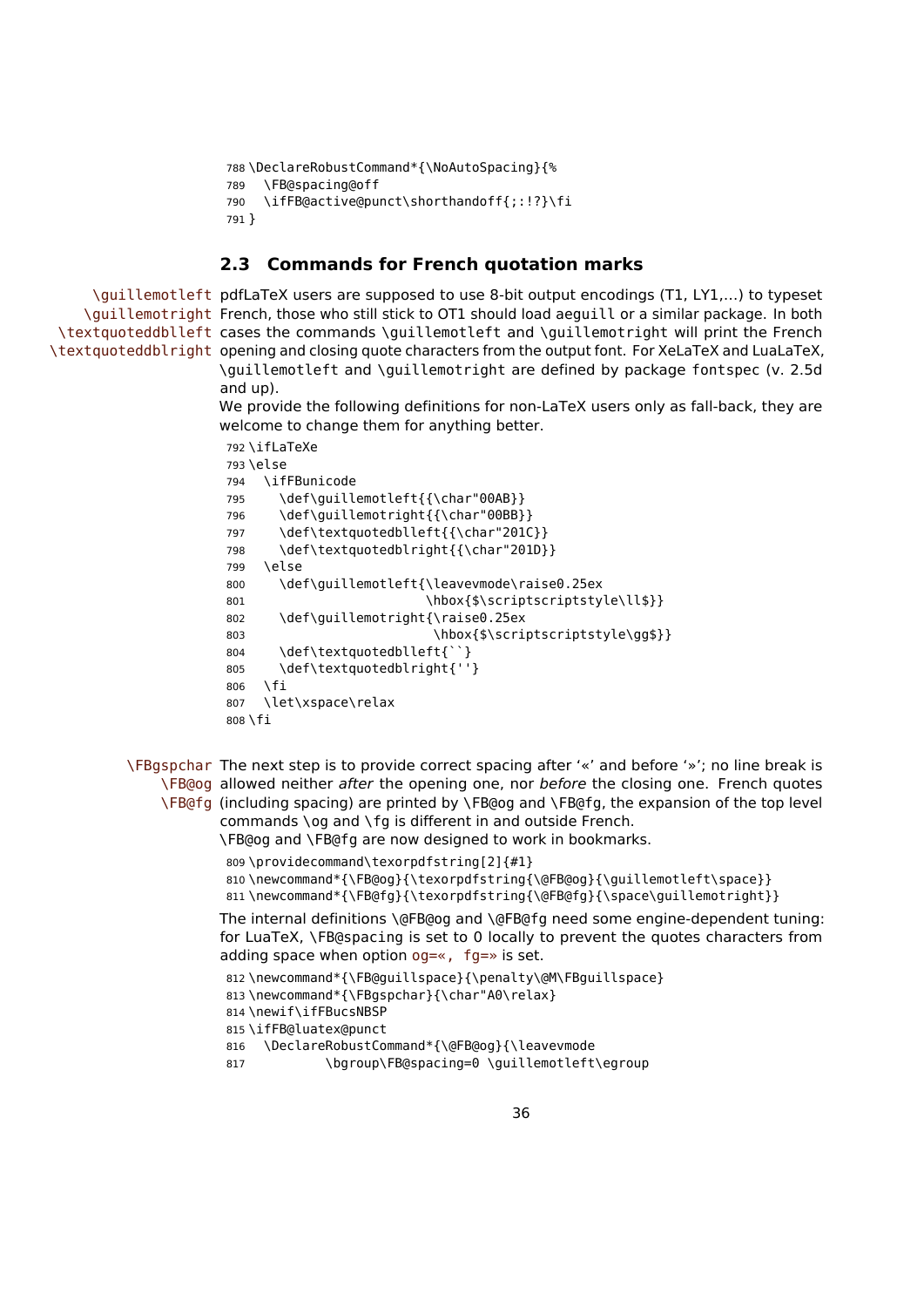```
788 \DeclareRobustCommand*{\NoAutoSpacing}{%
789 \FB@spacing@off
790 \ifFB@active@punct\shorthandoff{;:!?}\fi
791 }
```
## <span id="page-35-0"></span>**2.3 Commands for French quotation marks**

\guillemotleft pdfLaTeX users are supposed to use 8-bit output encodings (T1, LY1,…) to typeset \guillemotright French, those who still stick to OT1 should load aeguill or a similar package. In both \textquoteddblleft cases the commands \guillemotleft and \guillemotright will print the French \textquoteddblright opening and closing quote characters from the output font. For XeLaTeX and LuaLaTeX, \guillemotleft and \guillemotright are defined by package fontspec (v. 2.5d and up).

> We provide the following definitions for non-LaTeX users only as fall-back, they are welcome to change them for anything better.

```
792 \ifLaTeXe
793 \else
794 \ifFBunicode
795 \def\guillemotleft{{\char"00AB}}
796 \def\guillemotright{{\char"00BB}}
797 \def\textquotedblleft{{\char"201C}}
798 \def\textquotedblright{{\char"201D}}
799 \else
800 \def\guillemotleft{\leavevmode\raise0.25ex
801 \hbox{$\scriptscriptstyle\ll$}}
802 \def\guillemotright{\raise0.25ex
803 \hbox{$\scriptscriptstyle\gg$}}
804 \def\textquotedblleft{``}
805 \def\textquotedblright{''}
806 \fi
807 \let\xspace\relax
808 \fi
```
\FBgspchar The next step is to provide correct spacing after '«' and before '»'; no line break is \FB@og allowed neither after the opening one, nor before the closing one. French quotes \FB@fg (including spacing) are printed by \FB@og and \FB@fg, the expansion of the top level

commands \og and \fg is different in and outside French. \FB@og and \FB@fg are now designed to work in bookmarks.

```
809 \providecommand\texorpdfstring[2]{#1}
```

```
810 \newcommand*{\FB@og}{\texorpdfstring{\@FB@og}{\guillemotleft\space}}
```
811 \newcommand\*{\FB@fg}{\texorpdfstring{\@FB@fg}{\space\guillemotright}}

The internal definitions \@FB@og and \@FB@fg need some engine-dependent tuning: for LuaTeX, \FB@spacing is set to 0 locally to prevent the quotes characters from adding space when option og=«, fg=» is set.

```
812 \newcommand*{\FB@guillspace}{\penalty\@M\FBguillspace}
813\newcommand*{\FBgspchar}{\char"A0\relax}
814 \newif\ifFBucsNBSP
815 \ifFB@luatex@punct
816 \DeclareRobustCommand*{\@FB@og}{\leavevmode
```
817 \bgroup\FB@spacing=0 \quillemotleft\egroup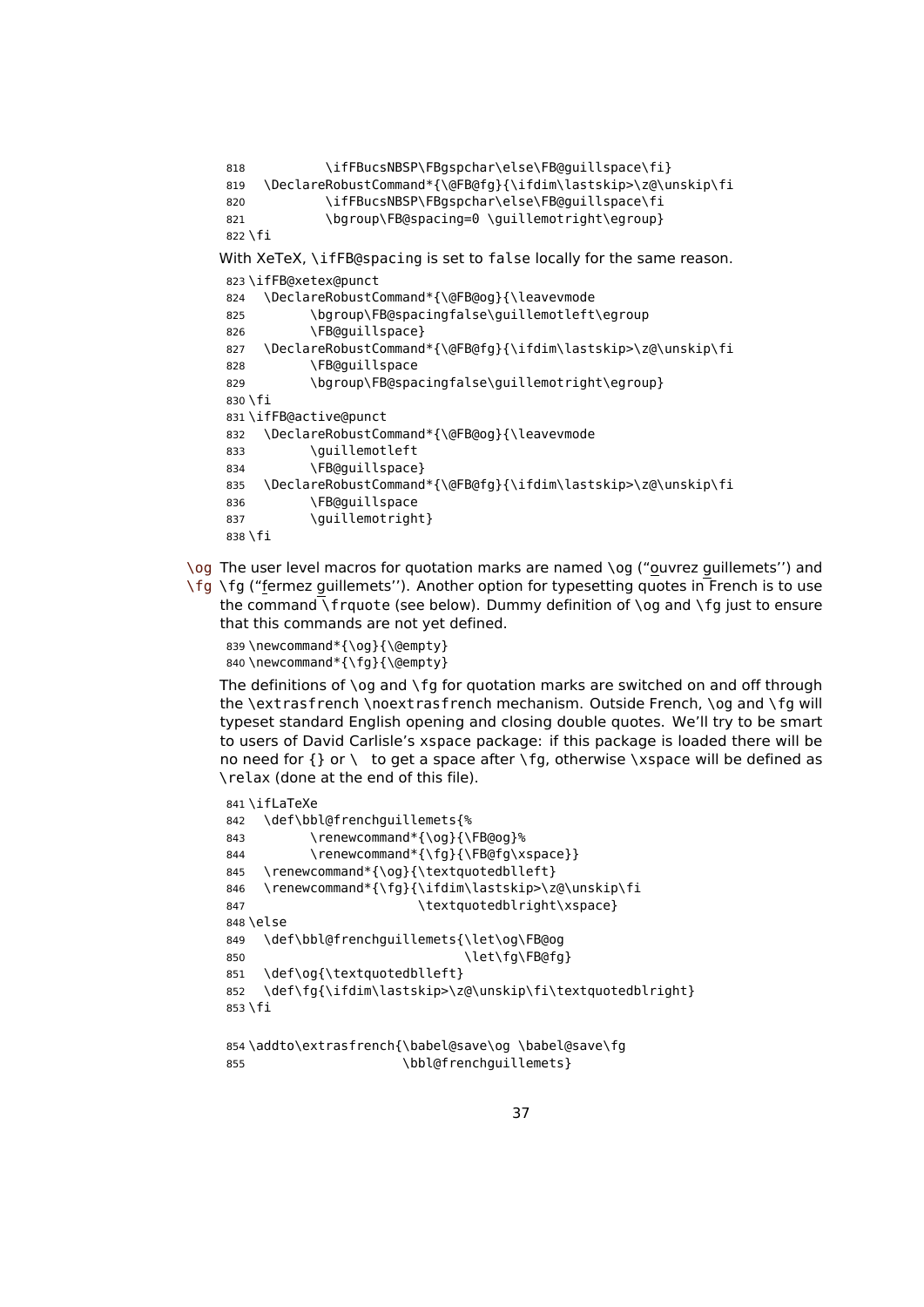```
818 \ifFBucsNBSP\FBgspchar\else\FB@quillspace\fi}
819 \DeclareRobustCommand*{\@FB@fg}{\ifdim\lastskip>\z@\unskip\fi
820 \ifFBucsNBSP\FBgspchar\else\FB@guillspace\fi
821 \bgroup\FB@spacing=0 \guillemotright\egroup}
822 \fi
With XeTeX, \ifFB@spacing is set to false locally for the same reason.
823 \ifFB@xetex@punct
824 \DeclareRobustCommand*{\@FB@og}{\leavevmode
825 \bgroup\FB@spacingfalse\guillemotleft\egroup
826 \FB@guillspace}
827 \DeclareRobustCommand*{\@FB@fg}{\ifdim\lastskip>\z@\unskip\fi
828 \FB@guillspace
829 \bgroup\FB@spacingfalse\guillemotright\egroup}
830 \fi
831 \ifFB@active@punct
832 \DeclareRobustCommand*{\@FB@og}{\leavevmode
833 \guillemotleft
834 \FB@guillspace}
835 \DeclareRobustCommand*{\@FB@fg}{\ifdim\lastskip>\z@\unskip\fi
836 \FB@guillspace
837 \quillemotright}
838 \fi
```
\og The user level macros for quotation marks are named \og ("ouvrez guillemets'') and

\fg \fg ("fermez guillemets''). Another option for typesetting quotes in French is to use the command  $\Gamma$  frquote (see below). Dummy definition of  $\Omega$  and  $\Gamma$  and  $\Gamma$  iust to ensure that this commands are not yet defined.

```
839 \newcommand*{\og}{\@empty}
840 \newcommand*{\fq}{\@empty}
```
The definitions of \og and \fg for quotation marks are switched on and off through the \extrasfrench \noextrasfrench mechanism. Outside French, \og and \fg will typeset standard English opening and closing double quotes. We'll try to be smart to users of David Carlisle's xspace package: if this package is loaded there will be no need for  $\{ \}$  or  $\setminus$  to get a space after  $\setminus$  fg, otherwise  $\setminus$ xspace will be defined as \relax (done at the end of this file).

```
841 \iflaTeXe
842 \def\bbl@frenchguillemets{%
843 \renewcommand*{\og}{\FB@og}%
844 \renewcommand*{\fg}{\FB@fg\xspace}}
845 \renewcommand*{\og}{\textquotedblleft}
846 \renewcommand*{\fg}{\ifdim\lastskip>\z@\unskip\fi
847 \textquotedblright\xspace}
848 \else
849 \def\bbl@frenchguillemets{\let\og\FB@og
850 \let\fg\FB@fg}
851 \def\og{\textquotedblleft}
852 \def\fg{\ifdim\lastskip>\z@\unskip\fi\textquotedblright}
853 \fi
854 \addto\extrasfrench{\babel@save\og \babel@save\fg
```

```
855 \bbl@frenchauillemets}
```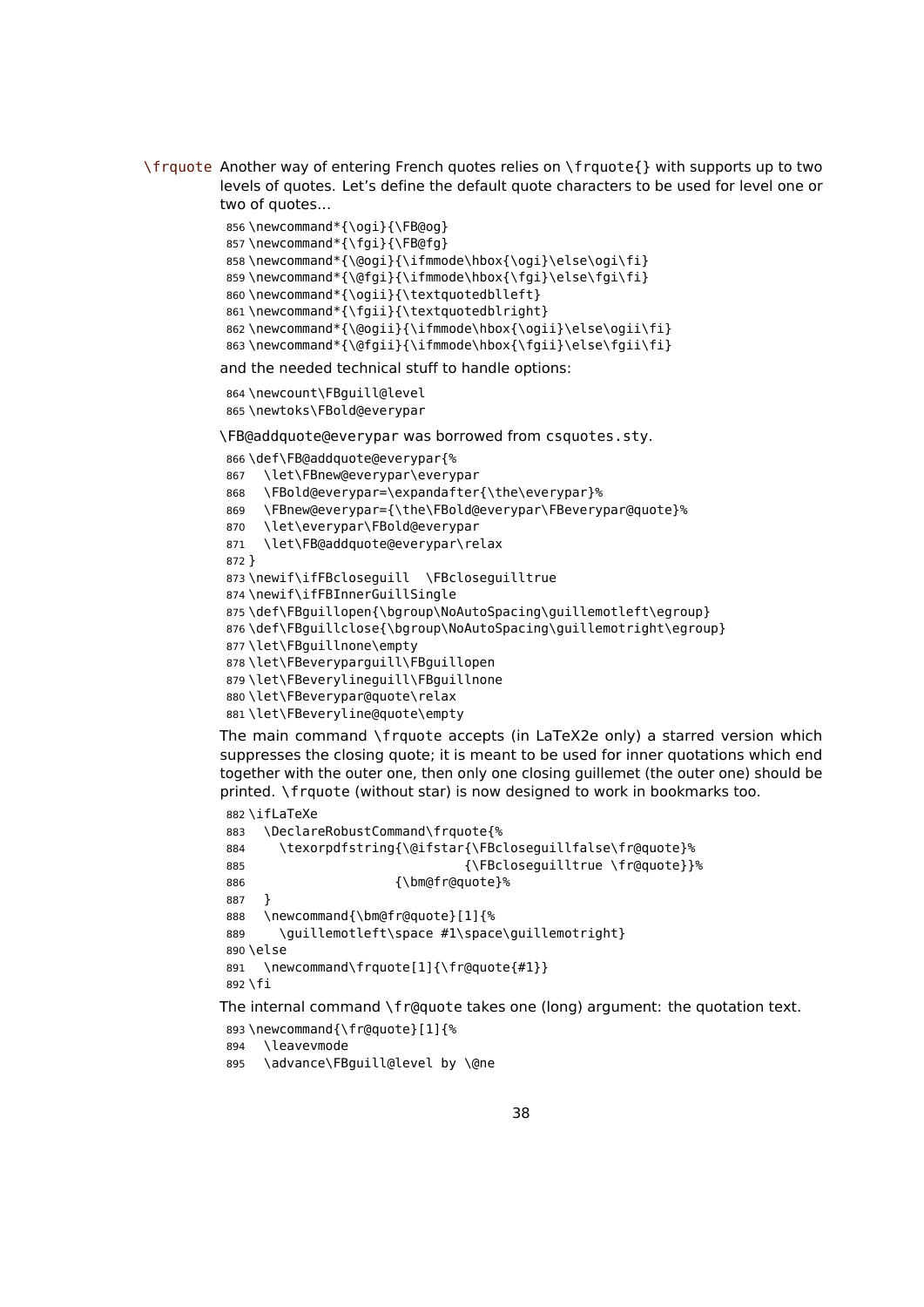\frquote Another way of entering French quotes relies on \frquote{} with supports up to two levels of quotes. Let's define the default quote characters to be used for level one or two of quotes…

```
856 \newcommand*{\ogi}{\FB@og}
857 \newcommand*{\fgi}{\FB@fg}
858\newcommand*{\@ogi}{\ifmmode\hbox{\ogi}\else\ogi\fi}
859\newcommand*{\@fgi}{\ifmmode\hbox{\fgi}\else\fgi\fi}
860 \newcommand*{\ogii}{\textquotedblleft}
861 \newcommand*{\fgii}{\textquotedblright}
862 \newcommand*{\@ogii}{\ifmmode\hbox{\ogii}\else\ogii\fi}
863 \newcommand*{\@fgii}{\ifmmode\hbox{\fgii}\else\fgii\fi}
```
and the needed technical stuff to handle options:

```
864 \newcount\FBguill@level
865 \newtoks\FBold@everypar
```
\FB@addquote@everypar was borrowed from csquotes.sty.

```
866 \def\FB@addquote@everypar{%
867 \let\FBnew@everypar\everypar
868 \FBold@everypar=\expandafter{\the\everypar}%
869 \FBnew@everypar={\the\FBold@everypar\FBeverypar@quote}%
870 \let\everypar\FBold@everypar
871 \let\FB@addquote@everypar\relax
872 }
873 \newif\ifFBcloseguill \FBcloseguilltrue
874 \newif\ifFBInnerGuillSingle
875\def\FBquillopen{\bgroup\NoAutoSpacing\quillemotleft\egroup}
876\def\FBquillclose{\bgroup\NoAutoSpacing\quillemotright\egroup}
877 \let\FBguillnone\empty
878 \let\FBeveryparguill\FBguillopen
879 \let\FBeverylineguill\FBguillnone
880 \let\FBeverypar@quote\relax
881 \let\FBeveryline@quote\empty
```
The main command \frquote accepts (in LaTeX2e only) a starred version which suppresses the closing quote; it is meant to be used for inner quotations which end together with the outer one, then only one closing guillemet (the outer one) should be printed. \frquote (without star) is now designed to work in bookmarks too.

```
882 \ifLaTeXe
883 \DeclareRobustCommand\frquote{%
884 \texorpdfstring{\@ifstar{\FBcloseguillfalse\fr@quote}%
885 \{\F{Bc} \to \{\F{Bc} \}886 {\bm@fr@quote}%
887 }
888 \newcommand{\bm@fr@quote}[1]{%
889 \guillemotleft\space #1\space\guillemotright}
890 \leq \leq \leq891 \newcommand\frquote[1]{\fr@quote{#1}}
892 \fi
The internal command \fr@quote takes one (long) argument: the quotation text.
```

```
893 \newcommand{\fr@quote}[1]{%
```

```
894 \leavevmode
```
\advance\FBguill@level by \@ne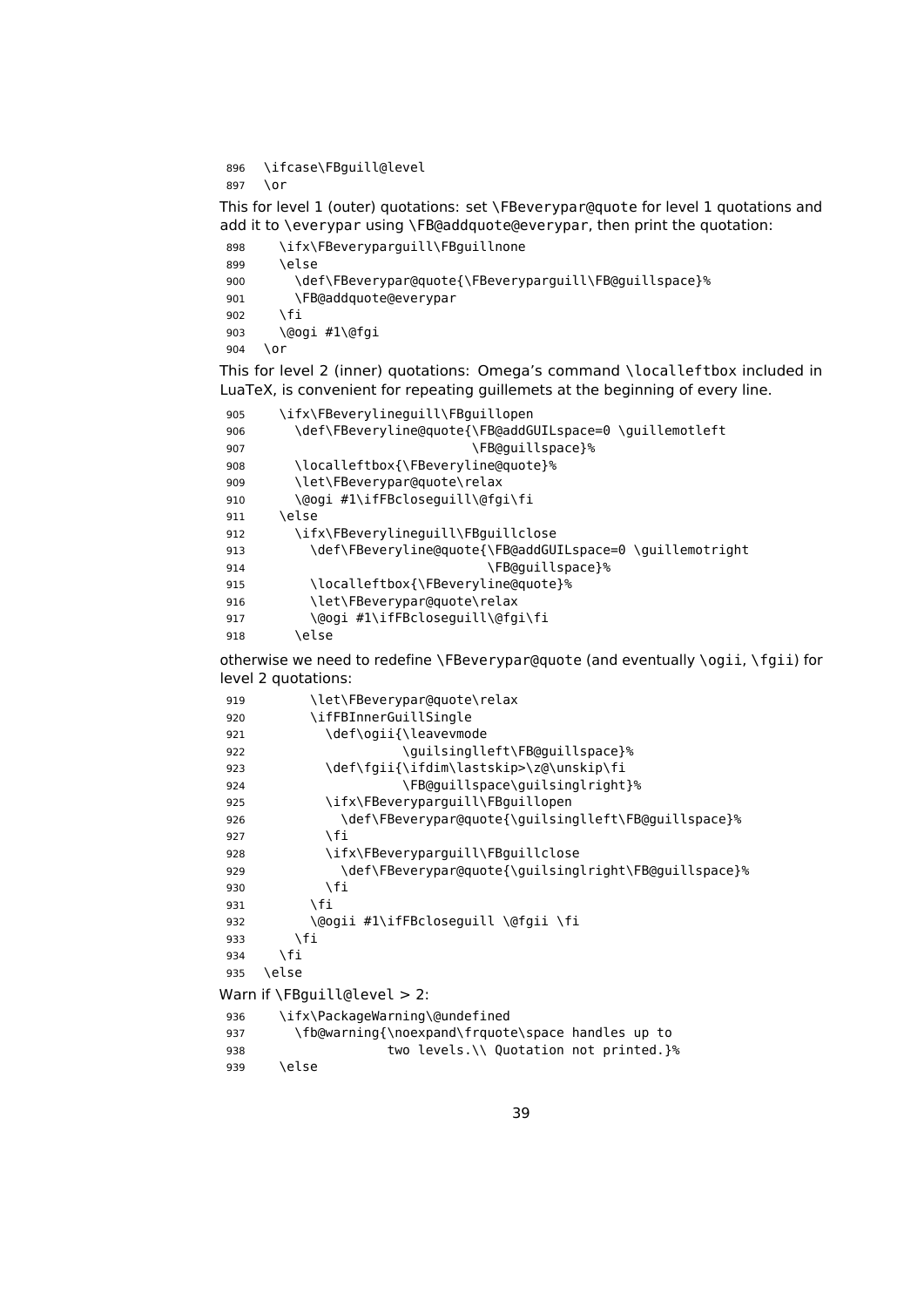```
896 \ifcase\FBguill@level
897 \or
```
This for level 1 (outer) quotations: set \FBeverypar@quote for level 1 quotations and add it to \everypar using \FB@addquote@everypar, then print the quotation:

```
898 \ifx\FBeveryparguill\FBguillnone
899 \else
900 \def\FBeverypar@quote{\FBeveryparguill\FB@guillspace}%
901 \FB@addquote@everypar
902 \fi
903 \@ogi #1\@fgi
904 \or
```
This for level 2 (inner) quotations: Omega's command \localleftbox included in LuaTeX, is convenient for repeating guillemets at the beginning of every line.

```
905 \ifx\FBeverylineguill\FBguillopen
906 \def\FBeveryline@quote{\FB@addGUILspace=0 \guillemotleft
907 \FB@guillspace}%
908 \localleftbox{\FBeveryline@quote}%
909 \let\FBeverypar@quote\relax
910 \@ogi #1\ifFBcloseguill\@fgi\fi
911 \else
912 \ifx\FBeverylineguill\FBguillclose
913 \def\FBeveryline@quote{\FB@addGUILspace=0 \guillemotright
914 \FB@guillspace}%
915 \localleftbox{\FBeveryline@quote}%
916 \let\FBeverypar@quote\relax
917 \@ogi #1\ifFBcloseguill\@fgi\fi
918 \else
```
otherwise we need to redefine \FBeverypar@quote (and eventually \ogii, \fgii) for level 2 quotations:

| 919 | \let\FBeverypar@quote\relax                           |
|-----|-------------------------------------------------------|
| 920 | \ifFBInnerGuillSingle                                 |
| 921 | \def\ogii{\leavevmode                                 |
| 922 | \guilsinglleft\FB@guillspace}%                        |
| 923 | \def\fgii{\ifdim\lastskip>\z@\unskip\fi               |
| 924 | \FB@quillspace\guilsinglright}%                       |
| 925 | \ifx\FBeveryparguill\FBguillopen                      |
| 926 | \def\FBeverypar@quote{\quilsinglleft\FB@quillspace}%  |
| 927 | ١fi                                                   |
| 928 | \ifx\FBeveryparguill\FBguillclose                     |
| 929 | \def\FBeverypar@quote{\guilsinglright\FB@guillspace}% |
| 930 | \fi                                                   |
| 931 | \fi                                                   |
| 932 | \@ogii #1\ifFBcloseguill \@fgii \fi                   |
| 933 | \fi                                                   |
| 934 | \fi                                                   |
| 935 | \else                                                 |
|     | Warn if \FBguill@level $>2$ :                         |
| 936 | \ifx\PackageWarning\@undefined                        |
| 937 | \fb@warning{\noexpand\frquote\space handles up to     |
| 938 | two levels. \\ Quotation not printed. }%              |
| 939 | \else                                                 |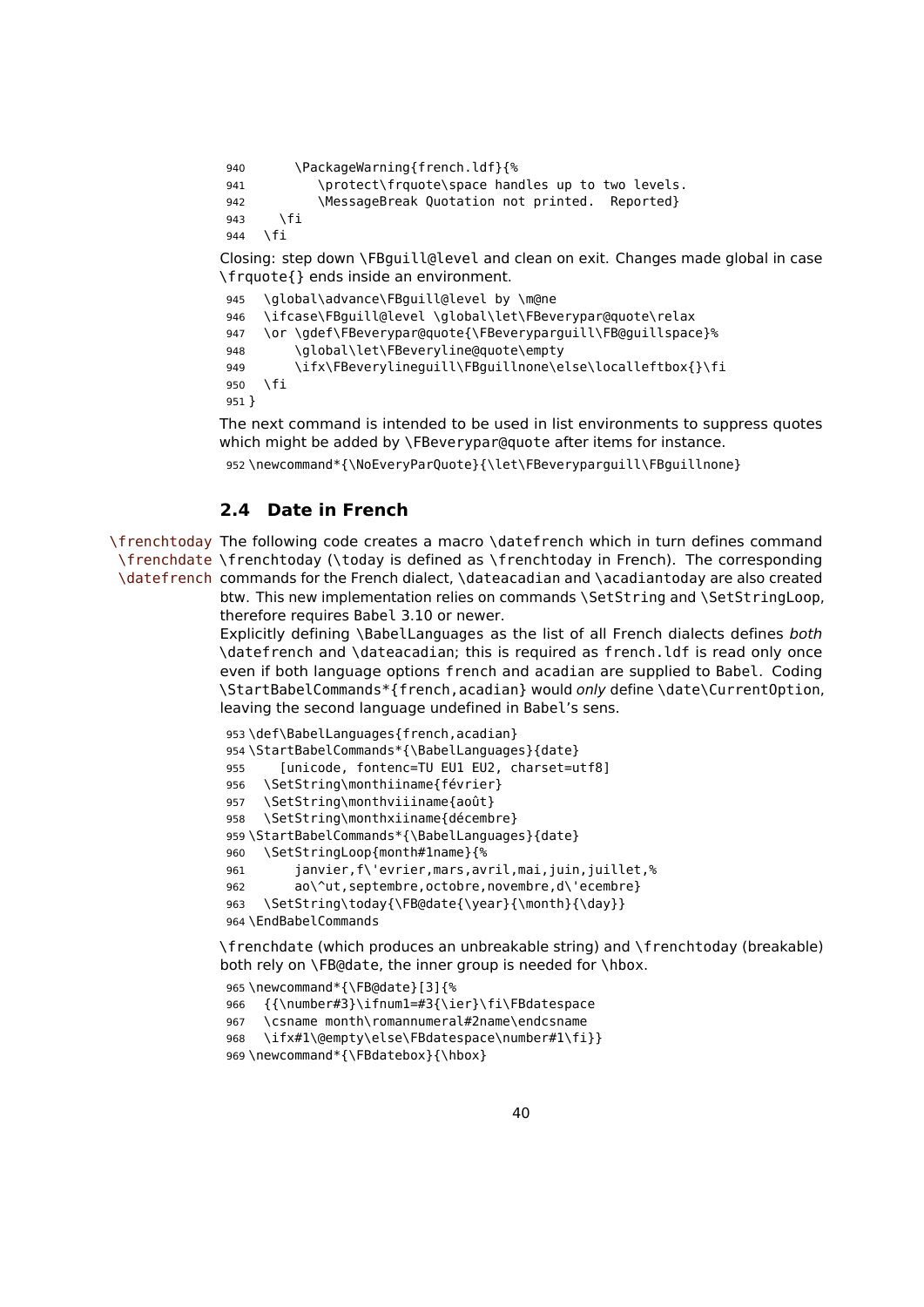```
940 \PackageWarning{french.ldf}{%
941 \protect\frquote\space handles up to two levels.
942 \MessageBreak Quotation not printed. Reported}
943 \fi
944 \fi
Closing: step down \FBguill@level and clean on exit. Changes made global in case
\frquote{} ends inside an environment.
945 \global\advance\FBguill@level by \m@ne
946 \ifcase\FBguill@level \global\let\FBeverypar@quote\relax
947 \or \gdef\FBeverypar@quote{\FBeveryparguill\FB@guillspace}%
948 \global\let\FBeveryline@quote\empty
```

```
949 \ifx\FBeverylineguill\FBguillnone\else\localleftbox{}\fi
950 \fi
```

```
951 }
```
The next command is intended to be used in list environments to suppress quotes which might be added by \FBeverypar@quote after items for instance.

\newcommand\*{\NoEveryParQuote}{\let\FBeveryparguill\FBguillnone}

# **2.4 Date in French**

\frenchtoday The following code creates a macro \datefrench which in turn defines command \frenchdate \frenchtoday (\today is defined as \frenchtoday in French). The corresponding \datefrench commands for the French dialect, \dateacadian and \acadiantoday are also created btw. This new implementation relies on commands \SetString and \SetStringLoop,

therefore requires Babel 3.10 or newer.

Explicitly defining \BabelLanguages as the list of all French dialects defines both \datefrench and \dateacadian; this is required as french.ldf is read only once even if both language options french and acadian are supplied to Babel. Coding \StartBabelCommands\*{french,acadian} would only define \date\CurrentOption, leaving the second language undefined in Babel's sens.

```
953 \def\BabelLanguages{french,acadian}
954 \StartBabelCommands*{\BabelLanguages}{date}
955 [unicode, fontenc=TU EU1 EU2, charset=utf8]
956 \SetString\monthiiname{février}
957 \SetString\monthviiiname{août}
958 \SetString\monthxiiname{décembre}
959 \StartBabelCommands*{\BabelLanguages}{date}
960 \SetStringLoop{month#1name}{%
961 janvier,f\'evrier,mars,avril,mai,juin,juillet,%
962 ao\^ut,septembre,octobre,novembre,d\'ecembre}
963 \SetString\today{\FB@date{\year}{\month}{\day}}
964 \EndBabelCommands
```
\frenchdate (which produces an unbreakable string) and \frenchtoday (breakable) both rely on \FB@date, the inner group is needed for \hbox.

```
965 \newcommand*{\FB@date}[3]{%
```

```
966 {{\number#3}\ifnum1=#3{\ier}\fi\FBdatespace
```
\csname month\romannumeral#2name\endcsname

```
968 \ifx#1\@empty\else\FBdatespace\number#1\fi}}
```

```
969 \newcommand*{\FBdatebox}{\hbox}
```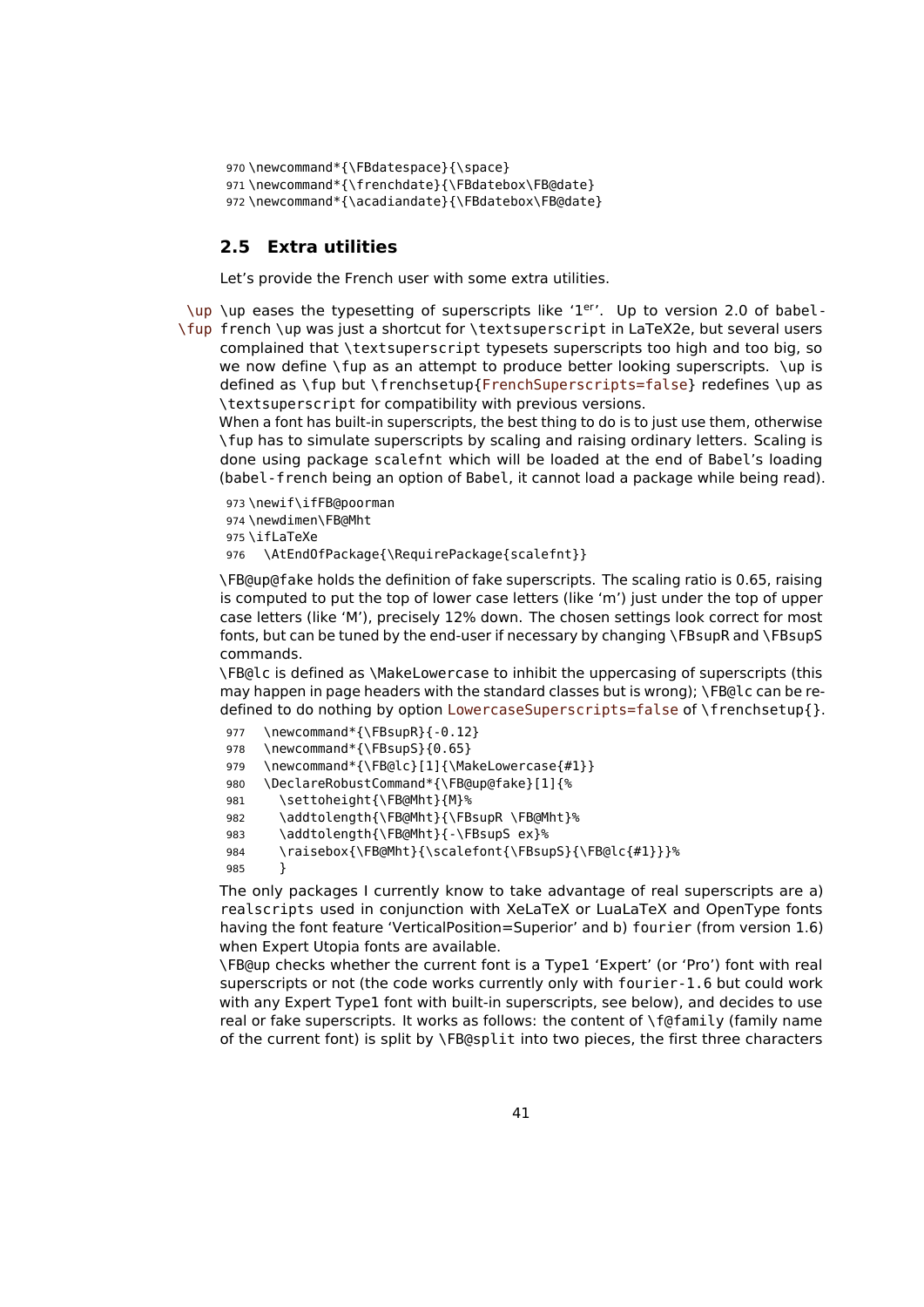```
970 \newcommand*{\FBdatespace}{\space}
971 \newcommand*{\frenchdate}{\FBdatebox\FB@date}
972 \newcommand*{\acadiandate}{\FBdatebox\FB@date}
```
#### **2.5 Extra utilities**

Let's provide the French user with some extra utilities.

\up \up eases the typesetting of superscripts like '1<sup>er</sup>'. Up to version 2.0 of babel-\fup french \up was just a shortcut for \textsuperscript in LaTeX2e, but several users complained that \textsuperscript typesets superscripts too high and too big, so we now define \fup as an attempt to produce better looking superscripts. \up is defined as \fup but \frenchsetup{FrenchSuperscripts=false} redefines \up as \textsuperscript for compatibility with previous versions.

When a font has built-in superscripts, the best thing to do is to just use them, otherwise \fup has to simulate superscripts by scaling and raising ordinary letters. Scaling is done using package scalefnt which will be loaded at the end of Babel's loading (babel-french being an option of Babel, it cannot load a package while being read).

```
973 \newif\ifFB@poorman
974 \newdimen\FB@Mht
975 \ifLaTeXe
976 \AtEndOfPackage{\RequirePackage{scalefnt}}
```
\FB@up@fake holds the definition of fake superscripts. The scaling ratio is 0.65, raising is computed to put the top of lower case letters (like 'm') just under the top of upper case letters (like 'M'), precisely 12% down. The chosen settings look correct for most fonts, but can be tuned by the end-user if necessary by changing \FBsupR and \FBsupS commands.

\FB@lc is defined as \MakeLowercase to inhibit the uppercasing of superscripts (this may happen in page headers with the standard classes but is wrong); \FB@lc can be redefined to do nothing by option LowercaseSuperscripts=false of \frenchsetup{}.

```
977 \newcommand*{\FBsupR}{-0.12}
978 \newcommand*{\FBsupS}{0.65}
979 \newcommand*{\FB@lc}[1]{\MakeLowercase{#1}}
980 \DeclareRobustCommand*{\FB@up@fake}[1]{%
981 \settoheight{\FB@Mht}{M}%
982 \addtolength{\FB@Mht}{\FBsupR \FB@Mht}%
983 \addtolength{\FB@Mht}{-\FBsupS ex}%
984 \raisebox{\FB@Mht}{\scalefont{\FBsupS}{\FB@lc{#1}}}%
985 }
```
The only packages I currently know to take advantage of real superscripts are a) realscripts used in conjunction with XeLaTeX or LuaLaTeX and OpenType fonts having the font feature 'VerticalPosition=Superior' and b) fourier (from version 1.6) when Expert Utopia fonts are available.

\FB@up checks whether the current font is a Type1 'Expert' (or 'Pro') font with real superscripts or not (the code works currently only with fourier-1.6 but could work with any Expert Type1 font with built-in superscripts, see below), and decides to use real or fake superscripts. It works as follows: the content of \f@family (family name of the current font) is split by \FB@split into two pieces, the first three characters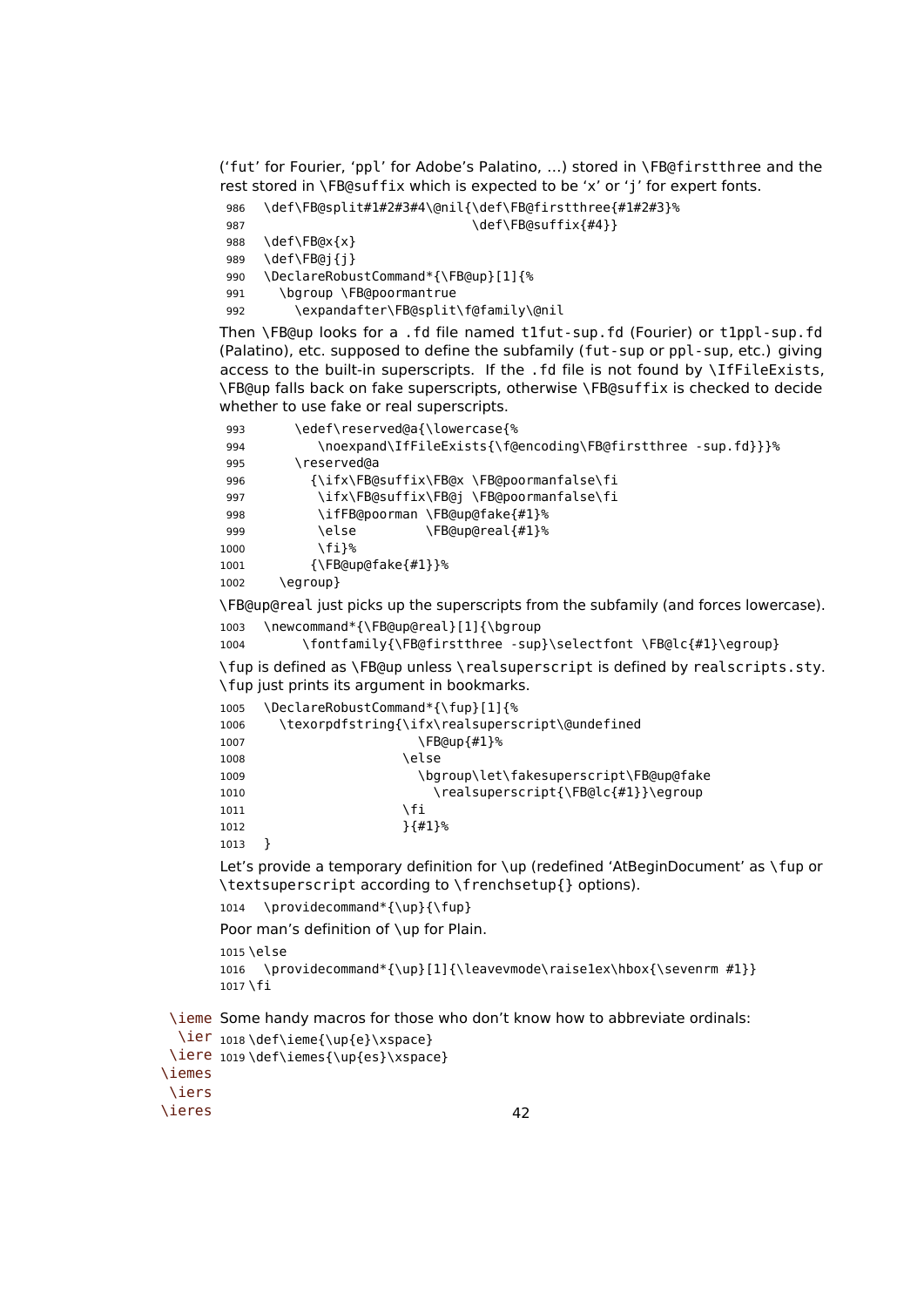('fut' for Fourier, 'ppl' for Adobe's Palatino, …) stored in \FB@firstthree and the rest stored in \FB@suffix which is expected to be 'x' or 'j' for expert fonts.

```
986 \def\FB@split#1#2#3#4\@nil{\def\FB@firstthree{#1#2#3}%
987 \def\FB@suffix{#4}}
988 \def\FB@x{x}
989 \def\FB@j{j}
990 \DeclareRobustCommand*{\FB@up}[1]{%
991 \bgroup \FB@poormantrue
992 \expandafter\FB@split\f@family\@nil
```
Then \FB@up looks for a .fd file named t1fut-sup.fd (Fourier) or t1ppl-sup.fd (Palatino), etc. supposed to define the subfamily (fut-sup or ppl-sup, etc.) giving access to the built-in superscripts. If the .fd file is not found by \IfFileExists, \FB@up falls back on fake superscripts, otherwise \FB@suffix is checked to decide whether to use fake or real superscripts.

| 993  | \edef\reserved@a{\lowercase{%                                |
|------|--------------------------------------------------------------|
| 994  | \noexpand\IfFileExists{\f@encoding\FB@firstthree -sup.fd}}}% |
| 995  | ∖reserved@a                                                  |
| 996  | {\ifx\FB@suffix\FB@x \FB@poormanfalse\fi                     |
| 997  | \ifx\FB@suffix\FB@j \FB@poormanfalse\fi                      |
| 998  | \ifFB@poorman \FB@up@fake{#1}%                               |
| 999  | \FB@up@real{#1}%<br>\else                                    |
| 1000 | \fi}%                                                        |
| 1001 | $\{\P$ B@up@fake $\{\#1\}$ }%                                |
| 1002 | egroup}                                                      |

\FB@up@real just picks up the superscripts from the subfamily (and forces lowercase).

```
1003 \newcommand*{\FB@up@real}[1]{\bgroup
```
1004 \fontfamily{\FB@firstthree -sup}\selectfont \FB@lc{#1}\egroup}

\fup is defined as \FB@up unless \realsuperscript is defined by realscripts.sty. \fup just prints its argument in bookmarks.

| 1005 | \DeclareRobustCommand*{\fup}[1]{%               |
|------|-------------------------------------------------|
| 1006 | \texorpdfstring{\ifx\realsuperscript\@undefined |
| 1007 | \FB@up{#1}%                                     |
| 1008 | \else                                           |
| 1009 | \bgroup\let\fakesuperscript\FB@up@fake          |
| 1010 | \realsuperscript{\FB@lc{#1}}\egroup             |
| 1011 | ١fi                                             |
| 1012 | $\{41\}$ %                                      |
| 1013 |                                                 |

Let's provide a temporary definition for \up (redefined 'AtBeginDocument' as \fup or \textsuperscript according to \frenchsetup{} options).

```
1014 \providecommand*{\up}{\fup}
```
Poor man's definition of \up for Plain.

```
1015 \else
```

```
1016 \providecommand*{\up}[1]{\leavevmode\raise1ex\hbox{\sevenrm #1}}
1017 \fi
```
\ieme Some handy macros for those who don't know how to abbreviate ordinals:

```
\ier
1018 \def\ieme{\up{e}\xspace}
 \iere
1019 \def\iemes{\up{es}\xspace}
\iemes
 \iers
\ieres
```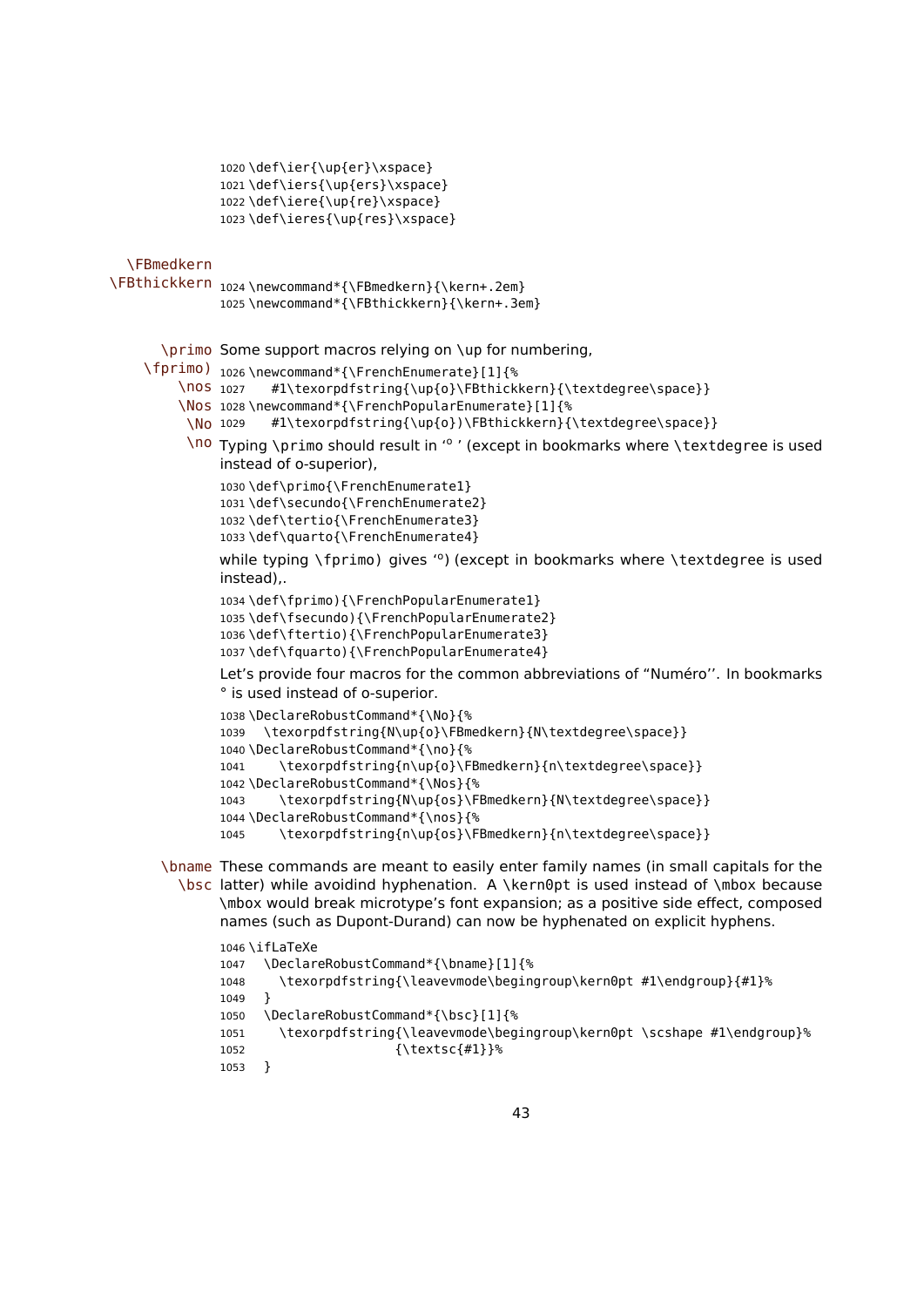```
1020 \def\ier{\up{er}\xspace}
1021 \def\iers{\up{ers}\xspace}
1022 \def\iere{\up{re}\xspace}
1023 \def\ieres{\up{res}\xspace}
```
\FBmedkern

```
\FBthickkern 1024 \newcommand*{\FBmedkern}{\kern+.2em}
              1025 \newcommand*{\FBthickkern}{\kern+.3em}
```
\primo Some support macros relying on \up for numbering,

\fprimo) 1026 \newcommand\*{\FrenchEnumerate}[1]{%

```
\nos 1027
            #1\texorpdfstring{\up{o}\FBthickkern}{\textdegree\space}}
```
- \Nos 1028 \newcommand\*{\FrenchPopularEnumerate}[1]{%
- \No 1029 #1\texorpdfstring{\up{o})\FBthickkern}{\textdegree\space}}
- \no Typing \primo should result in '<sup>o</sup> ' (except in bookmarks where \textdegree is used instead of o-superior),

```
1030 \def\primo{\FrenchEnumerate1}
1031 \def\secundo{\FrenchEnumerate2}
1032 \def\tertio{\FrenchEnumerate3}
1033 \def\quarto{\FrenchEnumerate4}
```
while typing \fprimo) gives '°) (except in bookmarks where \textdegree is used instead),.

```
1034 \def\fprimo){\FrenchPopularEnumerate1}
1035 \def\fsecundo){\FrenchPopularEnumerate2}
1036 \def\ftertio){\FrenchPopularEnumerate3}
1037 \def\fquarto){\FrenchPopularEnumerate4}
```
Let's provide four macros for the common abbreviations of "Numéro''. In bookmarks ° is used instead of o-superior.

```
1038 \DeclareRobustCommand*{\No}{%
1039 \texorpdfstring{N\up{o}\FBmedkern}{N\textdegree\space}}
1040 \DeclareRobustCommand*{\no}{%
1041 \texorpdfstring{n\up{o}\FBmedkern}{n\textdegree\space}}
1042 \DeclareRobustCommand*{\Nos}{%
1043 \texorpdfstring{N\up{os}\FBmedkern}{N\textdegree\space}}
1044 \DeclareRobustCommand*{\nos}{%
1045 \texorpdfstring{n\up{os}\FBmedkern}{n\textdegree\space}}
```
\bname These commands are meant to easily enter family names (in small capitals for the \bsc latter) while avoidind hyphenation. A \kern0pt is used instead of \mbox because \mbox would break microtype's font expansion; as a positive side effect, composed names (such as Dupont-Durand) can now be hyphenated on explicit hyphens.

```
1046 \ifLaTeXe
1047 \DeclareRobustCommand*{\bname}[1]{%
1048 \texorpdfstring{\leavevmode\begingroup\kern0pt #1\endgroup}{#1}%
1049 }
1050 \DeclareRobustCommand*{\bsc}[1]{%
1051 \texorpdfstring{\leavevmode\begingroup\kern0pt \scshape #1\endgroup}%
1052 {\textsc{#1}}%
1053 }
```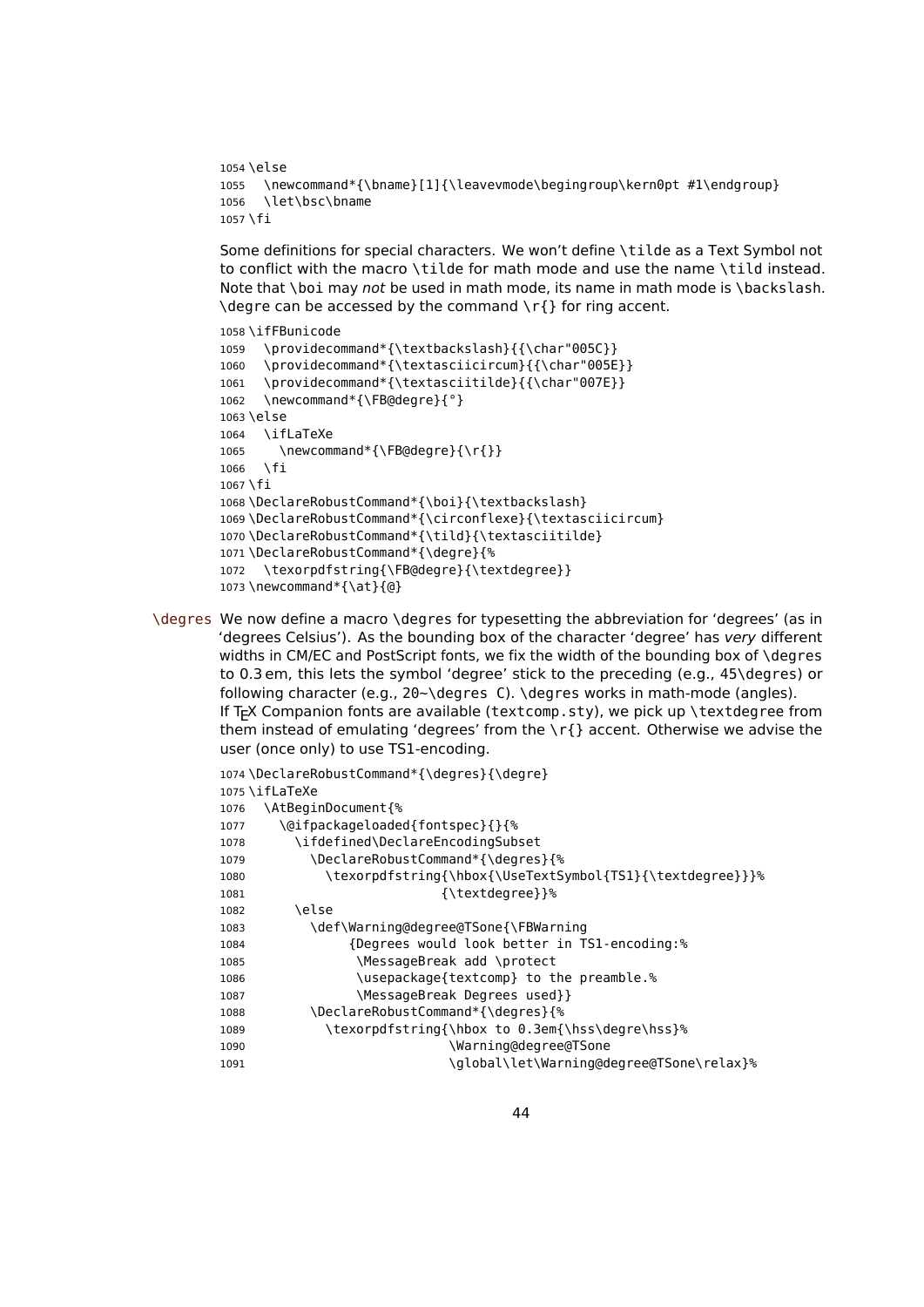```
1054 \else
1055 \newcommand*{\bname}[1]{\leavevmode\begingroup\kern0pt #1\endgroup}
1056 \lambdalet\lambdahsc\lambdahname
1057 \fi
```
Some definitions for special characters. We won't define \tilde as a Text Symbol not to conflict with the macro \tilde for math mode and use the name \tild instead. Note that \boi may not be used in math mode, its name in math mode is \backslash. \degre can be accessed by the command \r{} for ring accent.

```
1058 \ifFBunicode
1059 \providecommand*{\textbackslash}{{\char"005C}}
1060 \providecommand*{\textasciicircum}{{\char"005E}}
1061 \providecommand*{\textasciitilde}{{\char"007E}}
1062 \newcommand*{\FB@degre}{°}
1063 \else
1064 \ifLaTeXe
1065 \newcommand*{\FB@degre}{\r{}}
1066 \fi
1067 \fi
1068 \DeclareRobustCommand*{\boi}{\textbackslash}
1069 \DeclareRobustCommand*{\circonflexe}{\textasciicircum}
1070 \DeclareRobustCommand*{\tild}{\textasciitilde}
1071 \DeclareRobustCommand*{\degre}{%
1072 \texorpdfstring{\FB@degre}{\textdegree}}
1073 \newcommand*{\at}{@}
```
\degres We now define a macro \degres for typesetting the abbreviation for 'degrees' (as in 'degrees Celsius'). As the bounding box of the character 'degree' has very different widths in CM/EC and PostScript fonts, we fix the width of the bounding box of \degres to 0.3 em, this lets the symbol 'degree' stick to the preceding (e.g., 45\degres) or following character (e.g., 20~\degres C). \degres works in math-mode (angles). If T<sub>F</sub>X Companion fonts are available (textcomp.sty), we pick up \textdegree from them instead of emulating 'degrees' from the \r{} accent. Otherwise we advise the user (once only) to use TS1-encoding.

```
1074 \DeclareRobustCommand*{\degres}{\degre}
1075 \ifLaTeXe
1076 \AtBeginDocument{%
1077 \@ifpackageloaded{fontspec}{}{%
1078 \ifdefined\DeclareEncodingSubset
1079 \DeclareRobustCommand*{\degres}{%
1080 \texorpdfstring{\hbox{\UseTextSymbol{TS1}{\textdegree}}}%
1081 {\textdegree}}%
1082 \else
1083 \def\Warning@degree@TSone{\FBWarning
1084 {Degrees would look better in TS1-encoding:%
1085 \MessageBreak add \protect
1086 \usepackage{textcomp} to the preamble.%
1087 \MessageBreak Degrees used}}
1088 \DeclareRobustCommand*{\degres}{%
1089 \texorpdfstring{\hbox to 0.3em{\hss\degre\hss}%
1090 \Warning@degree@TSone
1091 \global\let\Warning@degree@TSone\relax}%
```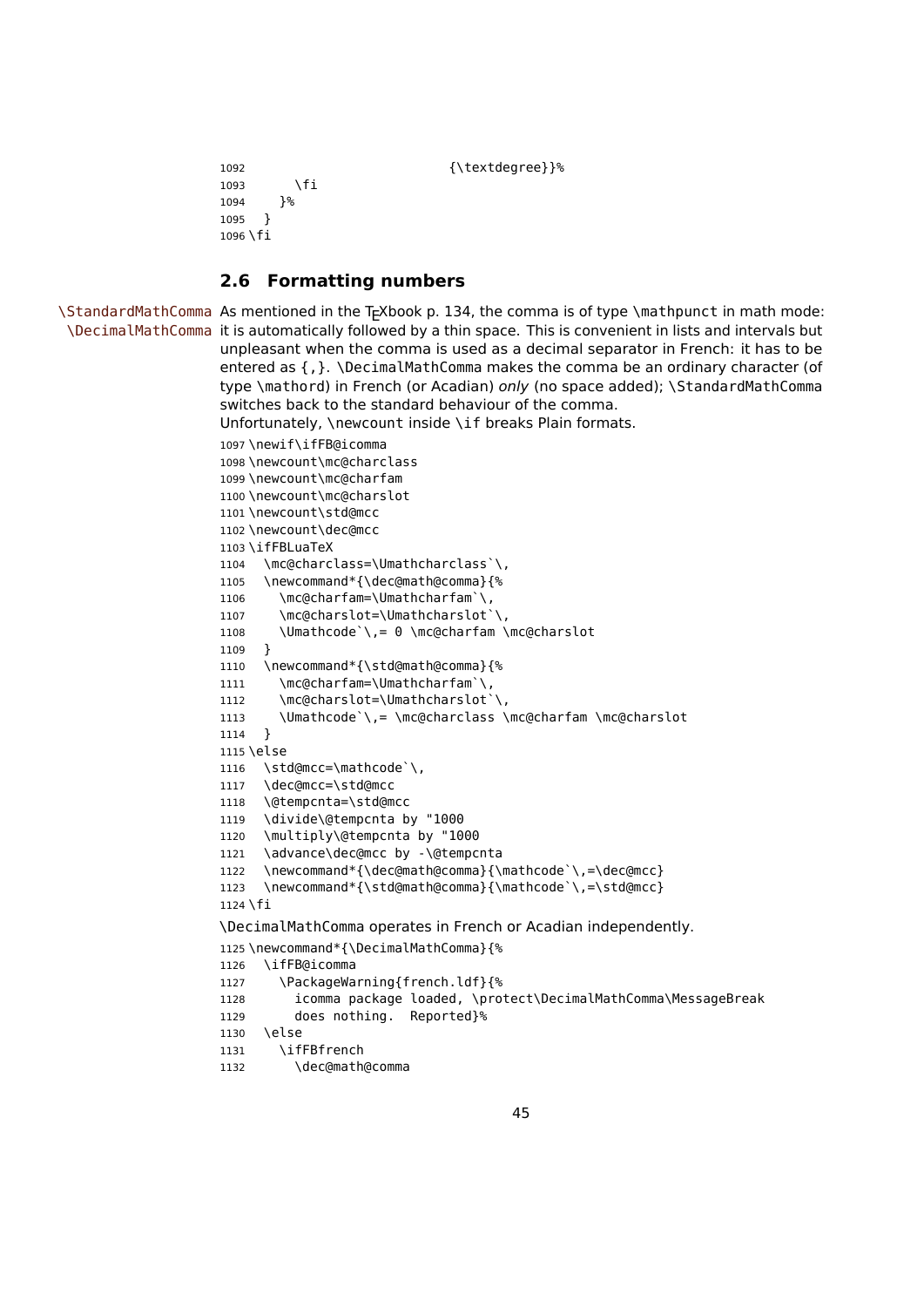```
1092 {\text{\texttt{\{text}}}\1093 \fi<br>1094 }%
10941095 }
1096 \fi
```
## **2.6 Formatting numbers**

\StandardMathComma As mentioned in the TEXbook p. 134, the comma is of type \mathpunct in math mode: \DecimalMathComma it is automatically followed by a thin space. This is convenient in lists and intervals but unpleasant when the comma is used as a decimal separator in French: it has to be entered as  $\{, \}$ . \DecimalMathComma makes the comma be an ordinary character (of type \mathord) in French (or Acadian) only (no space added); \StandardMathComma switches back to the standard behaviour of the comma. Unfortunately, \newcount inside \if breaks Plain formats. \newif\ifFB@icomma \newcount\mc@charclass \newcount\mc@charfam \newcount\mc@charslot \newcount\std@mcc \newcount\dec@mcc \ifFBLuaTeX \mc@charclass=\Umathcharclass`\, \newcommand\*{\dec@math@comma}{% 1106 \mc@charfam=\Umathcharfam`\, 1107 \mc@charslot=\Umathcharslot`\, \Umathcode`\,= 0 \mc@charfam \mc@charslot } \newcommand\*{\std@math@comma}{% 1111 \mc@charfam=\Umathcharfam`\, 1112 \mc@charslot=\Umathcharslot`\, \Umathcode`\,= \mc@charclass \mc@charfam \mc@charslot } \else 1116 \std@mcc=\mathcode`\, \dec@mcc=\std@mcc \@tempcnta=\std@mcc \divide\@tempcnta by "1000 \multiply\@tempcnta by "1000 \advance\dec@mcc by -\@tempcnta \newcommand\*{\dec@math@comma}{\mathcode`\,=\dec@mcc} \newcommand\*{\std@math@comma}{\mathcode`\,=\std@mcc} \fi \DecimalMathComma operates in French or Acadian independently.

```
1125 \newcommand*{\DecimalMathComma}{%
```

```
1126 \ifFB@icomma
1127 \PackageWarning{french.ldf}{%
1128 icomma package loaded, \protect\DecimalMathComma\MessageBreak
1129 does nothing. Reported}%
1130 \else
1131 \ifFBfrench
1132 \dec@math@comma
```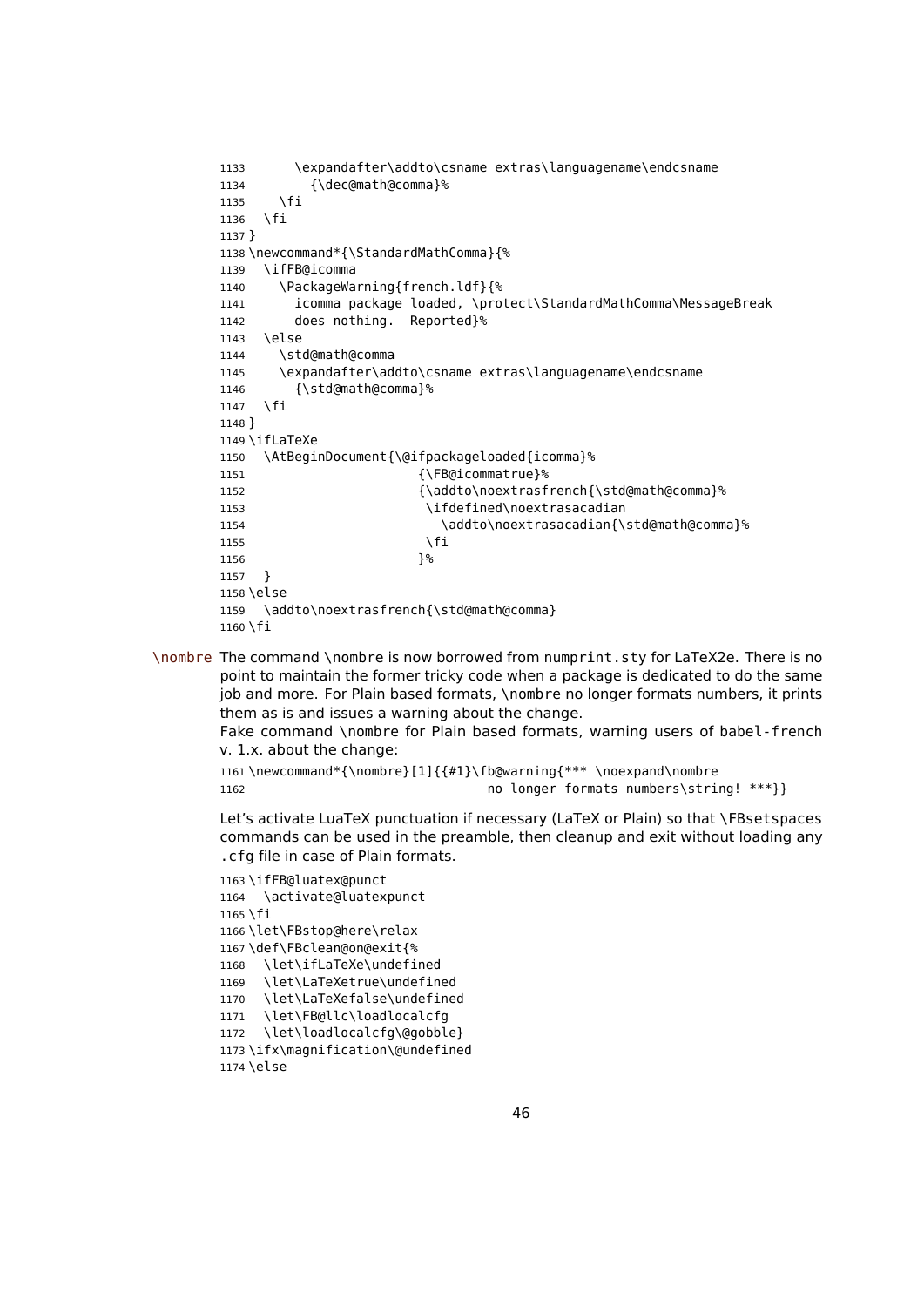```
1133 \expandafter\addto\csname extras\languagename\endcsname
1134 {\dec@math@comma}%
1135 \fi
1136 \fi
1137 }
1138 \newcommand*{\StandardMathComma}{%
1139 \ifFB@icomma
1140 \PackageWarning{french.ldf}{%
1141 icomma package loaded, \protect\StandardMathComma\MessageBreak
1142 does nothing. Reported}%
1143 \{e\}1144 \std@math@comma
1145 \expandafter\addto\csname extras\languagename\endcsname
1146 {\std@math@comma}%
1147 \fi
1148 }
1149 \ifLaTeXe
1150 \AtBeginDocument{\@ifpackageloaded{icomma}%
1151 (\FB@icommatrue}%
1152 {\addto\noextrasfrench{\std@math@comma}%
1153 \ifdefined\noextrasacadian
1154 \addto\noextrasacadian{\std@math@comma}%
1155 \fi
1156 }%
1157 }
1158 \else
1159 \addto\noextrasfrench{\std@math@comma}
1160 \fi
```
\nombre The command \nombre is now borrowed from numprint.sty for LaTeX2e. There is no point to maintain the former tricky code when a package is dedicated to do the same job and more. For Plain based formats, \nombre no longer formats numbers, it prints them as is and issues a warning about the change.

Fake command \nombre for Plain based formats, warning users of babel-french v. 1.x. about the change:

```
1161 \newcommand*{\nombre}[1]{{#1}\fb@warning{*** \noexpand\nombre
1162 no longer formats numbers\string! ***}}
```
Let's activate LuaTeX punctuation if necessary (LaTeX or Plain) so that \FBsetspaces commands can be used in the preamble, then cleanup and exit without loading any .cfg file in case of Plain formats.

```
1163 \ifFB@luatex@punct
1164 \activate@luatexpunct
1165 \fi
1166 \let\FBstop@here\relax
1167 \def\FBclean@on@exit{%
1168 \let\ifLaTeXe\undefined
1169 \let\LaTeXetrue\undefined
1170 \let\LaTeXefalse\undefined
1171 \let\FB@llc\loadlocalcfg
1172 \let\loadlocalcfg\@gobble}
1173 \ifx\magnification\@undefined
1174 \else
```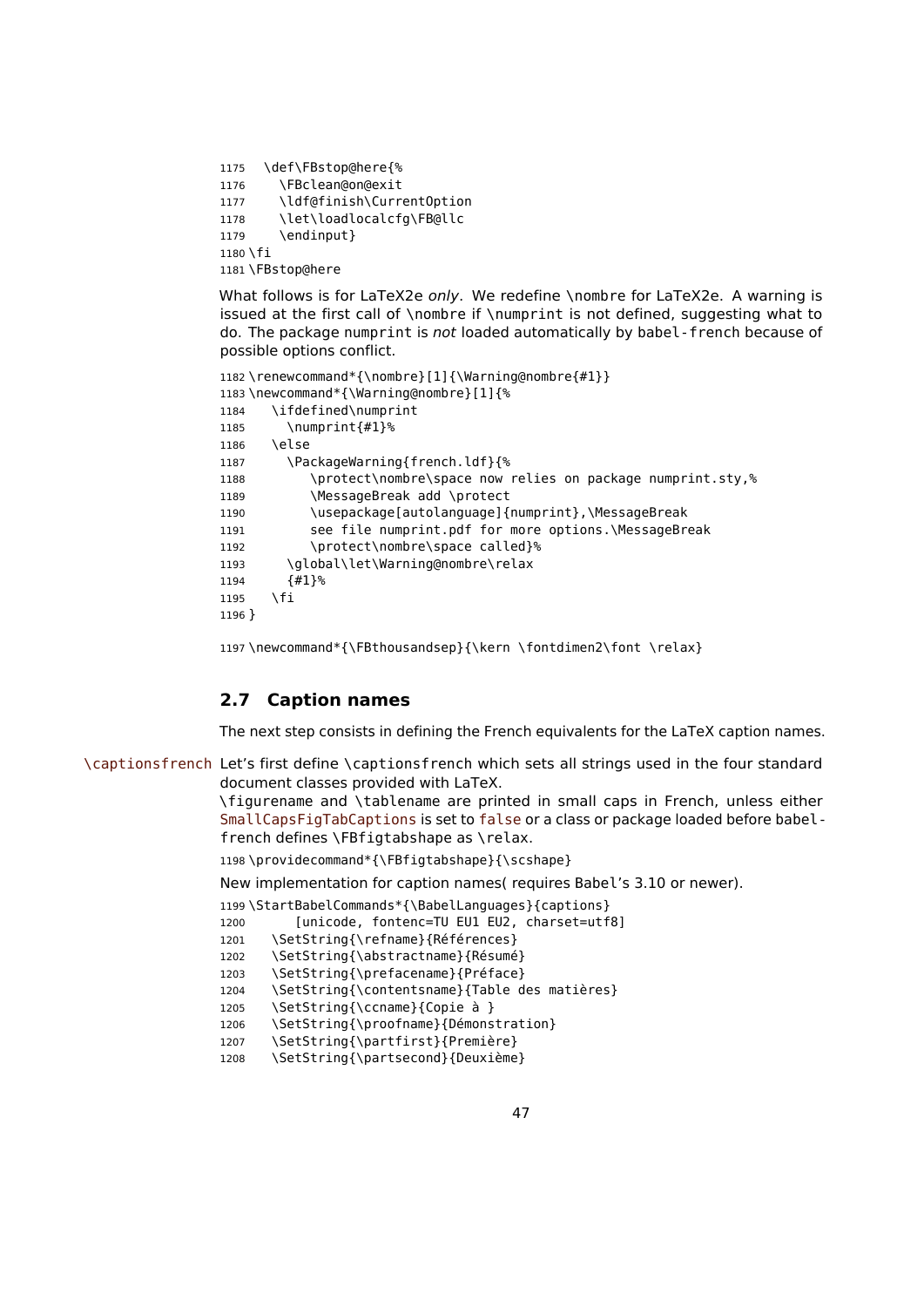```
1175 \def\FBstop@here{%
1176 \FBclean@on@exit
1177 \ldf@finish\CurrentOption
1178 \let\loadlocalcfg\FB@llc
1179 \endinput}
1180 \fi
1181 \FBstop@here
```
What follows is for LaTeX2e only. We redefine \nombre for LaTeX2e. A warning is issued at the first call of \nombre if \numprint is not defined, suggesting what to do. The package numprint is not loaded automatically by babel-french because of possible options conflict.

```
1182 \renewcommand*{\nombre}[1]{\Warning@nombre{#1}}
1183 \newcommand*{\Warning@nombre}[1]{%
1184 \ifdefined\numprint
1185 \numprint{#1}%
1186 \else
1187 \PackageWarning{french.ldf}{%
1188 \protect\nombre\space now relies on package numprint.sty,%
1189 \MessageBreak add \protect
1190 \usepackage[autolanguage]{numprint},\MessageBreak
1191 see file numprint.pdf for more options.\MessageBreak
1192 \protect\nombre\space called}%
1193 \global\let\Warning@nombre\relax
1194 {#1}%
1195 \fi
1196 }
```
1197\newcommand\*{\FBthousandsep}{\kern \fontdimen2\font \relax}

#### **2.7 Caption names**

The next step consists in defining the French equivalents for the LaTeX caption names.

\captionsfrench Let's first define \captionsfrench which sets all strings used in the four standard document classes provided with LaTeX.

> \figurename and \tablename are printed in small caps in French, unless either SmallCapsFigTabCaptions is set to false or a class or package loaded before babelfrench defines \FBfigtabshape as \relax.

1198 \providecommand\*{\FBfigtabshape}{\scshape}

New implementation for caption names( requires Babel's 3.10 or newer).

```
1199 \StartBabelCommands*{\BabelLanguages}{captions}
1200 [unicode, fontenc=TU EU1 EU2, charset=utf8]
1201 \SetString{\refname}{Références}
```

```
1202 \SetString{\abstractname}{Résumé}
```

```
1203 \SetString{\prefacename}{Préface}
```

```
1204 \SetString{\contentsname}{Table des matières}
```
1205 \SetString{\ccname}{Copie à }

```
1206 \SetString{\proofname}{Démonstration}
```

```
1207 \SetString{\partfirst}{Première}
```

```
1208 \SetString{\partsecond}{Deuxième}
```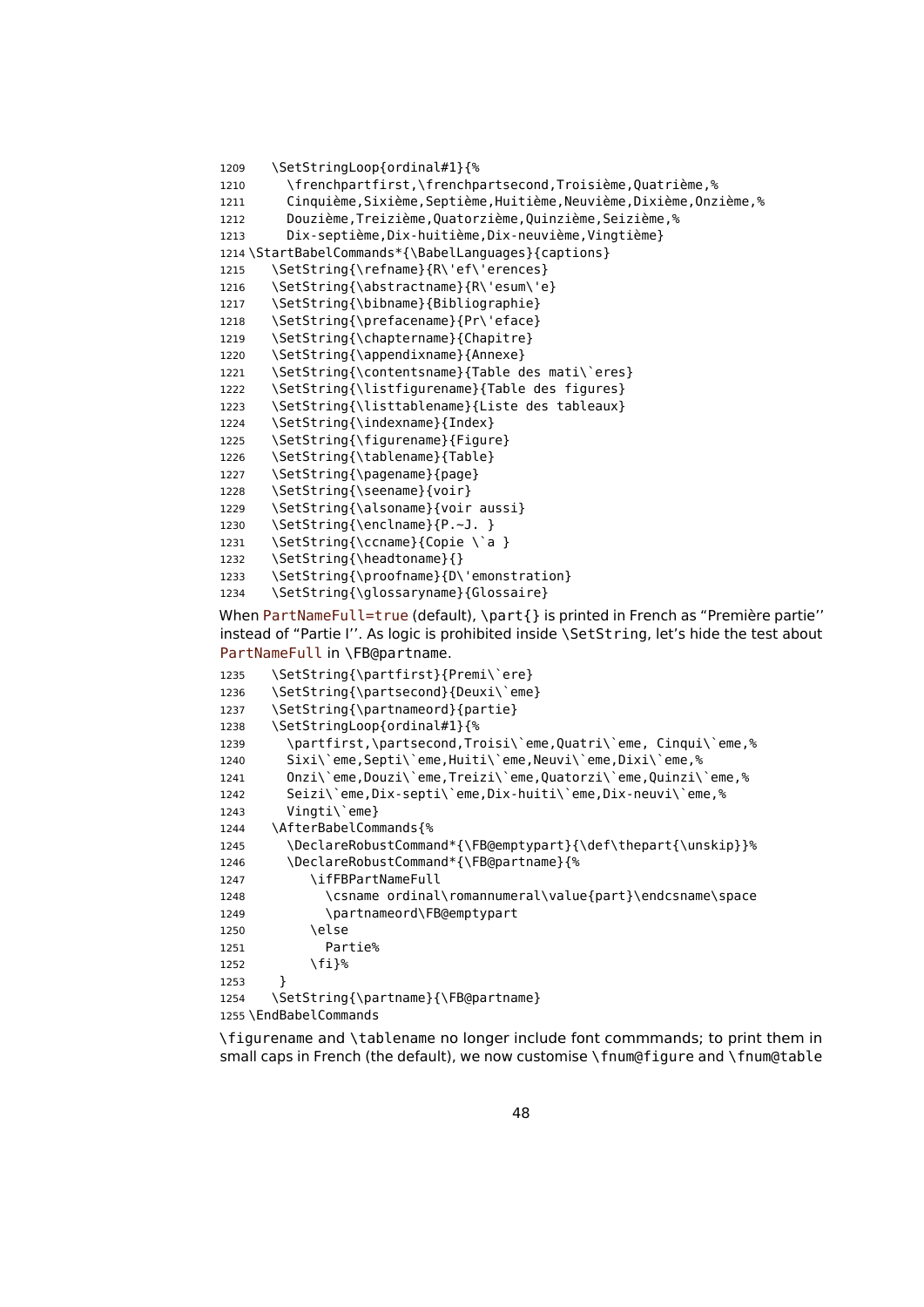```
1209 \SetStringLoop{ordinal#1}{%
1210 \frenchpartfirst,\frenchpartsecond,Troisième,Quatrième,%
1211 Cinquième, Sixième, Septième, Huitième, Neuvième, Dixième, Onzième, %
1212 Douzième,Treizième,Quatorzième,Quinzième,Seizième,%
1213 Dix-septième,Dix-huitième,Dix-neuvième,Vingtième}
1214 \StartBabelCommands*{\BabelLanguages}{captions}
1215 \SetString{\refname}{R\'ef\'erences}
1216 \SetString{\abstractname}{R\'esum\'e}
1217 \SetString{\bibname}{Bibliographie}
1218 \SetString{\prefacename}{Pr\'eface}
1219 \SetString{\chaptername}{Chapitre}
1220 \SetString{\appendixname}{Annexe}
1221 \SetString{\contentsname}{Table des mati\`eres}
1222 \SetString{\listfigurename}{Table des figures}
1223 \SetString{\listtablename}{Liste des tableaux}
1224 \SetString{\indexname}{Index}
1225 \SetString{\figurename}{Figure}
1226 \SetString{\tablename}{Table}
1227 \SetString{\pagename}{page}
1228 \SetString{\seename}{voir}
1229 \SetString{\alsoname}{voir aussi}
1230 \SetString{\enclname}{P.~J. }
1231 \SetString{\ccname}{Copie \`a }
1232 \SetString{\headtoname}{}
1233 \SetString{\proofname}{D\'emonstration}
1234 \SetString{\glossaryname}{Glossaire}
When PartNameFull=true (default), \part{} is printed in French as "Première partie''
instead of "Partie I''. As logic is prohibited inside \SetString, let's hide the test about
```
PartNameFull in \FB@partname.

```
1235 \SetString{\partfirst}{Premi\`ere}
1236 \SetString{\partsecond}{Deuxi\`eme}
1237 \SetString{\partnameord}{partie}
1238 \SetStringLoop{ordinal#1}{%
1239 \partfirst,\partsecond,Troisi\`eme,Quatri\`eme, Cinqui\`eme,%
1240 Sixi\`eme,Septi\`eme,Huiti\`eme,Neuvi\`eme,Dixi\`eme,%
1241 Onzi\`eme,Douzi\`eme,Treizi\`eme,Quatorzi\`eme,Quinzi\`eme,%
1242 Seizi\`eme,Dix-septi\`eme,Dix-huiti\`eme,Dix-neuvi\`eme,%
1243 Vinati\`eme}
1244 \AfterBabelCommands{%
1245 \DeclareRobustCommand*{\FB@emptypart}{\def\thepart{\unskip}}%
1246 \DeclareRobustCommand*{\FB@partname}{%
1247 \ifFBPartNameFull
1248 \csname ordinal\romannumeral\value{part}\endcsname\space
1249 \partnameord\FB@emptypart
1250 \leq \leq \leq \leq \leq \leq \leq \leq \leq \leq \leq \leq \leq \leq \leq \leq \leq \leq \leq \leq \leq \leq \leq \leq \leq \leq \leq \leq \leq \leq \leq \leq \leq \leq \leq \leq1251 Partie%
1252 \fi}%
1253 }
1254 \SetString{\partname}{\FB@partname}
1255 \EndBabelCommands
```
\figurename and \tablename no longer include font commmands; to print them in small caps in French (the default), we now customise \fnum@figure and \fnum@table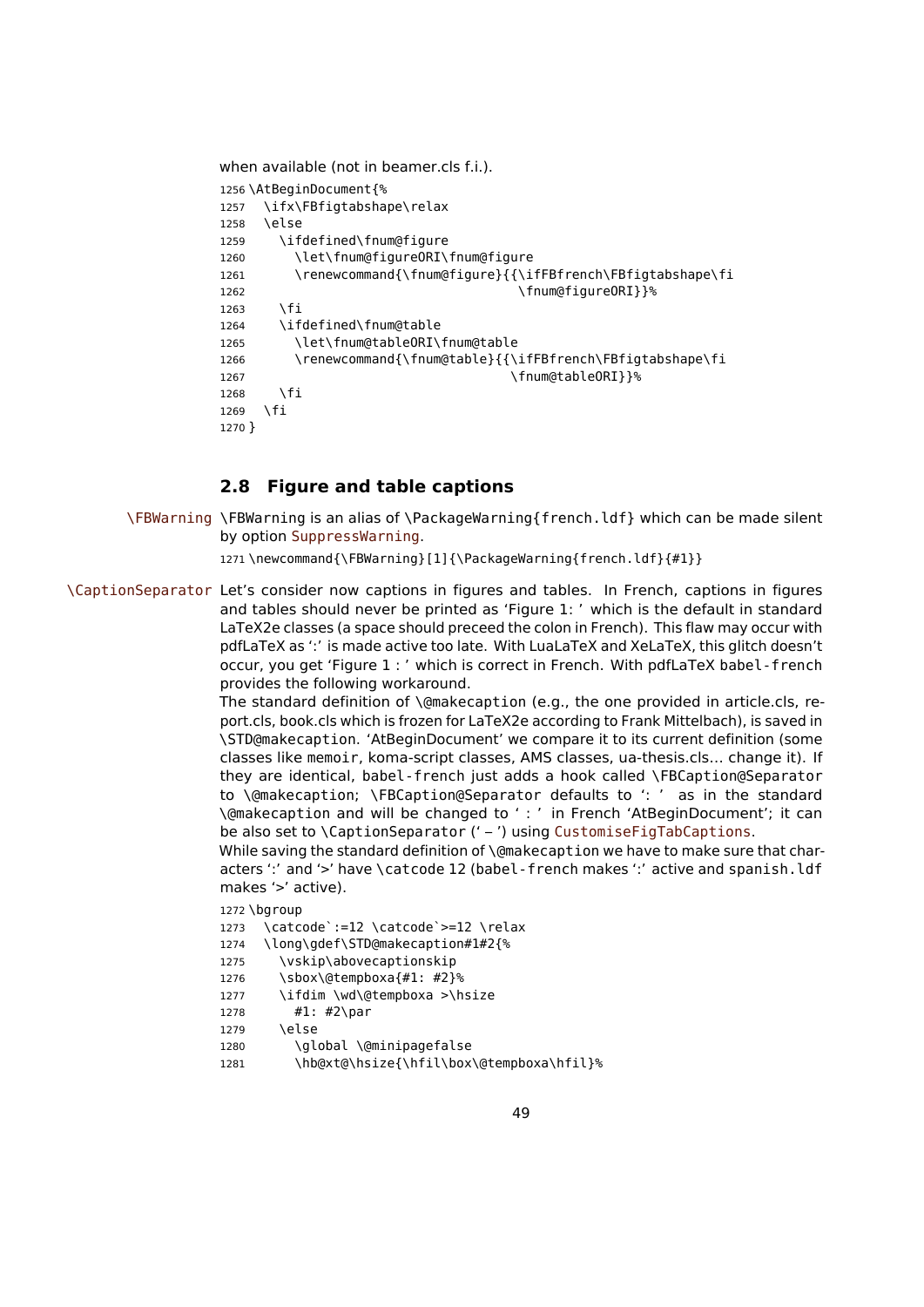```
when available (not in beamer.cls f.i.).
1256 \AtBeginDocument{%
1257 \ifx\FBfigtabshape\relax
1258 \else
1259 \ifdefined\fnum@figure
1260 \let\fnum@figureORI\fnum@figure
1261 \renewcommand{\fnum@figure}{{\ifFBfrench\FBfigtabshape\fi
1262 \fnum@figure0RI}}%
1263 \fi
1264 \ifdefined\fnum@table
1265 \let\fnum@tableORI\fnum@table
1266 \renewcommand{\fnum@table}{{\ifFBfrench\FBfigtabshape\fi
1267 \fnum@tableORI}}%
1268 \fi
1269 \fi
1270 }
```
## <span id="page-48-0"></span>**2.8 Figure and table captions**

\FBWarning \FBWarning is an alias of \PackageWarning{french.ldf} which can be made silent by option SuppressWarning.

1271 \newcommand{\FBWarning}[1]{\PackageWarning{french.ldf}{#1}}

\CaptionSeparator Let's consider now captions in figures and tables. In French, captions in figures and tables should never be printed as 'Figure 1: ' which is the default in standard LaTeX2e classes (a space should preceed the colon in French). This flaw may occur with pdfLaTeX as ':' is made active too late. With LuaLaTeX and XeLaTeX, this glitch doesn't occur, you get 'Figure 1 : ' which is correct in French. With pdfLaTeX babel-french provides the following workaround.

The standard definition of \@makecaption (e.g., the one provided in article.cls, report.cls, book.cls which is frozen for LaTeX2e according to Frank Mittelbach), is saved in \STD@makecaption. 'AtBeginDocument' we compare it to its current definition (some classes like memoir, koma-script classes, AMS classes, ua-thesis.cls… change it). If they are identical, babel-french just adds a hook called \FBCaption@Separator to \@makecaption; \FBCaption@Separator defaults to ': ' as in the standard \@makecaption and will be changed to ' : ' in French 'AtBeginDocument'; it can be also set to \CaptionSeparator (' – ') using CustomiseFigTabCaptions.

While saving the standard definition of \@makecaption we have to make sure that characters ':' and '>' have \catcode 12 (babel-french makes ':' active and spanish.ldf makes '>' active).

```
1272 \bgroup
```
- 1273 \catcode`:=12 \catcode`>=12 \relax
- 1274 \long\gdef\STD@makecaption#1#2{%
- 1275 \vskip\abovecaptionskip
- 1276 \sbox\@tempboxa{#1: #2}%
- 1277 \ifdim \wd\@tempboxa >\hsize
- 1278 #1: #2\par
- 1279 \else
- 1280 \qlobal \@minipagefalse
- 1281 \hb@xt@\hsize{\hfil\box\@tempboxa\hfil}%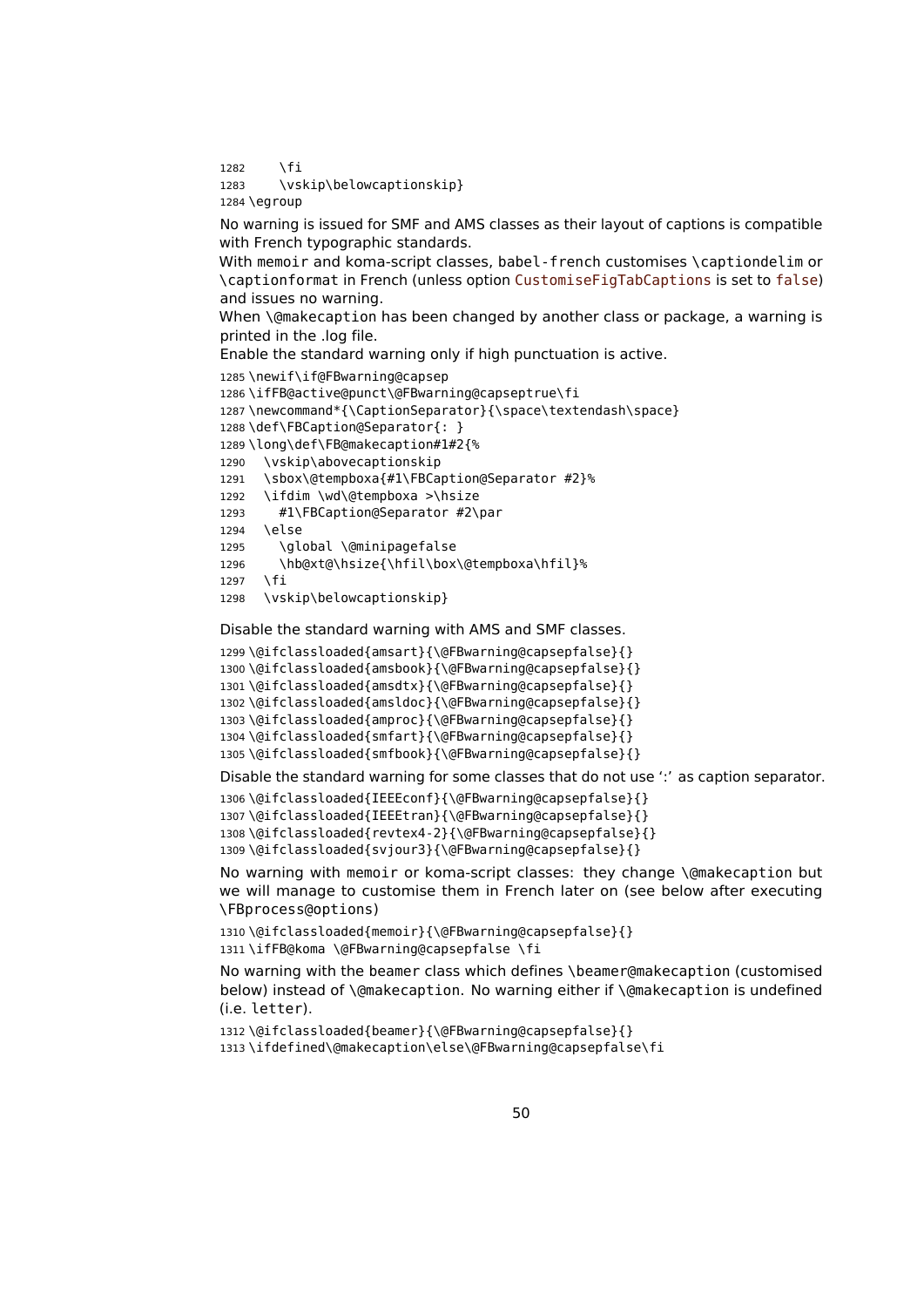\fi 1283 \vskip\belowcaptionskip} \egroup

No warning is issued for SMF and AMS classes as their layout of captions is compatible with French typographic standards.

With memoir and koma-script classes, babel-french customises \captiondelim or \captionformat in French (unless option CustomiseFigTabCaptions is set to false) and issues no warning.

When \@makecaption has been changed by another class or package, a warning is printed in the .log file.

Enable the standard warning only if high punctuation is active.

```
1285 \newif\if@FBwarning@capsep
1286 \ifFB@active@punct\@FBwarning@capseptrue\fi
1287 \newcommand*{\CaptionSeparator}{\space\textendash\space}
1288 \def\FBCaption@Separator{: }
1289 \long\def\FB@makecaption#1#2{%
1290 \vskip\abovecaptionskip
1291 \sbox\@tempboxa{#1\FBCaption@Separator #2}%
1292 \ifdim \wd\@tempboxa >\hsize
1293 #1\FBCaption@Separator #2\par
1294 \else
1295 \global \@minipagefalse
1296 \hb@xt@\hsize{\hfil\box\@tempboxa\hfil}%
1297 \fi
1298 \vskip\belowcaptionskip}
```
Disable the standard warning with AMS and SMF classes.

```
1299 \@ifclassloaded{amsart}{\@FBwarning@capsepfalse}{}
1300 \@ifclassloaded{amsbook}{\@FBwarning@capsepfalse}{}
1301 \@ifclassloaded{amsdtx}{\@FBwarning@capsepfalse}{}
1302 \@ifclassloaded{amsldoc}{\@FBwarning@capsepfalse}{}
1303 \@ifclassloaded{amproc}{\@FBwarning@capsepfalse}{}
1304 \@ifclassloaded{smfart}{\@FBwarning@capsepfalse}{}
1305 \@ifclassloaded{smfbook}{\@FBwarning@capsepfalse}{}
```
Disable the standard warning for some classes that do not use ':' as caption separator.

```
1306 \@ifclassloaded{IEEEconf}{\@FBwarning@capsepfalse}{}
1307 \@ifclassloaded{IEEEtran}{\@FBwarning@capsepfalse}{}
1308 \@ifclassloaded{revtex4-2}{\@FBwarning@capsepfalse}{}
1309 \@ifclassloaded{svjour3}{\@FBwarning@capsepfalse}{}
```
No warning with memoir or koma-script classes: they change \@makecaption but we will manage to customise them in French later on (see below after executing \FBprocess@options)

```
1310 \@ifclassloaded{memoir}{\@FBwarning@capsepfalse}{}
1311 \ifFB@koma \@FBwarning@capsepfalse \fi
```
No warning with the beamer class which defines \beamer@makecaption (customised below) instead of \@makecaption. No warning either if \@makecaption is undefined (i.e. letter).

```
1312 \@ifclassloaded{beamer}{\@FBwarning@capsepfalse}{}
1313 \ifdefined\@makecaption\else\@FBwarning@capsepfalse\fi
```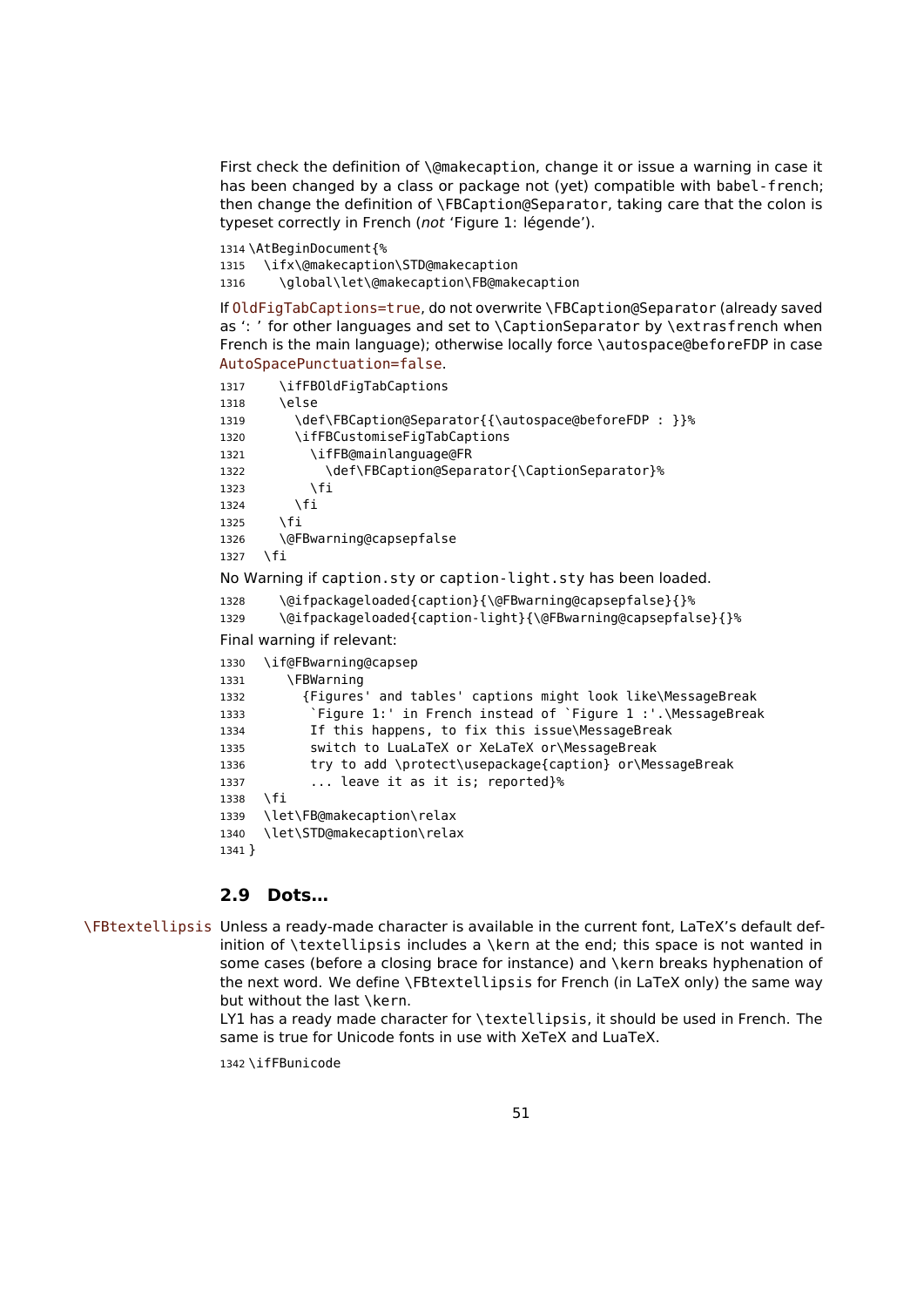First check the definition of \@makecaption, change it or issue a warning in case it has been changed by a class or package not (yet) compatible with babel-french; then change the definition of \FBCaption@Separator, taking care that the colon is typeset correctly in French (not 'Figure 1: légende').

```
1314 \AtBeginDocument{%
1315 \ifx\@makecaption\STD@makecaption
1316 \global\let\@makecaption\FB@makecaption
```
If OldFigTabCaptions=true, do not overwrite \FBCaption@Separator (already saved as ': ' for other languages and set to \CaptionSeparator by \extrasfrench when French is the main language); otherwise locally force \autospace@beforeFDP in case AutoSpacePunctuation=false.

```
1317 \ifFBOldFigTabCaptions
1318 \else
1319 \def\FBCaption@Separator{{\autospace@beforeFDP : }}%
1320 \ifFBCustomiseFigTabCaptions
1321 \ifFB@mainlanguage@FR
1322 \def\FBCaption@Separator{\CaptionSeparator}%
1323 \fi
1324 \fi
1325 \fi
1326 \@FBwarning@capsepfalse
1327 \fi
No Warning if caption.sty or caption-light.sty has been loaded.
1328 \@ifpackageloaded{caption}{\@FBwarning@capsepfalse}{}%
1329 \@ifpackageloaded{caption-light}{\@FBwarning@capsepfalse}{}%
Final warning if relevant:
1330 \if@FBwarning@capsep
1331 \FBWarning
1332 {Figures' and tables' captions might look like\MessageBreak
1333 `Figure 1:' in French instead of `Figure 1 :'.\MessageBreak
1334 If this happens, to fix this issue\MessageBreak
1335 switch to LuaLaTeX or XeLaTeX or\MessageBreak
1336 try to add \protect\usepackage{caption} or\MessageBreak
1337 ... leave it as it is; reported}%
1338 \sqrt{fi}1339 \let\FB@makecaption\relax
1340 \let\STD@makecaption\relax
```

```
1341 }
```
## **2.9 Dots…**

\FBtextellipsis Unless a ready-made character is available in the current font, LaTeX's default definition of \textellipsis includes a \kern at the end; this space is not wanted in some cases (before a closing brace for instance) and \kern breaks hyphenation of the next word. We define \FBtextellipsis for French (in LaTeX only) the same way but without the last \kern.

> LY1 has a ready made character for \textellipsis, it should be used in French. The same is true for Unicode fonts in use with XeTeX and LuaTeX.

1342 \ifFBunicode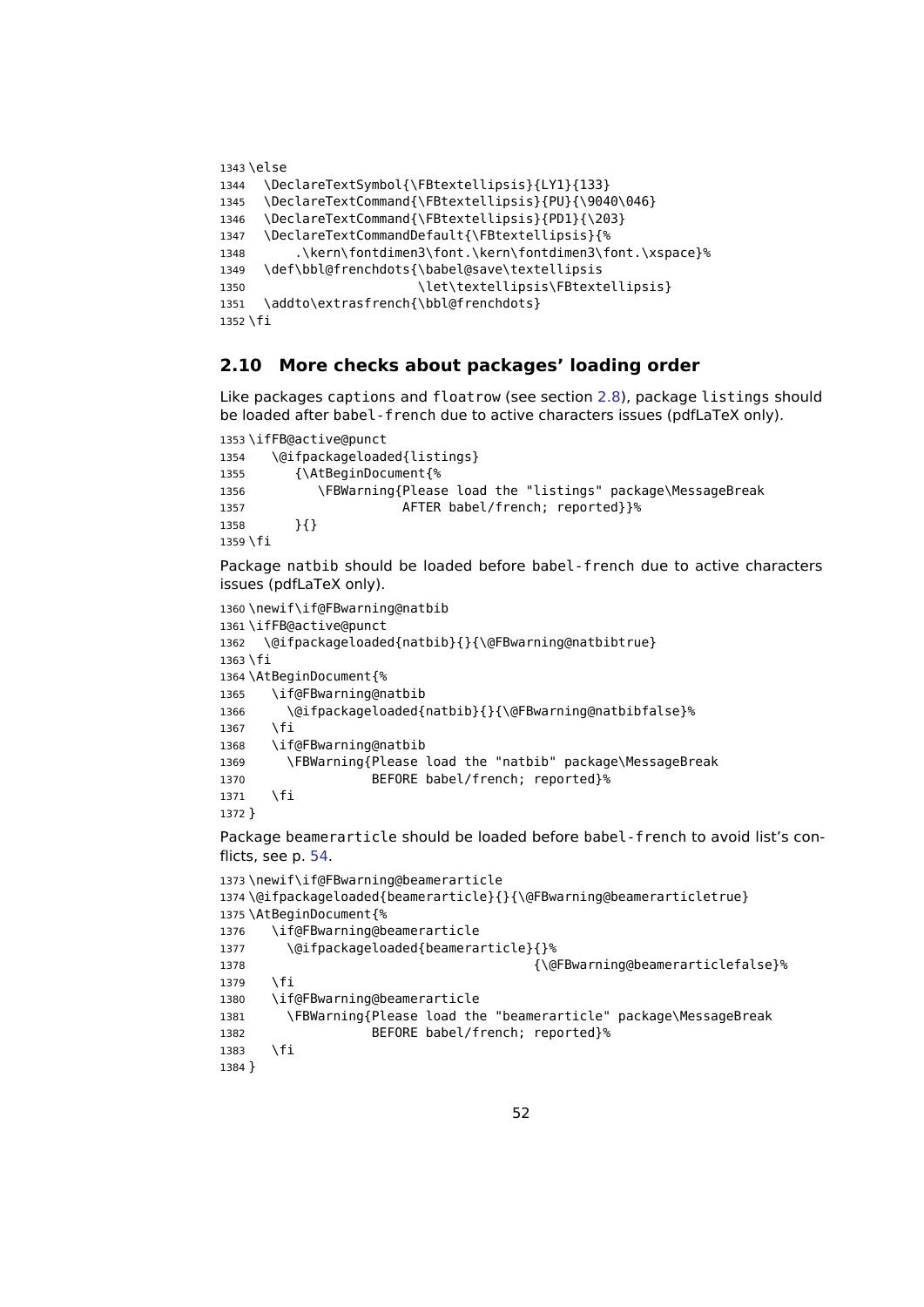```
1343 \else
1344 \DeclareTextSymbol{\FBtextellipsis}{LY1}{133}
1345 \DeclareTextCommand{\FBtextellipsis}{PU}{\9040\046}
1346 \DeclareTextCommand{\FBtextellipsis}{PD1}{\203}
1347 \DeclareTextCommandDefault{\FBtextellipsis}{%
1348 .\kern\fontdimen3\font.\kern\fontdimen3\font.\xspace}%
1349 \def\bbl@frenchdots{\babel@save\textellipsis
1350 \let\textellipsis\FBtextellipsis}
1351 \addto\extrasfrench{\bbl@frenchdots}
1352 \fi
```
### <span id="page-51-0"></span>**2.10 More checks about packages' loading order**

Like packages captions and floatrow (see section [2.8\)](#page-48-0), package listings should be loaded after babel-french due to active characters issues (pdfLaTeX only).

```
1353 \ifFB@active@punct
1354 \@ifpackageloaded{listings}
1355 {\AtBeginDocument{%
1356 \FBWarning{Please load the "listings" package\MessageBreak
1357 AFTER babel/french; reported}}%
1358 }{}
1359 \fi
```
Package natbib should be loaded before babel-french due to active characters issues (pdfLaTeX only).

```
1360 \newif\if@FBwarning@natbib
1361 \ifFB@active@punct
1362 \@ifpackageloaded{natbib}{}{\@FBwarning@natbibtrue}
1363 \fi
1364 \AtBeginDocument{%
1365 \if@FBwarning@natbib
1366 \@ifpackageloaded{natbib}{}{\@FBwarning@natbibfalse}%
1367 \fi
1368 \if@FBwarning@natbib
1369 \FBWarning{Please load the "natbib" package\MessageBreak
1370 BEFORE babel/french; reported}%
1371 \fi
1372 }
```
Package beamerarticle should be loaded before babel-french to avoid list's conflicts, see p. [54.](#page-53-0)

```
1373 \newif\if@FBwarning@beamerarticle
1374 \@ifpackageloaded{beamerarticle}{}{\@FBwarning@beamerarticletrue}
1375 \AtBeginDocument{%
1376 \if@FBwarning@beamerarticle
1377 \@ifpackageloaded{beamerarticle}{}%
1378 {\@FBwarning@beamerarticlefalse}%
1379 \fi
1380 \if@FBwarning@beamerarticle
1381 \FBWarning{Please load the "beamerarticle" package\MessageBreak
1382 BEFORE babel/french; reported}%
1383 \fi
1384 }
```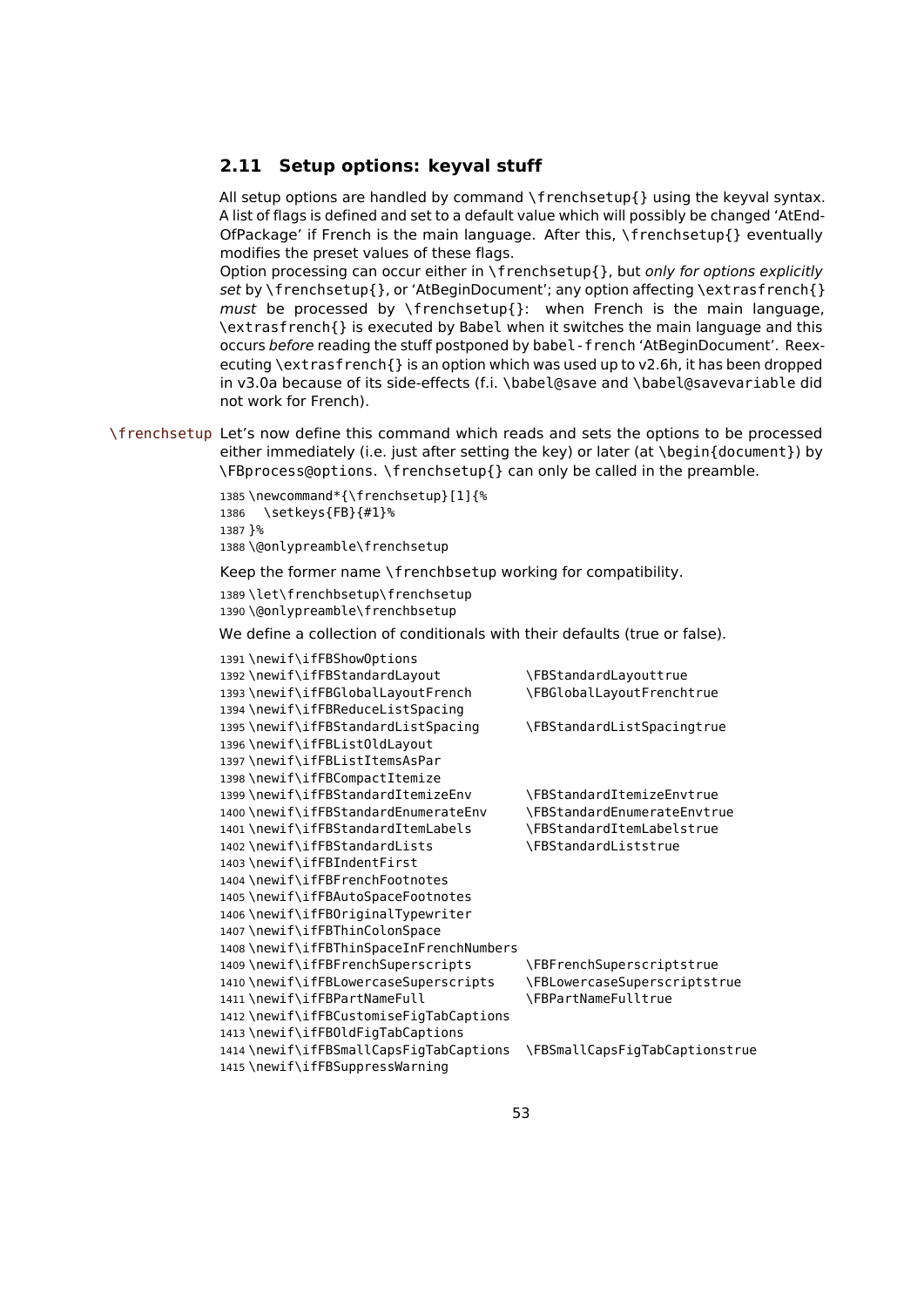#### <span id="page-52-0"></span>**2.11 Setup options: keyval stuff**

All setup options are handled by command \frenchsetup{} using the keyval syntax. A list of flags is defined and set to a default value which will possibly be changed 'AtEnd-OfPackage' if French is the main language. After this, \frenchsetup{} eventually modifies the preset values of these flags.

Option processing can occur either in  $\frac{\frac{1}{\sqrt{2}}}{\frac{1}{\sqrt{2}}}$  but only for options explicitly set by \frenchsetup{}, or 'AtBeginDocument'; any option affecting \extrasfrench{} must be processed by  $\{frenchsetup\}$ : when French is the main language, \extrasfrench{} is executed by Babel when it switches the main language and this occurs before reading the stuff postponed by babel-french 'AtBeginDocument'. Reexecuting \extrasfrench{} is an option which was used up to v2.6h, it has been dropped in v3.0a because of its side-effects (f.i. \babel@save and \babel@savevariable did not work for French).

\frenchsetup Let's now define this command which reads and sets the options to be processed either immediately (i.e. just after setting the key) or later (at \begin{document}) by \FBprocess@options. \frenchsetup{} can only be called in the preamble.

```
1385 \newcommand*{\frenchsetup}[1]{%
1386 \setkeys{FB}{#1}%
1387 }%
1388 \@onlypreamble\frenchsetup
```
Keep the former name \frenchbsetup working for compatibility.

 \let\frenchbsetup\frenchsetup \@onlypreamble\frenchbsetup

We define a collection of conditionals with their defaults (true or false).

| 1391\newif\ifFBShowOptions              |                                    |
|-----------------------------------------|------------------------------------|
| 1392\newif\ifFBStandardLayout           | \FBStandardLayouttrue              |
| 1393\newif\ifFBGlobalLayoutFrench       | \FBGlobalLayoutFrenchtrue          |
| 1394\newif\ifFBReduceListSpacing        |                                    |
| 1395\newif\ifFBStandardListSpacing      | \FBStandardListSpacingtrue         |
| 1396\newif\ifFBList0ldLayout            |                                    |
| 1397\newif\ifFBListItemsAsPar           |                                    |
| 1398\newif\ifFBCompactItemize           |                                    |
| 1399\newif\ifFBStandardItemizeEnv       | <b>\FBStandardItemizeEnvtrue</b>   |
| 1400\newif\ifFBStandardEnumerateEnv     | <b>\FBStandardEnumerateEnvtrue</b> |
| 1401\newif\ifFBStandardItemLabels       | \FBStandardItemLabelstrue          |
| 1402\newif\ifFBStandardLists            | <b>\FBStandardListstrue</b>        |
| 1403\newif\ifFBIndentFirst              |                                    |
| 1404\newif\ifFBFrenchFootnotes          |                                    |
| 1405\newif\ifFBAutoSpaceFootnotes       |                                    |
| 1406\newif\ifFB0riginalTypewriter       |                                    |
| 1407\newif\ifFBThinColonSpace           |                                    |
| 1408\newif\ifFBThinSpaceInFrenchNumbers |                                    |
| 1409\newif\ifFBFrenchSuperscripts       | \FBFrenchSuperscriptstrue          |
| 1410\newif\ifFBLowercaseSuperscripts    | \FBLowercaseSuperscriptstrue       |
| 1411\newif\ifFBPartNameFull             | <b>\FBPartNameFulltrue</b>         |
| 1412\newif\ifFBCustomiseFigTabCaptions  |                                    |
| 1413\newif\ifFBOldFigTabCaptions        |                                    |
| 1414\newif\ifFBSmallCapsFigTabCaptions  | \FBSmallCapsFigTabCaptionstrue     |
| 1415\newif\ifFBSuppressWarning          |                                    |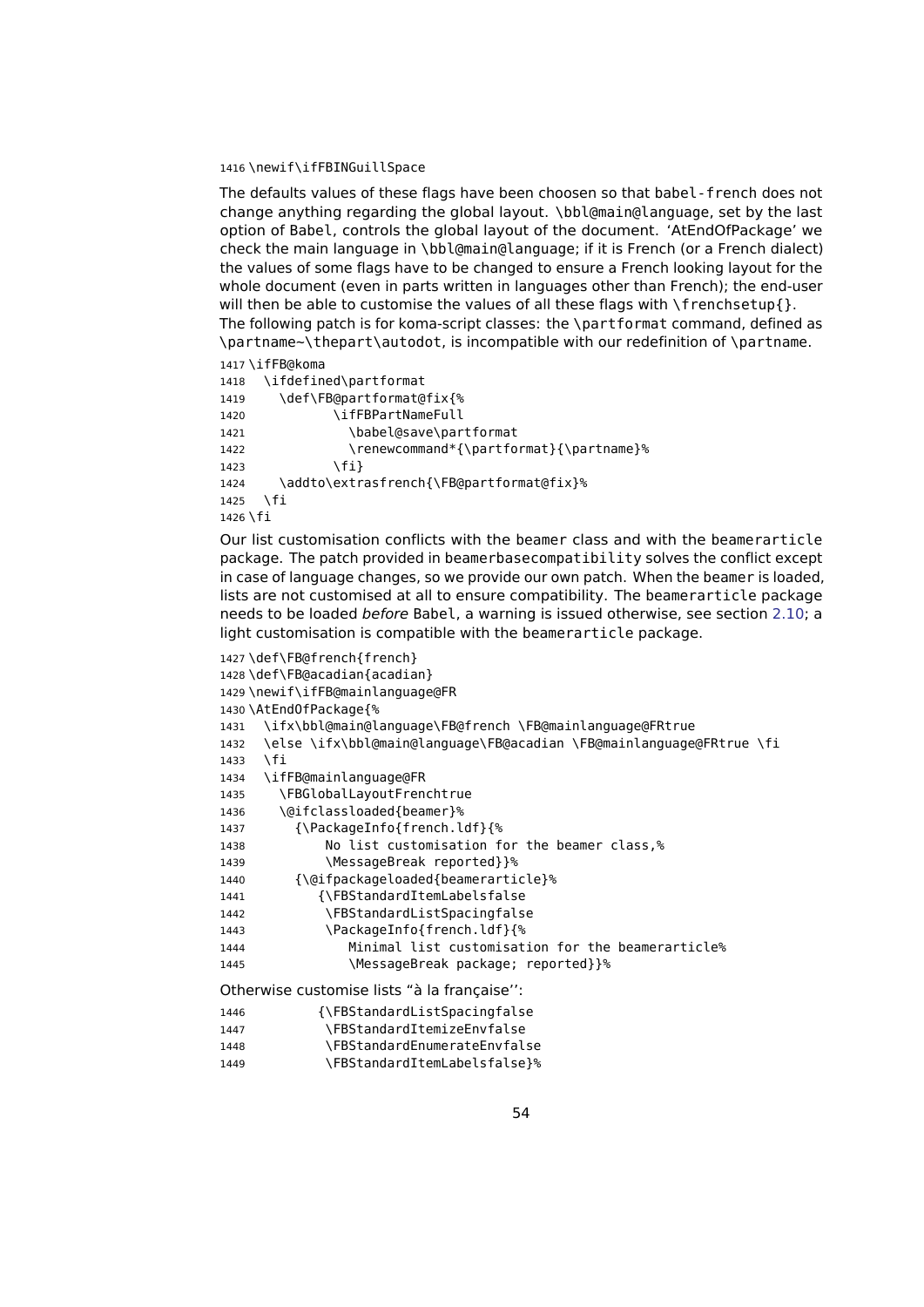#### 1416 \newif\ifFBINGuillSpace

The defaults values of these flags have been choosen so that babel-french does not change anything regarding the global layout. \bbl@main@language, set by the last option of Babel, controls the global layout of the document. 'AtEndOfPackage' we check the main language in \bbl@main@language; if it is French (or a French dialect) the values of some flags have to be changed to ensure a French looking layout for the whole document (even in parts written in languages other than French); the end-user will then be able to customise the values of all these flags with  $\frac{1}{\text{t}}$  menchsetup{ }. The following patch is for koma-script classes: the \partformat command, defined as \partname~\thepart\autodot, is incompatible with our redefinition of \partname.

```
1417 \ifFB@koma
1418 \ifdefined\partformat
1419 \def\FB@partformat@fix{%
1420 \ifFBPartNameFull
1421 \babel@save\partformat
1422 \renewcommand*{\partformat}{\partname}%
1423 \fi}
1424 \addto\extrasfrench{\FB@partformat@fix}%
1425 \fi
1426 \fi
```
<span id="page-53-0"></span>Our list customisation conflicts with the beamer class and with the beamerarticle package. The patch provided in beamerbasecompatibility solves the conflict except in case of language changes, so we provide our own patch. When the beamer is loaded, lists are not customised at all to ensure compatibility. The beamerarticle package needs to be loaded before Babel, a warning is issued otherwise, see section [2.10;](#page-51-0) a light customisation is compatible with the beamerarticle package.

```
1427 \def\FB@french{french}
1428 \def\FB@acadian{acadian}
1429 \newif\ifFB@mainlanguage@FR
1430 \AtEndOfPackage{%
1431 \ifx\bbl@main@language\FB@french \FB@mainlanguage@FRtrue
1432 \else \ifx\bbl@main@language\FB@acadian \FB@mainlanguage@FRtrue \fi
1433 \sqrt{fi}1434 \ifFB@mainlanguage@FR
1435 \FBGlobalLayoutFrenchtrue
1436 \@ifclassloaded{beamer}%
1437 {\PackageInfo{french.ldf}{%
1438 No list customisation for the beamer class,%
1439 \MessageBreak reported}}%
1440 {\@ifpackageloaded{beamerarticle}%
1441 {\FBStandardItemLabelsfalse
1442 \FBStandardListSpacingfalse
1443 \PackageInfo{french.ldf}{%
1444 Minimal list customisation for the beamerarticle%
1445 \MessageBreak package: reported}}%
Otherwise customise lists "à la française'':
1446 {\FBStandardListSpacingfalse
             1447 \FBStandardItemizeEnvfalse
```

| 1447 | \FB3LdHudIu1Lem1ZeEHVIdLSe          |
|------|-------------------------------------|
| 1448 | <b>\FBStandardEnumerateEnvfalse</b> |
| 1449 | \FBStandardItemLabelsfalse}%        |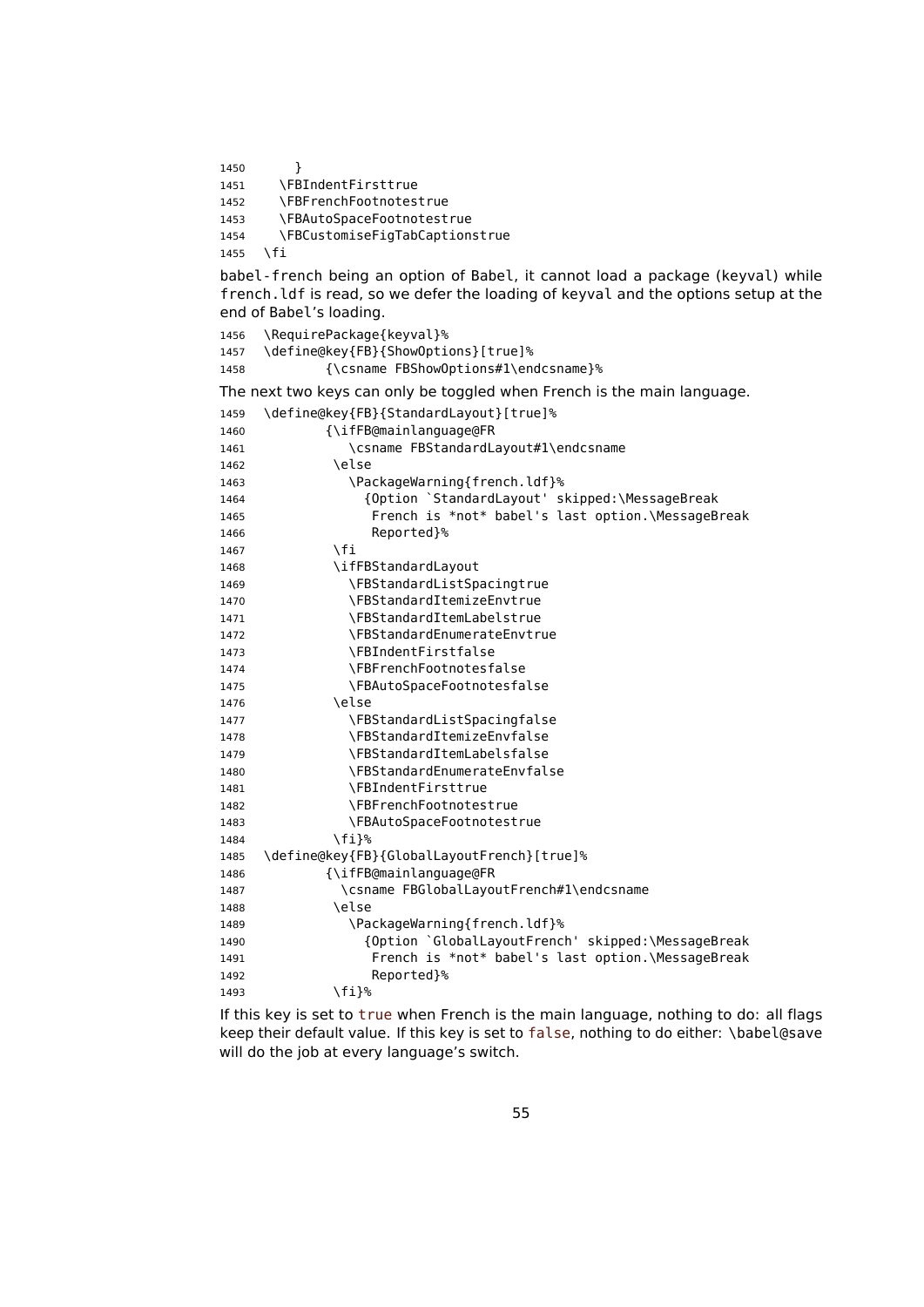1450 }

1451 \FBIndentFirsttrue

1452 \FBFrenchFootnotestrue

1453 \FBAutoSpaceFootnotestrue

1454 \FBCustomiseFigTabCaptionstrue

1455 \fi

babel-french being an option of Babel, it cannot load a package (keyval) while french.ldf is read, so we defer the loading of keyval and the options setup at the end of Babel's loading.

1456 \RequirePackage{keyval}% 1457 \define@key{FB}{ShowOptions}[true]% 1458 {\csname FBShowOptions#1\endcsname}% The next two keys can only be toggled when French is the main language. 1459 \define@key{FB}{StandardLayout}[true]% 1460 {\ifFB@mainlanguage@FR 1461 \csname FBStandardLayout#1\endcsname 1462 \else 1463 \PackageWarning{french.ldf}% 1464 {Option `StandardLayout' skipped:\MessageBreak 1465 French is \*not\* babel's last option.\MessageBreak 1466 Reported}%  $1467$  \fi 1468 \ifFBStandardLayout 1469 \FBStandardListSpacingtrue 1470 \FBStandardItemizeEnvtrue 1471 \FBStandardItemLabelstrue 1472 \FBStandardEnumerateEnvtrue 1473 \FBIndentFirstfalse 1474 \FBFrenchFootnotesfalse 1475 \FBAutoSpaceFootnotesfalse  $1476$   $\leq$   $\leq$   $\leq$   $\leq$   $\leq$   $\leq$   $\leq$   $\leq$   $\leq$   $\leq$   $\leq$   $\leq$   $\leq$   $\leq$   $\leq$   $\leq$   $\leq$   $\leq$   $\leq$   $\leq$   $\leq$   $\leq$   $\leq$   $\leq$   $\leq$   $\leq$   $\leq$   $\leq$   $\leq$   $\leq$   $\leq$   $\leq$   $\leq$   $\leq$   $\leq$   $\leq$ 1477 \FBStandardListSpacingfalse 1478 \FBStandardItemizeEnvfalse 1479 \FBStandardItemLabelsfalse 1480 \FBStandardEnumerateEnvfalse 1481 \FBIndentFirsttrue 1482 \FBFrenchFootnotestrue 1483 \FBAutoSpaceFootnotestrue 1484 \fi}% 1485 \define@key{FB}{GlobalLayoutFrench}[true]% 1486 {\ifFB@mainlanguage@FR 1487 \csname FBGlobalLayoutFrench#1\endcsname 1488 \else 1489 \PackageWarning{french.ldf}% 1490 {Option `GlobalLayoutFrench' skipped:\MessageBreak 1491 French is \*not\* babel's last option.\MessageBreak 1492 Reported}% 1493 \fi}%

If this key is set to true when French is the main language, nothing to do: all flags keep their default value. If this key is set to false, nothing to do either: \babel@save will do the job at every language's switch.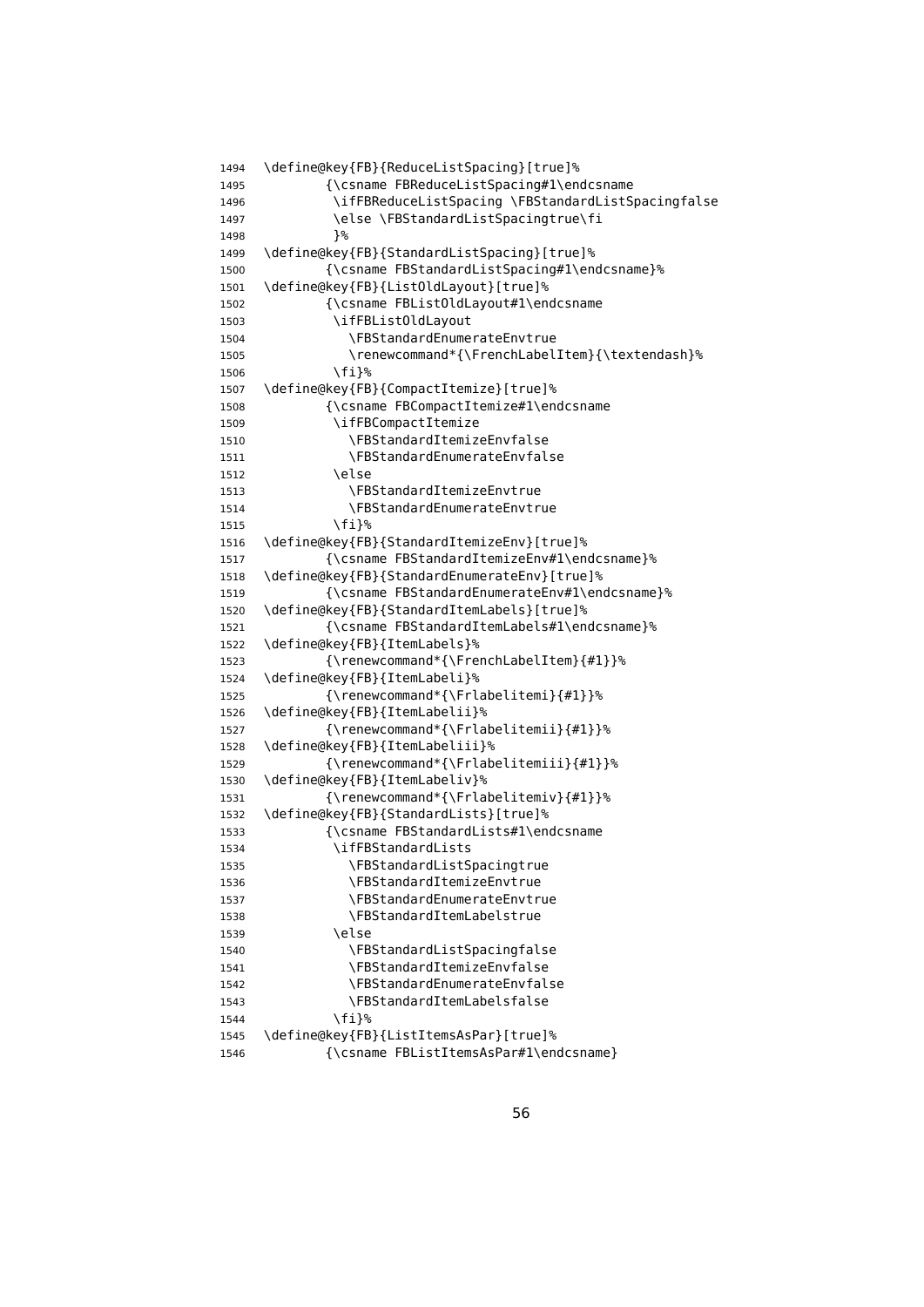```
1494 \define@key{FB}{ReduceListSpacing}[true]%
1495 {\csname FBReduceListSpacing#1\endcsname
1496 \ifFBReduceListSpacing \FBStandardListSpacingfalse
1497 \else \FBStandardListSpacingtrue\fi
1498 }<sup>%</sup>
1499 \define@key{FB}{StandardListSpacing}[true]%
1500 {\csname FBStandardListSpacing#1\endcsname}%
1501 \define@key{FB}{ListOldLayout}[true]%
1502 {\csname FBListOldLayout#1\endcsname
1503 \ifFBListOldLayout
1504 \FBStandardEnumerateEnvtrue
1505 \renewcommand*{\FrenchLabelItem}{\textendash}%
1506 \fi}%
1507 \define@key{FB}{CompactItemize}[true]%
1508 {\csname FBCompactItemize#1\endcsname
1509 \ifFBCompactItemize
1510 \FBStandardItemizeEnvfalse
1511 \FBStandardEnumerateEnvfalse
1512 \else
1513 \FBStandardItemizeEnvtrue
1514 \FBStandardEnumerateEnvtrue
1515 \fi}%
1516 \define@key{FB}{StandardItemizeEnv}[true]%
1517 {\csname FBStandardItemizeEnv#1\endcsname}%
1518 \define@key{FB}{StandardEnumerateEnv}[true]%
1519 {\csname FBStandardEnumerateEnv#1\endcsname}%
1520 \define@key{FB}{StandardItemLabels}[true]%
1521 {\csname FBStandardItemLabels#1\endcsname}%
1522 \define@key{FB}{ItemLabels}%
1523 {\renewcommand*{\FrenchLabelItem}{#1}}%
1524 \define@key{FB}{ItemLabeli}%
1525 {\renewcommand*{\Frlabelitemi}{#1}}%
1526 \define@key{FB}{ItemLabelii}%
1527 {\renewcommand*{\Frlabelitemii}{#1}}%
1528 \define@key{FB}{ItemLabeliii}%
1529 {\renewcommand*{\Frlabelitemiii}{#1}}%
1530 \define@key{FB}{ItemLabeliv}%
1531 {\renewcommand*{\Frlabelitemiv}{#1}}%
1532 \define@key{FB}{StandardLists}[true]%
1533 {\csname FBStandardLists#1\endcsname
1534 \ifFBStandardLists
1535 \FBStandardListSpacingtrue
1536 \FBStandardItemizeEnvtrue
1537 \FBStandardEnumerateEnvtrue
1538 \FBStandardItemLabelstrue
1539 \else
1540 \FBStandardListSpacingfalse
1541 \FBStandardItemizeEnvfalse
1542 \FBStandardEnumerateEnvfalse
1543 \FBStandardItemLabelsfalse
1544 \fi}%
1545 \define@key{FB}{ListItemsAsPar}[true]%
1546 {\csname FBListItemsAsPar#1\endcsname}
```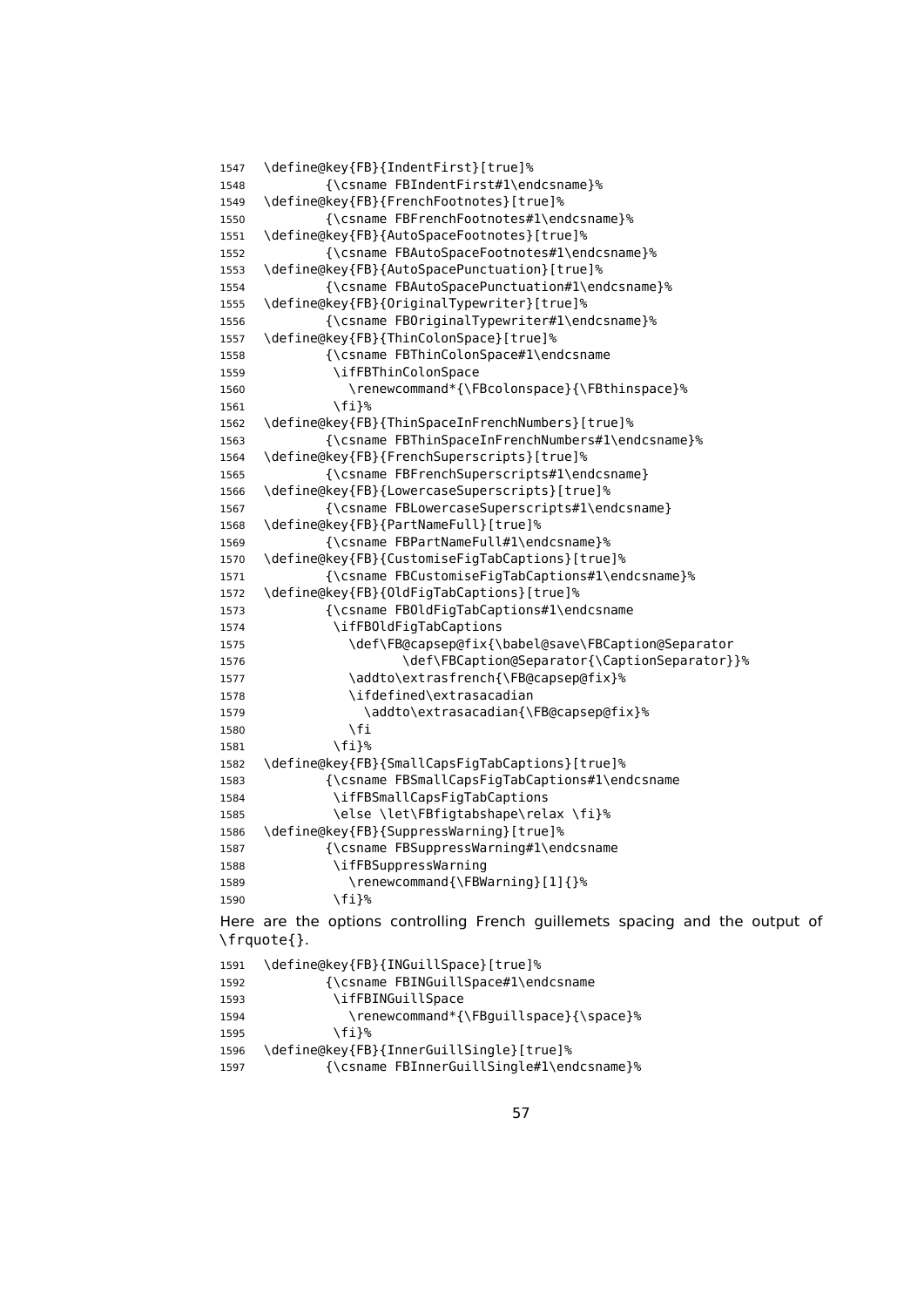```
1547 \define@key{FB}{IndentFirst}[true]%
1548 {\csname FBIndentFirst#1\endcsname}%
1549 \define@key{FB}{FrenchFootnotes}[true]%
1550 {\csname FBFrenchFootnotes#1\endcsname}%
1551 \define@key{FB}{AutoSpaceFootnotes}[true]%
1552 {\csname FBAutoSpaceFootnotes#1\endcsname}%
1553 \define@key{FB}{AutoSpacePunctuation}[true]%
1554 {\csname FBAutoSpacePunctuation#1\endcsname}%
1555 \define@key{FB}{OriginalTypewriter}[true]%
1556 {\csname FBOriginalTypewriter#1\endcsname}%
1557 \define@key{FB}{ThinColonSpace}[true]%
1558 {\csname FBThinColonSpace#1\endcsname
1559 \ifFBThinColonSpace
1560 \renewcommand*{\FBcolonspace}{\FBthinspace}%
1561 \fi}%
1562 \define@key{FB}{ThinSpaceInFrenchNumbers}[true]%
1563 {\csname FBThinSpaceInFrenchNumbers#1\endcsname}%
1564 \define@key{FB}{FrenchSuperscripts}[true]%
1565 {\csname FBFrenchSuperscripts#1\endcsname}
1566 \define@key{FB}{LowercaseSuperscripts}[true]%
1567 {\csname FBLowercaseSuperscripts#1\endcsname}
1568 \define@key{FB}{PartNameFull}[true]%
1569 {\csname FBPartNameFull#1\endcsname}%
1570 \define@key{FB}{CustomiseFigTabCaptions}[true]%
1571 {\csname FBCustomiseFigTabCaptions#1\endcsname}%
1572 \define@key{FB}{OldFigTabCaptions}[true]%
1573 {\csname FBOldFigTabCaptions#1\endcsname
1574 \ifFBOldFigTabCaptions
1575 \def\FB@capsep@fix{\babel@save\FBCaption@Separator
1576 \def\FBCaption@Separator{\CaptionSeparator}}%
1577 \ddto\extrasfrench{\FB@capsep@fix}%
1578 \ifdefined\extrasacadian
1579 \addto\extrasacadian{\FB@capsep@fix}%
1580 \fi
1581 \fi}%
1582 \define@key{FB}{SmallCapsFigTabCaptions}[true]%
1583 {\csname FBSmallCapsFigTabCaptions#1\endcsname
1584 \ifFBSmallCapsFigTabCaptions
1585 \else \let\FBfigtabshape\relax \fi}%
1586 \define@key{FB}{SuppressWarning}[true]%
1587 {\csname FBSuppressWarning#1\endcsname
1588 \ifFBSuppressWarning
1589 \renewcommand{\FBWarning}[1]{}%
1590 \fi}%
Here are the options controlling French guillemets spacing and the output of
\frquote{}.
1591 \define@key{FB}{INGuillSpace}[true]%
1592 {\csname FBINGuillSpace#1\endcsname
1593 \ifFBINGuillSpace
1594 \renewcommand*{\FBguillspace}{\space}%
1595 \fi}%
1596 \define@key{FB}{InnerGuillSingle}[true]%
```

```
1597 {\csname FBInnerGuillSingle#1\endcsname}%
```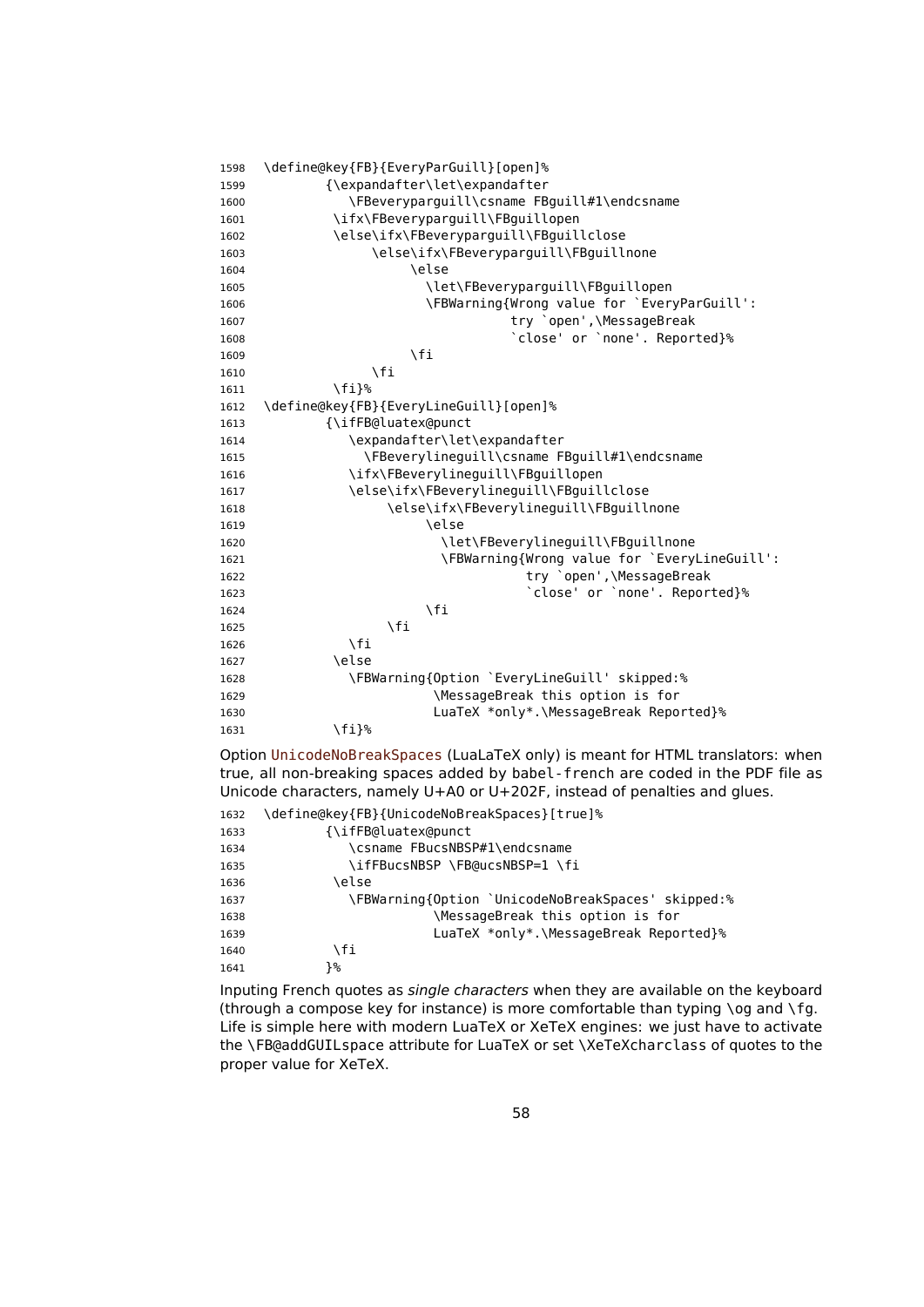| 1598 | \define@key{FB}{EveryParGuill}[open]%        |
|------|----------------------------------------------|
| 1599 | {\expandafter\let\expandafter                |
| 1600 | \FBeveryparguill\csname FBguill#1\endcsname  |
| 1601 | \ifx\FBeveryparguill\FBguillopen             |
| 1602 | \else\ifx\FBeveryparguill\FBguillclose       |
| 1603 | \else\ifx\FBeveryparguill\FBguillnone        |
| 1604 | \else                                        |
| 1605 | \let\FBeveryparguill\FBguillopen             |
| 1606 | \FBWarning{Wrong value for `EveryParGuill':  |
| 1607 | try `open',\MessageBreak                     |
| 1608 | 'close' or 'none'. Reported}%                |
| 1609 | \fi                                          |
| 1610 | $\sqrt{fi}$                                  |
| 1611 | \fi}%                                        |
| 1612 | \define@key{FB}{EveryLineGuill}[open]%       |
| 1613 | {\ifFB@luatex@punct                          |
| 1614 | \expandafter\let\expandafter                 |
| 1615 | \FBeverylineguill\csname FBguill#1\endcsname |
| 1616 | \ifx\FBeverylineguill\FBguillopen            |
| 1617 | \else\ifx\FBeverylineguill\FBguillclose      |
| 1618 | \else\ifx\FBeverylineguill\FBguillnone       |
| 1619 | \else                                        |
| 1620 | \let\FBeverylineguill\FBguillnone            |
| 1621 | \FBWarning{Wrong value for `EveryLineGuill': |
| 1622 | try `open',\MessageBreak                     |
| 1623 | 'close' or 'none'. Reported}%                |
| 1624 | \fi                                          |
| 1625 | \fi                                          |
| 1626 | $\sqrt{fi}$                                  |
| 1627 | \else                                        |
| 1628 | \FBWarning{Option `EveryLineGuill' skipped:% |
| 1629 | \MessageBreak this option is for             |
| 1630 | LuaTeX *only*.\MessageBreak Reported}%       |
| 1631 | \fi}%                                        |
|      |                                              |

Option UnicodeNoBreakSpaces (LuaLaTeX only) is meant for HTML translators: when true, all non-breaking spaces added by babel-french are coded in the PDF file as Unicode characters, namely U+A0 or U+202F, instead of penalties and glues.

| 1632 | \define@key{FB}{UnicodeNoBreakSpaces}[true]%       |
|------|----------------------------------------------------|
| 1633 | {\ifFB@luatex@punct                                |
| 1634 | \csname FBucsNBSP#1\endcsname                      |
| 1635 | \ifFBucsNBSP \FB@ucsNBSP=1 \fi                     |
| 1636 | \else                                              |
| 1637 | \FBWarning{Option `UnicodeNoBreakSpaces' skipped:% |
| 1638 | \MessageBreak this option is for                   |
| 1639 | LuaTeX *only*.\MessageBreak Reported}%             |
| 1640 | ۱fi                                                |
| 1641 | }%                                                 |
|      |                                                    |

Inputing French quotes as single characters when they are available on the keyboard (through a compose key for instance) is more comfortable than typing  $\log$  and  $\sqrt{fg}$ . Life is simple here with modern LuaTeX or XeTeX engines: we just have to activate the \FB@addGUILspace attribute for LuaTeX or set \XeTeXcharclass of quotes to the proper value for XeTeX.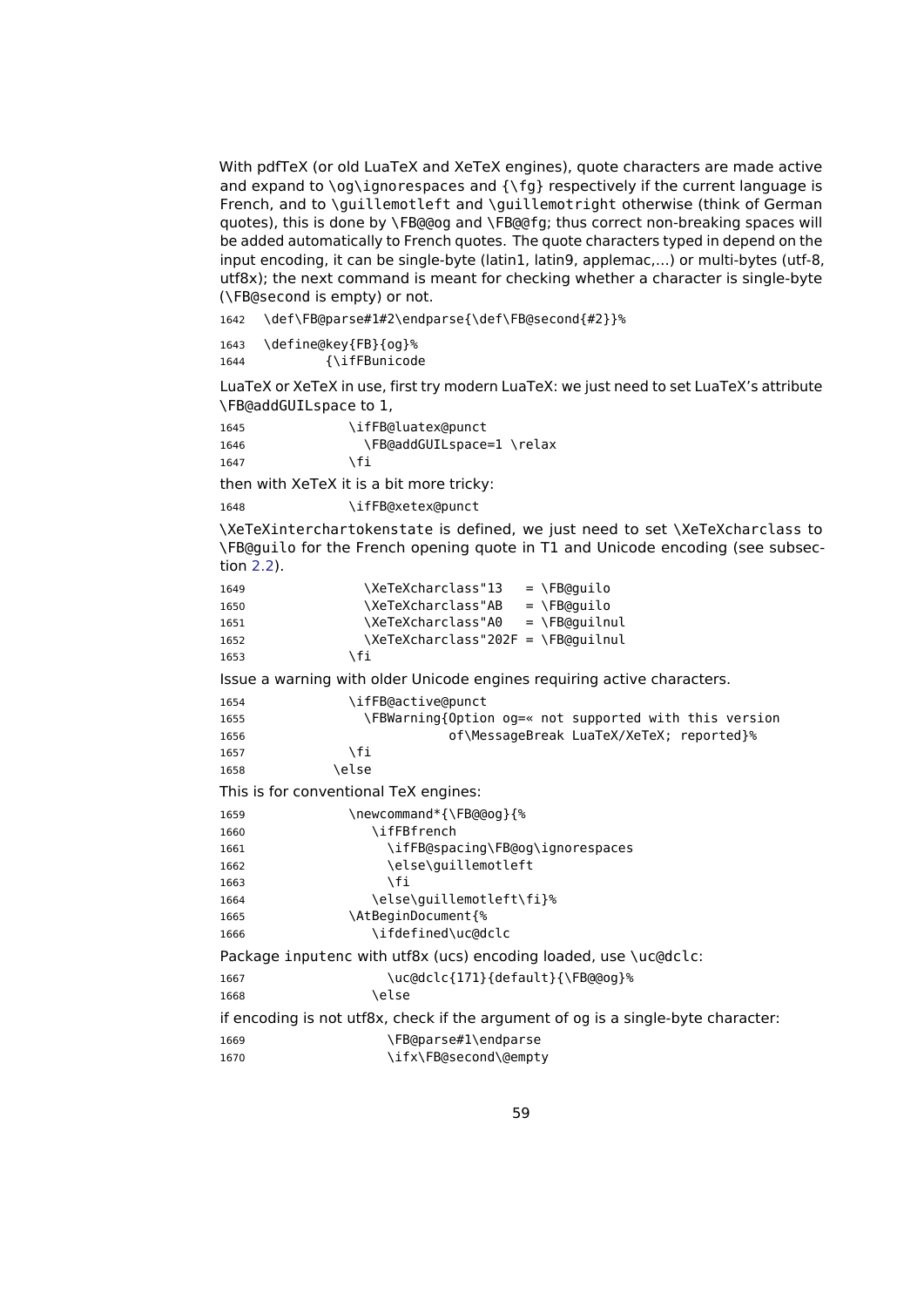With pdfTeX (or old LuaTeX and XeTeX engines), quote characters are made active and expand to  $\log\i$ gnorespaces and  $\{fg\}$  respectively if the current language is French, and to \quillemotleft and \quillemotright otherwise (think of German quotes), this is done by \FB@@og and \FB@@fg; thus correct non-breaking spaces will be added automatically to French quotes. The quote characters typed in depend on the input encoding, it can be single-byte (latin1, latin9, applemac,…) or multi-bytes (utf-8, utf8x); the next command is meant for checking whether a character is single-byte (\FB@second is empty) or not.

1642 \def\FB@parse#1#2\endparse{\def\FB@second{#2}}%

```
1643 \define@key{FB}{og}%
1644 {\ifFBunicode
```
LuaTeX or XeTeX in use, first try modern LuaTeX: we just need to set LuaTeX's attribute \FB@addGUILspace to 1,

| 1645 | \ifFB@luatex@punct        |
|------|---------------------------|
| 1646 | \FB@addGUILspace=1 \relax |
| 1647 | \fi                       |

then with XeTeX it is a bit more tricky:

1648 \ifFB@xetex@punct

\XeTeXinterchartokenstate is defined, we just need to set \XeTeXcharclass to \FB@guilo for the French opening quote in T1 and Unicode encoding (see subsection [2.2\)](#page-16-0).

```
1649 \XeTeXcharclass"13 = \FB@quilo
1650 \XeTeXcharclass"AB = \FB@quilo
1651 \XeTeXcharclass"A0 = \FB@quilnul
1652 \XeTeXcharclass"202F = \FB@quilnul
1653 \fi
Issue a warning with older Unicode engines requiring active characters.
1654 \ifFB@active@punct
1655 \FBWarning{Option og=« not supported with this version
1656 of\MessageBreak LuaTeX/XeTeX; reported}%
1657 \fi
1658 \else
This is for conventional TeX engines:
1659 \newcommand*{\FB@@og}{%
1660 \ifFBfrench
1661 \ifFB@spacing\FB@og\ignorespaces
1662 \else\guillemotleft
1663 \fi
1664 \else\guillemotleft\fi}%
1665 \AtBeginDocument{%
1666 \ifdefined\uc@dclc
Package inputenc with utf8x (ucs) encoding loaded, use \uc@dclc:
1667 \uc@dclc{171}{default}{\FB@@og}%
1668 \else
if encoding is not utf8x, check if the argument of og is a single-byte character:
1669 \FB@parse#1\endparse
1670 \ifx\FB@second\@empty
```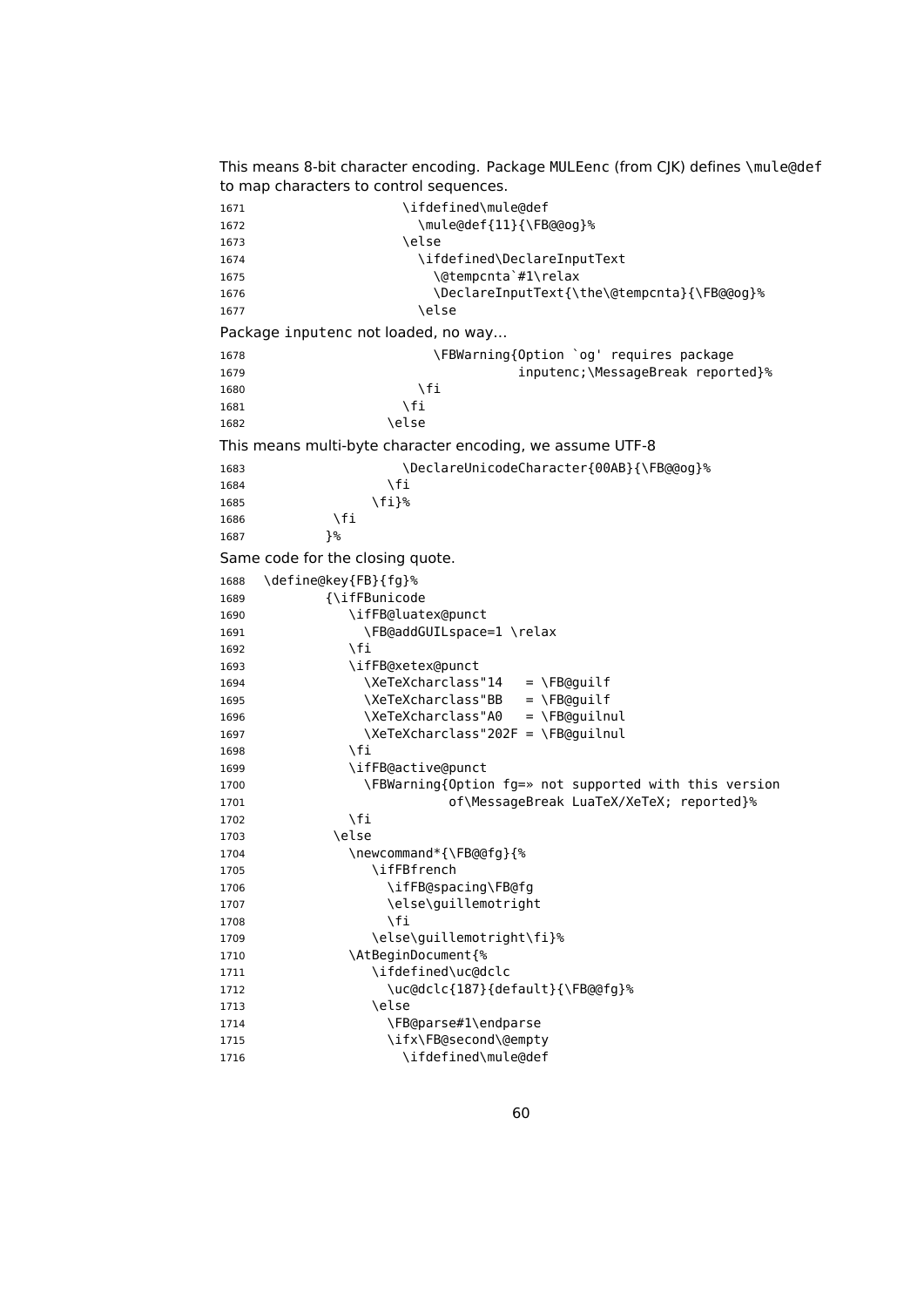```
This means 8-bit character encoding. Package MULEenc (from CJK) defines \mule@def
to map characters to control sequences.
1671 \ifdefined\mule@def
1672 \mule@def{11}{\FB@@og}%
1673 \text{le}1674 \ifdefined\DeclareInputText
1675 \@tempcnta`#1\relax
1676 \DeclareInputText{\the\@tempcnta}{\FB@@og}%
1677 \else
Package inputenc not loaded, no way…
1678 \FBWarning{Option `og' requires package
1679 inputenc;\MessageBreak reported}%
1680 \fi
1681 \fi
1682 \else
This means multi-byte character encoding, we assume UTF-8
1683 \DeclareUnicodeCharacter{00AB}{\FB@@og}%<br>1684 \fi
1684
1685 \fi}%
1686 \fi<br>1687 }%
1687
Same code for the closing quote.
1688 \define@key{FB}{fg}%
1689 {\ifFBunicode
1690 \ifFB@luatex@punct
1691 \FB@addGUILspace=1 \relax
1692 \fi
1693 \ifFB@xetex@punct
1694 \XeTeXcharclass"14 = \FB@guilf
1695 \XeTeXcharclass"BB = \FB@guilf
1696 \XeTeXcharclass"A0 = \FB@guilnul
1697 \XeTeXcharclass"202F = \FB@guilnul
1698 \fi
1699 \ifFB@active@punct
1700 \FBWarning{Option fg=» not supported with this version
1701 of\MessageBreak LuaTeX/XeTeX; reported}%
1702 \fi
1703 \else
1704 \newcommand*{\FB@@fg}{%
1705 \ifFBfrench
1706 \ifFB@spacing\FB@fg
1707 \else\guillemotright
1708 \fi
1709 \else\guillemotright\fi}%
1710 \AtBeginDocument{%
1711 \ifdefined\uc@dclc
1712 \uc@dclc{187}{default}{\FB@@fg}%
1713 \else
1714 \FB@parse#1\endparse
1715 \ifx\FB@second\@empty
1716 \ifdefined\mule@def
```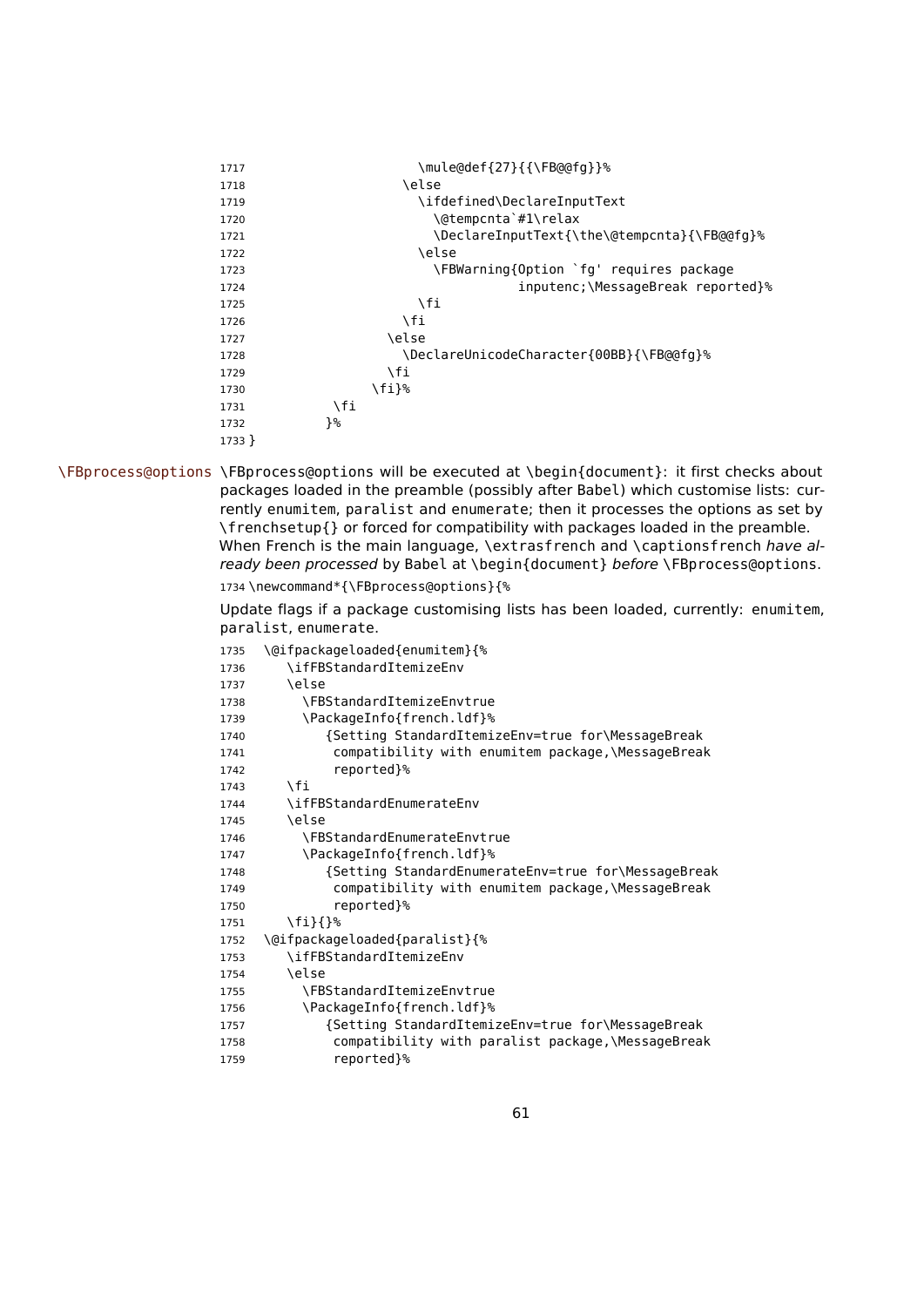| 1717     | \mule@def{27}{{\FB@@fq}}%                   |
|----------|---------------------------------------------|
| 1718     | \else                                       |
| 1719     | \ifdefined\DeclareInputText                 |
| 1720     | \@tempcnta`#1\relax                         |
| 1721     | \DeclareInputText{\the\@tempcnta}{\FB@@fg}% |
| 1722     | \else                                       |
| 1723     | \FBWarning{Option `fg' requires package     |
| 1724     | inputenc;\MessageBreak reported}%           |
| 1725     | ١fi                                         |
| 1726     | \fi                                         |
| 1727     | \else                                       |
| 1728     | \DeclareUnicodeCharacter{00BB}{\FB@@fq}%    |
| 1729     | ١fi                                         |
| 1730     | \fi}%                                       |
| 1731     | \fi                                         |
| 1732     | }%                                          |
| $1733$ } |                                             |

\FBprocess@options \FBprocess@options will be executed at \begin{document}: it first checks about packages loaded in the preamble (possibly after Babel) which customise lists: currently enumitem, paralist and enumerate; then it processes the options as set by \frenchsetup{} or forced for compatibility with packages loaded in the preamble. When French is the main language, \extrasfrench and \captionsfrench have already been processed by Babel at \begin{document} before \FBprocess@options. \newcommand\*{\FBprocess@options}{%

> Update flags if a package customising lists has been loaded, currently: enumitem, paralist, enumerate.

| 1735 | \@ifpackageloaded{enumitem}{%                       |
|------|-----------------------------------------------------|
| 1736 | \ifFBStandardItemizeEnv                             |
| 1737 | \else                                               |
| 1738 | <b>\FBStandardItemizeEnvtrue</b>                    |
| 1739 | \PackageInfo{french.ldf}%                           |
| 1740 | {Setting StandardItemizeEnv=true for\MessageBreak   |
| 1741 | compatibility with enumitem package,\MessageBreak   |
| 1742 | reported}%                                          |
| 1743 | \fi                                                 |
| 1744 | \ifFBStandardEnumerateEnv                           |
| 1745 | \else                                               |
| 1746 | <b>\FBStandardEnumerateEnvtrue</b>                  |
| 1747 | \PackageInfo{french.ldf}%                           |
| 1748 | {Setting StandardEnumerateEnv=true for\MessageBreak |
| 1749 | compatibility with enumitem package,\MessageBreak   |
| 1750 | reported}%                                          |
| 1751 | $\{f_i\}$                                           |
| 1752 | \@ifpackageloaded{paralist}{%                       |
| 1753 | \ifFBStandardItemizeEnv                             |
| 1754 | \else                                               |
| 1755 | <b>\FBStandardItemizeEnvtrue</b>                    |
| 1756 | \PackageInfo{french.ldf}%                           |
| 1757 | {Setting StandardItemizeEnv=true for\MessageBreak   |
| 1758 | compatibility with paralist package,\MessageBreak   |
| 1759 | reported}%                                          |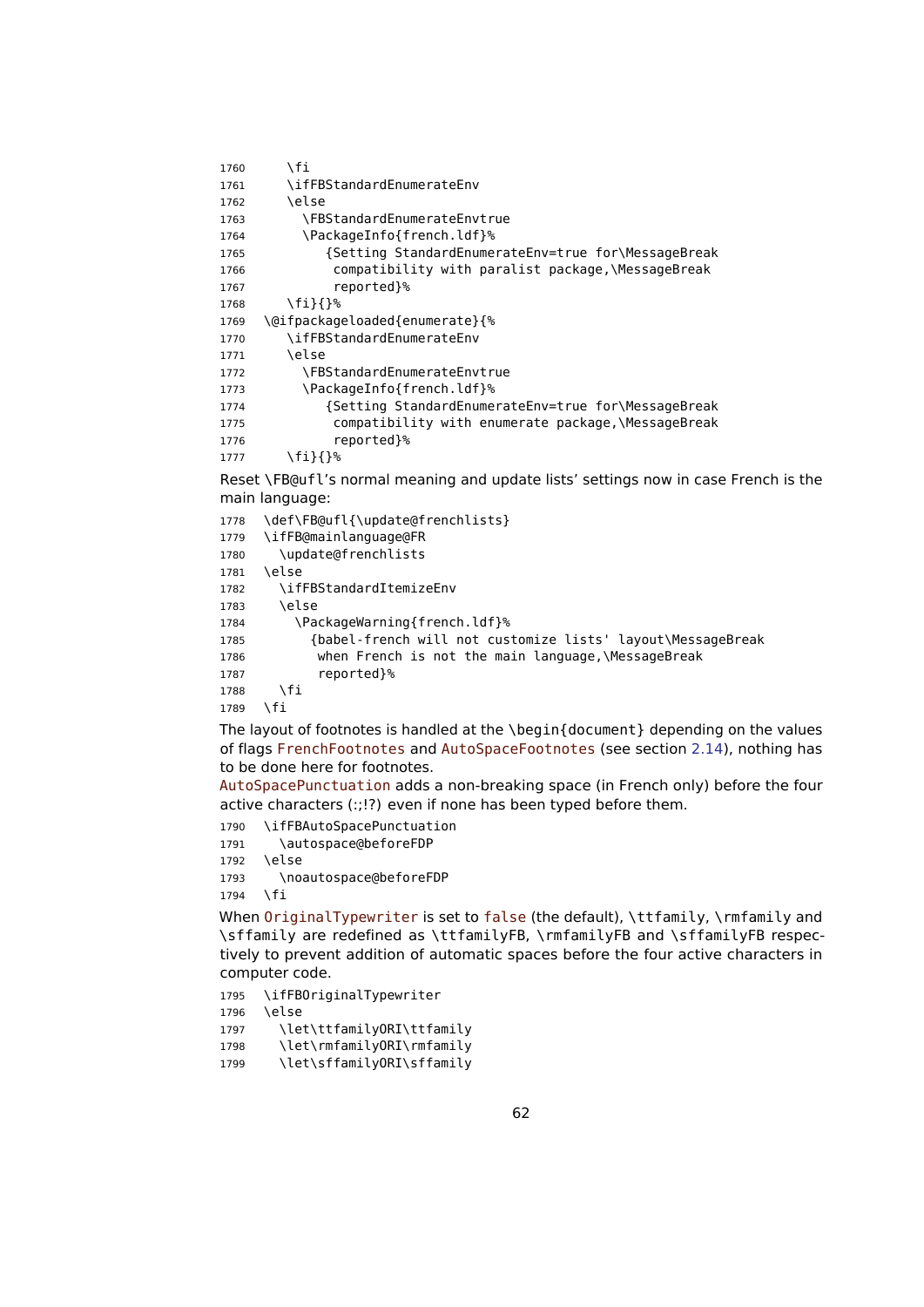```
1760 \quad \text{If}1761 \ifFBStandardEnumerateEnv
1762 \qquad \text{A}1763 \FBStandardEnumerateEnvtrue
1764 \PackageInfo{french.ldf}%
1765 {Setting StandardEnumerateEnv=true for\MessageBreak
1766 compatibility with paralist package,\MessageBreak
1767 reported}%
1768 \fi}{}%
1769 \@ifpackageloaded{enumerate}{%
1770 \ifFBStandardEnumerateEnv
1771 \lambdaalca
1772 \FBStandardEnumerateEnvtrue
1773 \PackageInfo{french.ldf}%
1774 {Setting StandardEnumerateEnv=true for\MessageBreak
1775 compatibility with enumerate package,\MessageBreak
1776 reported}%
1777 \fi}{}%
```
<span id="page-61-0"></span>Reset \FB@ufl's normal meaning and update lists' settings now in case French is the main language:

 \def\FB@ufl{\update@frenchlists} \ifFB@mainlanguage@FR \update@frenchlists \else \ifFBStandardItemizeEnv \else 1784 \PackageWarning{french.ldf}% {babel-french will not customize lists' layout\MessageBreak when French is not the main language,\MessageBreak reported}% \fi \fi

The layout of footnotes is handled at the \begin{document} depending on the values of flags FrenchFootnotes and AutoSpaceFootnotes (see section [2.14\)](#page-70-0), nothing has to be done here for footnotes.

AutoSpacePunctuation adds a non-breaking space (in French only) before the four active characters (:;!?) even if none has been typed before them.

\ifFBAutoSpacePunctuation

- 1791 \autospace@beforeFDP
- \else
- \noautospace@beforeFDP

\fi

When OriginalTypewriter is set to false (the default), \ttfamily, \rmfamily and \sffamily are redefined as \ttfamilyFB, \rmfamilyFB and \sffamilyFB respectively to prevent addition of automatic spaces before the four active characters in computer code.

\ifFBOriginalTypewriter

\else

\let\ttfamilyORI\ttfamily

```
1798 \let\rmfamilyORI\rmfamily
```

```
1799 \let\sffamilyORI\sffamily
```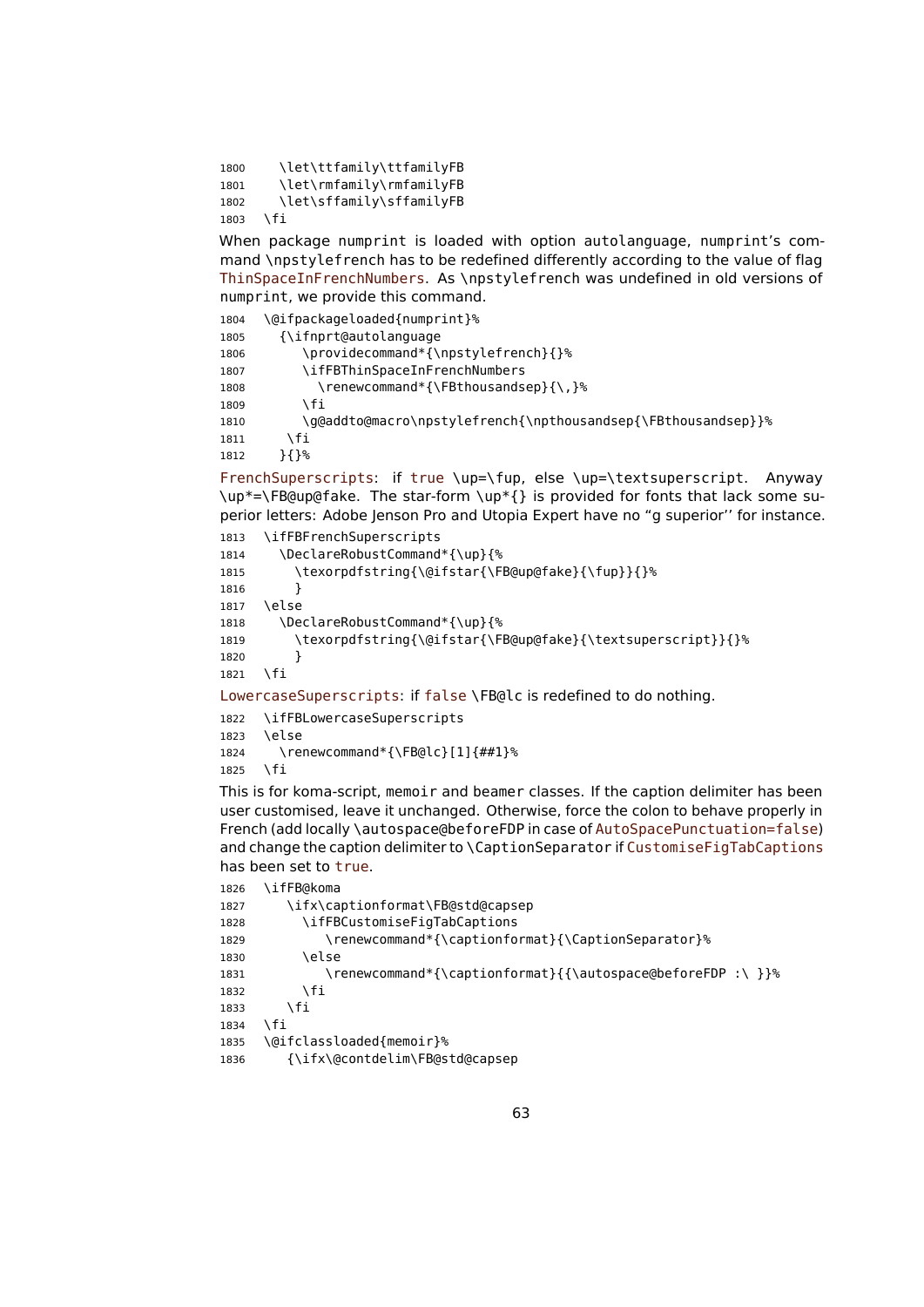1800 \let\ttfamily\ttfamilyFB 1801 \let\rmfamily\rmfamilyFB 1802 \let\sffamily\sffamilyFB 1803 \fi

When package numprint is loaded with option autolanguage, numprint's command \npstylefrench has to be redefined differently according to the value of flag ThinSpaceInFrenchNumbers. As \npstylefrench was undefined in old versions of numprint, we provide this command.

| 1804 | \@ifpackageloaded{numprint}%                                  |
|------|---------------------------------------------------------------|
| 1805 | {\ifnprt@autolanguage}                                        |
| 1806 | \providecommand*{\npstylefrench}{}%                           |
| 1807 | \ifFBThinSpaceInFrenchNumbers                                 |
| 1808 | \renewcommand*{\FBthousandsep}{\,}%                           |
| 1809 | ۱fi                                                           |
| 1810 | \g@addto@macro\npstylefrench{\npthousandsep{\FBthousandsep}}% |
| 1811 | \fi                                                           |
| 1812 | {}%                                                           |

FrenchSuperscripts: if true \up=\fup, else \up=\textsuperscript. Anyway \up\*=\FB@up@fake. The star-form \up\*{} is provided for fonts that lack some superior letters: Adobe Jenson Pro and Utopia Expert have no "g superior'' for instance.

```
1813 \ifFBFrenchSuperscripts
1814 \DeclareRobustCommand*{\up}{%
1815 \texorpdfstring{\@ifstar{\FB@up@fake}{\fup}}{}%
1816 }
1817 \else
1818 \DeclareRobustCommand*{\up}{%
1819 \texorpdfstring{\@ifstar{\FB@up@fake}{\textsuperscript}}{}%
1820 }
1821 \fi
LowercaseSuperscripts: if false \FB@lc is redefined to do nothing.
```
1822 \ifFBLowercaseSuperscripts 1823 \else 1824 \renewcommand\*{\FB@lc}[1]{##1}% 1825 \fi

This is for koma-script, memoir and beamer classes. If the caption delimiter has been user customised, leave it unchanged. Otherwise, force the colon to behave properly in French (add locally \autospace@beforeFDP in case of AutoSpacePunctuation=false) and change the caption delimiter to \CaptionSeparator if CustomiseFigTabCaptions has been set to true.

```
1826 \ifFB@koma
```

```
1827 \ifx\captionformat\FB@std@capsep
1828 \ifFBCustomiseFigTabCaptions
1829 \renewcommand*{\captionformat}{\CaptionSeparator}%
1830 \else
1831 \renewcommand*{\captionformat}{{\autospace@beforeFDP :\ }}%
1832 \fi
1833 \fi
1834 \fi
1835 \@ifclassloaded{memoir}%
1836 {\ifx\@contdelim\FB@std@capsep
```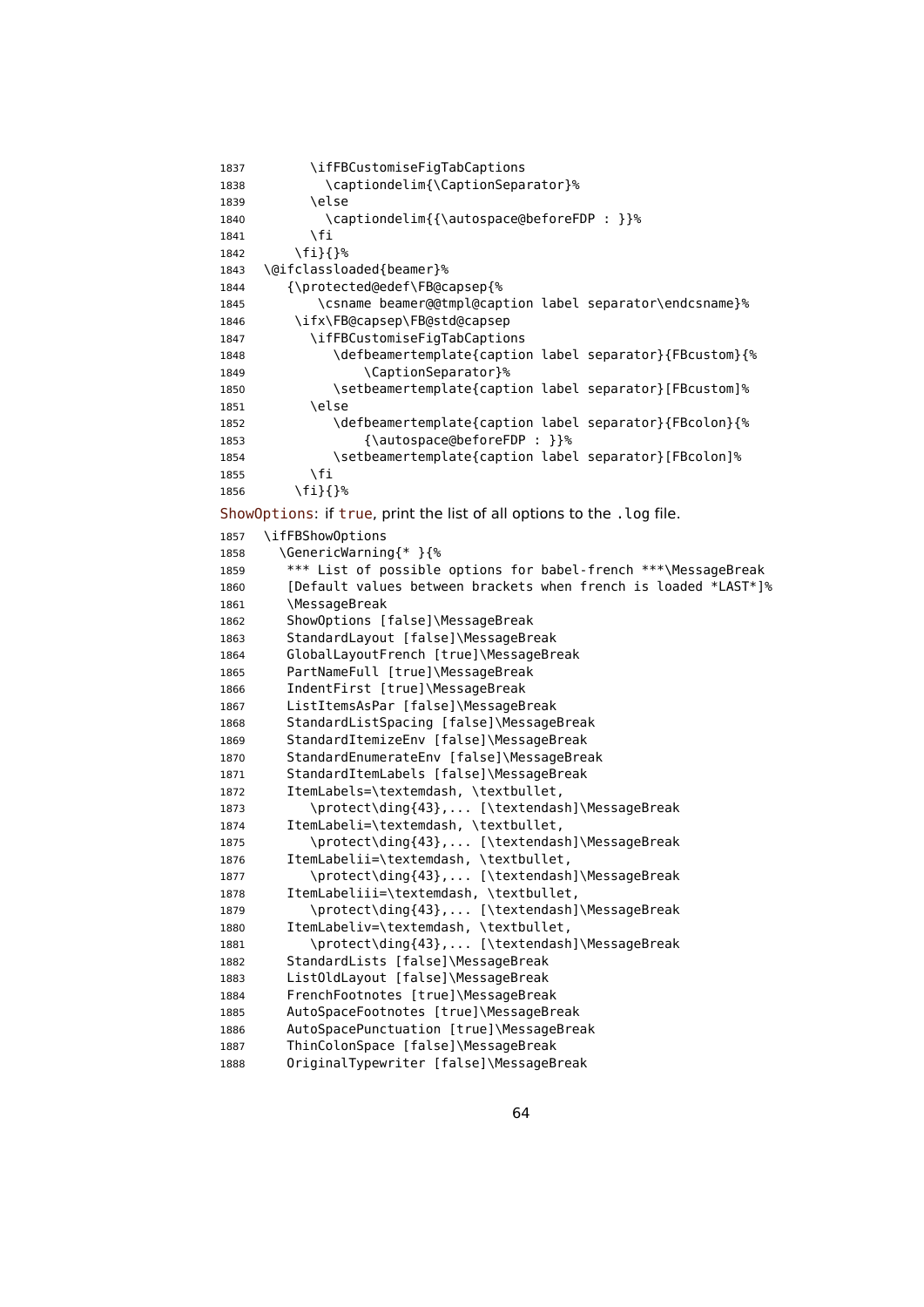```
1837 \ifFBCustomiseFigTabCaptions
1838 \captiondelim{\CaptionSeparator}%
1839 \else
1840 \captiondelim{{\autospace@beforeFDP : }}%
1841 \fi
1842 \fi}{}%
1843 \@ifclassloaded{beamer}%
1844 {\protected@edef\FB@capsep{%
1845 \csname beamer@@tmpl@caption label separator\endcsname}%
1846 \ifx\FB@capsep\FB@std@capsep
1847 \ifFBCustomiseFigTabCaptions
1848 \defbeamertemplate{caption label separator}{FBcustom}{%
1849 \CaptionSeparator}%
1850 \setbeamertemplate{caption label separator}[FBcustom]%
1851 \else
1852 \defbeamertemplate{caption label separator}{FBcolon}{%
1853 {\autospace@beforeFDP : }}%
1854 \setbeamertemplate{caption label separator}[FBcolon]%
1855 \fi
1856 \fi}{}%
ShowOptions: if true, print the list of all options to the . log file.
1857 \ifFBShowOptions
1858 \GenericWarning{* }{%
1859 *** List of possible options for babel-french ***\MessageBreak
1860 [Default values between brackets when french is loaded *LAST*]%
1861 \MessageBreak
1862 ShowOptions [false]\MessageBreak
1863 StandardLayout [false]\MessageBreak
1864 GlobalLayoutFrench [true]\MessageBreak
1865 PartNameFull [true]\MessageBreak
1866 IndentFirst [true]\MessageBreak
1867 ListItemsAsPar [false]\MessageBreak
1868 StandardListSpacing [false]\MessageBreak
1869 StandardItemizeEnv [false]\MessageBreak
1870 StandardEnumerateEnv [false]\MessageBreak
1871 StandardItemLabels [false]\MessageBreak
1872 ItemLabels=\textemdash, \textbullet,
1873 \protect\ding{43},... [\textendash]\MessageBreak
1874 ItemLabeli=\textemdash, \textbullet,
1875 \protect\ding{43},... [\textendash]\MessageBreak
1876 ItemLabelii=\textemdash, \textbullet,
1877 \protect\ding{43},... [\textendash]\MessageBreak
1878 ItemLabeliii=\textemdash, \textbullet,
1879 \protect\ding{43},... [\textendash]\MessageBreak
1880 ItemLabeliv=\textemdash, \textbullet,
1881 \protect\ding{43},... [\textendash]\MessageBreak
1882 StandardLists [false]\MessageBreak
1883 ListOldLayout [false]\MessageBreak
1884 FrenchFootnotes [true]\MessageBreak
1885 AutoSpaceFootnotes [true]\MessageBreak
1886 AutoSpacePunctuation [true]\MessageBreak
1887 ThinColonSpace [false]\MessageBreak
```
OriginalTypewriter [false]\MessageBreak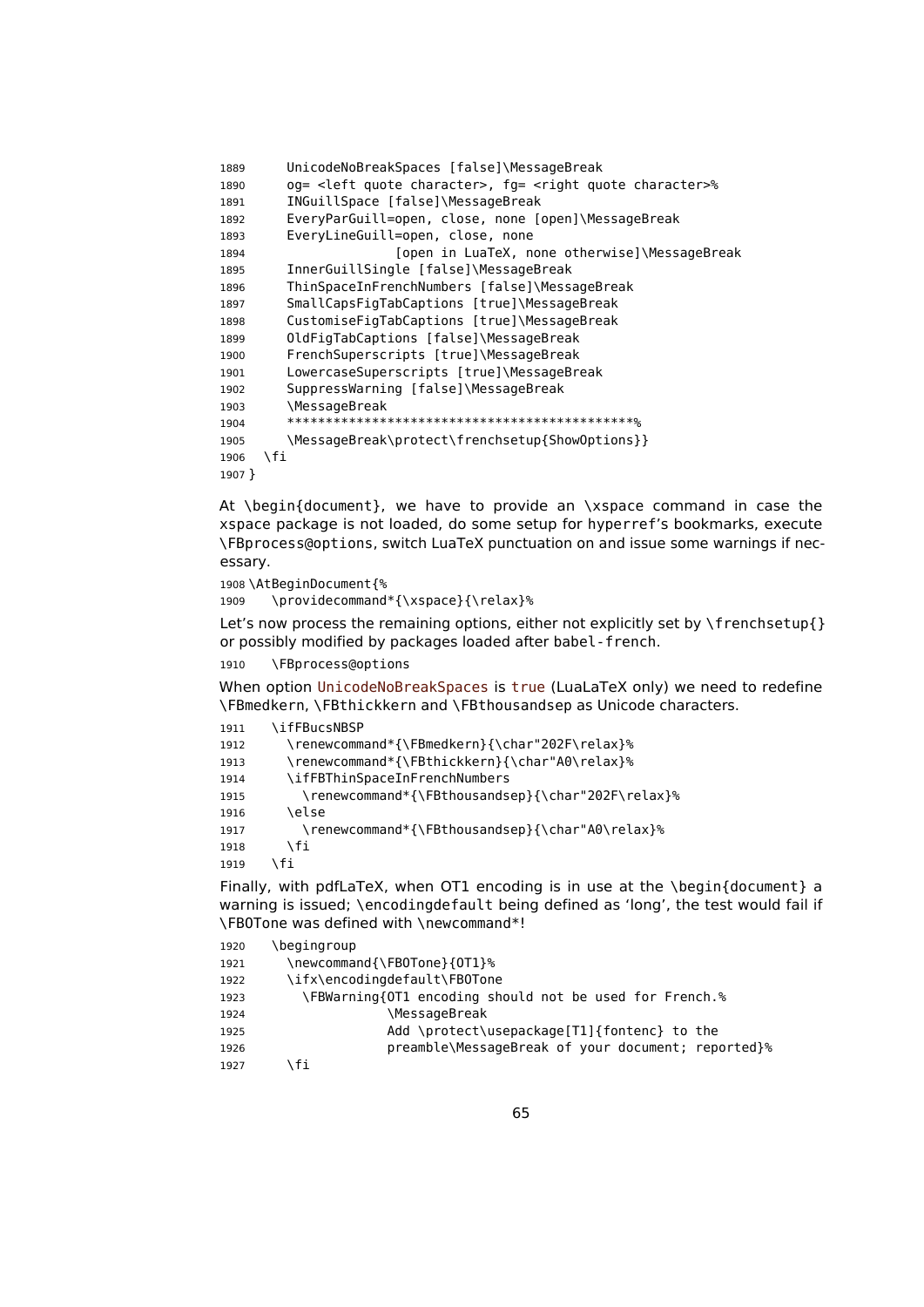```
1889 UnicodeNoBreakSpaces [false]\MessageBreak
1890 og= <left quote character>, fg= <right quote character>%
1891 INGuillSpace [false]\MessageBreak
1892 EveryParGuill=open, close, none [open]\MessageBreak
1893 EveryLineGuill=open, close, none
1894 [open in LuaTeX, none otherwise]\MessageBreak
1895 InnerGuillSingle [false]\MessageBreak
1896 ThinSpaceInFrenchNumbers [false]\MessageBreak
1897 SmallCapsFigTabCaptions [true]\MessageBreak
1898 CustomiseFigTabCaptions [true]\MessageBreak
1899 OldFigTabCaptions [false]\MessageBreak
1900 FrenchSuperscripts [true]\MessageBreak
1901 LowercaseSuperscripts [true]\MessageBreak
1902 SuppressWarning [false]\MessageBreak
1903 \MessageBreak
1904 *********************************************%
1905 \MessageBreak\protect\frenchsetup{ShowOptions}}
1906 \fi
1907 }
```
At \begin{document}, we have to provide an \xspace command in case the xspace package is not loaded, do some setup for hyperref's bookmarks, execute \FBprocess@options, switch LuaTeX punctuation on and issue some warnings if necessary.

```
1908 \AtBeginDocument{%
```
\providecommand\*{\xspace}{\relax}%

Let's now process the remaining options, either not explicitly set by  $\frac{\text{degree}}{\text{}}$ or possibly modified by packages loaded after babel-french.

```
1910 \FBprocess@options
```
When option UnicodeNoBreakSpaces is true (LuaLaTeX only) we need to redefine \FBmedkern, \FBthickkern and \FBthousandsep as Unicode characters.

```
1911 \ifFBucsNBSP
1912 \renewcommand*{\FBmedkern}{\char"202F\relax}%
1913 \renewcommand*{\FBthickkern}{\char"A0\relax}%
1914 \ifFBThinSpaceInFrenchNumbers
1915 \renewcommand*{\FBthousandsep}{\char"202F\relax}%
1916 \else
1917 \renewcommand*{\FBthousandsep}{\char"A0\relax}%
1918 \fi
1919 \fi
```
Finally, with pdfLaTeX, when OT1 encoding is in use at the \begin{document} a warning is issued; \encodingdefault being defined as 'long', the test would fail if \FBOTone was defined with \newcommand\*!

| 1920 | \begingroup                                             |
|------|---------------------------------------------------------|
| 1921 | \newcommand{\FBOTone}{0T1}%                             |
| 1922 | \ifx\encodingdefault\FB0Tone                            |
| 1923 | \FBWarning{OT1 encoding should not be used for French.% |
| 1924 | <b>\MessageBreak</b>                                    |
| 1925 | Add \protect\usepackage[T1]{fontenc} to the             |
| 1926 | preamble\MessageBreak of your document; reported}%      |
| 1927 | ۱fi                                                     |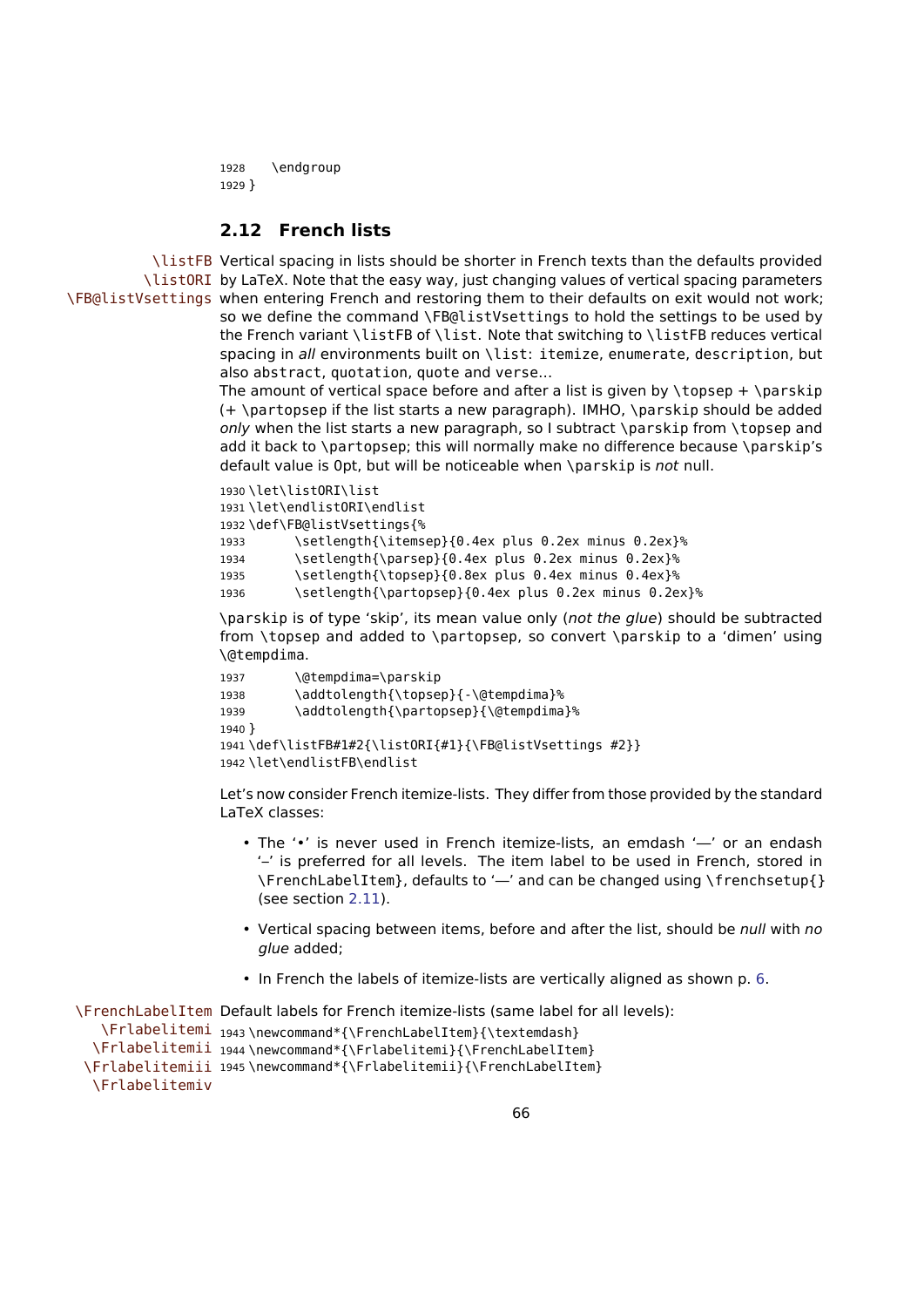```
1928 \endgroup
1929 }
```
## **2.12 French lists**

\listFB Vertical spacing in lists should be shorter in French texts than the defaults provided \listORI by LaTeX. Note that the easy way, just changing values of vertical spacing parameters \FB@listVsettings when entering French and restoring them to their defaults on exit would not work;

so we define the command \FB@listVsettings to hold the settings to be used by the French variant \listFB of \list. Note that switching to \listFB reduces vertical spacing in all environments built on \list: itemize, enumerate, description, but also abstract, quotation, quote and verse…

The amount of vertical space before and after a list is given by  $\to$  parskip (+ \partopsep if the list starts a new paragraph). IMHO, \parskip should be added only when the list starts a new paragraph, so I subtract \parskip from \topsep and add it back to \partopsep; this will normally make no difference because \parskip's default value is 0pt, but will be noticeable when \parskip is not null.

```
1930 \let\listORI\list
1931 \let\endlistORI\endlist
1932 \def\FB@listVsettings{%
1933 \setlength{\itemsep}{0.4ex plus 0.2ex minus 0.2ex}%
1934 \setlength{\parsep}{0.4ex plus 0.2ex minus 0.2ex}%
1935 \setlength{\topsep}{0.8ex plus 0.4ex minus 0.4ex}%
1936 \setlength{\partopsep}{0.4ex plus 0.2ex minus 0.2ex}%
```
\parskip is of type 'skip', its mean value only (not the glue) should be subtracted from \topsep and added to \partopsep, so convert \parskip to a 'dimen' using \@tempdima.

```
1937 \@tempdima=\parskip
1938 \addtolength{\topsep}{-\@tempdima}%
1939 \addtolength{\partopsep}{\@tempdima}%
1940 }
1941 \def\listFB#1#2{\listORI{#1}{\FB@listVsettings #2}}
1942 \let\endlistFB\endlist
```
Let's now consider French itemize-lists. They differ from those provided by the standard LaTeX classes:

- The '•' is never used in French itemize-lists, an emdash '—' or an endash '–' is preferred for all levels. The item label to be used in French, stored in \FrenchLabelItem}, defaults to '—' and can be changed using \frenchsetup{} (see section [2.11\)](#page-52-0).
- Vertical spacing between items, before and after the list, should be null with no glue added;
- In French the labels of itemize-lists are vertically aligned as shown p. [6.](#page-5-0)

```
\FrenchLabelItem
Default labels for French itemize-lists (same label for all levels):
   \Frlabelitemi
1943 \newcommand*{\FrenchLabelItem}{\textemdash}
  \Frlabelitemii
1944 \newcommand*{\Frlabelitemi}{\FrenchLabelItem}
 \Frlabelitemiii
1945 \newcommand*{\Frlabelitemii}{\FrenchLabelItem}
  \Frlabelitemiv
```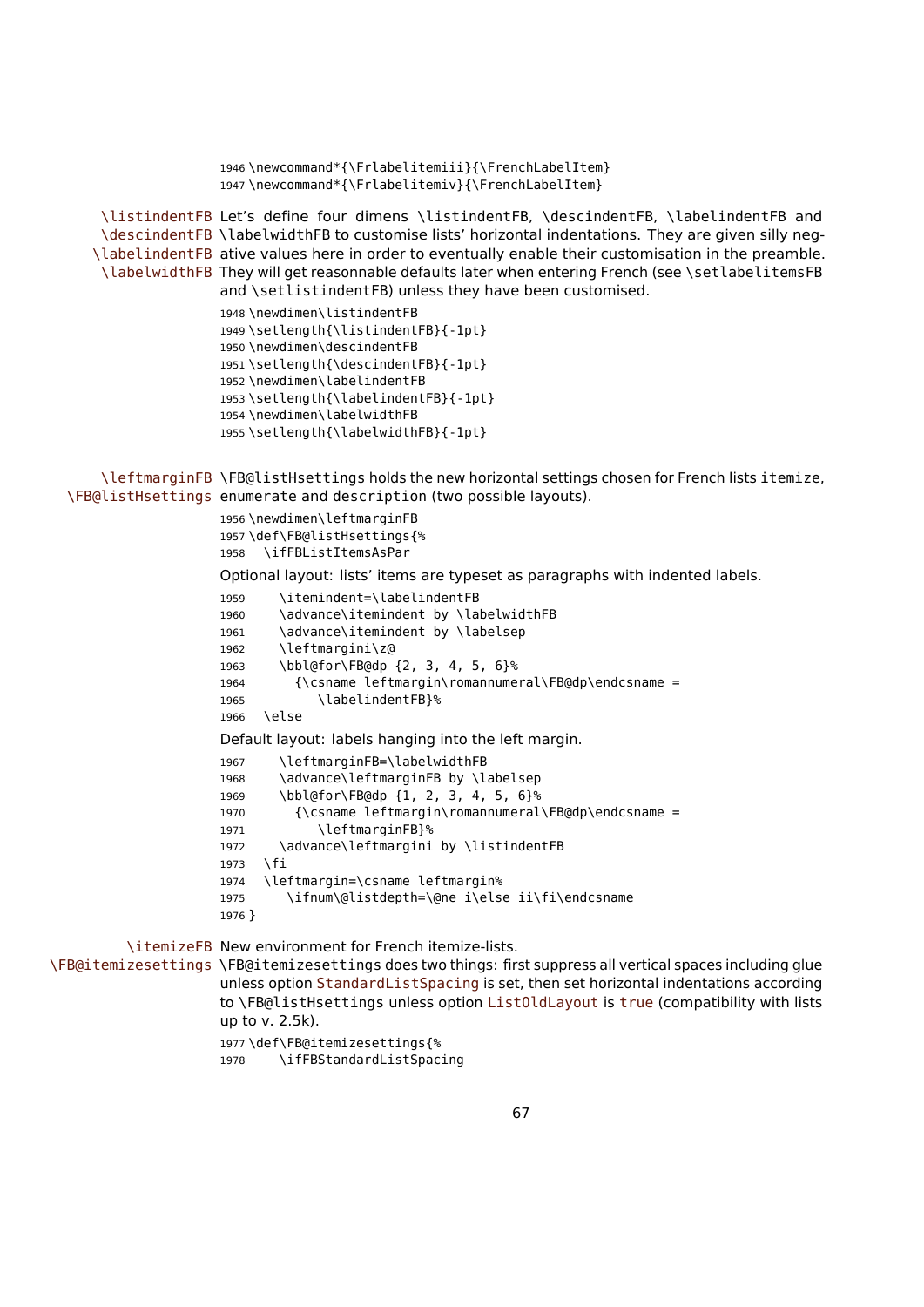```
1946 \newcommand*{\Frlabelitemiii}{\FrenchLabelItem}
                      1947 \newcommand*{\Frlabelitemiv}{\FrenchLabelItem}
      \listindentFB
Let's define four dimens \listindentFB, \descindentFB, \labelindentFB and
      \descindentFB
\labelwidthFB to customise lists' horizontal indentations. They are given silly neg-
     \labelindentFB
ative values here in order to eventually enable their customisation in the preamble.
      \labelwidthFB
They will get reasonnable defaults later when entering French (see \setlabelitemsFB
                      and \setlistindentFB) unless they have been customised.
                      1948 \newdimen\listindentFB
                      1949 \setlength{\listindentFB}{-1pt}
                      1950 \newdimen\descindentFB
                      1951 \setlength{\descindentFB}{-1pt}
                      1952 \newdimen\labelindentFB
                      1953 \setlength{\labelindentFB}{-1pt}
                      1954 \newdimen\labelwidthFB
                      1955 \setlength{\labelwidthFB}{-1pt}
      \leftmarginFB
\FB@listHsettings holds the new horizontal settings chosen for French lists itemize,
  \FB@listHsettings
enumerate and description (two possible layouts).
                      1956 \newdimen\leftmarginFB
                      1957 \def\FB@listHsettings{%
                      1958 \ifFBListItemsAsPar
                      Optional layout: lists' items are typeset as paragraphs with indented labels.
                      1959 \itemindent=\labelindentFB
                      1960 \advance\itemindent by \labelwidthFB
                      1961 \advance\itemindent by \labelsep
                      1962 \leftmargini\z@
                      1963 \bbl@for\FB@dp {2, 3, 4, 5, 6}%
                      1964 {\csname leftmargin\romannumeral\FB@dp\endcsname =
                      1965 \labelindentFB}%
                      1966 \else
                      Default layout: labels hanging into the left margin.
                      1967 \leftmarginFB=\labelwidthFB
                      1968 \advance\leftmarginFB by \labelsep
                      1969 \bbl@for\FB@dp {1, 2, 3, 4, 5, 6}%
                      1970 {\csname leftmargin\romannumeral\FB@dp\endcsname =
                      1971 \leftmarginFB}%
                      1972 \advance\leftmargini by \listindentFB
                      1973 \fi
                      1974 \leftmargin=\csname leftmargin%
                      1975 \ifnum\@listdepth=\@ne i\else ii\fi\endcsname
                      1976 }
          \itemizeFB
New environment for French itemize-lists.
\FB@itemizesettings
\FB@itemizesettings does two things: first suppress all vertical spaces including glue
                      unless option StandardListSpacing is set, then set horizontal indentations according
                      to \FB@listHsettings unless option ListOldLayout is true (compatibility with lists
                      up to v. 2.5k).
                      1977 \def\FB@itemizesettings{%
```
\ifFBStandardListSpacing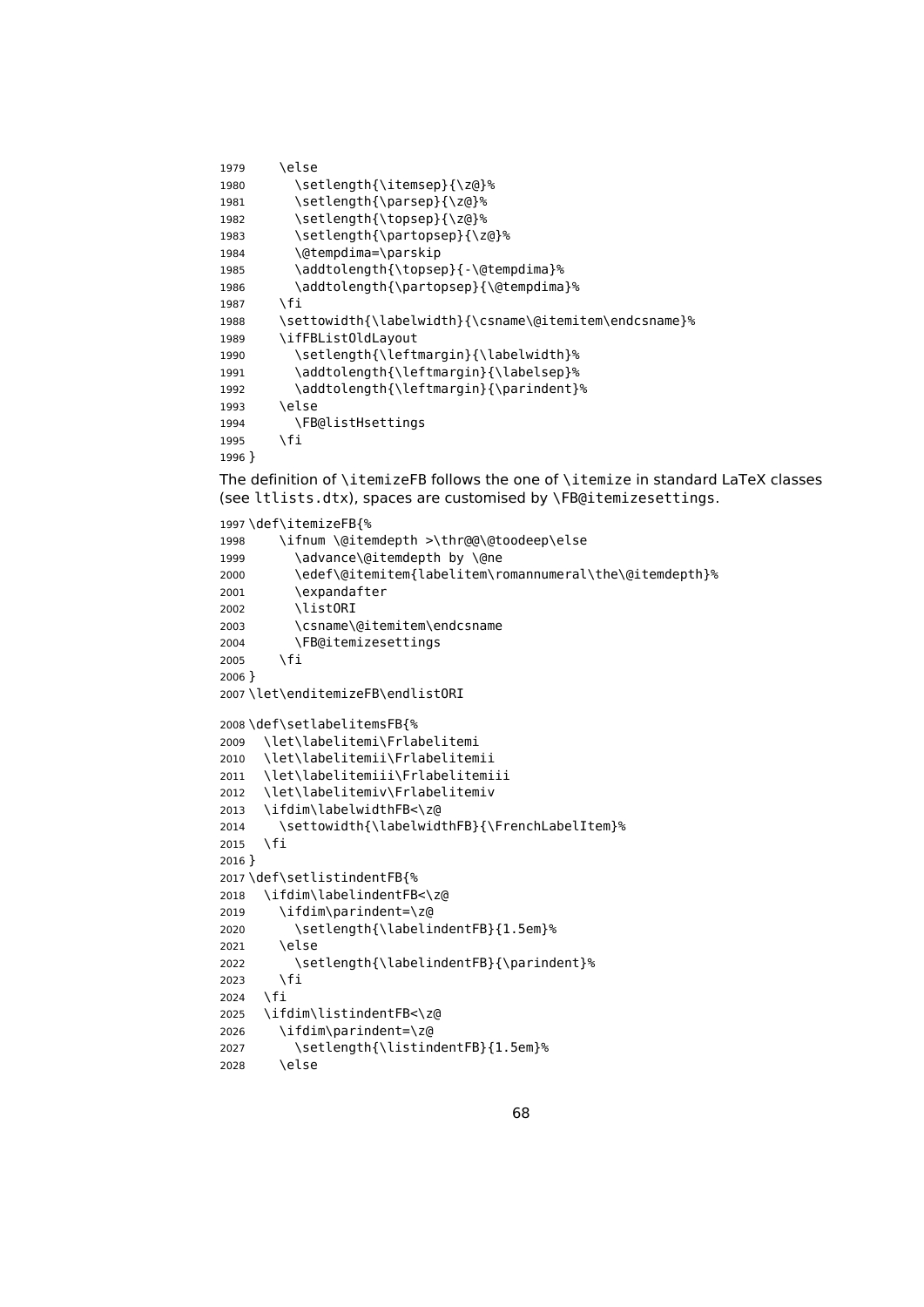```
1979 \else
1980 \setlength{\itemsep}{\z@}%
1981 \setlength{\parsep}{\z@}%
1982 \setlength{\topsep}{\z@}%
1983 \setlength{\partopsep}{\z@}%
1984 \@tempdima=\parskip
1985 \addtolength{\topsep}{-\@tempdima}%
1986 \addtolength{\partopsep}{\@tempdima}%
1987 \fi
1988 \settowidth{\labelwidth}{\csname\@itemitem\endcsname}%
1989 \ifFBListOldLayout
1990 \setlength{\leftmargin}{\labelwidth}%
1991 \addtolength{\leftmargin}{\labelsep}%
1992 \addtolength{\leftmargin}{\parindent}%
1993 \else
1994 \FB@listHsettings
1995 \fi
1996 }
The definition of \itemizeFB follows the one of \itemize in standard LaTeX classes
(see ltlists.dtx), spaces are customised by \FB@itemizesettings.
1997 \def\itemizeFB{%
1998 \ifnum \@itemdepth >\thr@@\@toodeep\else
1999 \advance\@itemdepth by \@ne
```

```
2000 \edef\@itemitem{labelitem\romannumeral\the\@itemdepth}%
2001 \expandafter
2002 \listORI
2003 \csname\@itemitem\endcsname
2004 \FB@itemizesettings
2005 \fi
2006 }
2007 \let\enditemizeFB\endlistORI
2008 \def\setlabelitemsFB{%
2009 \let\labelitemi\Frlabelitemi
2010 \let\labelitemii\Frlabelitemii
2011 \let\labelitemiii\Frlabelitemiii
2012 \let\labelitemiv\Frlabelitemiv
2013 \ifdim\labelwidthFB<\z@
2014 \settowidth{\labelwidthFB}{\FrenchLabelItem}%
2015 \fi
2016 }
2017 \def\setlistindentFB{%
2018 \ifdim\labelindentFB<\z@
2019 \ifdim\parindent=\z@
2020 \setlength{\labelindentFB}{1.5em}%
2021 \else
2022 \setlength{\labelindentFB}{\parindent}%
2023 \fi
2024 \fi
2025 \ifdim\listindentFB<\z@
2026 \ifdim\parindent=\z@
2027 \setlength{\listindentFB}{1.5em}%
2028 \else
```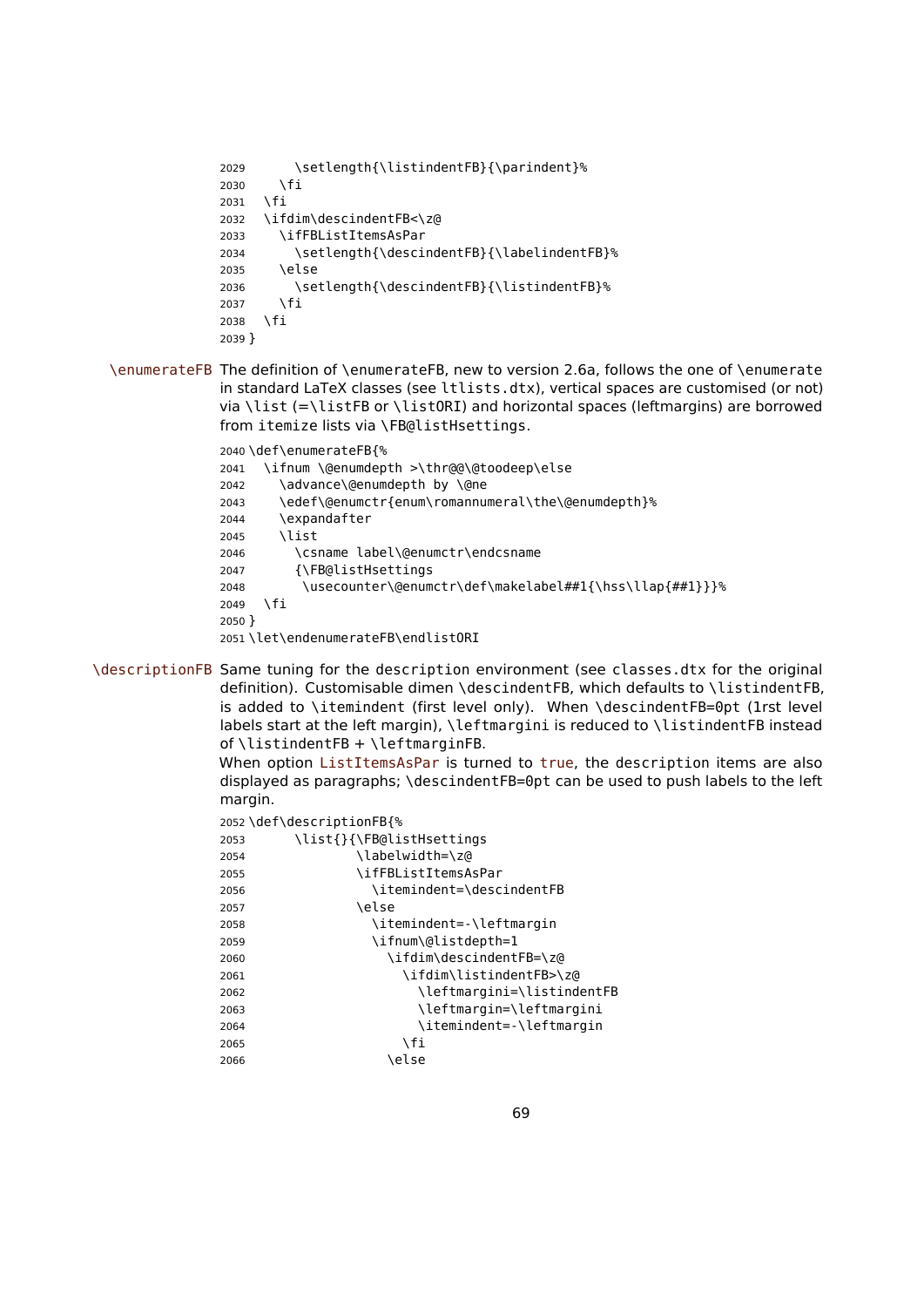```
2029 \setlength{\listindentFB}{\parindent}%
2030 \fi
2031 \fi
2032 \ifdim\descindentFB<\z@
2033 \ifFBListItemsAsPar
2034 \setlength{\descindentFB}{\labelindentFB}%
2035 \else
2036 \setlength{\descindentFB}{\listindentFB}%
2037 \fi
2038 \fi
2039 }
```
\enumerateFB The definition of \enumerateFB, new to version 2.6a, follows the one of \enumerate in standard LaTeX classes (see ltlists.dtx), vertical spaces are customised (or not) via \list (=\listFB or \listORI) and horizontal spaces (leftmargins) are borrowed from itemize lists via \FB@listHsettings.

> \def\enumerateFB{% \ifnum \@enumdepth >\thr@@\@toodeep\else 2042 \advance\@enumdepth by \@ne \edef\@enumctr{enum\romannumeral\the\@enumdepth}% \expandafter \list \csname label\@enumctr\endcsname {\FB@listHsettings \usecounter\@enumctr\def\makelabel##1{\hss\llap{##1}}}% \fi } \let\endenumerateFB\endlistORI

\descriptionFB Same tuning for the description environment (see classes.dtx for the original definition). Customisable dimen \descindentFB, which defaults to \listindentFB, is added to \itemindent (first level only). When \descindentFB=0pt (1rst level labels start at the left margin), \leftmargini is reduced to \listindentFB instead of  $\listindent\label{thm:1}$  of  $\listindent\label{thm:1}$  of  $\listindent\label{thm:1}$ 

> When option ListItemsAsPar is turned to true, the description items are also displayed as paragraphs; \descindentFB=0pt can be used to push labels to the left margin.

|      | 2052\def\descriptionFB{%   |
|------|----------------------------|
| 2053 | \list{}{\FB@listHsettings  |
| 2054 | \labelwidth=\z@            |
| 2055 | \ifFBListItemsAsPar        |
| 2056 | \itemindent=\descindentFB  |
| 2057 | \else                      |
| 2058 | \itemindent=-\leftmargin   |
| 2059 | \ifnum\@listdepth=1        |
| 2060 | \ifdim\descindentFB=\z@    |
| 2061 | \ifdim\listindentFB>\z@    |
| 2062 | \leftmargini=\listindentFB |
| 2063 | \leftmarqin=\leftmarqini   |
| 2064 | \itemindent=-\leftmargin   |
| 2065 | ۱fi                        |
| 2066 | \else                      |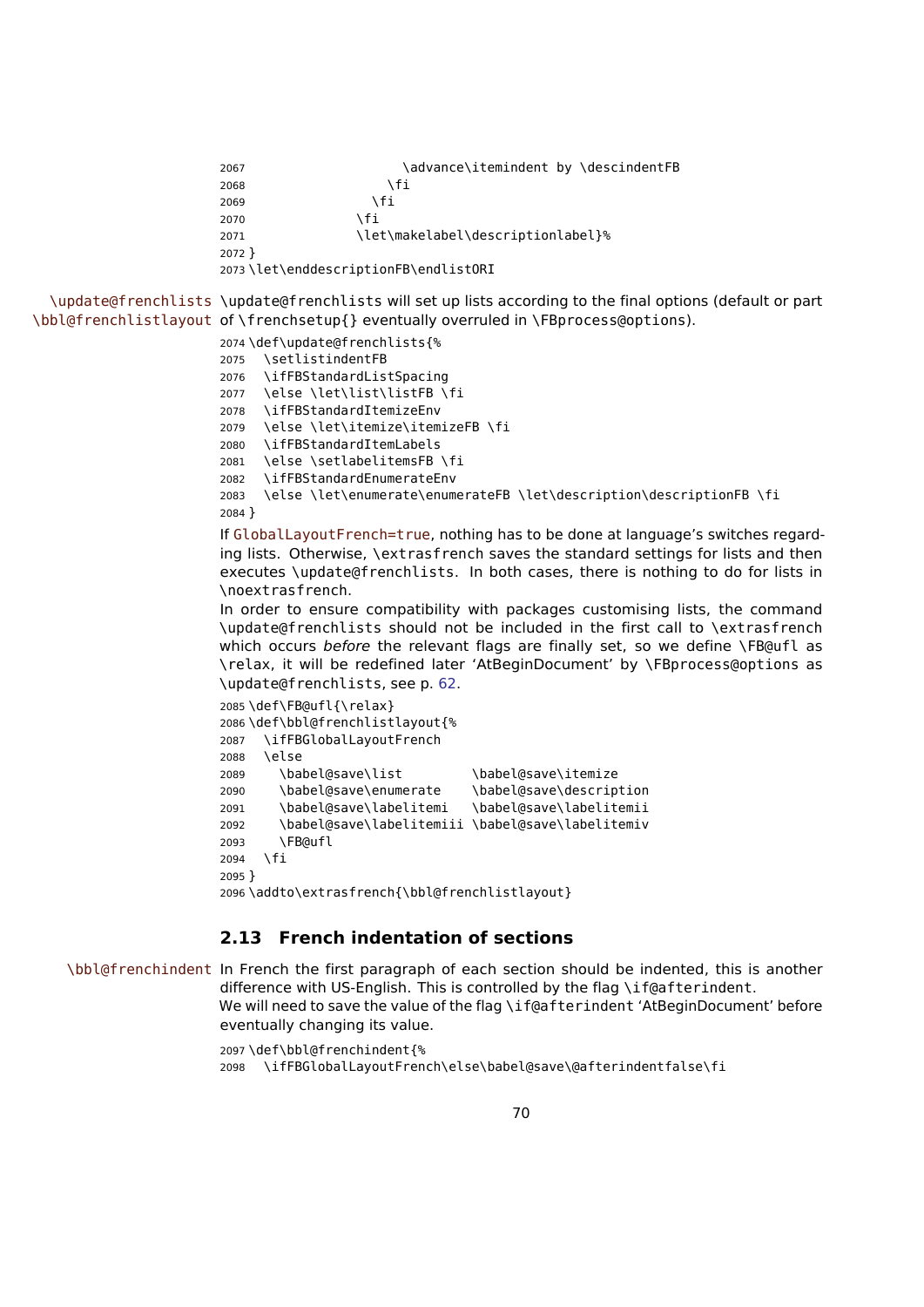```
2067 \ddvance\itemindent by \descindentFB
2068 \fi
2069 \fi
2070 \fi
2071 \let\makelabel\descriptionlabel}%
2072 }
2073 \let\enddescriptionFB\endlistORI
```
\update@frenchlists \update@frenchlists will set up lists according to the final options (default or part \bbl@frenchlistlayout of \frenchsetup{} eventually overruled in \FBprocess@options).

\def\update@frenchlists{%

 \setlistindentFB \ifFBStandardListSpacing \else \let\list\listFB \fi \ifFBStandardItemizeEnv \else \let\itemize\itemizeFB \fi \ifFBStandardItemLabels \else \setlabelitemsFB \fi \ifFBStandardEnumerateEnv \else \let\enumerate\enumerateFB \let\description\descriptionFB \fi } If GlobalLayoutFrench=true, nothing has to be done at language's switches regarding lists. Otherwise, \extrasfrench saves the standard settings for lists and then executes \update@frenchlists. In both cases, there is nothing to do for lists in \noextrasfrench. In order to ensure compatibility with packages customising lists, the command

\update@frenchlists should not be included in the first call to \extrasfrench which occurs before the relevant flags are finally set, so we define \FB@ufl as \relax, it will be redefined later 'AtBeginDocument' by \FBprocess@options as \update@frenchlists, see p. [62.](#page-61-0)

```
2085 \def\FB@ufl{\relax}
2086 \def\bbl@frenchlistlayout{%
2087 \ifFBGlobalLayoutFrench
2088 \else
2089 \babel@save\list \babel@save\itemize
2090 \babel@save\enumerate \babel@save\description
2091 \babel@save\labelitemi \babel@save\labelitemii
2092 \babel@save\labelitemiii \babel@save\labelitemiv
2093 \FB@ufl
2094 \fi
2095 }
2096 \addto\extrasfrench{\bbl@frenchlistlayout}
```
## **2.13 French indentation of sections**

\bbl@frenchindent In French the first paragraph of each section should be indented, this is another difference with US-English. This is controlled by the flag \if@afterindent. We will need to save the value of the flag \if@afterindent 'AtBeginDocument' before eventually changing its value.

```
2097 \def\bbl@frenchindent{%
2098 \ifFBGlobalLayoutFrench\else\babel@save\@afterindentfalse\fi
```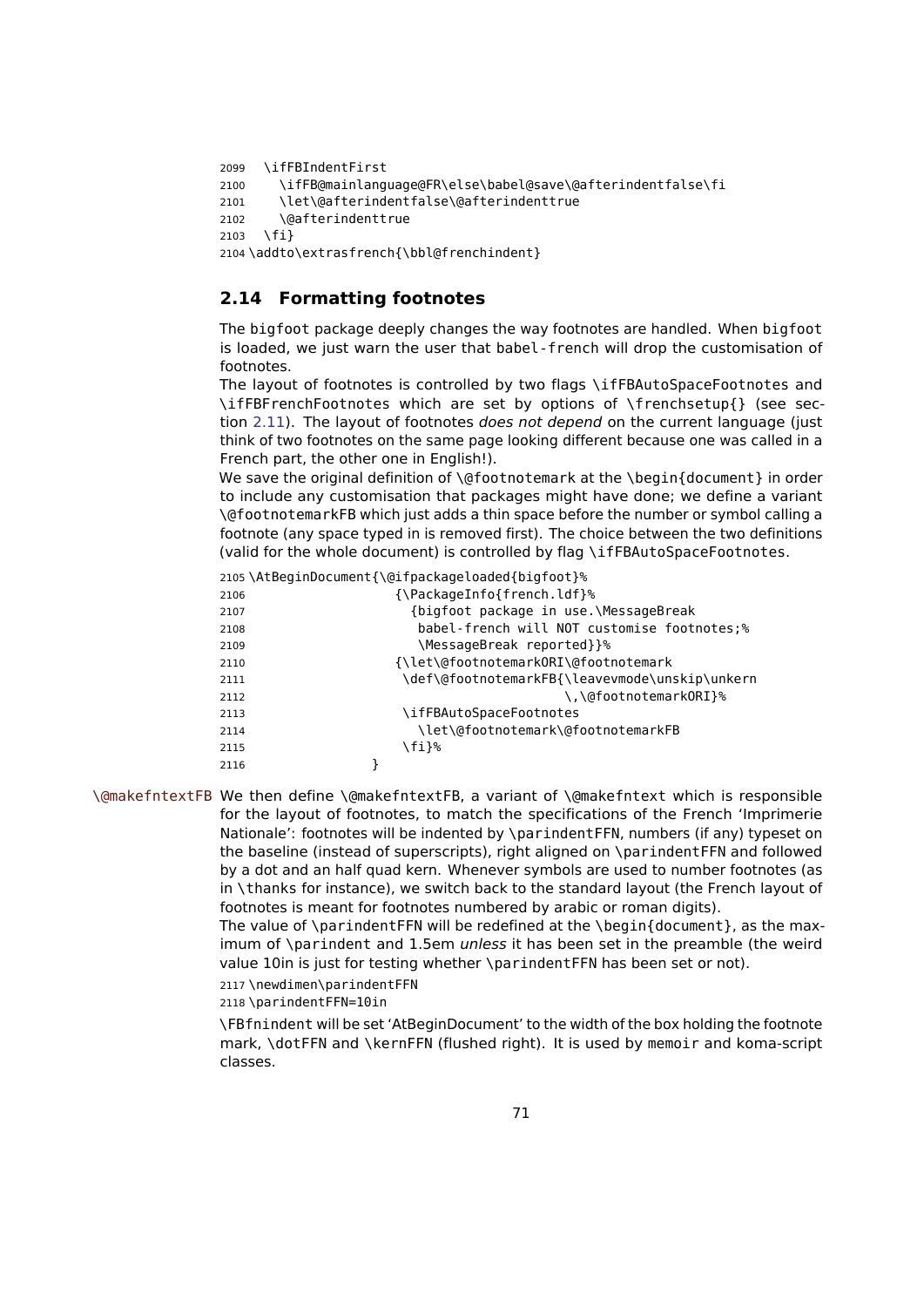```
2099 \ifFBIndentFirst
2100 \ifFB@mainlanguage@FR\else\babel@save\@afterindentfalse\fi
2101 \let\@afterindentfalse\@afterindenttrue
2102 \@afterindenttrue
2103 \fi}
2104 \addto\extrasfrench{\bbl@frenchindent}
```
# <span id="page-70-0"></span>**2.14 Formatting footnotes**

The bigfoot package deeply changes the way footnotes are handled. When bigfoot is loaded, we just warn the user that babel-french will drop the customisation of footnotes.

The layout of footnotes is controlled by two flags \ifFBAutoSpaceFootnotes and \ifFBFrenchFootnotes which are set by options of \frenchsetup{} (see sec-tion [2.11\)](#page-52-0). The layout of footnotes *does not depend* on the current language (just think of two footnotes on the same page looking different because one was called in a French part, the other one in English!).

We save the original definition of \@footnotemark at the \begin{document} in order to include any customisation that packages might have done; we define a variant \@footnotemarkFB which just adds a thin space before the number or symbol calling a footnote (any space typed in is removed first). The choice between the two definitions (valid for the whole document) is controlled by flag \ifFBAutoSpaceFootnotes.

|      | 2105\AtBeginDocument{\@ifpackageloaded{bigfoot}% |
|------|--------------------------------------------------|
| 2106 | {\PackageInfo{french.ldf}%                       |
| 2107 | {bigfoot package in use.\MessageBreak            |
| 2108 | babel-french will NOT customise footnotes;%      |
| 2109 | \MessageBreak reported}}%                        |
| 2110 | {\let\@footnotemarkORI\@footnotemark             |
| 2111 | \def\@footnotemarkFB{\leavevmode\unskip\unkern   |
| 2112 | \,\@footnotemarkORI}%                            |
| 2113 | \ifFBAutoSpaceFootnotes                          |
| 2114 | \let\@footnotemark\@footnotemarkFB               |
| 2115 | \fi}%                                            |
| 2116 |                                                  |

\@makefntextFB We then define \@makefntextFB, a variant of \@makefntext which is responsible for the layout of footnotes, to match the specifications of the French 'Imprimerie Nationale': footnotes will be indented by \parindentFFN, numbers (if any) typeset on the baseline (instead of superscripts), right aligned on \parindentFFN and followed by a dot and an half quad kern. Whenever symbols are used to number footnotes (as in \thanks for instance), we switch back to the standard layout (the French layout of footnotes is meant for footnotes numbered by arabic or roman digits).

> The value of \parindentFFN will be redefined at the \begin{document}, as the maximum of \parindent and 1.5em unless it has been set in the preamble (the weird value 10in is just for testing whether \parindentFFN has been set or not).

2117 \newdimen\parindentFFN

2118 \parindentFFN=10in

\FBfnindent will be set 'AtBeginDocument' to the width of the box holding the footnote mark, \dotFFN and \kernFFN (flushed right). It is used by memoir and koma-script classes.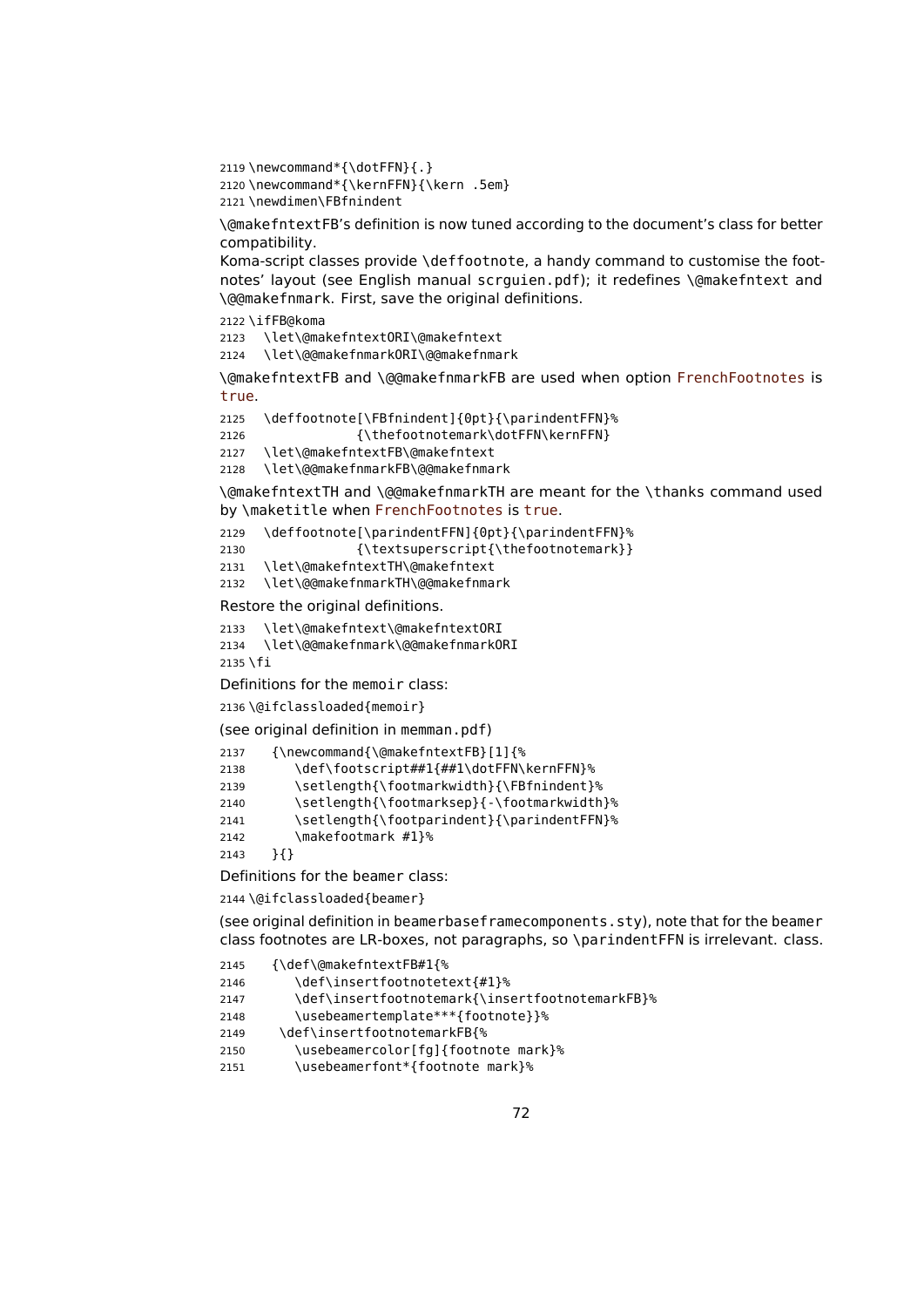2119 \newcommand\*{\dotFFN}{.}

2120 \newcommand\*{\kernFFN}{\kern .5em}

```
2121 \newdimen\FBfnindent
```
\@makefntextFB's definition is now tuned according to the document's class for better compatibility.

Koma-script classes provide \deffootnote, a handy command to customise the footnotes' layout (see English manual scrguien.pdf); it redefines \@makefntext and \@@makefnmark. First, save the original definitions.

2122 \ifFB@koma

2123 \let\@makefntextORI\@makefntext

2124 \let\@@makefnmarkORI\@@makefnmark

\@makefntextFB and \@@makefnmarkFB are used when option FrenchFootnotes is true.

```
2125 \deffootnote[\FBfnindent]{0pt}{\parindentFFN}%
```
2126 {\thefootnotemark\dotFFN\kernFFN}

```
2127 \let\@makefntextFB\@makefntext
```
2128 \let\@@makefnmarkFB\@@makefnmark

\@makefntextTH and \@@makefnmarkTH are meant for the \thanks command used by \maketitle when FrenchFootnotes is true.

2129 \deffootnote[\parindentFFN]{0pt}{\parindentFFN}%

2130 {\textsuperscript{\thefootnotemark}}

2131 \let\@makefntextTH\@makefntext

2132 \let\@@makefnmarkTH\@@makefnmark

Restore the original definitions.

2133 \let\@makefntext\@makefntextORI

2134 \let\@@makefnmark\@@makefnmarkORI

```
2135 \fi
```
Definitions for the memoir class:

2136 \@ifclassloaded{memoir}

(see original definition in memman.pdf)

```
2137 {\newcommand{\@makefntextFB}[1]{%
2138 \def\footscript##1{##1\dotFFN\kernFFN}%
2139 \setlength{\footmarkwidth}{\FBfnindent}%
2140 \setlength{\footmarksep}{-\footmarkwidth}%
2141 \setlength{\footparindent}{\parindentFFN}%
2142 \makefootmark #1}%
2143 }{}
```
Definitions for the beamer class:

2144 \@ifclassloaded{beamer}

(see original definition in beamerbaseframecomponents.sty), note that for the beamer class footnotes are LR-boxes, not paragraphs, so \parindentFFN is irrelevant. class.

```
2145 {\def\@makefntextFB#1{%
```

```
2146 \def\insertfootnotetext{#1}%
```
2147 \def\insertfootnotemark{\insertfootnotemarkFB}%

2148 \usebeamertemplate\*\*\*{footnote}}%

```
2149 \def\insertfootnotemarkFB{%
```
2150 \usebeamercolor[fg]{footnote mark}%

2151 \usebeamerfont\*{footnote mark}%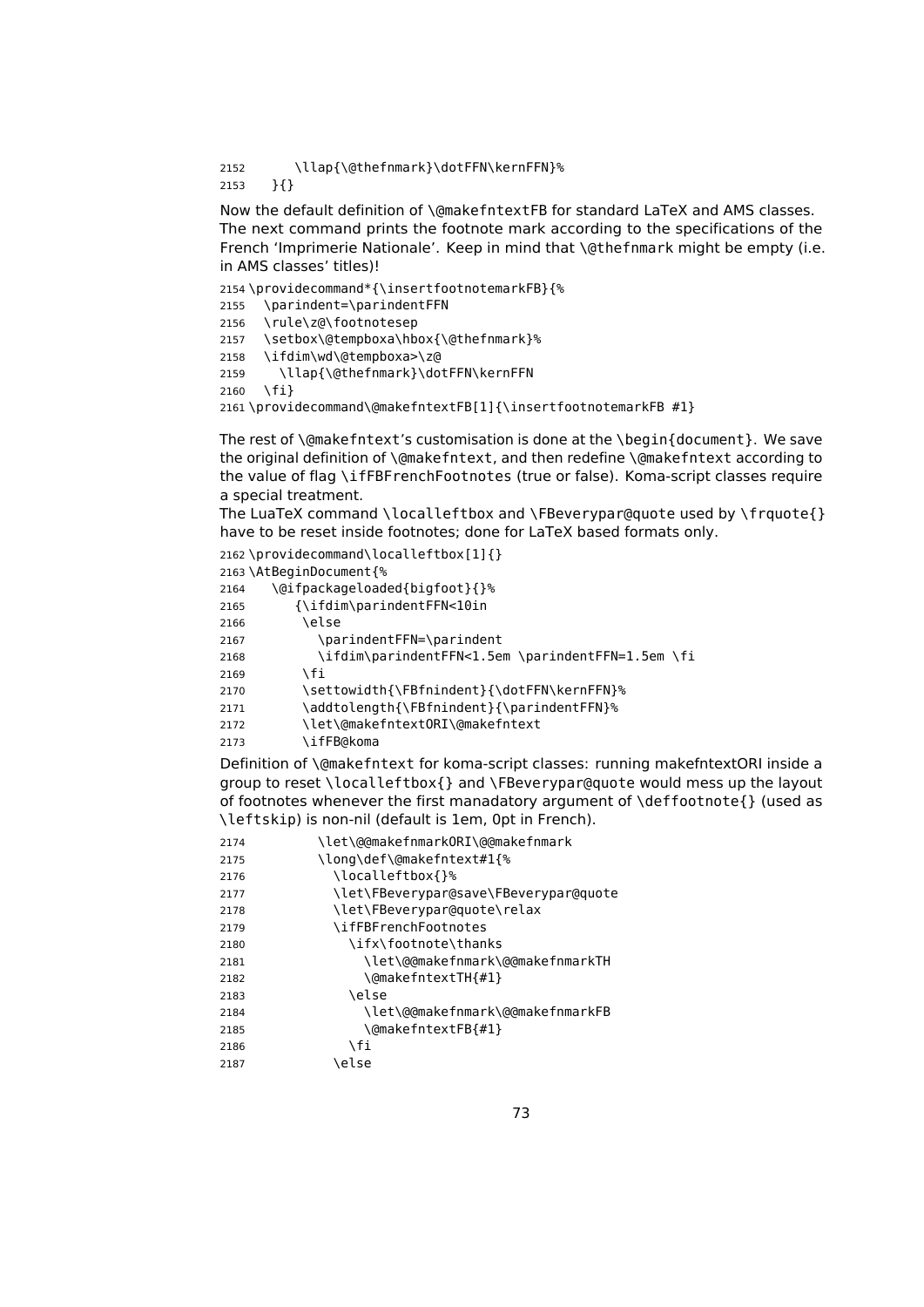<span id="page-72-0"></span> \llap{\@thefnmark}\dotFFN\kernFFN}% }{}

Now the default definition of \@makefntextFB for standard LaTeX and AMS classes. The next command prints the footnote mark according to the specifications of the French 'Imprimerie Nationale'. Keep in mind that \@thefnmark might be empty (i.e. in AMS classes' titles)!

```
2154 \providecommand*{\insertfootnotemarkFB}{%
2155 \parindent=\parindentFFN
2156 \rule\z@\footnotesep
2157 \setbox\@tempboxa\hbox{\@thefnmark}%
2158 \ifdim\wd\@tempboxa>\z@
2159 \llap{\@thefnmark}\dotFFN\kernFFN
2160 \fi}
2161 \providecommand\@makefntextFB[1]{\insertfootnotemarkFB #1}
```
The rest of \@makefntext's customisation is done at the \begin{document}. We save the original definition of \@makefntext, and then redefine \@makefntext according to the value of flag \ifFBFrenchFootnotes (true or false). Koma-script classes require a special treatment.

The LuaTeX command \localleftbox and \FBeverypar@quote used by \frquote{} have to be reset inside footnotes; done for LaTeX based formats only.

|      | 2162\providecommand\localleftbox[1]{}             |
|------|---------------------------------------------------|
|      | 2163\AtBeginDocument{%                            |
| 2164 | \@ifpackageloaded{bigfoot}{}%                     |
| 2165 | {\ifdim\parindentFFN<10in                         |
| 2166 | \else                                             |
| 2167 | \parindentFFN=\parindent                          |
| 2168 | \ifdim\parindentFFN<1.5em \parindentFFN=1.5em \fi |
| 2169 | ١fi                                               |
| 2170 | \settowidth{\FBfnindent}{\dotFFN\kernFFN}%        |
| 2171 | \addtolength{\FBfnindent}{\parindentFFN}%         |
| 2172 | \let\@makefntext0RI\@makefntext                   |
| 2173 | \ifFB@koma                                        |

Definition of \@makefntext for koma-script classes: running makefntextORI inside a group to reset \localleftbox{} and \FBeverypar@quote would mess up the layout of footnotes whenever the first manadatory argument of \deffootnote{} (used as \leftskip) is non-nil (default is 1em, 0pt in French).

| 2174 | \let\@@makefnmark0RI\@@makefnmark     |
|------|---------------------------------------|
| 2175 | \long\def\@makefntext#1{%             |
| 2176 | \localleftbox{}%                      |
| 2177 | \let\FBeverypar@save\FBeverypar@quote |
| 2178 | \let\FBeverypar@quote\relax           |
| 2179 | \ifFBFrenchFootnotes                  |
| 2180 | \ifx\footnote\thanks                  |
| 2181 | \let\@@makefnmark\@@makefnmarkTH      |
| 2182 | \@makefntextTH{#1}                    |
| 2183 | \else                                 |
| 2184 | \let\@@makefnmark\@@makefnmarkFB      |
| 2185 | \@makefntextFB{#1}                    |
| 2186 | ۱fi                                   |
| 2187 | \else                                 |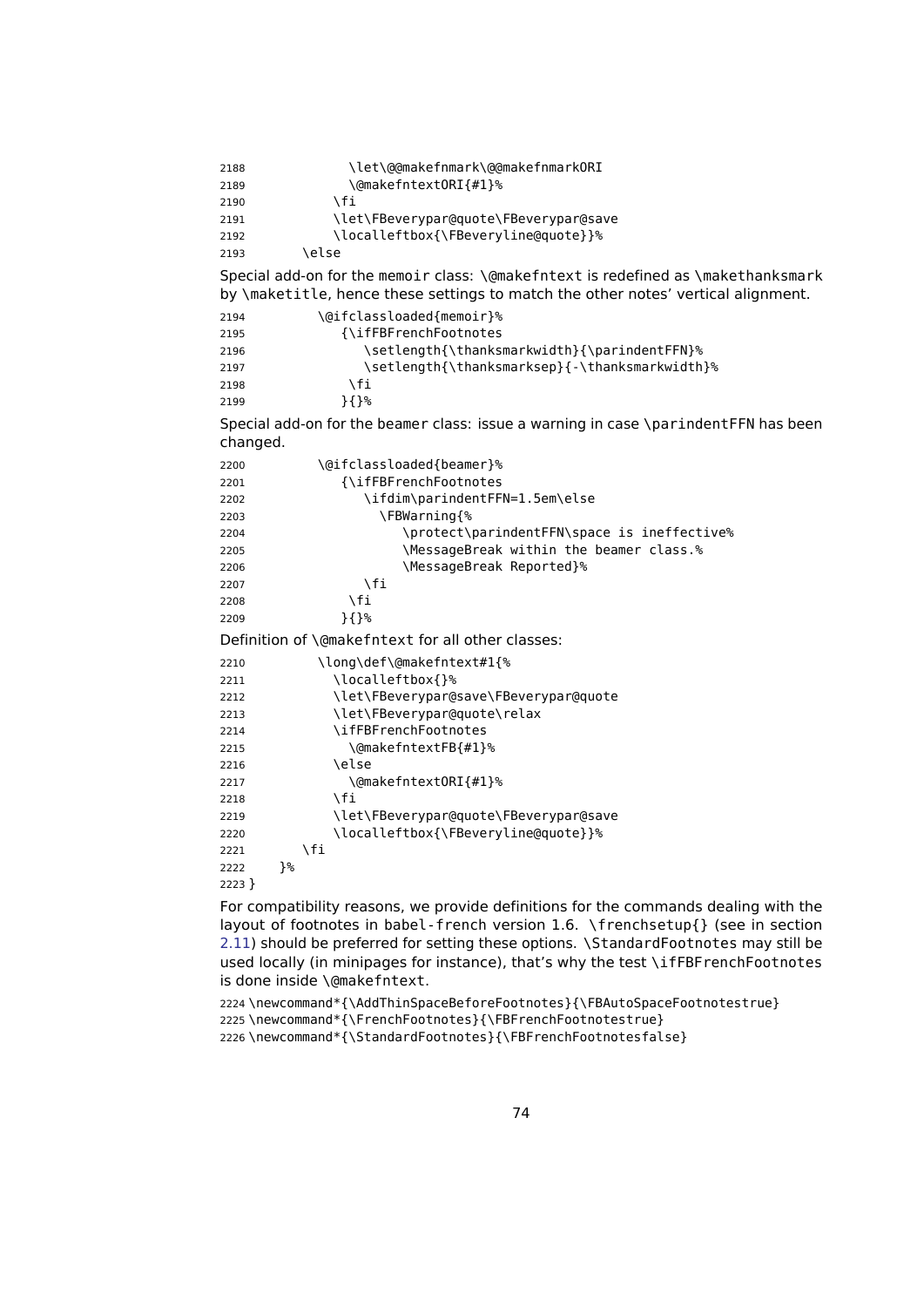2188 \let\@@makefnmark\@@makefnmarkORI 2189 \@makefntext0RI{#1}%  $2190 \quad \text{Vf}$ 2191 \let\FBeverypar@quote\FBeverypar@save 2192 \localleftbox{\FBeveryline@quote}}% 2193 \else Special add-on for the memoir class: \@makefntext is redefined as \makethanksmark by \maketitle, hence these settings to match the other notes' vertical alignment. 2194 \@ifclassloaded{memoir}% 2195 {\ifFBFrenchFootnotes 2196 \setlength{\thanksmarkwidth}{\parindentFFN}% 2197 \setlength{\thanksmarksep}{-\thanksmarkwidth}% 2198 \fi 2199 }{}% Special add-on for the beamer class: issue a warning in case \parindentFFN has been changed. 2200 \@ifclassloaded{beamer}% 2201 {\ifFBFrenchFootnotes 2202 \ifdim\parindentFFN=1.5em\else 2203 \FBWarning{% 2204 \protect\parindentFFN\space is ineffective% 2205 \MessageBreak within the beamer class.% 2206 MessageBreak Reported}%  $2207$  \fi 2208 \fi 2209 }{}% Definition of \@makefntext for all other classes: 2210 \long\def\@makefntext#1{% 2211 \localleftbox{}% 2212 \let\FBeverypar@save\FBeverypar@quote 2213 \let\FBeverypar@quote\relax 2214 \ifFBFrenchFootnotes 2215 \@makefntextFB{#1}% 2216 \else 2217 \@makefntext0RI{#1}%  $2218$  \fi 2219 \let\FBeverypar@quote\FBeverypar@save 2220 \localleftbox{\FBeveryline@quote}}%  $2221$  \fi 2222 }% 2223 } For compatibility reasons, we provide definitions for the commands dealing with the

layout of footnotes in babel-french version 1.6. \frenchsetup{} (see in section [2.11\)](#page-52-0) should be preferred for setting these options. \StandardFootnotes may still be used locally (in minipages for instance), that's why the test \ifFBFrenchFootnotes is done inside \@makefntext.

2224 \newcommand\*{\AddThinSpaceBeforeFootnotes}{\FBAutoSpaceFootnotestrue} 2225 \newcommand\*{\FrenchFootnotes}{\FBFrenchFootnotestrue} 2226 \newcommand\*{\StandardFootnotes}{\FBFrenchFootnotesfalse}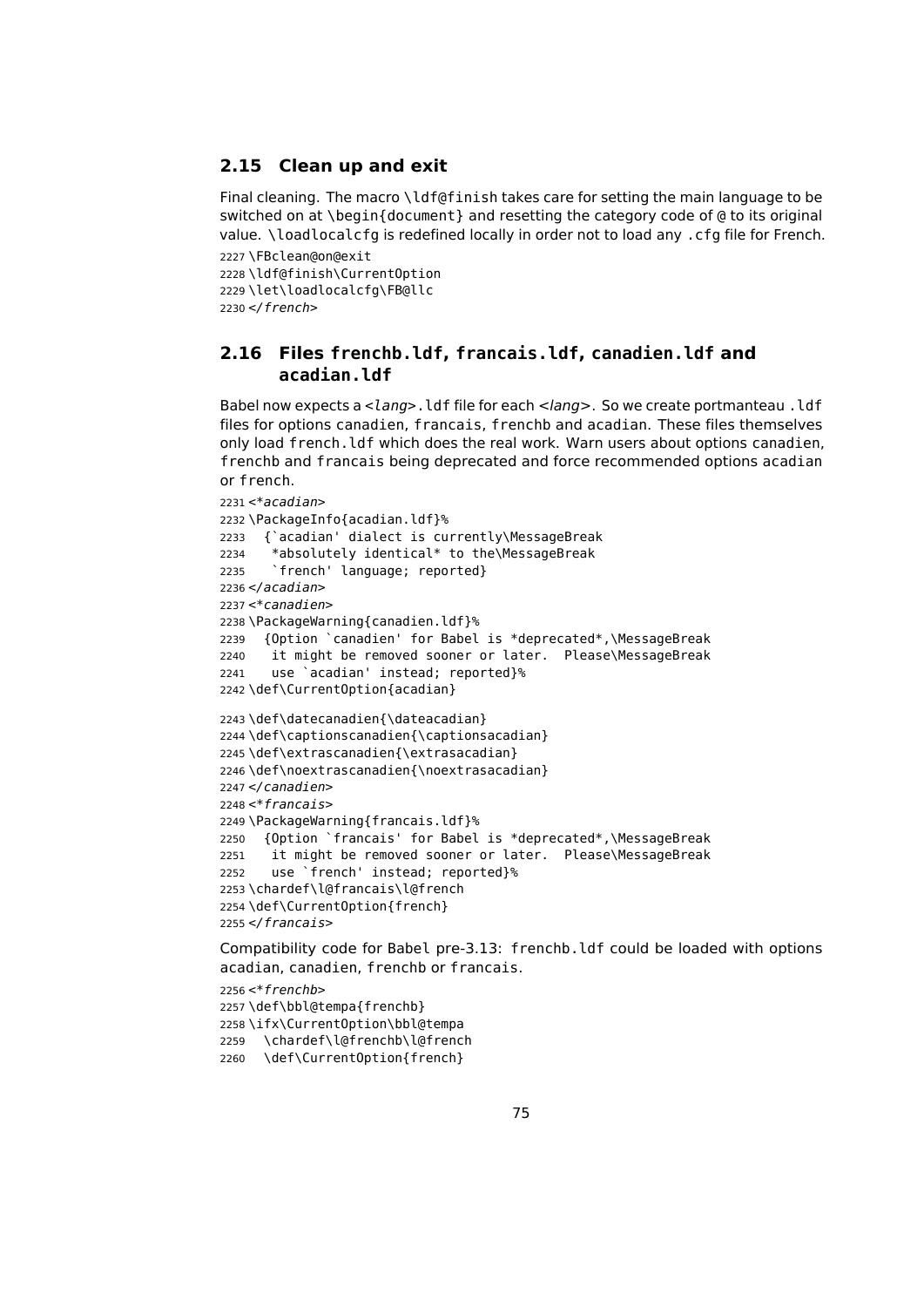## <span id="page-74-0"></span>**2.15 Clean up and exit**

Final cleaning. The macro \ldf@finish takes care for setting the main language to be switched on at \begin{document} and resetting the category code of @ to its original value. \loadlocalcfg is redefined locally in order not to load any .cfg file for French.

 \FBclean@on@exit \ldf@finish\CurrentOption \let\loadlocalcfg\FB@llc </french>

## **2.16 Files frenchb.ldf, francais.ldf, canadien.ldf and acadian.ldf**

Babel now expects a <lang>. ldf file for each <lang>. So we create portmanteau . ldf files for options canadien, francais, frenchb and acadian. These files themselves only load french.ldf which does the real work. Warn users about options canadien, frenchb and francais being deprecated and force recommended options acadian or french.

```
2231 <*acadian>
2232 \PackageInfo{acadian.ldf}%
2233 {`acadian' dialect is currently\MessageBreak
2234 *absolutely identical* to the\MessageBreak
2235 `french' language; reported}
2236 < /acadian2237 < *canadien>
2238 \PackageWarning{canadien.ldf}%
2239 {Option `canadien' for Babel is *deprecated*,\MessageBreak
2240 it might be removed sooner or later. Please\MessageBreak
2241 use `acadian' instead; reported}%
2242 \def\CurrentOption{acadian}
2243 \def\datecanadien{\dateacadian}
2244 \def\captionscanadien{\captionsacadian}
2245 \def\extrascanadien{\extrasacadian}
2246 \def\noextrascanadien{\noextrasacadian}
2247 </canadien>
2248 <*francais>
2249 \PackageWarning{francais.ldf}%
2250 {Option `francais' for Babel is *deprecated*,\MessageBreak
2251 it might be removed sooner or later. Please\MessageBreak
2252 use `french' instead; reported}%
2253 \chardef\l@francais\l@french
2254 \def\CurrentOption{french}
2255 < /francais
```
Compatibility code for Babel pre-3.13: frenchb.ldf could be loaded with options acadian, canadien, frenchb or francais.

```
2256 < *frenchb2257 \def\bbl@tempa{frenchb}
2258 \ifx\CurrentOption\bbl@tempa
2259 \chardef\l@frenchb\l@french
2260 \def\CurrentOption{french}
```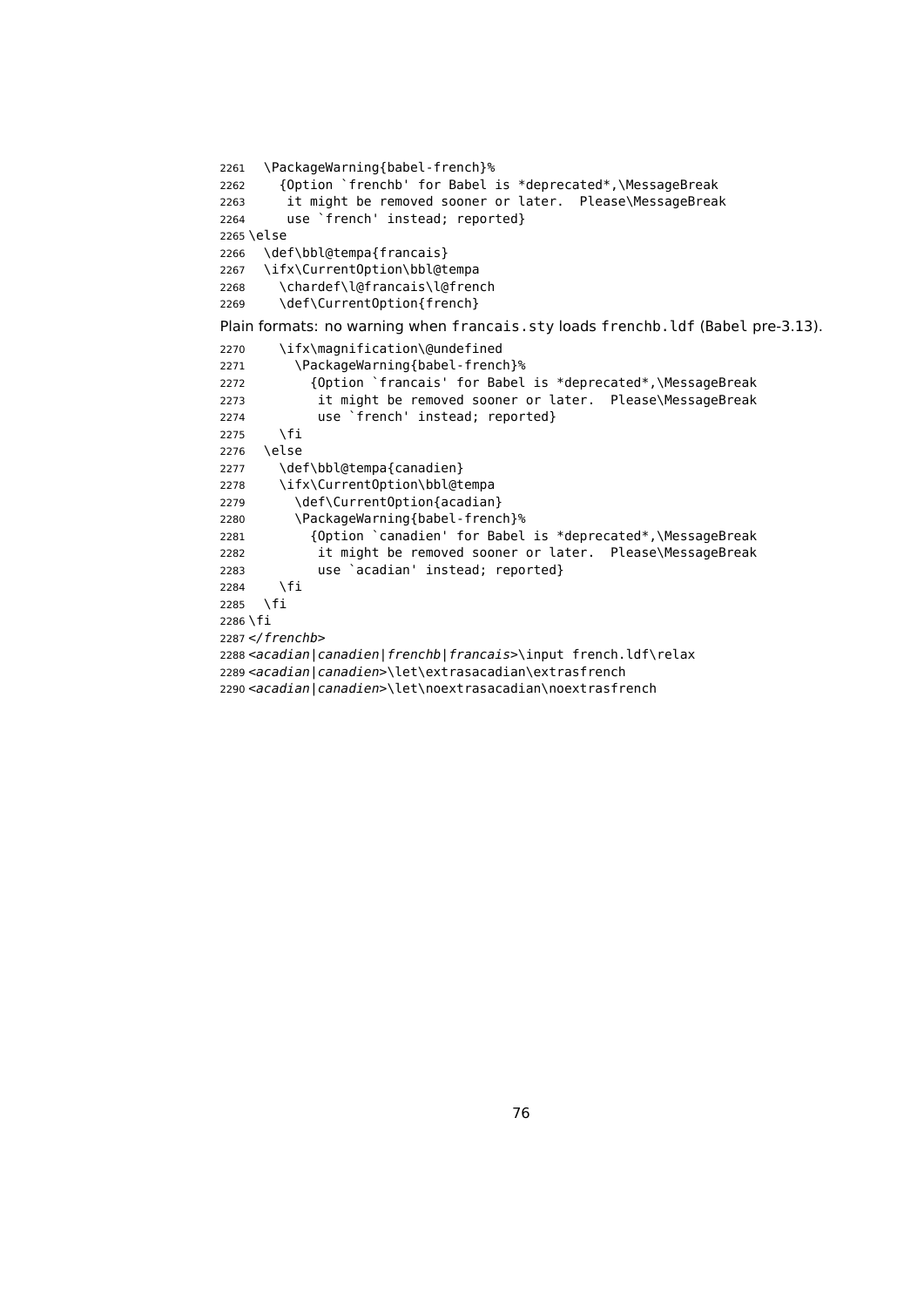```
2261 \PackageWarning{babel-french}%
2262 {Option `frenchb' for Babel is *deprecated*,\MessageBreak
2263 it might be removed sooner or later. Please\MessageBreak
2264 use `french' instead; reported}
2265 \else
2266 \def\bbl@tempa{francais}
2267 \ifx\CurrentOption\bbl@tempa
2268 \chardef\l@francais\l@french
2269 \def\CurrentOption{french}
Plain formats: no warning when francais.sty loads frenchb.ldf (Babel pre-3.13).
2270 \ifx\magnification\@undefined
2271 \PackageWarning{babel-french}%
2272 {Option `francais' for Babel is *deprecated*,\MessageBreak
2273 it might be removed sooner or later. Please\MessageBreak
2274 use `french' instead; reported}
2275 \fi
2276 \else
2277 \def\bbl@tempa{canadien}
2278 \ifx\CurrentOption\bbl@tempa
2279 \def\CurrentOption{acadian}
2280 \PackageWarning{babel-french}%
2281 {Option `canadien' for Babel is *deprecated*,\MessageBreak
2282 it might be removed sooner or later. Please\MessageBreak
2283 use `acadian' instead; reported}
2284 \fi
2285 \fi
2286 \fi
2287 </frenchb>
2288 <acadian|canadien|frenchb|francais>\input french.ldf\relax
2289 <acadian|canadien>\let\extrasacadian\extrasfrench
2290 <acadian|canadien>\let\noextrasacadian\noextrasfrench
```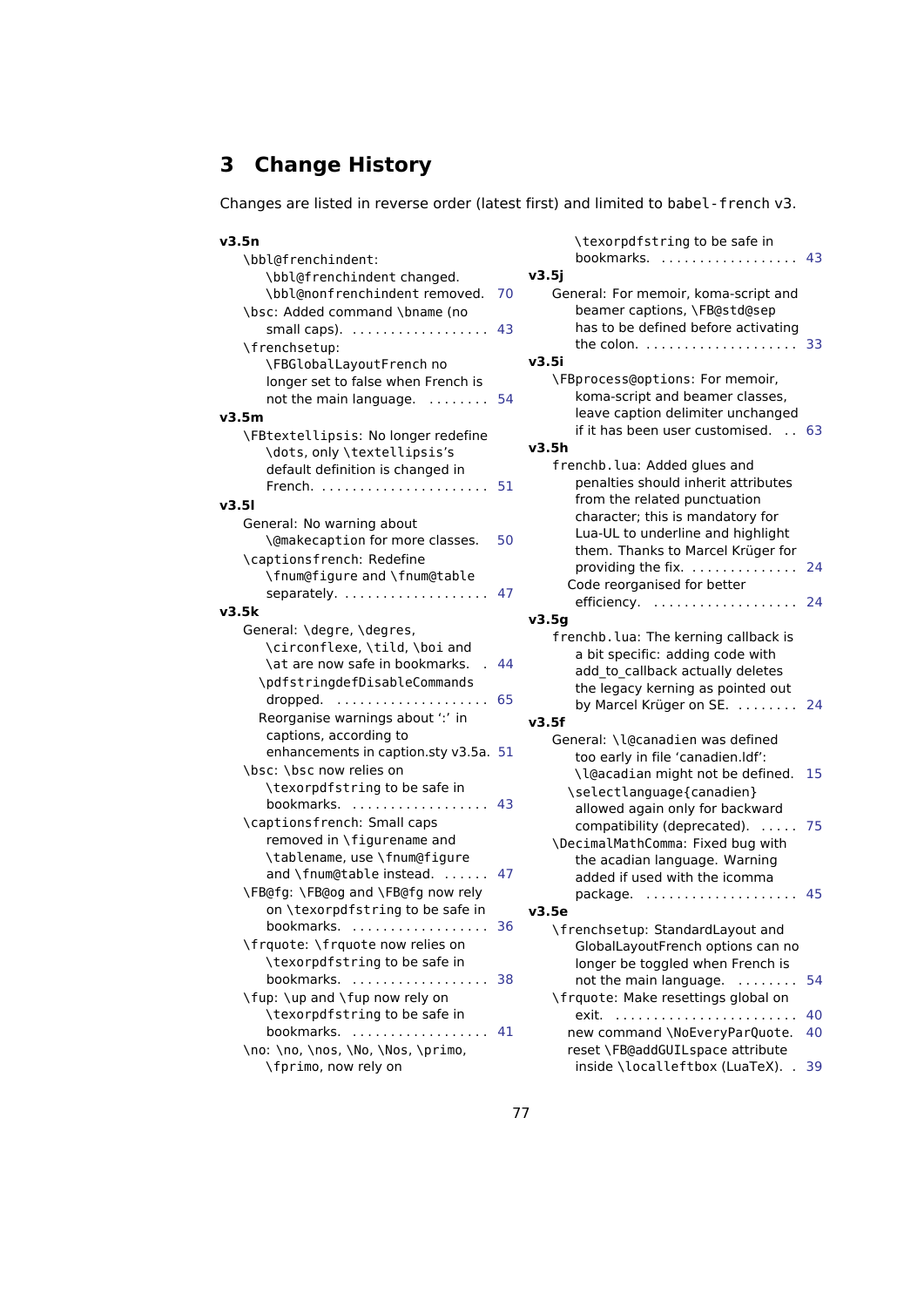## **3 Change History**

Changes are listed in reverse order (latest first) and limited to babel-french v3.

|    | \tex                                                                                        |
|----|---------------------------------------------------------------------------------------------|
|    | book                                                                                        |
|    | v3.5j                                                                                       |
| 70 | General:                                                                                    |
|    | bean                                                                                        |
| 43 | has t                                                                                       |
|    | the c                                                                                       |
|    | v3.5i                                                                                       |
|    | <b>\FBproc</b>                                                                              |
| 54 | kom                                                                                         |
|    | leave                                                                                       |
|    | if it h                                                                                     |
|    | v3.5h                                                                                       |
|    | frenchb                                                                                     |
| 51 | pena                                                                                        |
|    | from                                                                                        |
|    | chara                                                                                       |
|    | Lua-l                                                                                       |
|    | them                                                                                        |
|    | prov                                                                                        |
|    | Code                                                                                        |
|    | effici                                                                                      |
|    | v3.5g                                                                                       |
|    | frenchb                                                                                     |
|    | a bit                                                                                       |
|    | add                                                                                         |
|    | the I                                                                                       |
|    | by M                                                                                        |
|    | v3.5f                                                                                       |
|    | General:                                                                                    |
|    | too $\epsilon$                                                                              |
|    | \l@a                                                                                        |
|    | \sele                                                                                       |
|    | allow                                                                                       |
|    | com                                                                                         |
|    | \Decima                                                                                     |
|    | the a                                                                                       |
|    | adde                                                                                        |
|    | pack                                                                                        |
|    | v3.5e                                                                                       |
|    | \french                                                                                     |
|    | Glob                                                                                        |
|    | long                                                                                        |
|    | not t                                                                                       |
|    | \frquot                                                                                     |
|    | exit.                                                                                       |
|    | new c                                                                                       |
|    | reset                                                                                       |
|    | insid                                                                                       |
|    | 50<br>47<br>44<br>65<br>enhancements in caption.sty v3.5a. 51<br>43<br>47<br>36<br>38<br>41 |

| \texorpdfstring to be safe in<br>bookmarks.<br>v3.5i                                                                                                                            | 43 |
|---------------------------------------------------------------------------------------------------------------------------------------------------------------------------------|----|
| General: For memoir, koma-script and<br>beamer captions, \FB@std@sep<br>has to be defined before activating<br>the colon. $\ldots \ldots \ldots \ldots \ldots$                  | 33 |
| v3.5i                                                                                                                                                                           |    |
| \FBprocess@options: For memoir,<br>koma-script and beamer classes,<br>leave caption delimiter unchanged<br>if it has been user customised.<br>$\mathbb{R}^2$<br>v3.5h           | 63 |
| frenchb. lua: Added glues and                                                                                                                                                   |    |
| penalties should inherit attributes<br>from the related punctuation<br>character; this is mandatory for<br>Lua-UL to underline and highlight                                    |    |
| them. Thanks to Marcel Krüger for<br>providing the fix.                                                                                                                         | 24 |
| Code reorganised for better                                                                                                                                                     |    |
| efficiency.<br>.                                                                                                                                                                | 24 |
| v3.5g                                                                                                                                                                           |    |
| frenchb. lua: The kerning callback is<br>a bit specific: adding code with<br>add to callback actually deletes<br>the legacy kerning as pointed out<br>by Marcel Krüger on SE.   | 24 |
| v3.5f                                                                                                                                                                           |    |
| General: \l@canadien was defined                                                                                                                                                |    |
| too early in file 'canadien.Idf':<br>\l@acadian might not be defined.<br>\selectlanguage{canadien}                                                                              | 15 |
| allowed again only for backward<br>compatibility (deprecated).<br>$\sim 100\,M_\odot$<br>\DecimalMathComma: Fixed bug with                                                      | 75 |
| the acadian language. Warning<br>added if used with the icomma<br>package.                                                                                                      | 45 |
| v3.5e                                                                                                                                                                           |    |
| \frenchsetup: StandardLayout and<br>GlobalLayoutFrench options can no<br>longer be toggled when French is<br>not the main language.<br>.<br>\frquote: Make resettings global on | 54 |
| exit.<br>.                                                                                                                                                                      | 40 |
| new command \NoEveryParQuote.<br>reset \FB@addGUILspace attribute                                                                                                               | 40 |
| inside \localleftbox (LuaTeX).                                                                                                                                                  | 39 |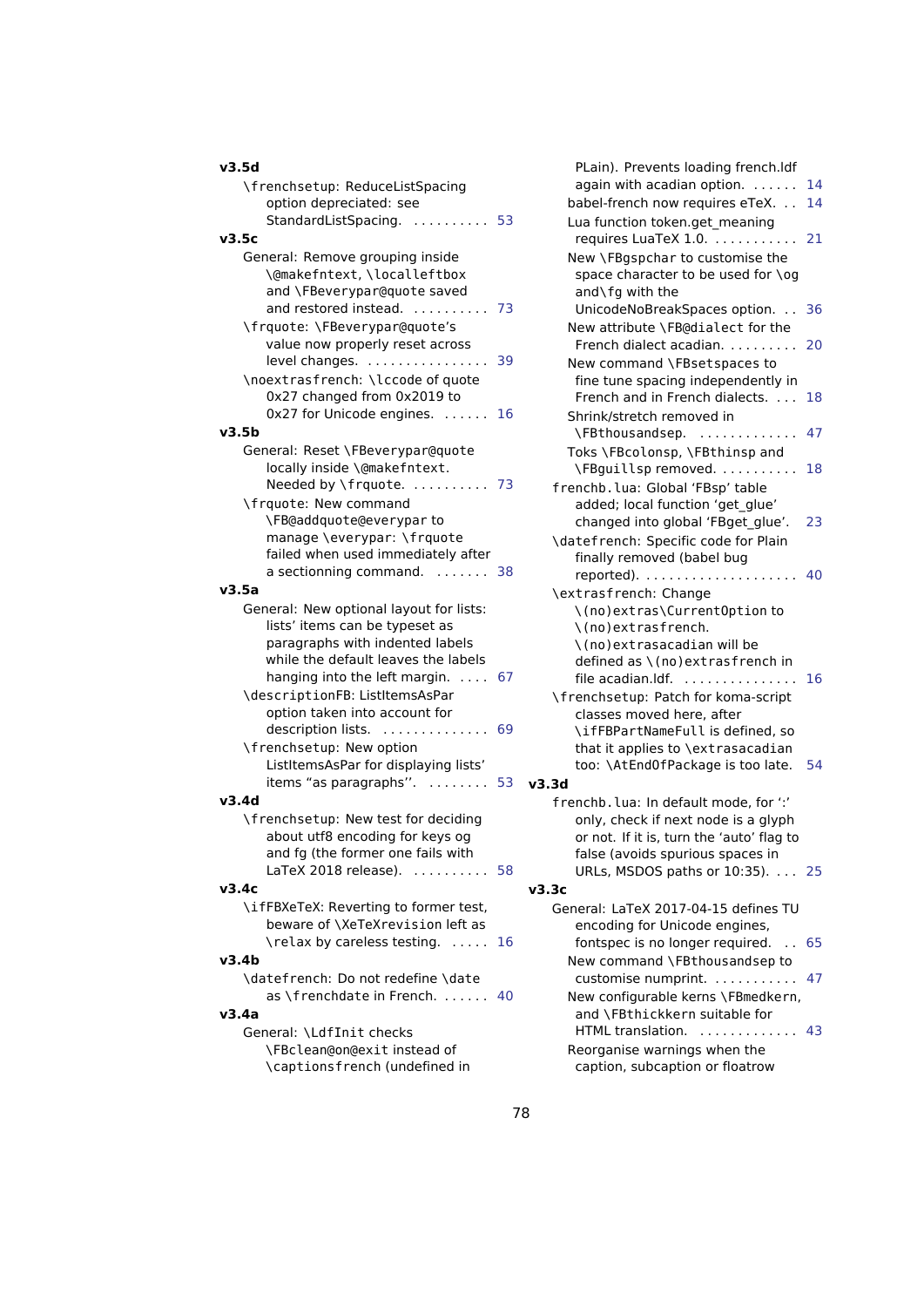|  | v3.5d |  |
|--|-------|--|
|  |       |  |

| \frenchsetup: ReduceListSpacing<br>option depreciated: see<br>StandardListSpacing.  53                                             |    |     |
|------------------------------------------------------------------------------------------------------------------------------------|----|-----|
| v3.5c                                                                                                                              |    |     |
| General: Remove grouping inside<br>\@makefntext, \localleftbox<br>and \FBeverypar@quote saved<br>and restored instead.             | 73 |     |
| \frquote: \FBeverypar@quote's<br>value now properly reset across<br>level changes.                                                 | 39 |     |
| \noextrasfrench: \lccode of quote<br>0x27 changed from 0x2019 to<br>0x27 for Unicode engines.                                      | 16 |     |
| v3.5b                                                                                                                              |    |     |
| General: Reset \FBeverypar@quote<br>locally inside \@makefntext.<br>Needed by \frquote.  73<br>\frquote: New command               |    |     |
| \FB@addquote@everyparto<br>manage \everypar: \frquote<br>failed when used immediately after<br>a sectionning command.  38<br>v3.5a |    |     |
| General: New optional layout for lists:                                                                                            |    |     |
| lists' items can be typeset as<br>paragraphs with indented labels<br>while the default leaves the labels                           |    |     |
| hanging into the left margin.  67<br>\descriptionFB: ListItemsAsPar<br>option taken into account for                               |    |     |
| description lists.<br>.<br>\frenchsetup: New option                                                                                | 69 |     |
| ListItemsAsPar for displaying lists'<br>items "as paragraphs".  53<br>v3.4d                                                        |    | v3. |
| \frenchsetup: New test for deciding<br>about utf8 encoding for keys og<br>and fg (the former one fails with                        |    |     |
|                                                                                                                                    | 58 |     |
| v3.4c                                                                                                                              |    | ν3. |
| \ifFBXeTeX: Reverting to former test.<br>beware of \XeTeXrevision left as<br>\relax by careless testing.                           | 16 |     |
| v3.4b                                                                                                                              |    |     |
| \datefrench: Do not redefine \date                                                                                                 |    |     |
| as \frenchdate in French.                                                                                                          | 40 |     |
| v3.4a                                                                                                                              |    |     |
| General: \LdfInit checks<br>\FBclean@on@exit instead of<br>\captionsfrench (undefined in                                           |    |     |

| PLain). Prevents loading french.Idf                                    |    |
|------------------------------------------------------------------------|----|
| again with acadian option.                                             | 14 |
| babel-french now requires eTeX.                                        | 14 |
| Lua function token.get meaning                                         |    |
| requires LuaTeX 1.0.                                                   | 21 |
| New \FBgspchar to customise the                                        |    |
| space character to be used for \og                                     |    |
| and\fg with the                                                        |    |
| UnicodeNoBreakSpaces option.                                           | 36 |
| New attribute \FB@dialect for the                                      |    |
| French dialect acadian.                                                | 20 |
| New command \FBsetspaces to                                            |    |
| fine tune spacing independently in<br>French and in French dialects.   | 18 |
| Shrink/stretch removed in                                              |    |
| \FBthousandsep.                                                        | 47 |
| Toks \FBcolonsp, \FBthinsp and                                         |    |
| \FBguillsp removed.                                                    | 18 |
| frenchb.lua: Global 'FBsp' table                                       |    |
| added; local function 'get_glue'                                       |    |
| changed into global 'FBget_glue'.                                      | 23 |
| \datefrench: Specific code for Plain                                   |    |
| finally removed (babel bug                                             |    |
| reported).                                                             | 40 |
| \extrasfrench: Change                                                  |    |
| \(no)extras\CurrentOption to                                           |    |
| \(no)extrasfrench.                                                     |    |
| \(no)extrasacadian will be                                             |    |
| defined as \(no)extrasfrench in                                        |    |
| file acadian.Idf.<br>.                                                 | 16 |
| \frenchsetup: Patch for koma-script                                    |    |
| classes moved here, after                                              |    |
| \ifFBPartNameFull is defined, so                                       |    |
| that it applies to \extrasacadian<br>too: \AtEnd0fPackage is too late. | 54 |
| v3.3d                                                                  |    |
| frenchb. lua: In default mode, for ":"                                 |    |
| only, check if next node is a glyph                                    |    |
| or not. If it is, turn the 'auto' flag to                              |    |
| false (avoids spurious spaces in                                       |    |
| URLs, MSDOS paths or 10:35). 25                                        |    |
| v3.3c                                                                  |    |
| General: LaTeX 2017-04-15 defines TU                                   |    |
| encoding for Unicode engines,                                          |    |
| fontspec is no longer required                                         | 65 |
| New command \FBthousandsep to                                          |    |
| customise numprint.                                                    | 47 |
| New configurable kerns \FBmedkern,                                     |    |
| and \FBthickkern suitable for                                          |    |
| HTML translation.                                                      | 43 |
| Reorganise warnings when the                                           |    |

caption, subcaption or floatrow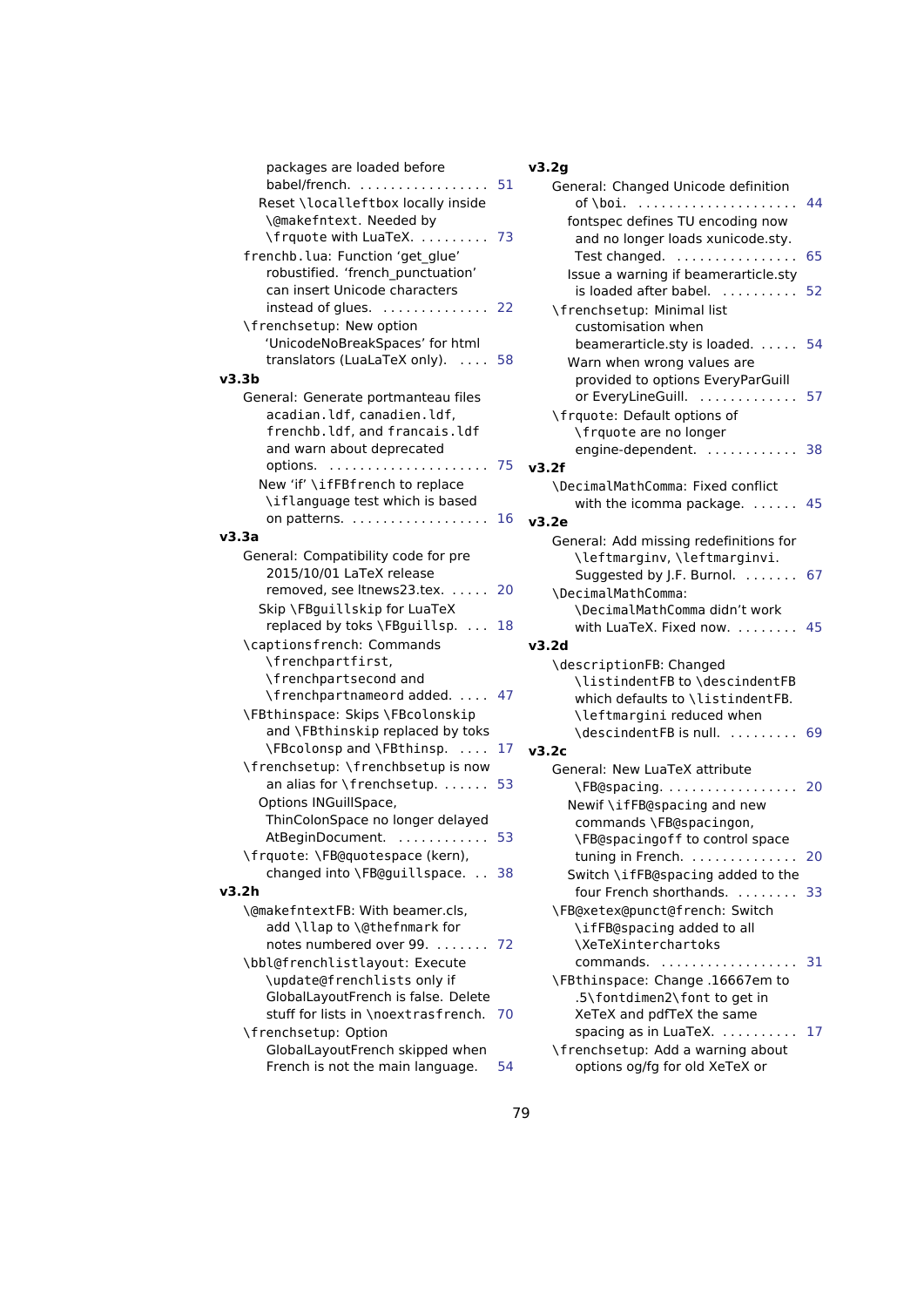| packages are loaded before                           |    | v3.2g                             |
|------------------------------------------------------|----|-----------------------------------|
| babel/french. $\ldots$ ,                             | 51 | General: Changed Unicode defini   |
| Reset \localleftbox locally inside                   |    | of \boi.                          |
| \@makefntext. Needed by                              |    | fontspec defines TU encoding r    |
| \frquote with LuaTeX.                                | 73 | and no longer loads xunicode      |
| frenchb. lua: Function 'get_glue'                    |    | Test changed.                     |
| robustified. 'french_punctuation'                    |    | Issue a warning if beamerarticl   |
| can insert Unicode characters                        |    | is loaded after babel.            |
| instead of glues.                                    | 22 | \frenchsetup: Minimal list        |
| \frenchsetup: New option                             |    | customisation when                |
| 'UnicodeNoBreakSpaces' for html                      |    | beamerarticle.sty is loaded       |
| translators (LuaLaTeX only).                         | 58 | Warn when wrong values are        |
| v3.3b                                                |    | provided to options EveryPar0     |
| General: Generate portmanteau files                  |    | or EveryLineGuill.                |
| acadian.ldf, canadien.ldf,                           |    | \frquote: Default options of      |
| frenchb.ldf, and francais.ldf                        |    | \frquote are no longer            |
| and warn about deprecated                            |    | engine-dependent.                 |
| options.                                             | 75 | v3.2f                             |
| New 'if' \ifFBfrench to replace                      |    | \DecimalMathComma: Fixed confli   |
| \iflanguage test which is based                      |    | with the icomma package.          |
| on patterns. $\ldots \ldots \ldots \ldots \ldots 16$ |    | v3.2e                             |
| v3.3a                                                |    | General: Add missing redefinition |
| General: Compatibility code for pre                  |    | \leftmarginv, \leftmarginv        |
| 2015/10/01 LaTeX release                             |    | Suggested by J.F. Burnol.         |
| removed, see Itnews23.tex.                           | 20 | \DecimalMathComma:                |
| Skip \FBguillskip for LuaTeX                         |    | \DecimalMathComma didn't wo       |
| replaced by toks \FBguillsp.                         | 18 | with LuaTeX. Fixed now.           |
| \captionsfrench: Commands                            |    | v3.2d                             |
| \frenchpartfirst,                                    |    | \descriptionFB: Changed           |
| \frenchpartsecond and                                |    | \listindentFB to \descinde        |
| \frenchpartnameord added.                            | 47 | which defaults to \listinden      |
| \FBthinspace: Skips \FBcolonskip                     |    | \leftmargini reduced when         |
| and \FBthinskip replaced by toks                     |    | \descindentFB is null.            |
| \FBcolonsp and \FBthinsp.                            | 17 | v3.2c                             |
| \frenchsetup: \frenchbsetup is now                   |    | General: New LuaTeX attribute     |
| an alias for \frenchsetup.                           | 53 | \FB@spacing.                      |
| Options INGuillSpace,                                |    | Newif \ifFB@spacing and new       |
| ThinColonSpace no longer delayed                     |    | commands \FB@spacingon,           |
| AtBeginDocument.  53                                 |    | \FB@spacingoff to control sp      |
| \frquote: \FB@quotespace (kern),                     |    | tuning in French.                 |
| changed into \FB@guillspace.  38                     |    | Switch \ifFB@spacing added t      |
| v3.2h                                                |    | four French shorthands.           |
| \@makefntextFB: With beamer.cls,                     |    | \FB@xetex@punct@french: Switc     |
| add \llap to \@thefnmark for                         |    | \ifFB@spacing added to all        |
| notes numbered over 99.                              | 72 | \XeTeXinterchartoks               |
| \bbl@frenchlistlayout: Execute                       |    | commands.                         |
| \update@frenchlists only if                          |    | \FBthinspace: Change.16667en      |
| GlobalLayoutFrench is false. Delete                  |    | .5\fontdimen2\font to get ir      |
| stuff for lists in \noextrasfrench.                  | 70 | XeTeX and pdfTeX the same         |
| \frenchsetup: Option                                 |    | spacing as in LuaTeX.             |
| GlobalLayoutFrench skipped when                      |    | \frenchsetup: Add a warning ab    |
| French is not the main language.                     | 54 | options og/fg for old XeTeX or    |

## **v3.2g**

| General: Changed Unicode definition<br>of∖boi.                             | 44 |
|----------------------------------------------------------------------------|----|
| fontspec defines TU encoding now                                           |    |
| and no longer loads xunicode.sty.                                          |    |
| Test changed.                                                              | 65 |
| .                                                                          |    |
| Issue a warning if beamerarticle.sty                                       |    |
| is loaded after babel.<br>$\mathcal{L}$ is a set of a set of $\mathcal{L}$ | 52 |
| \frenchsetup: Minimal list                                                 |    |
| customisation when                                                         |    |
| beamerarticle.sty is loaded.                                               | 54 |
| Warn when wrong values are                                                 |    |
| provided to options EveryParGuill                                          |    |
| or EveryLineGuill.                                                         | 57 |
| \frquote: Default options of                                               |    |
| \frquote are no longer                                                     |    |
| engine-dependent.                                                          | 38 |
| v3.2f                                                                      |    |
| \DecimalMathComma: Fixed conflict                                          |    |
|                                                                            | 45 |
| with the icomma package. $\dots$                                           |    |
| v3.2e                                                                      |    |
| General: Add missing redefinitions for                                     |    |
| \leftmarginv, \leftmarginvi.                                               |    |
| Suggested by J.F. Burnol.                                                  | 67 |
| \DecimalMathComma:                                                         |    |
| \DecimalMathComma didn't work                                              |    |
| with LuaTeX. Fixed now.                                                    | 45 |
| v3.2d                                                                      |    |
| \descriptionFB: Changed                                                    |    |
| \listindentFB to \descindentFB                                             |    |
|                                                                            |    |
| which defaults to \listindentFB.                                           |    |
| leftmargini reduced when                                                   |    |
| \descindentFB is null.                                                     | 69 |
| v3.2c                                                                      |    |
| General: New LuaTeX attribute                                              |    |
| \FB@spacing                                                                | 20 |
| Newif \ifFB@spacing and new                                                |    |
| commands \FB@spacingon,                                                    |    |
| \FB@spacingoff to control space                                            |    |
| tuning in French.                                                          | 20 |
| Switch \ifFB@spacing added to the                                          |    |
|                                                                            |    |
| four French shorthands. 33                                                 |    |
| \FB@xetex@punct@french: Switch                                             |    |
| \ifFB@spacing added to all                                                 |    |
| \XeTeXinterchartoks                                                        |    |
| commands.<br>.                                                             | 31 |
| \FBthinspace: Change .16667em to                                           |    |
| .5\fontdimen2\font to get in                                               |    |
| XeTeX and pdfTeX the same                                                  |    |
| spacing as in LuaTeX.                                                      | 17 |
| \frenchsetup: Add a warning about                                          |    |
|                                                                            |    |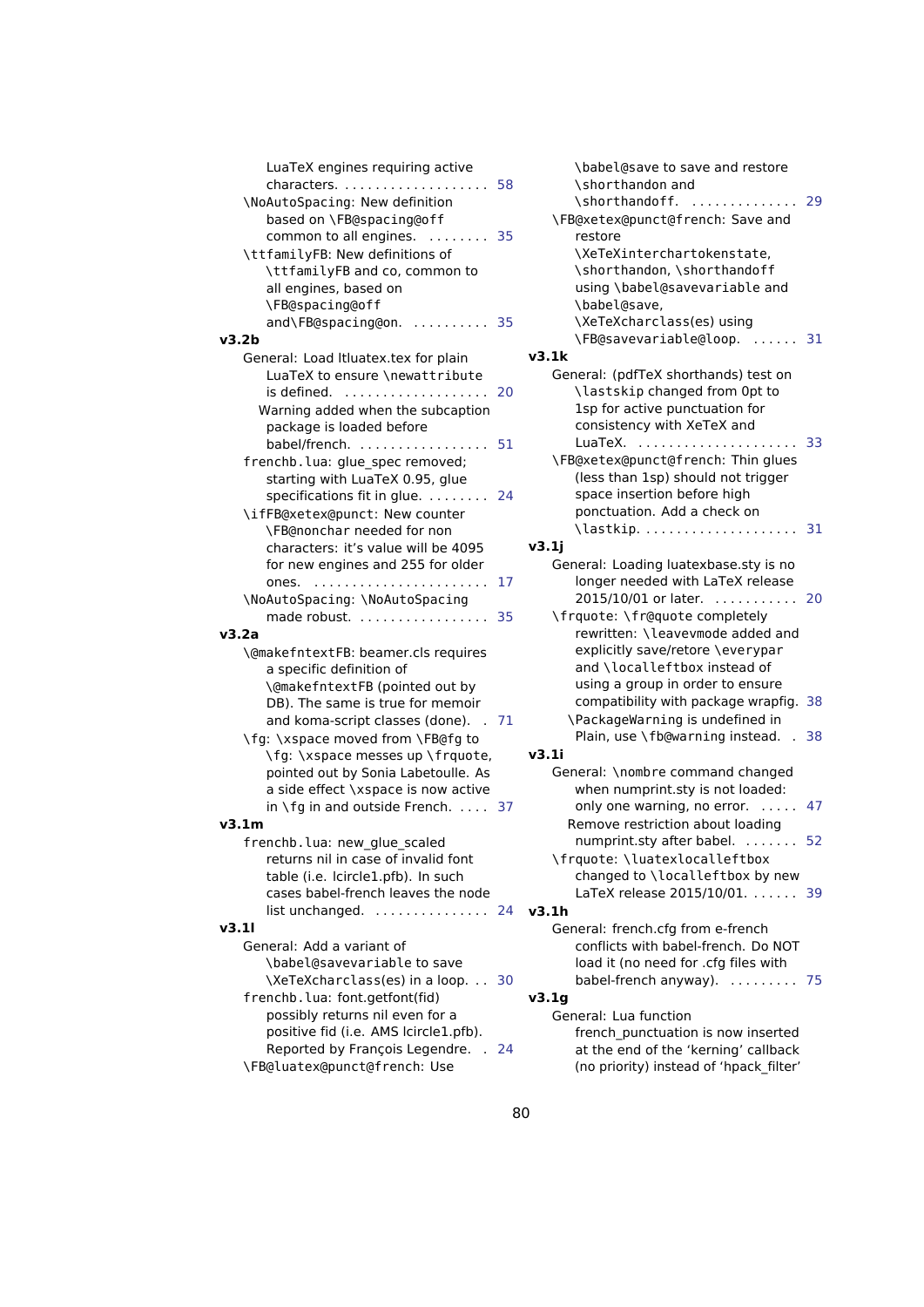| LuaTeX engines requiring active                           |    |
|-----------------------------------------------------------|----|
|                                                           |    |
| \NoAutoSpacing: New definition                            |    |
| based on \FB@spacing@off                                  |    |
| common to all engines.                                    | 35 |
| $\mathcal{L}$ . The set of $\mathcal{L}$ is $\mathcal{L}$ |    |
| \ttfamilyFB: New definitions of                           |    |
| \ttfamilyFB and co, common to                             |    |
| all engines, based on                                     |    |
| \FB@spacing@off                                           |    |
| and\FB@spacing@on.                                        | 35 |
| v3.2b                                                     |    |
| General: Load Itluatex.tex for plain                      |    |
| LuaTeX to ensure \newattribute                            |    |
| is defined.                                               | 20 |
|                                                           |    |
| Warning added when the subcaption                         |    |
| package is loaded before                                  |    |
| babel/french.                                             | 51 |
| frenchb.lua: glue_spec removed;                           |    |
| starting with LuaTeX 0.95, glue                           |    |
| specifications fit in glue.                               | 24 |
| \ifFB@xetex@punct: New counter                            |    |
| \FB@nonchar needed for non                                |    |
| characters: it's value will be 4095                       |    |
|                                                           |    |
| for new engines and 255 for older                         |    |
| ones.                                                     | 17 |
| \NoAutoSpacing: \NoAutoSpacing                            |    |
| made robust.                                              | 35 |
| v3.2a                                                     |    |
| \@makefntextFB: beamer.cls requires                       |    |
| a specific definition of                                  |    |
| \@makefntextFB (pointed out by                            |    |
| DB). The same is true for memoir                          |    |
| and koma-script classes (done).<br>. 71                   |    |
|                                                           |    |
| \fg: \xspace moved from \FB@fg to                         |    |
| \fg: \xspace messes up \frquote,                          |    |
| pointed out by Sonia Labetoulle. As                       |    |
| a side effect \xspace is now active                       |    |
| in \fg in and outside French. $\ldots$ 37                 |    |
| v3.1m                                                     |    |
| frenchb.lua: new_glue_scaled                              |    |
| returns nil in case of invalid font                       |    |
| table (i.e. Icircle1.pfb). In such                        |    |
| cases babel-french leaves the node                        |    |
| $list$ unchanged. $\ldots \ldots \ldots \ldots$           | 24 |
|                                                           |    |
| v3.11                                                     |    |
| General: Add a variant of                                 |    |
| \babel@savevariable to save                               |    |
| \XeTeXcharclass(es) in a loop.                            | 30 |
| frenchb.lua: font.getfont(fid)                            |    |
| possibly returns nil even for a                           |    |
| positive fid (i.e. AMS lcircle1.pfb).                     |    |
| Reported by François Legendre. .                          | 24 |
|                                                           |    |

\FB@luatex@punct@french: Use

| \babel@save to save and restore<br>\shorthandon and<br>\shorthandoff.<br>$\ddot{\phantom{a}}$<br>\FB@xetex@punct@french: Save and<br>restore                                                                                                                                                                         | 29             |
|----------------------------------------------------------------------------------------------------------------------------------------------------------------------------------------------------------------------------------------------------------------------------------------------------------------------|----------------|
| \XeTeXinterchartokenstate,<br>\shorthandon, \shorthandoff<br>using \babel@savevariable and<br>\babel@save,<br>\XeTeXcharclass(es) using                                                                                                                                                                              |                |
| \FB@savevariable@loop.<br><b>Service</b> State                                                                                                                                                                                                                                                                       | 31             |
| v3.1k                                                                                                                                                                                                                                                                                                                |                |
| General: (pdfTeX shorthands) test on<br>\lastskip changed from 0pt to<br>1sp for active punctuation for<br>consistency with XeTeX and                                                                                                                                                                                |                |
| LuaTeX.<br>$\sim 100$<br>\FB@xetex@punct@french: Thin glues<br>(less than 1sp) should not trigger<br>space insertion before high<br>ponctuation. Add a check on                                                                                                                                                      | 33             |
|                                                                                                                                                                                                                                                                                                                      | 31             |
| v3.1j                                                                                                                                                                                                                                                                                                                |                |
| General: Loading luatexbase.sty is no<br>longer needed with LaTeX release                                                                                                                                                                                                                                            |                |
| 2015/10/01 or later.<br>.<br>\frquote: \fr@quote completely<br>rewritten: \leavevmode added and<br>explicitly save/retore \everypar<br>and \localleftbox instead of<br>using a group in order to ensure<br>compatibility with package wrapfig.<br>\PackageWarning is undefined in<br>Plain, use \fb@warning instead. | 20<br>38<br>38 |
| v3.1i                                                                                                                                                                                                                                                                                                                |                |
| General: \nombre command changed<br>when numprint.sty is not loaded:                                                                                                                                                                                                                                                 |                |
| only one warning, no error.<br>$\ldots$ 47<br>Remove restriction about loading                                                                                                                                                                                                                                       |                |
| numprint.sty after babel.<br>\frquote: \luatexlocalleftbox<br>changed to \localleftbox by new<br>LaTeX release 2015/10/01.                                                                                                                                                                                           | 52<br>39       |
| v3.1h                                                                                                                                                                                                                                                                                                                |                |
| General: french.cfg from e-french<br>conflicts with babel-french. Do NOT<br>load it (no need for .cfg files with<br>babel-french anyway).                                                                                                                                                                            | 75             |
| v3.1g                                                                                                                                                                                                                                                                                                                |                |
| General: Lua function<br>french_punctuation is now inserted<br>at the end of the 'kerning' callback<br>(no priority) instead of 'hpack filter'                                                                                                                                                                       |                |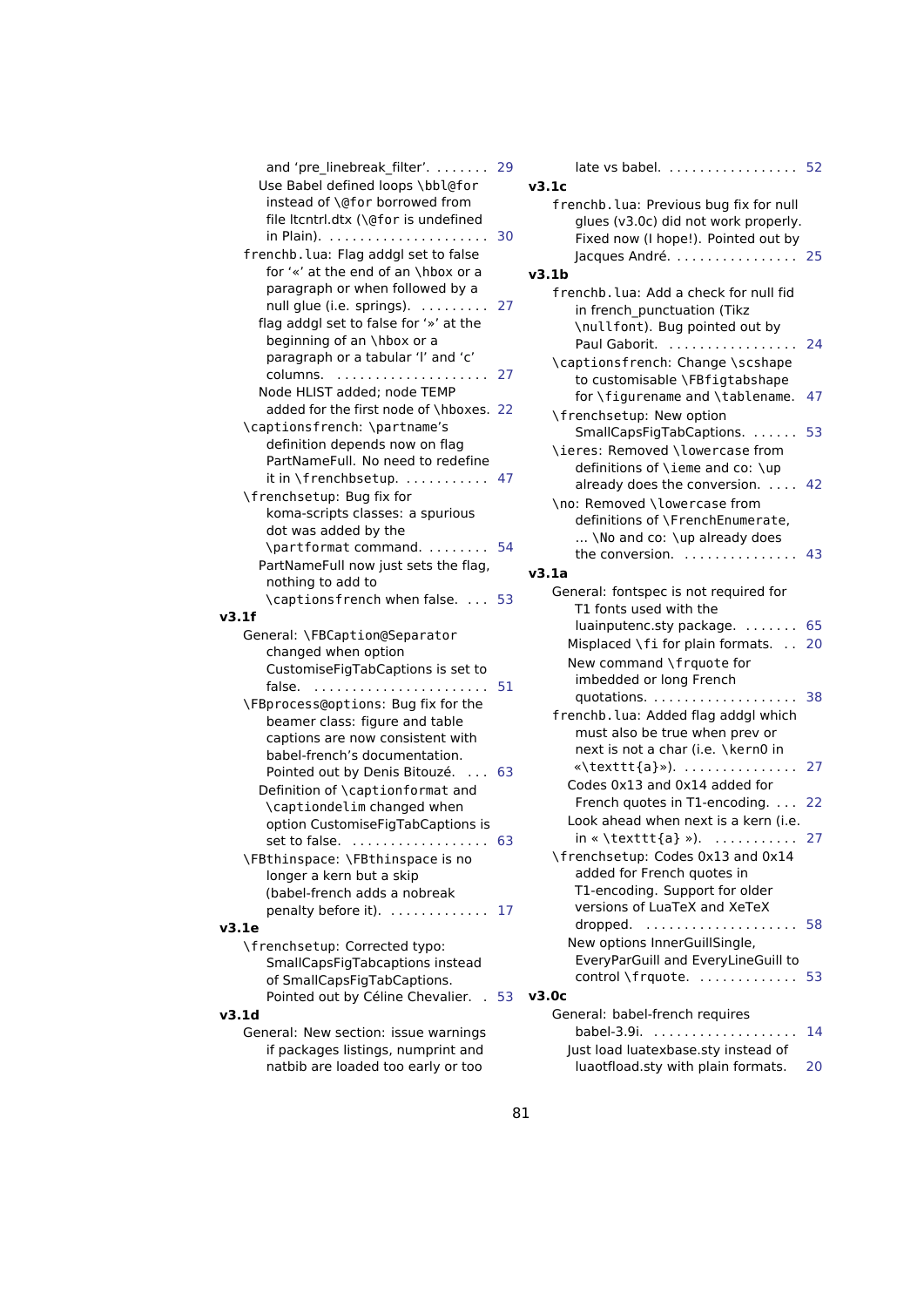| and 'pre_linebreak_filter'. 29                                    |      |    |
|-------------------------------------------------------------------|------|----|
| Use Babel defined loops \bbl@for                                  |      | ľ. |
| instead of \@for borrowed from                                    |      |    |
| file Itcntrl.dtx (\@for is undefined                              |      |    |
|                                                                   | 30   |    |
| frenchb. lua: Flag addgl set to false                             |      |    |
| for '«' at the end of an \hbox or a                               |      |    |
| paragraph or when followed by a                                   |      |    |
| null glue (i.e. springs).                                         | 27   |    |
| flag addgl set to false for '»' at the                            |      |    |
| beginning of an \hbox or a                                        |      |    |
| paragraph or a tabular 'l' and 'c'                                |      |    |
|                                                                   |      |    |
| Node HLIST added: node TEMP                                       |      |    |
| added for the first node of \hboxes. 22                           |      |    |
| \captionsfrench: \partname's                                      |      |    |
| definition depends now on flag                                    |      |    |
| PartNameFull. No need to redefine                                 |      |    |
| it in \frenchbsetup.  47                                          |      |    |
| \frenchsetup: Bug fix for                                         |      |    |
| koma-scripts classes: a spurious                                  |      |    |
| dot was added by the                                              |      |    |
| \partformat command.  54                                          |      |    |
| PartNameFull now just sets the flag,                              |      |    |
| nothing to add to                                                 |      |    |
| \captionsfrench when false.  53                                   |      |    |
| v3.1f                                                             |      |    |
|                                                                   |      |    |
| General: \FBCaption@Separator<br>changed when option              |      |    |
| CustomiseFigTabCaptions is set to                                 |      |    |
| false.                                                            | 51   |    |
| \FBprocess@options: Bug fix for the                               |      |    |
| beamer class: figure and table                                    |      |    |
|                                                                   |      |    |
| captions are now consistent with<br>babel-french's documentation. |      |    |
| Pointed out by Denis Bitouzé.                                     | 63   |    |
|                                                                   |      |    |
| Definition of \captionformat and                                  |      |    |
| \captiondelim changed when<br>option CustomiseFigTabCaptions is   |      |    |
|                                                                   |      |    |
| set to false.<br>\FBthinspace: \FBthinspace is no                 | 63   |    |
|                                                                   |      |    |
| longer a kern but a skip                                          |      |    |
| (babel-french adds a nobreak                                      |      |    |
| penalty before it). 17                                            |      |    |
| v3.1e                                                             |      |    |
| \frenchsetup: Corrected typo:                                     |      |    |
| SmallCapsFigTabcaptions instead                                   |      |    |
| of SmallCapsFigTabCaptions.                                       |      |    |
| Pointed out by Céline Chevalier.                                  | . 53 |    |
| v3.1d                                                             |      |    |
| General: New section: issue warnings                              |      |    |
| if packages listings, numprint and                                |      |    |
| natbib are loaded too early or too                                |      |    |

| v3.1c                                                                                                                  |    |
|------------------------------------------------------------------------------------------------------------------------|----|
| frenchb. lua: Previous bug fix for null<br>glues (v3.0c) did not work properly.<br>Fixed now (I hope!). Pointed out by |    |
| Jacques André.  25                                                                                                     |    |
| v3.1b                                                                                                                  |    |
| frenchb, lua: Add a check for null fid<br>in french_punctuation (Tikz<br>\nullfont). Bug pointed out by                |    |
| Paul Gaborit.<br>\captionsfrench: Change \scshape                                                                      | 24 |
| to customisable \FBfigtabshape<br>for \figurename and \tablename.<br>\frenchsetup: New option                          | 47 |
| SmallCapsFigTabCaptions.                                                                                               | 53 |
| \ieres: Removed \lowercase from<br>definitions of \ieme and co: \up                                                    |    |
| already does the conversion.<br>\no: Removed \lowercase from<br>definitions of \FrenchEnumerate,                       | 42 |
| \No and co: \up already does<br>the conversion. $\ldots \ldots \ldots \ldots$                                          | 43 |
| v3.1a                                                                                                                  |    |
| General: fontspec is not required for                                                                                  |    |
| T1 fonts used with the                                                                                                 |    |
| luainputenc.sty package.  65                                                                                           |    |
| Misplaced \fi for plain formats.                                                                                       | 20 |
| New command \frquote for                                                                                               |    |
| imbedded or long French                                                                                                |    |
| quotations.                                                                                                            | 38 |
| frenchb. lua: Added flag addgl which<br>must also be true when prev or<br>next is not a char (i.e. \kern0 in           |    |
|                                                                                                                        | 27 |
| Codes 0x13 and 0x14 added for                                                                                          |    |
| French quotes in T1-encoding.                                                                                          | 22 |
| Look ahead when next is a kern (i.e.                                                                                   |    |
| $in \times \text{textt}$ {a} »).                                                                                       | 27 |
| \frenchsetup: Codes 0x13 and 0x14<br>added for French quotes in<br>T1-encoding. Support for older                      |    |
| versions of LuaTeX and XeTeX                                                                                           |    |
| dropped.                                                                                                               | 58 |
| New options InnerGuillSingle,<br>EveryParGuill and EveryLineGuill to                                                   |    |
| control \frquote.                                                                                                      | 53 |
| v3.0c                                                                                                                  |    |
| General: babel-french requires                                                                                         |    |
| babel-3.9i.<br>.                                                                                                       | 14 |
| Just load luatexbase.sty instead of                                                                                    |    |
| luaotfload.sty with plain formats.                                                                                     | 20 |